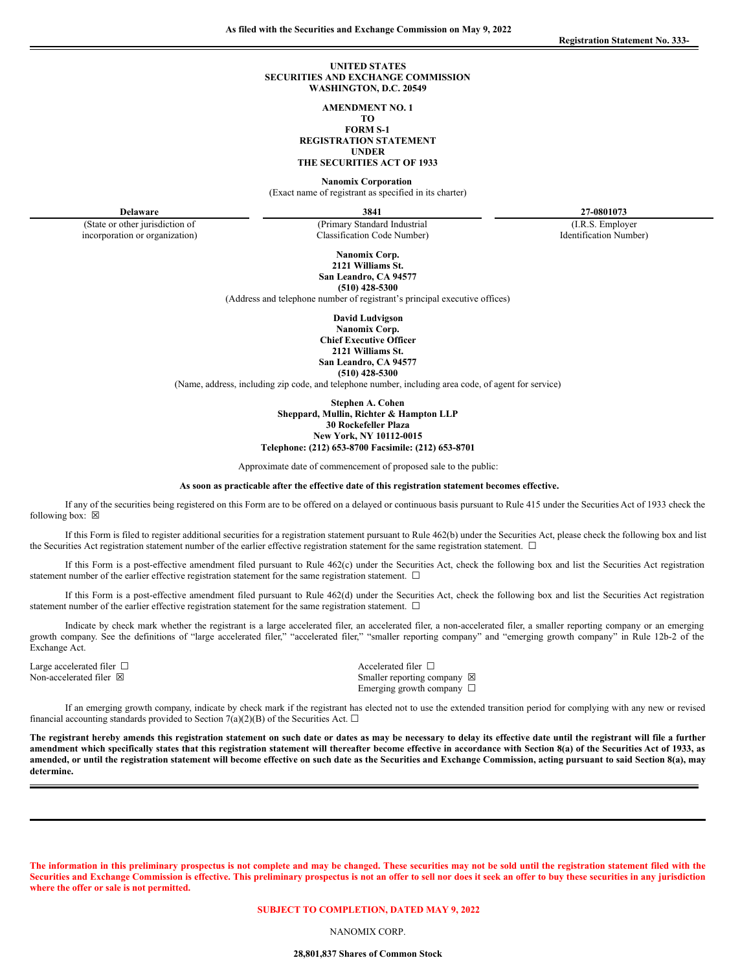### **UNITED STATES SECURITIES AND EXCHANGE COMMISSION WASHINGTON, D.C. 20549**

**AMENDMENT NO. 1**

### **TO FORM S-1 REGISTRATION STATEMENT UNDER**

**THE SECURITIES ACT OF 1933**

**Nanomix Corporation**

(Exact name of registrant as specified in its charter)

**Delaware 3841 27-0801073**

(State or other jurisdiction of (Primary Standard Industrial (I.R.S. Employer incorporation or organization) Classification Code Number) Identification Number)

### **Nanomix Corp. 2121 Williams St. San Leandro, CA 94577 (510) 428-5300**

(Address and telephone number of registrant's principal executive offices)

**David Ludvigson Nanomix Corp.**

**Chief Executive Officer 2121 Williams St. San Leandro, CA 94577**

**(510) 428-5300**

(Name, address, including zip code, and telephone number, including area code, of agent for service)

### **Stephen A. Cohen Sheppard, Mullin, Richter & Hampton LLP 30 Rockefeller Plaza New York, NY 10112-0015 Telephone: (212) 653-8700 Facsimile: (212) 653-8701**

Approximate date of commencement of proposed sale to the public:

### **As soon as practicable after the effective date of this registration statement becomes effective.**

If any of the securities being registered on this Form are to be offered on a delayed or continuous basis pursuant to Rule 415 under the Securities Act of 1933 check the following box:  $\boxtimes$ 

If this Form is filed to register additional securities for a registration statement pursuant to Rule 462(b) under the Securities Act, please check the following box and list the Securities Act registration statement number of the earlier effective registration statement for the same registration statement. □

If this Form is a post-effective amendment filed pursuant to Rule 462(c) under the Securities Act, check the following box and list the Securities Act registration statement number of the earlier effective registration statement for the same registration statement.  $\Box$ 

If this Form is a post-effective amendment filed pursuant to Rule 462(d) under the Securities Act, check the following box and list the Securities Act registration statement number of the earlier effective registration statement for the same registration statement.  $\Box$ 

Indicate by check mark whether the registrant is a large accelerated filer, an accelerated filer, a non-accelerated filer, a smaller reporting company or an emerging growth company. See the definitions of "large accelerated filer," "accelerated filer," "smaller reporting company" and "emerging growth company" in Rule 12b-2 of the Exchange Act.

Large accelerated filer □<br>
Non-accelerated filer □<br>
Non-accelerated filer ⊠

Smaller reporting company  $\boxtimes$ Emerging growth company □

If an emerging growth company, indicate by check mark if the registrant has elected not to use the extended transition period for complying with any new or revised financial accounting standards provided to Section 7(a)(2)(B) of the Securities Act.  $\Box$ 

The registrant hereby amends this registration statement on such date or dates as may be necessary to delay its effective date until the registrant will file a further amendment which specifically states that this registration statement will thereafter become effective in accordance with Section 8(a) of the Securities Act of 1933, as amended, or until the registration statement will become effective on such date as the Securities and Exchange Commission, acting pursuant to said Section 8(a), may **determine.**

The information in this preliminary prospectus is not complete and may be changed. These securities may not be sold until the registration statement filed with the Securities and Exchange Commission is effective. This preliminary prospectus is not an offer to sell nor does it seek an offer to buy these securities in any jurisdiction **where the offer or sale is not permitted.**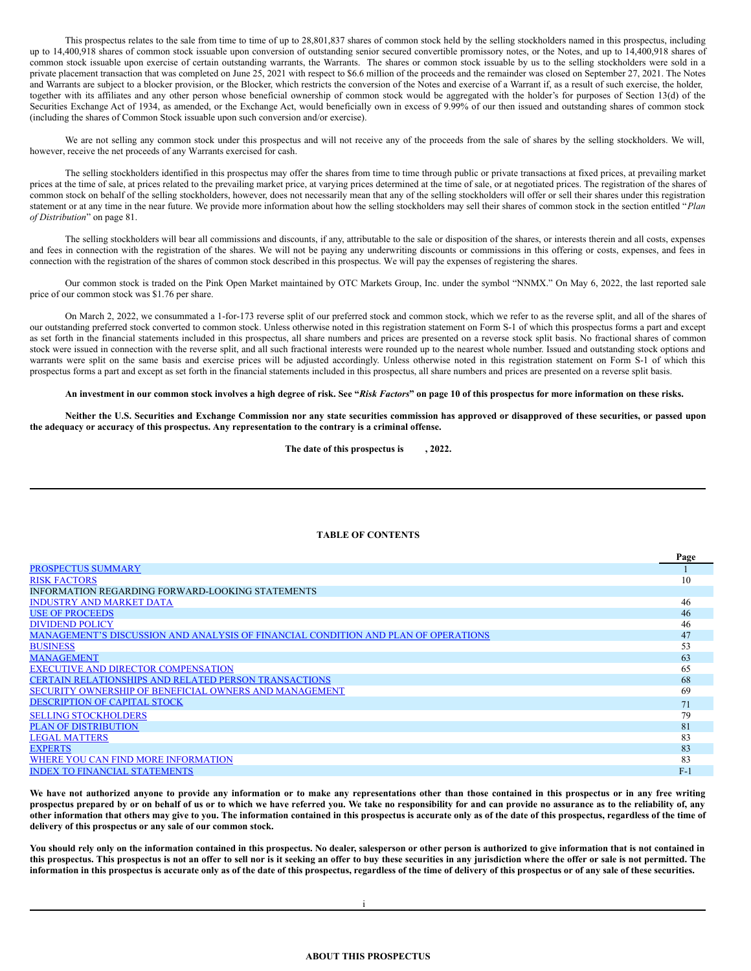This prospectus relates to the sale from time to time of up to 28,801,837 shares of common stock held by the selling stockholders named in this prospectus, including up to 14,400,918 shares of common stock issuable upon conversion of outstanding senior secured convertible promissory notes, or the Notes, and up to 14,400,918 shares of common stock issuable upon exercise of certain outstanding warrants, the Warrants. The shares or common stock issuable by us to the selling stockholders were sold in a private placement transaction that was completed on June 25, 2021 with respect to \$6.6 million of the proceeds and the remainder was closed on September 27, 2021. The Notes and Warrants are subject to a blocker provision, or the Blocker, which restricts the conversion of the Notes and exercise of a Warrant if, as a result of such exercise, the holder, together with its affiliates and any other person whose beneficial ownership of common stock would be aggregated with the holder's for purposes of Section 13(d) of the Securities Exchange Act of 1934, as amended, or the Exchange Act, would beneficially own in excess of 9.99% of our then issued and outstanding shares of common stock (including the shares of Common Stock issuable upon such conversion and/or exercise).

We are not selling any common stock under this prospectus and will not receive any of the proceeds from the sale of shares by the selling stockholders. We will, however, receive the net proceeds of any Warrants exercised for cash.

The selling stockholders identified in this prospectus may offer the shares from time to time through public or private transactions at fixed prices, at prevailing market prices at the time of sale, at prices related to the prevailing market price, at varying prices determined at the time of sale, or at negotiated prices. The registration of the shares of common stock on behalf of the selling stockholders, however, does not necessarily mean that any of the selling stockholders will offer or sell their shares under this registration statement or at any time in the near future. We provide more information about how the selling stockholders may sell their shares of common stock in the section entitled "*Plan of Distribution*" on page 81.

The selling stockholders will bear all commissions and discounts, if any, attributable to the sale or disposition of the shares, or interests therein and all costs, expenses and fees in connection with the registration of the shares. We will not be paying any underwriting discounts or commissions in this offering or costs, expenses, and fees in connection with the registration of the shares of common stock described in this prospectus. We will pay the expenses of registering the shares.

Our common stock is traded on the Pink Open Market maintained by OTC Markets Group, Inc. under the symbol "NNMX." On May 6, 2022, the last reported sale price of our common stock was \$1.76 per share.

On March 2, 2022, we consummated a 1-for-173 reverse split of our preferred stock and common stock, which we refer to as the reverse split, and all of the shares of our outstanding preferred stock converted to common stock. Unless otherwise noted in this registration statement on Form S-1 of which this prospectus forms a part and except as set forth in the financial statements included in this prospectus, all share numbers and prices are presented on a reverse stock split basis. No fractional shares of common stock were issued in connection with the reverse split, and all such fractional interests were rounded up to the nearest whole number. Issued and outstanding stock options and warrants were split on the same basis and exercise prices will be adjusted accordingly. Unless otherwise noted in this registration statement on Form S-1 of which this prospectus forms a part and except as set forth in the financial statements included in this prospectus, all share numbers and prices are presented on a reverse split basis.

### An investment in our common stock involves a high degree of risk. See "Risk Factors" on page 10 of this prospectus for more information on these risks.

Neither the U.S. Securities and Exchange Commission nor any state securities commission has approved or disapproved of these securities, or passed upon **the adequacy or accuracy of this prospectus. Any representation to the contrary is a criminal offense.**

**The date of this prospectus is , 2022.**

# **TABLE OF CONTENTS**

|                                                                                    | Page  |
|------------------------------------------------------------------------------------|-------|
| <b>PROSPECTUS SUMMARY</b>                                                          |       |
| <b>RISK FACTORS</b>                                                                | 10    |
| INFORMATION REGARDING FORWARD-LOOKING STATEMENTS                                   |       |
| <b>INDUSTRY AND MARKET DATA</b>                                                    | 46    |
| <b>USE OF PROCEEDS</b>                                                             | 46    |
| <b>DIVIDEND POLICY</b>                                                             | 46    |
| MANAGEMENT'S DISCUSSION AND ANALYSIS OF FINANCIAL CONDITION AND PLAN OF OPERATIONS | 47    |
| <b>BUSINESS</b>                                                                    | 53    |
| <b>MANAGEMENT</b>                                                                  | 63    |
| EXECUTIVE AND DIRECTOR COMPENSATION                                                | 65    |
| <b>CERTAIN RELATIONSHIPS AND RELATED PERSON TRANSACTIONS</b>                       | 68    |
| SECURITY OWNERSHIP OF BENEFICIAL OWNERS AND MANAGEMENT                             | 69    |
| <b>DESCRIPTION OF CAPITAL STOCK</b>                                                | 71    |
| <b>SELLING STOCKHOLDERS</b>                                                        | 79    |
| <b>PLAN OF DISTRIBUTION</b>                                                        | 81    |
| <b>LEGAL MATTERS</b>                                                               | 83    |
| <b>EXPERTS</b>                                                                     | 83    |
| WHERE YOU CAN FIND MORE INFORMATION                                                | 83    |
| <b>INDEX TO FINANCIAL STATEMENTS</b>                                               | $F-1$ |

We have not authorized anyone to provide any information or to make any representations other than those contained in this prospectus or in any free writing prospectus prepared by or on behalf of us or to which we have referred you. We take no responsibility for and can provide no assurance as to the reliability of, any other information that others may give to you. The information contained in this prospectus is accurate only as of the date of this prospectus, regardless of the time of **delivery of this prospectus or any sale of our common stock.**

You should rely only on the information contained in this prospectus. No dealer, salesperson or other person is authorized to give information that is not contained in this prospectus. This prospectus is not an offer to sell nor is it seeking an offer to buy these securities in any jurisdiction where the offer or sale is not permitted. The information in this prospectus is accurate only as of the date of this prospectus, regardless of the time of delivery of this prospectus or of any sale of these securities.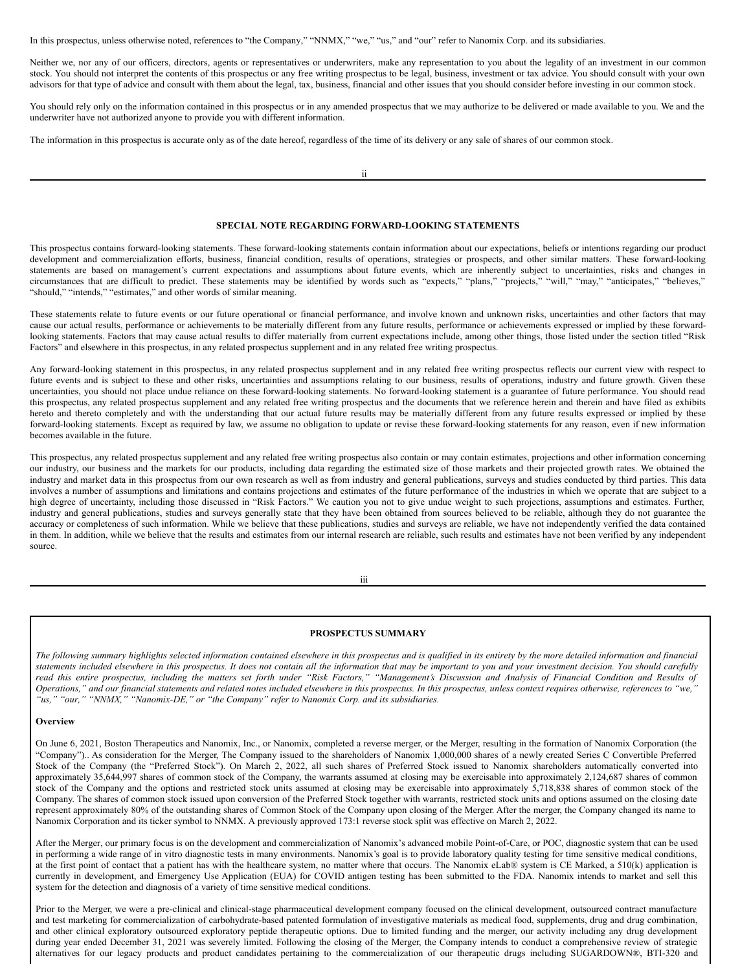In this prospectus, unless otherwise noted, references to "the Company," "NNMX," "we," "us," and "our" refer to Nanomix Corp. and its subsidiaries.

Neither we, nor any of our officers, directors, agents or representatives or underwriters, make any representation to you about the legality of an investment in our common stock. You should not interpret the contents of this prospectus or any free writing prospectus to be legal, business, investment or tax advice. You should consult with your own advisors for that type of advice and consult with them about the legal, tax, business, financial and other issues that you should consider before investing in our common stock.

You should rely only on the information contained in this prospectus or in any amended prospectus that we may authorize to be delivered or made available to you. We and the underwriter have not authorized anyone to provide you with different information.

The information in this prospectus is accurate only as of the date hereof, regardless of the time of its delivery or any sale of shares of our common stock.

ii

## **SPECIAL NOTE REGARDING FORWARD-LOOKING STATEMENTS**

This prospectus contains forward-looking statements. These forward-looking statements contain information about our expectations, beliefs or intentions regarding our product development and commercialization efforts, business, financial condition, results of operations, strategies or prospects, and other similar matters. These forward-looking statements are based on management's current expectations and assumptions about future events, which are inherently subject to uncertainties, risks and changes in circumstances that are difficult to predict. These statements may be identified by words such as "expects," "plans," "projects," "will," "may," "anticipates," "believes," "should," "intends," "estimates," and other words of similar meaning.

These statements relate to future events or our future operational or financial performance, and involve known and unknown risks, uncertainties and other factors that may cause our actual results, performance or achievements to be materially different from any future results, performance or achievements expressed or implied by these forwardlooking statements. Factors that may cause actual results to differ materially from current expectations include, among other things, those listed under the section titled "Risk Factors" and elsewhere in this prospectus, in any related prospectus supplement and in any related free writing prospectus.

Any forward-looking statement in this prospectus, in any related prospectus supplement and in any related free writing prospectus reflects our current view with respect to future events and is subject to these and other risks, uncertainties and assumptions relating to our business, results of operations, industry and future growth. Given these uncertainties, you should not place undue reliance on these forward-looking statements. No forward-looking statement is a guarantee of future performance. You should read this prospectus, any related prospectus supplement and any related free writing prospectus and the documents that we reference herein and therein and have filed as exhibits hereto and thereto completely and with the understanding that our actual future results may be materially different from any future results expressed or implied by these forward-looking statements. Except as required by law, we assume no obligation to update or revise these forward-looking statements for any reason, even if new information becomes available in the future.

This prospectus, any related prospectus supplement and any related free writing prospectus also contain or may contain estimates, projections and other information concerning our industry, our business and the markets for our products, including data regarding the estimated size of those markets and their projected growth rates. We obtained the industry and market data in this prospectus from our own research as well as from industry and general publications, surveys and studies conducted by third parties. This data involves a number of assumptions and limitations and contains projections and estimates of the future performance of the industries in which we operate that are subject to a high degree of uncertainty, including those discussed in "Risk Factors." We caution you not to give undue weight to such projections, assumptions and estimates. Further, industry and general publications, studies and surveys generally state that they have been obtained from sources believed to be reliable, although they do not guarantee the accuracy or completeness of such information. While we believe that these publications, studies and surveys are reliable, we have not independently verified the data contained in them. In addition, while we believe that the results and estimates from our internal research are reliable, such results and estimates have not been verified by any independent source.

### iii

## <span id="page-2-0"></span>**PROSPECTUS SUMMARY**

The following summary highlights selected information contained elsewhere in this prospectus and is qualified in its entirety by the more detailed information and financial statements included elsewhere in this prospectus. It does not contain all the information that may be important to you and your investment decision. You should carefully read this entire prospectus, including the matters set forth under "Risk Factors," "Management's Discussion and Analysis of Financial Condition and Results of Operations," and our financial statements and related notes included elsewhere in this prospectus. In this prospectus, unless context requires otherwise, references to "we," *"us," "our," "NNMX," "Nanomix-DE," or "the Company" refer to Nanomix Corp. and its subsidiaries.*

#### **Overview**

On June 6, 2021, Boston Therapeutics and Nanomix, Inc., or Nanomix, completed a reverse merger, or the Merger, resulting in the formation of Nanomix Corporation (the "Company").. As consideration for the Merger, The Company issued to the shareholders of Nanomix 1,000,000 shares of a newly created Series C Convertible Preferred Stock of the Company (the "Preferred Stock"). On March 2, 2022, all such shares of Preferred Stock issued to Nanomix shareholders automatically converted into approximately 35,644,997 shares of common stock of the Company, the warrants assumed at closing may be exercisable into approximately 2,124,687 shares of common stock of the Company and the options and restricted stock units assumed at closing may be exercisable into approximately 5,718,838 shares of common stock of the Company. The shares of common stock issued upon conversion of the Preferred Stock together with warrants, restricted stock units and options assumed on the closing date represent approximately 80% of the outstanding shares of Common Stock of the Company upon closing of the Merger. After the merger, the Company changed its name to Nanomix Corporation and its ticker symbol to NNMX. A previously approved 173:1 reverse stock split was effective on March 2, 2022.

After the Merger, our primary focus is on the development and commercialization of Nanomix's advanced mobile Point-of-Care, or POC, diagnostic system that can be used in performing a wide range of in vitro diagnostic tests in many environments. Nanomix's goal is to provide laboratory quality testing for time sensitive medical conditions, at the first point of contact that a patient has with the healthcare system, no matter where that occurs. The Nanomix eLab® system is CE Marked, a 510(k) application is currently in development, and Emergency Use Application (EUA) for COVID antigen testing has been submitted to the FDA. Nanomix intends to market and sell this system for the detection and diagnosis of a variety of time sensitive medical conditions.

Prior to the Merger, we were a pre-clinical and clinical-stage pharmaceutical development company focused on the clinical development, outsourced contract manufacture and test marketing for commercialization of carbohydrate-based patented formulation of investigative materials as medical food, supplements, drug and drug combination, and other clinical exploratory outsourced exploratory peptide therapeutic options. Due to limited funding and the merger, our activity including any drug development during year ended December 31, 2021 was severely limited. Following the closing of the Merger, the Company intends to conduct a comprehensive review of strategic alternatives for our legacy products and product candidates pertaining to the commercialization of our therapeutic drugs including SUGARDOWN®, BTI-320 and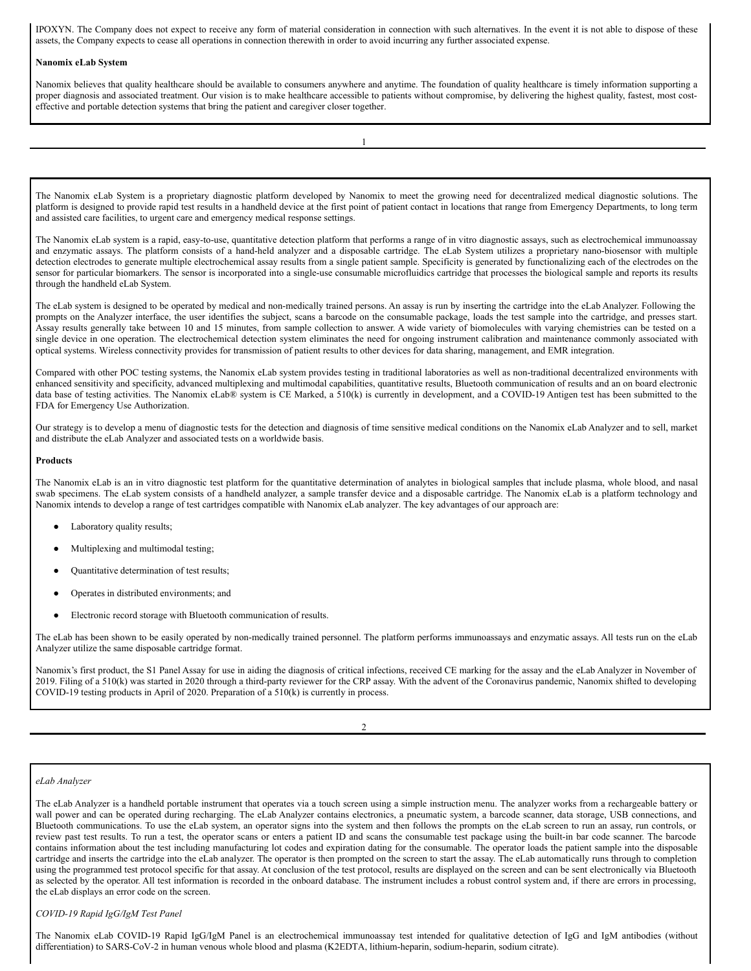IPOXYN. The Company does not expect to receive any form of material consideration in connection with such alternatives. In the event it is not able to dispose of these assets, the Company expects to cease all operations in connection therewith in order to avoid incurring any further associated expense.

### **Nanomix eLab System**

Nanomix believes that quality healthcare should be available to consumers anywhere and anytime. The foundation of quality healthcare is timely information supporting a proper diagnosis and associated treatment. Our vision is to make healthcare accessible to patients without compromise, by delivering the highest quality, fastest, most costeffective and portable detection systems that bring the patient and caregiver closer together.

The Nanomix eLab System is a proprietary diagnostic platform developed by Nanomix to meet the growing need for decentralized medical diagnostic solutions. The platform is designed to provide rapid test results in a handheld device at the first point of patient contact in locations that range from Emergency Departments, to long term and assisted care facilities, to urgent care and emergency medical response settings.

The Nanomix eLab system is a rapid, easy-to-use, quantitative detection platform that performs a range of in vitro diagnostic assays, such as electrochemical immunoassay and enzymatic assays. The platform consists of a hand-held analyzer and a disposable cartridge. The eLab System utilizes a proprietary nano-biosensor with multiple detection electrodes to generate multiple electrochemical assay results from a single patient sample. Specificity is generated by functionalizing each of the electrodes on the sensor for particular biomarkers. The sensor is incorporated into a single-use consumable microfluidics cartridge that processes the biological sample and reports its results through the handheld eLab System.

The eLab system is designed to be operated by medical and non-medically trained persons. An assay is run by inserting the cartridge into the eLab Analyzer. Following the prompts on the Analyzer interface, the user identifies the subject, scans a barcode on the consumable package, loads the test sample into the cartridge, and presses start. Assay results generally take between 10 and 15 minutes, from sample collection to answer. A wide variety of biomolecules with varying chemistries can be tested on a single device in one operation. The electrochemical detection system eliminates the need for ongoing instrument calibration and maintenance commonly associated with optical systems. Wireless connectivity provides for transmission of patient results to other devices for data sharing, management, and EMR integration.

Compared with other POC testing systems, the Nanomix eLab system provides testing in traditional laboratories as well as non-traditional decentralized environments with enhanced sensitivity and specificity, advanced multiplexing and multimodal capabilities, quantitative results, Bluetooth communication of results and an on board electronic data base of testing activities. The Nanomix eLab® system is CE Marked, a 510(k) is currently in development, and a COVID-19 Antigen test has been submitted to the FDA for Emergency Use Authorization.

Our strategy is to develop a menu of diagnostic tests for the detection and diagnosis of time sensitive medical conditions on the Nanomix eLab Analyzer and to sell, market and distribute the eLab Analyzer and associated tests on a worldwide basis.

# **Products**

The Nanomix eLab is an in vitro diagnostic test platform for the quantitative determination of analytes in biological samples that include plasma, whole blood, and nasal swab specimens. The eLab system consists of a handheld analyzer, a sample transfer device and a disposable cartridge. The Nanomix eLab is a platform technology and Nanomix intends to develop a range of test cartridges compatible with Nanomix eLab analyzer. The key advantages of our approach are:

- Laboratory quality results;
- Multiplexing and multimodal testing;
- Quantitative determination of test results;
- Operates in distributed environments; and
- Electronic record storage with Bluetooth communication of results.

The eLab has been shown to be easily operated by non-medically trained personnel. The platform performs immunoassays and enzymatic assays. All tests run on the eLab Analyzer utilize the same disposable cartridge format.

Nanomix's first product, the S1 Panel Assay for use in aiding the diagnosis of critical infections, received CE marking for the assay and the eLab Analyzer in November of 2019. Filing of a 510(k) was started in 2020 through a third-party reviewer for the CRP assay. With the advent of the Coronavirus pandemic, Nanomix shifted to developing COVID-19 testing products in April of 2020. Preparation of a 510(k) is currently in process.

| ł |  |
|---|--|
| I |  |

# *eLab Analyzer*

The eLab Analyzer is a handheld portable instrument that operates via a touch screen using a simple instruction menu. The analyzer works from a rechargeable battery or wall power and can be operated during recharging. The eLab Analyzer contains electronics, a pneumatic system, a barcode scanner, data storage, USB connections, and Bluetooth communications. To use the eLab system, an operator signs into the system and then follows the prompts on the eLab screen to run an assay, run controls, or review past test results. To run a test, the operator scans or enters a patient ID and scans the consumable test package using the built-in bar code scanner. The barcode contains information about the test including manufacturing lot codes and expiration dating for the consumable. The operator loads the patient sample into the disposable cartridge and inserts the cartridge into the eLab analyzer. The operator is then prompted on the screen to start the assay. The eLab automatically runs through to completion using the programmed test protocol specific for that assay. At conclusion of the test protocol, results are displayed on the screen and can be sent electronically via Bluetooth as selected by the operator. All test information is recorded in the onboard database. The instrument includes a robust control system and, if there are errors in processing, the eLab displays an error code on the screen.

# *COVID-19 Rapid IgG/IgM Test Panel*

The Nanomix eLab COVID-19 Rapid IgG/IgM Panel is an electrochemical immunoassay test intended for qualitative detection of IgG and IgM antibodies (without differentiation) to SARS-CoV-2 in human venous whole blood and plasma (K2EDTA, lithium-heparin, sodium-heparin, sodium citrate).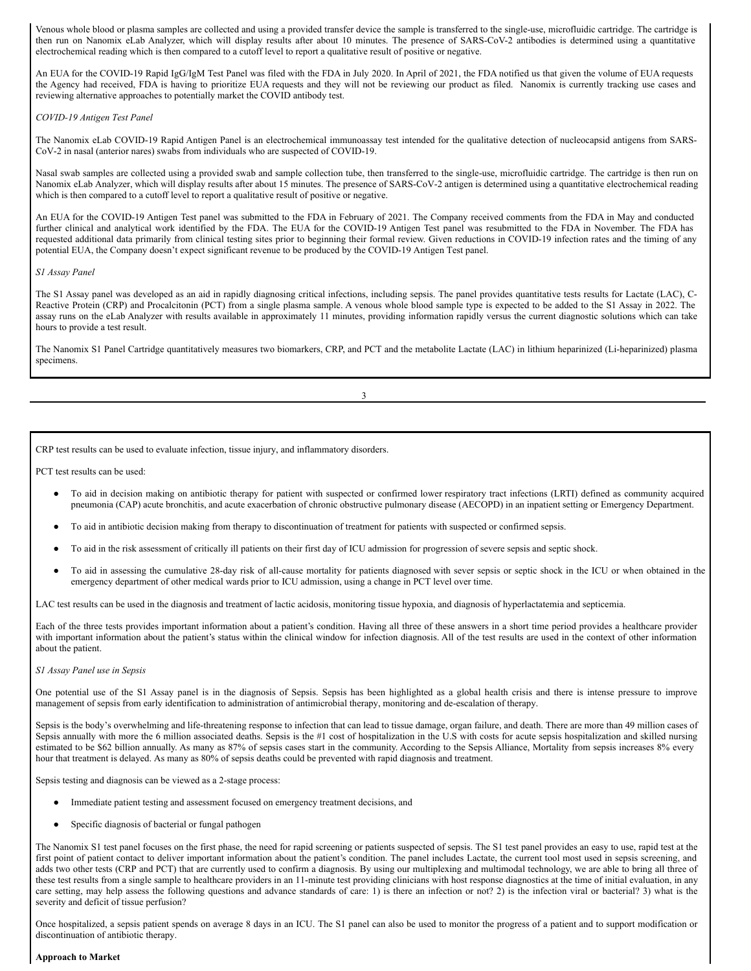Venous whole blood or plasma samples are collected and using a provided transfer device the sample is transferred to the single-use, microfluidic cartridge. The cartridge is then run on Nanomix eLab Analyzer, which will display results after about 10 minutes. The presence of SARS-CoV-2 antibodies is determined using a quantitative electrochemical reading which is then compared to a cutoff level to report a qualitative result of positive or negative.

An EUA for the COVID-19 Rapid IgG/IgM Test Panel was filed with the FDA in July 2020. In April of 2021, the FDA notified us that given the volume of EUA requests the Agency had received, FDA is having to prioritize EUA requests and they will not be reviewing our product as filed. Nanomix is currently tracking use cases and reviewing alternative approaches to potentially market the COVID antibody test.

# *COVID-19 Antigen Test Panel*

The Nanomix eLab COVID-19 Rapid Antigen Panel is an electrochemical immunoassay test intended for the qualitative detection of nucleocapsid antigens from SARS-CoV-2 in nasal (anterior nares) swabs from individuals who are suspected of COVID-19.

Nasal swab samples are collected using a provided swab and sample collection tube, then transferred to the single-use, microfluidic cartridge. The cartridge is then run on Nanomix eLab Analyzer, which will display results after about 15 minutes. The presence of SARS-CoV-2 antigen is determined using a quantitative electrochemical reading which is then compared to a cutoff level to report a qualitative result of positive or negative.

An EUA for the COVID-19 Antigen Test panel was submitted to the FDA in February of 2021. The Company received comments from the FDA in May and conducted further clinical and analytical work identified by the FDA. The EUA for the COVID-19 Antigen Test panel was resubmitted to the FDA in November. The FDA has requested additional data primarily from clinical testing sites prior to beginning their formal review. Given reductions in COVID-19 infection rates and the timing of any potential EUA, the Company doesn't expect significant revenue to be produced by the COVID-19 Antigen Test panel.

# *S1 Assay Panel*

The S1 Assay panel was developed as an aid in rapidly diagnosing critical infections, including sepsis. The panel provides quantitative tests results for Lactate (LAC), C-Reactive Protein (CRP) and Procalcitonin (PCT) from a single plasma sample. A venous whole blood sample type is expected to be added to the S1 Assay in 2022. The assay runs on the eLab Analyzer with results available in approximately 11 minutes, providing information rapidly versus the current diagnostic solutions which can take hours to provide a test result.

The Nanomix S1 Panel Cartridge quantitatively measures two biomarkers, CRP, and PCT and the metabolite Lactate (LAC) in lithium heparinized (Li-heparinized) plasma specimens.

3

CRP test results can be used to evaluate infection, tissue injury, and inflammatory disorders.

PCT test results can be used:

- To aid in decision making on antibiotic therapy for patient with suspected or confirmed lower respiratory tract infections (LRTI) defined as community acquired pneumonia (CAP) acute bronchitis, and acute exacerbation of chronic obstructive pulmonary disease (AECOPD) in an inpatient setting or Emergency Department.
- To aid in antibiotic decision making from therapy to discontinuation of treatment for patients with suspected or confirmed sepsis.
- To aid in the risk assessment of critically ill patients on their first day of ICU admission for progression of severe sepsis and septic shock.
- To aid in assessing the cumulative 28-day risk of all-cause mortality for patients diagnosed with sever sepsis or septic shock in the ICU or when obtained in the emergency department of other medical wards prior to ICU admission, using a change in PCT level over time.

LAC test results can be used in the diagnosis and treatment of lactic acidosis, monitoring tissue hypoxia, and diagnosis of hyperlactatemia and septicemia.

Each of the three tests provides important information about a patient's condition. Having all three of these answers in a short time period provides a healthcare provider with important information about the patient's status within the clinical window for infection diagnosis. All of the test results are used in the context of other information about the patient.

# *S1 Assay Panel use in Sepsis*

One potential use of the S1 Assay panel is in the diagnosis of Sepsis. Sepsis has been highlighted as a global health crisis and there is intense pressure to improve management of sepsis from early identification to administration of antimicrobial therapy, monitoring and de-escalation of therapy.

Sepsis is the body's overwhelming and life-threatening response to infection that can lead to tissue damage, organ failure, and death. There are more than 49 million cases of Sepsis annually with more the 6 million associated deaths. Sepsis is the #1 cost of hospitalization in the U.S with costs for acute sepsis hospitalization and skilled nursing estimated to be \$62 billion annually. As many as 87% of sepsis cases start in the community. According to the Sepsis Alliance, Mortality from sepsis increases 8% every hour that treatment is delayed. As many as 80% of sepsis deaths could be prevented with rapid diagnosis and treatment.

Sepsis testing and diagnosis can be viewed as a 2-stage process:

- Immediate patient testing and assessment focused on emergency treatment decisions, and
- Specific diagnosis of bacterial or fungal pathogen

The Nanomix S1 test panel focuses on the first phase, the need for rapid screening or patients suspected of sepsis. The S1 test panel provides an easy to use, rapid test at the first point of patient contact to deliver important information about the patient's condition. The panel includes Lactate, the current tool most used in sepsis screening, and adds two other tests (CRP and PCT) that are currently used to confirm a diagnosis. By using our multiplexing and multimodal technology, we are able to bring all three of these test results from a single sample to healthcare providers in an 11-minute test providing clinicians with host response diagnostics at the time of initial evaluation, in any care setting, may help assess the following questions and advance standards of care: 1) is there an infection or not? 2) is the infection viral or bacterial? 3) what is the severity and deficit of tissue perfusion?

Once hospitalized, a sepsis patient spends on average 8 days in an ICU. The S1 panel can also be used to monitor the progress of a patient and to support modification or discontinuation of antibiotic therapy.

### **Approach to Market**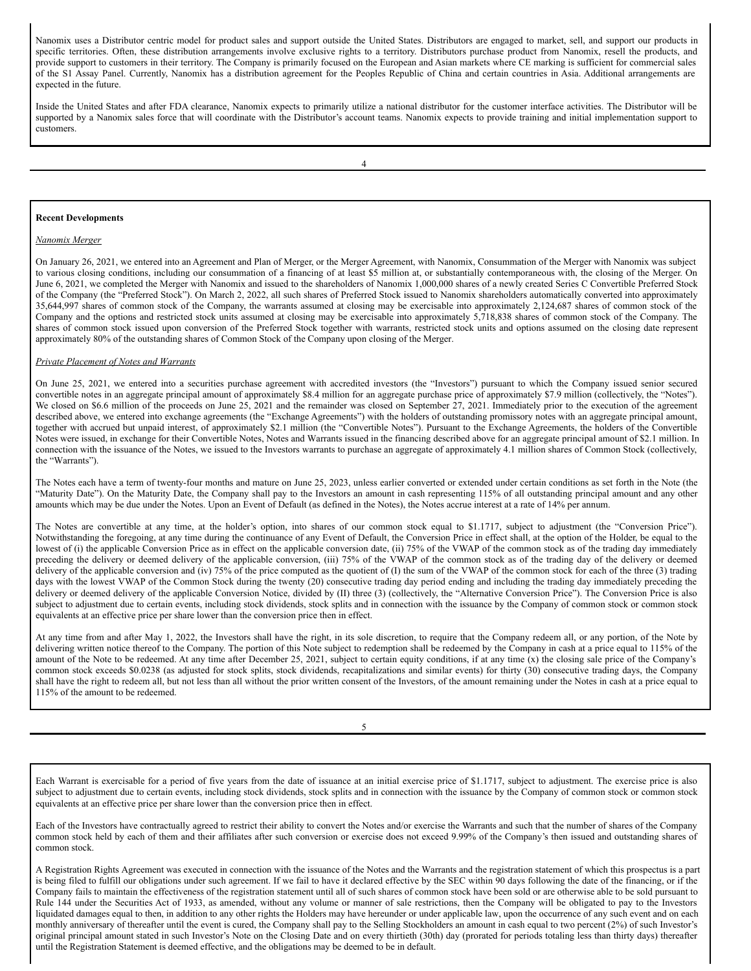Nanomix uses a Distributor centric model for product sales and support outside the United States. Distributors are engaged to market, sell, and support our products in specific territories. Often, these distribution arrangements involve exclusive rights to a territory. Distributors purchase product from Nanomix, resell the products, and provide support to customers in their territory. The Company is primarily focused on the European and Asian markets where CE marking is sufficient for commercial sales of the S1 Assay Panel. Currently, Nanomix has a distribution agreement for the Peoples Republic of China and certain countries in Asia. Additional arrangements are expected in the future.

Inside the United States and after FDA clearance, Nanomix expects to primarily utilize a national distributor for the customer interface activities. The Distributor will be supported by a Nanomix sales force that will coordinate with the Distributor's account teams. Nanomix expects to provide training and initial implementation support to customers.

# **Recent Developments**

# *Nanomix Merger*

On January 26, 2021, we entered into an Agreement and Plan of Merger, or the Merger Agreement, with Nanomix, Consummation of the Merger with Nanomix was subject to various closing conditions, including our consummation of a financing of at least \$5 million at, or substantially contemporaneous with, the closing of the Merger. On June 6, 2021, we completed the Merger with Nanomix and issued to the shareholders of Nanomix 1,000,000 shares of a newly created Series C Convertible Preferred Stock of the Company (the "Preferred Stock"). On March 2, 2022, all such shares of Preferred Stock issued to Nanomix shareholders automatically converted into approximately 35,644,997 shares of common stock of the Company, the warrants assumed at closing may be exercisable into approximately 2,124,687 shares of common stock of the Company and the options and restricted stock units assumed at closing may be exercisable into approximately 5,718,838 shares of common stock of the Company. The shares of common stock issued upon conversion of the Preferred Stock together with warrants, restricted stock units and options assumed on the closing date represent approximately 80% of the outstanding shares of Common Stock of the Company upon closing of the Merger.

### *Private Placement of Notes and Warrants*

On June 25, 2021, we entered into a securities purchase agreement with accredited investors (the "Investors") pursuant to which the Company issued senior secured convertible notes in an aggregate principal amount of approximately \$8.4 million for an aggregate purchase price of approximately \$7.9 million (collectively, the "Notes"). We closed on \$6.6 million of the proceeds on June 25, 2021 and the remainder was closed on September 27, 2021. Immediately prior to the execution of the agreement described above, we entered into exchange agreements (the "Exchange Agreements") with the holders of outstanding promissory notes with an aggregate principal amount, together with accrued but unpaid interest, of approximately \$2.1 million (the "Convertible Notes"). Pursuant to the Exchange Agreements, the holders of the Convertible Notes were issued, in exchange for their Convertible Notes, Notes and Warrants issued in the financing described above for an aggregate principal amount of \$2.1 million. In connection with the issuance of the Notes, we issued to the Investors warrants to purchase an aggregate of approximately 4.1 million shares of Common Stock (collectively, the "Warrants").

The Notes each have a term of twenty-four months and mature on June 25, 2023, unless earlier converted or extended under certain conditions as set forth in the Note (the "Maturity Date"). On the Maturity Date, the Company shall pay to the Investors an amount in cash representing 115% of all outstanding principal amount and any other amounts which may be due under the Notes. Upon an Event of Default (as defined in the Notes), the Notes accrue interest at a rate of 14% per annum.

The Notes are convertible at any time, at the holder's option, into shares of our common stock equal to \$1.1717, subject to adjustment (the "Conversion Price"). Notwithstanding the foregoing, at any time during the continuance of any Event of Default, the Conversion Price in effect shall, at the option of the Holder, be equal to the lowest of (i) the applicable Conversion Price as in effect on the applicable conversion date, (ii) 75% of the VWAP of the common stock as of the trading day immediately preceding the delivery or deemed delivery of the applicable conversion, (iii) 75% of the VWAP of the common stock as of the trading day of the delivery or deemed delivery of the applicable conversion and (iv) 75% of the price computed as the quotient of (I) the sum of the VWAP of the common stock for each of the three (3) trading days with the lowest VWAP of the Common Stock during the twenty (20) consecutive trading day period ending and including the trading day immediately preceding the delivery or deemed delivery of the applicable Conversion Notice, divided by (II) three (3) (collectively, the "Alternative Conversion Price"). The Conversion Price is also subject to adjustment due to certain events, including stock dividends, stock splits and in connection with the issuance by the Company of common stock or common stock equivalents at an effective price per share lower than the conversion price then in effect.

At any time from and after May 1, 2022, the Investors shall have the right, in its sole discretion, to require that the Company redeem all, or any portion, of the Note by delivering written notice thereof to the Company. The portion of this Note subject to redemption shall be redeemed by the Company in cash at a price equal to 115% of the amount of the Note to be redeemed. At any time after December 25, 2021, subject to certain equity conditions, if at any time (x) the closing sale price of the Company's common stock exceeds \$0.0238 (as adjusted for stock splits, stock dividends, recapitalizations and similar events) for thirty (30) consecutive trading days, the Company shall have the right to redeem all, but not less than all without the prior written consent of the Investors, of the amount remaining under the Notes in cash at a price equal to 115% of the amount to be redeemed.

5

Each Warrant is exercisable for a period of five years from the date of issuance at an initial exercise price of \$1.1717, subject to adjustment. The exercise price is also subject to adjustment due to certain events, including stock dividends, stock splits and in connection with the issuance by the Company of common stock or common stock equivalents at an effective price per share lower than the conversion price then in effect.

Each of the Investors have contractually agreed to restrict their ability to convert the Notes and/or exercise the Warrants and such that the number of shares of the Company common stock held by each of them and their affiliates after such conversion or exercise does not exceed 9.99% of the Company's then issued and outstanding shares of common stock.

A Registration Rights Agreement was executed in connection with the issuance of the Notes and the Warrants and the registration statement of which this prospectus is a part is being filed to fulfill our obligations under such agreement. If we fail to have it declared effective by the SEC within 90 days following the date of the financing, or if the Company fails to maintain the effectiveness of the registration statement until all of such shares of common stock have been sold or are otherwise able to be sold pursuant to Rule 144 under the Securities Act of 1933, as amended, without any volume or manner of sale restrictions, then the Company will be obligated to pay to the Investors liquidated damages equal to then, in addition to any other rights the Holders may have hereunder or under applicable law, upon the occurrence of any such event and on each monthly anniversary of thereafter until the event is cured, the Company shall pay to the Selling Stockholders an amount in cash equal to two percent (2%) of such Investor's original principal amount stated in such Investor's Note on the Closing Date and on every thirtieth (30th) day (prorated for periods totaling less than thirty days) thereafter until the Registration Statement is deemed effective, and the obligations may be deemed to be in default.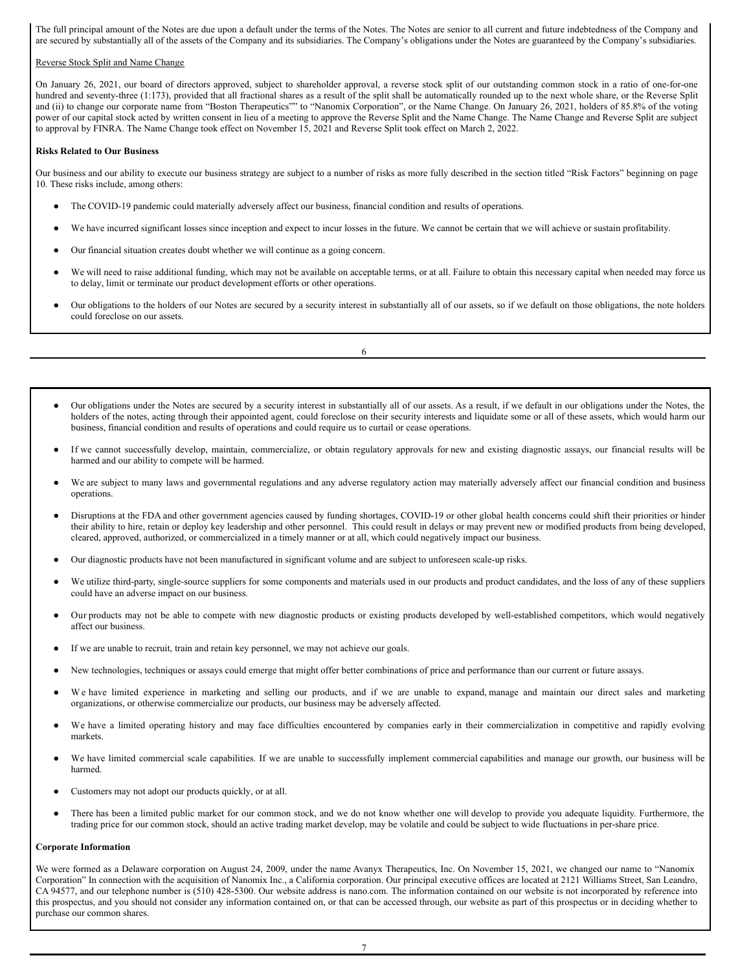The full principal amount of the Notes are due upon a default under the terms of the Notes. The Notes are senior to all current and future indebtedness of the Company and are secured by substantially all of the assets of the Company and its subsidiaries. The Company's obligations under the Notes are guaranteed by the Company's subsidiaries.

## Reverse Stock Split and Name Change

On January 26, 2021, our board of directors approved, subject to shareholder approval, a reverse stock split of our outstanding common stock in a ratio of one-for-one hundred and seventy-three (1:173), provided that all fractional shares as a result of the split shall be automatically rounded up to the next whole share, or the Reverse Split and (ii) to change our corporate name from "Boston Therapeutics"" to "Nanomix Corporation", or the Name Change. On January 26, 2021, holders of 85.8% of the voting power of our capital stock acted by written consent in lieu of a meeting to approve the Reverse Split and the Name Change. The Name Change and Reverse Split are subject to approval by FINRA. The Name Change took effect on November 15, 2021 and Reverse Split took effect on March 2, 2022.

## **Risks Related to Our Business**

Our business and our ability to execute our business strategy are subject to a number of risks as more fully described in the section titled "Risk Factors" beginning on page 10. These risks include, among others:

- The COVID-19 pandemic could materially adversely affect our business, financial condition and results of operations.
- We have incurred significant losses since inception and expect to incur losses in the future. We cannot be certain that we will achieve or sustain profitability.
- Our financial situation creates doubt whether we will continue as a going concern.
- We will need to raise additional funding, which may not be available on acceptable terms, or at all. Failure to obtain this necessary capital when needed may force us to delay, limit or terminate our product development efforts or other operations.
- Our obligations to the holders of our Notes are secured by a security interest in substantially all of our assets, so if we default on those obligations, the note holders could foreclose on our assets.

6

- Our obligations under the Notes are secured by a security interest in substantially all of our assets. As a result, if we default in our obligations under the Notes, the holders of the notes, acting through their appointed agent, could foreclose on their security interests and liquidate some or all of these assets, which would harm our business, financial condition and results of operations and could require us to curtail or cease operations.
- If we cannot successfully develop, maintain, commercialize, or obtain regulatory approvals for new and existing diagnostic assays, our financial results will be harmed and our ability to compete will be harmed.
- We are subject to many laws and governmental regulations and any adverse regulatory action may materially adversely affect our financial condition and business operations.
- Disruptions at the FDA and other government agencies caused by funding shortages, COVID-19 or other global health concerns could shift their priorities or hinder their ability to hire, retain or deploy key leadership and other personnel. This could result in delays or may prevent new or modified products from being developed, cleared, approved, authorized, or commercialized in a timely manner or at all, which could negatively impact our business.
- Our diagnostic products have not been manufactured in significant volume and are subject to unforeseen scale-up risks.
- We utilize third-party, single-source suppliers for some components and materials used in our products and product candidates, and the loss of any of these suppliers could have an adverse impact on our business.
- Our products may not be able to compete with new diagnostic products or existing products developed by well-established competitors, which would negatively affect our business.
- If we are unable to recruit, train and retain key personnel, we may not achieve our goals.
- New technologies, techniques or assays could emerge that might offer better combinations of price and performance than our current or future assays.
- We have limited experience in marketing and selling our products, and if we are unable to expand, manage and maintain our direct sales and marketing organizations, or otherwise commercialize our products, our business may be adversely affected.
- We have a limited operating history and may face difficulties encountered by companies early in their commercialization in competitive and rapidly evolving markets.
- We have limited commercial scale capabilities. If we are unable to successfully implement commercial capabilities and manage our growth, our business will be harmed.
- Customers may not adopt our products quickly, or at all.
- There has been a limited public market for our common stock, and we do not know whether one will develop to provide you adequate liquidity. Furthermore, the trading price for our common stock, should an active trading market develop, may be volatile and could be subject to wide fluctuations in per-share price.

### **Corporate Information**

We were formed as a Delaware corporation on August 24, 2009, under the name Avanyx Therapeutics, Inc. On November 15, 2021, we changed our name to "Nanomix" Corporation" In connection with the acquisition of Nanomix Inc., a California corporation. Our principal executive offices are located at 2121 Williams Street, San Leandro, CA 94577, and our telephone number is (510) 428-5300. Our website address is nano.com. The information contained on our website is not incorporated by reference into this prospectus, and you should not consider any information contained on, or that can be accessed through, our website as part of this prospectus or in deciding whether to purchase our common shares.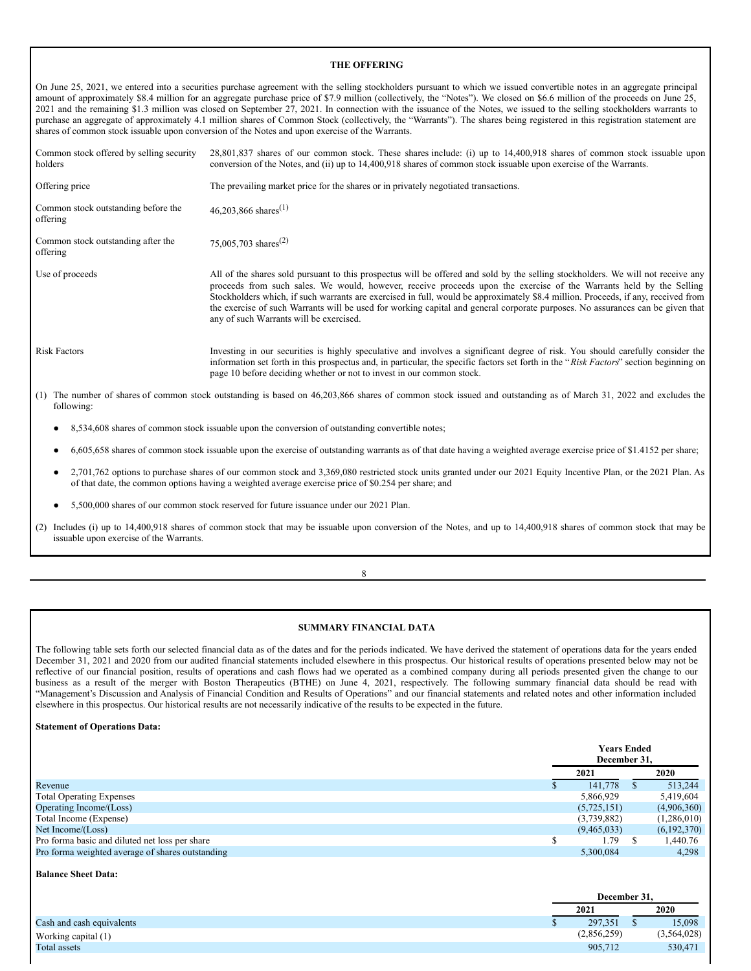# **THE OFFERING**

On June 25, 2021, we entered into a securities purchase agreement with the selling stockholders pursuant to which we issued convertible notes in an aggregate principal amount of approximately \$8.4 million for an aggregate purchase price of \$7.9 million (collectively, the "Notes"). We closed on \$6.6 million of the proceeds on June 25, 2021 and the remaining \$1.3 million was closed on September 27, 2021. In connection with the issuance of the Notes, we issued to the selling stockholders warrants to purchase an aggregate of approximately 4.1 million shares of Common Stock (collectively, the "Warrants"). The shares being registered in this registration statement are shares of common stock issuable upon conversion of the Notes and upon exercise of the Warrants.

| Common stock offered by selling security<br>holders | 28,801,837 shares of our common stock. These shares include: (i) up to 14,400,918 shares of common stock issuable upon<br>conversion of the Notes, and (ii) up to 14,400,918 shares of common stock issuable upon exercise of the Warrants.                                                                                                                                                                                                                                                                                                                               |
|-----------------------------------------------------|---------------------------------------------------------------------------------------------------------------------------------------------------------------------------------------------------------------------------------------------------------------------------------------------------------------------------------------------------------------------------------------------------------------------------------------------------------------------------------------------------------------------------------------------------------------------------|
| Offering price                                      | The prevailing market price for the shares or in privately negotiated transactions.                                                                                                                                                                                                                                                                                                                                                                                                                                                                                       |
| Common stock outstanding before the<br>offering     | 46.203.866 shares <sup>(1)</sup>                                                                                                                                                                                                                                                                                                                                                                                                                                                                                                                                          |
| Common stock outstanding after the<br>offering      | 75,005,703 shares <sup>(2)</sup>                                                                                                                                                                                                                                                                                                                                                                                                                                                                                                                                          |
| Use of proceeds                                     | All of the shares sold pursuant to this prospectus will be offered and sold by the selling stockholders. We will not receive any<br>proceeds from such sales. We would, however, receive proceeds upon the exercise of the Warrants held by the Selling<br>Stockholders which, if such warrants are exercised in full, would be approximately \$8.4 million. Proceeds, if any, received from<br>the exercise of such Warrants will be used for working capital and general corporate purposes. No assurances can be given that<br>any of such Warrants will be exercised. |
| <b>Risk Factors</b>                                 | Investing in our securities is highly speculative and involves a significant degree of risk. You should carefully consider the<br>information set forth in this prospectus and, in particular, the specific factors set forth in the "Risk Factors" section beginning on<br>page 10 before deciding whether or not to invest in our common stock.                                                                                                                                                                                                                         |

- (1) The number of shares of common stock outstanding is based on 46,203,866 shares of common stock issued and outstanding as of March 31, 2022 and excludes the following:
	- 8,534,608 shares of common stock issuable upon the conversion of outstanding convertible notes;
	- 6,605,658 shares of common stock issuable upon the exercise of outstanding warrants as of that date having a weighted average exercise price of \$1.4152 per share;
	- 2,701,762 options to purchase shares of our common stock and 3,369,080 restricted stock units granted under our 2021 Equity Incentive Plan, or the 2021 Plan. As of that date, the common options having a weighted average exercise price of \$0.254 per share; and
	- 5,500,000 shares of our common stock reserved for future issuance under our 2021 Plan.
- (2) Includes (i) up to 14,400,918 shares of common stock that may be issuable upon conversion of the Notes, and up to 14,400,918 shares of common stock that may be issuable upon exercise of the Warrants.

# **SUMMARY FINANCIAL DATA**

8

The following table sets forth our selected financial data as of the dates and for the periods indicated. We have derived the statement of operations data for the years ended December 31, 2021 and 2020 from our audited financial statements included elsewhere in this prospectus. Our historical results of operations presented below may not be reflective of our financial position, results of operations and cash flows had we operated as a combined company during all periods presented given the change to our business as a result of the merger with Boston Therapeutics (BTHE) on June 4, 2021, respectively. The following summary financial data should be read with "Management's Discussion and Analysis of Financial Condition and Results of Operations" and our financial statements and related notes and other information included elsewhere in this prospectus. Our historical results are not necessarily indicative of the results to be expected in the future.

#### **Statement of Operations Data:**

|                                                  | <b>Years Ended</b><br>December 31. |               |             |
|--------------------------------------------------|------------------------------------|---------------|-------------|
|                                                  | 2021                               |               | 2020        |
| Revenue                                          | 141,778                            | $\mathcal{P}$ | 513.244     |
| <b>Total Operating Expenses</b>                  | 5,866,929                          |               | 5,419,604   |
| Operating Income/(Loss)                          | (5,725,151)                        |               | (4,906,360) |
| Total Income (Expense)                           | (3,739,882)                        |               | (1,286,010) |
| Net Income/(Loss)                                | (9,465,033)                        |               | (6,192,370) |
| Pro forma basic and diluted net loss per share   | . . 79                             |               | 1,440.76    |
| Pro forma weighted average of shares outstanding | 5,300,084                          |               | 4,298       |
|                                                  |                                    |               |             |

# **Balance Sheet Data:**

|                           | December 31, |  |             |
|---------------------------|--------------|--|-------------|
|                           | 2021         |  | 2020        |
| Cash and cash equivalents | 297,351      |  | 15,098      |
| Working capital (1)       | (2,856,259)  |  | (3,564,028) |
| Total assets              | 905,712      |  | 530,471     |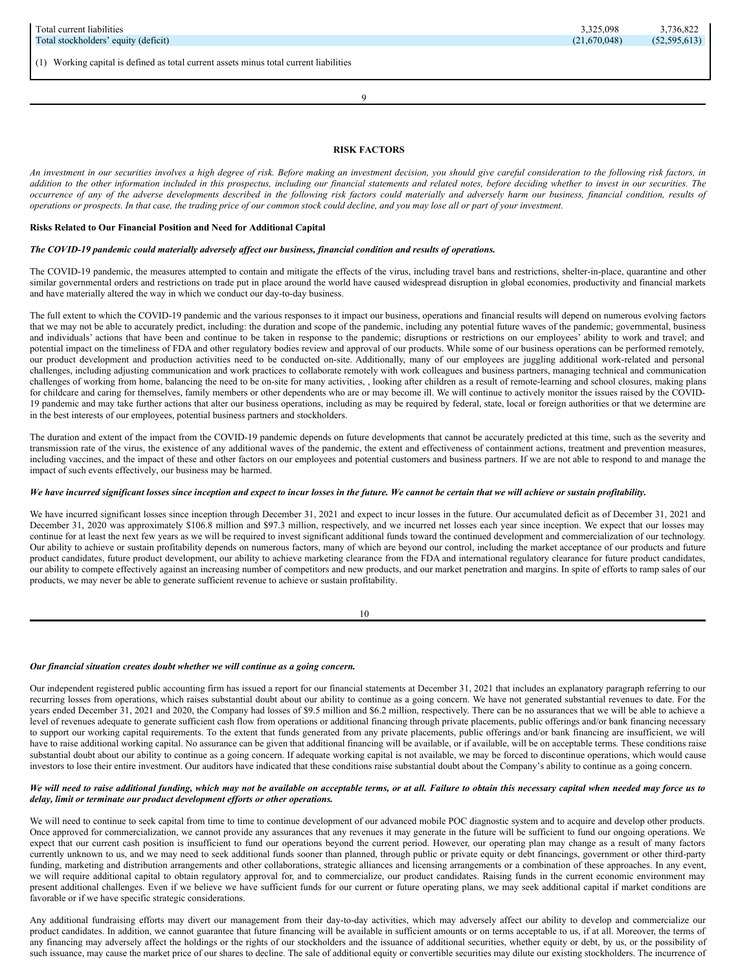(1) Working capital is defined as total current assets minus total current liabilities

9

# <span id="page-8-0"></span>**RISK FACTORS**

An investment in our securities involves a high degree of risk. Before making an investment decision, you should give careful consideration to the following risk factors, in addition to the other information included in this prospectus, including our financial statements and related notes, before deciding whether to invest in our securities. The occurrence of any of the adverse developments described in the following risk factors could materially and adversely harm our business, financial condition, results of operations or prospects. In that case, the trading price of our common stock could decline, and you may lose all or part of your investment.

# **Risks Related to Our Financial Position and Need for Additional Capital**

# The COVID-19 pandemic could materially adversely affect our business, financial condition and results of operations.

The COVID-19 pandemic, the measures attempted to contain and mitigate the effects of the virus, including travel bans and restrictions, shelter-in-place, quarantine and other similar governmental orders and restrictions on trade put in place around the world have caused widespread disruption in global economies, productivity and financial markets and have materially altered the way in which we conduct our day-to-day business.

The full extent to which the COVID-19 pandemic and the various responses to it impact our business, operations and financial results will depend on numerous evolving factors that we may not be able to accurately predict, including: the duration and scope of the pandemic, including any potential future waves of the pandemic; governmental, business and individuals' actions that have been and continue to be taken in response to the pandemic; disruptions or restrictions on our employees' ability to work and travel; and potential impact on the timeliness of FDA and other regulatory bodies review and approval of our products. While some of our business operations can be performed remotely, our product development and production activities need to be conducted on-site. Additionally, many of our employees are juggling additional work-related and personal challenges, including adjusting communication and work practices to collaborate remotely with work colleagues and business partners, managing technical and communication challenges of working from home, balancing the need to be on-site for many activities, , looking after children as a result of remote-learning and school closures, making plans for childcare and caring for themselves, family members or other dependents who are or may become ill. We will continue to actively monitor the issues raised by the COVID-19 pandemic and may take further actions that alter our business operations, including as may be required by federal, state, local or foreign authorities or that we determine are in the best interests of our employees, potential business partners and stockholders.

The duration and extent of the impact from the COVID-19 pandemic depends on future developments that cannot be accurately predicted at this time, such as the severity and transmission rate of the virus, the existence of any additional waves of the pandemic, the extent and effectiveness of containment actions, treatment and prevention measures, including vaccines, and the impact of these and other factors on our employees and potential customers and business partners. If we are not able to respond to and manage the impact of such events effectively, our business may be harmed.

# We have incurred significant losses since inception and expect to incur losses in the future. We cannot be certain that we will achieve or sustain profitability.

We have incurred significant losses since inception through December 31, 2021 and expect to incur losses in the future. Our accumulated deficit as of December 31, 2021 and December 31, 2020 was approximately \$106.8 million and \$97.3 million, respectively, and we incurred net losses each year since inception. We expect that our losses may continue for at least the next few years as we will be required to invest significant additional funds toward the continued development and commercialization of our technology. Our ability to achieve or sustain profitability depends on numerous factors, many of which are beyond our control, including the market acceptance of our products and future product candidates, future product development, our ability to achieve marketing clearance from the FDA and international regulatory clearance for future product candidates, our ability to compete effectively against an increasing number of competitors and new products, and our market penetration and margins. In spite of efforts to ramp sales of our products, we may never be able to generate sufficient revenue to achieve or sustain profitability.

10

# *Our financial situation creates doubt whether we will continue as a going concern.*

Our independent registered public accounting firm has issued a report for our financial statements at December 31, 2021 that includes an explanatory paragraph referring to our recurring losses from operations, which raises substantial doubt about our ability to continue as a going concern. We have not generated substantial revenues to date. For the years ended December 31, 2021 and 2020, the Company had losses of \$9.5 million and \$6.2 million, respectively. There can be no assurances that we will be able to achieve a level of revenues adequate to generate sufficient cash flow from operations or additional financing through private placements, public offerings and/or bank financing necessary to support our working capital requirements. To the extent that funds generated from any private placements, public offerings and/or bank financing are insufficient, we will have to raise additional working capital. No assurance can be given that additional financing will be available, or if available, will be on acceptable terms. These conditions raise substantial doubt about our ability to continue as a going concern. If adequate working capital is not available, we may be forced to discontinue operations, which would cause investors to lose their entire investment. Our auditors have indicated that these conditions raise substantial doubt about the Company's ability to continue as a going concern.

# We will need to raise additional funding, which may not be available on acceptable terms, or at all. Failure to obtain this necessary capital when needed may force us to *delay, limit or terminate our product development ef orts or other operations.*

We will need to continue to seek capital from time to time to continue development of our advanced mobile POC diagnostic system and to acquire and develop other products. Once approved for commercialization, we cannot provide any assurances that any revenues it may generate in the future will be sufficient to fund our ongoing operations. We expect that our current cash position is insufficient to fund our operations beyond the current period. However, our operating plan may change as a result of many factors currently unknown to us, and we may need to seek additional funds sooner than planned, through public or private equity or debt financings, government or other third-party funding, marketing and distribution arrangements and other collaborations, strategic alliances and licensing arrangements or a combination of these approaches. In any event, we will require additional capital to obtain regulatory approval for, and to commercialize, our product candidates. Raising funds in the current economic environment may present additional challenges. Even if we believe we have sufficient funds for our current or future operating plans, we may seek additional capital if market conditions are favorable or if we have specific strategic considerations.

Any additional fundraising efforts may divert our management from their day-to-day activities, which may adversely affect our ability to develop and commercialize our product candidates. In addition, we cannot guarantee that future financing will be available in sufficient amounts or on terms acceptable to us, if at all. Moreover, the terms of any financing may adversely affect the holdings or the rights of our stockholders and the issuance of additional securities, whether equity or debt, by us, or the possibility of such issuance, may cause the market price of our shares to decline. The sale of additional equity or convertible securities may dilute our existing stockholders. The incurrence of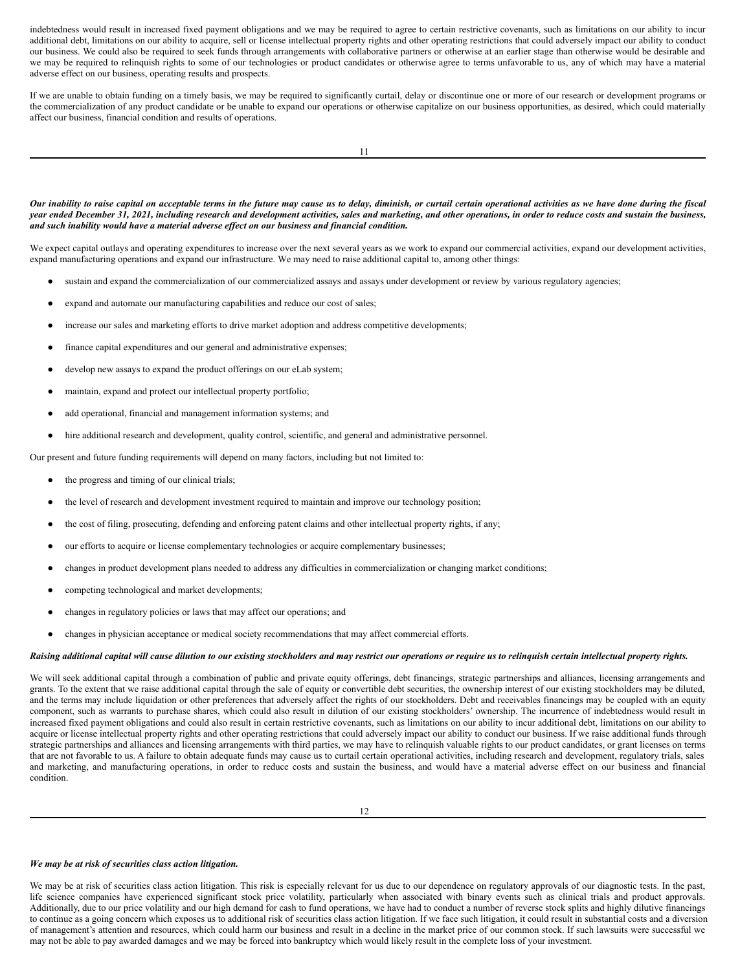indebtedness would result in increased fixed payment obligations and we may be required to agree to certain restrictive covenants, such as limitations on our ability to incur additional debt, limitations on our ability to acquire, sell or license intellectual property rights and other operating restrictions that could adversely impact our ability to conduct our business. We could also be required to seek funds through arrangements with collaborative partners or otherwise at an earlier stage than otherwise would be desirable and we may be required to relinquish rights to some of our technologies or product candidates or otherwise agree to terms unfavorable to us, any of which may have a material adverse effect on our business, operating results and prospects.

If we are unable to obtain funding on a timely basis, we may be required to significantly curtail, delay or discontinue one or more of our research or development programs or the commercialization of any product candidate or be unable to expand our operations or otherwise capitalize on our business opportunities, as desired, which could materially affect our business, financial condition and results of operations.

Our inability to raise capital on acceptable terms in the future may cause us to delay, diminish, or curtail certain operational activities as we have done during the fiscal year ended December 31, 2021, including research and development activities, sales and marketing, and other operations, in order to reduce costs and sustain the business, *and such inability would have a material adverse ef ect on our business and financial condition.*

We expect capital outlays and operating expenditures to increase over the next several years as we work to expand our commercial activities, expand our development activities, expand manufacturing operations and expand our infrastructure. We may need to raise additional capital to, among other things:

- sustain and expand the commercialization of our commercialized assays and assays under development or review by various regulatory agencies;
- expand and automate our manufacturing capabilities and reduce our cost of sales;
- increase our sales and marketing efforts to drive market adoption and address competitive developments;
- finance capital expenditures and our general and administrative expenses;
- develop new assays to expand the product offerings on our eLab system;
- maintain, expand and protect our intellectual property portfolio;
- add operational, financial and management information systems; and
- hire additional research and development, quality control, scientific, and general and administrative personnel.

Our present and future funding requirements will depend on many factors, including but not limited to:

- the progress and timing of our clinical trials;
- the level of research and development investment required to maintain and improve our technology position;
- the cost of filing, prosecuting, defending and enforcing patent claims and other intellectual property rights, if any;
- our efforts to acquire or license complementary technologies or acquire complementary businesses;
- changes in product development plans needed to address any difficulties in commercialization or changing market conditions;
- competing technological and market developments;
- changes in regulatory policies or laws that may affect our operations; and
- changes in physician acceptance or medical society recommendations that may affect commercial efforts.

# Raising additional capital will cause dilution to our existing stockholders and may restrict our operations or require us to relinquish certain intellectual property rights.

We will seek additional capital through a combination of public and private equity offerings, debt financings, strategic partnerships and alliances, licensing arrangements and grants. To the extent that we raise additional capital through the sale of equity or convertible debt securities, the ownership interest of our existing stockholders may be diluted, and the terms may include liquidation or other preferences that adversely affect the rights of our stockholders. Debt and receivables financings may be coupled with an equity component, such as warrants to purchase shares, which could also result in dilution of our existing stockholders' ownership. The incurrence of indebtedness would result in increased fixed payment obligations and could also result in certain restrictive covenants, such as limitations on our ability to incur additional debt, limitations on our ability to acquire or license intellectual property rights and other operating restrictions that could adversely impact our ability to conduct our business. If we raise additional funds through strategic partnerships and alliances and licensing arrangements with third parties, we may have to relinquish valuable rights to our product candidates, or grant licenses on terms that are not favorable to us. A failure to obtain adequate funds may cause us to curtail certain operational activities, including research and development, regulatory trials, sales and marketing, and manufacturing operations, in order to reduce costs and sustain the business, and would have a material adverse effect on our business and financial condition.

### *We may be at risk of securities class action litigation.*

We may be at risk of securities class action litigation. This risk is especially relevant for us due to our dependence on regulatory approvals of our diagnostic tests. In the past, life science companies have experienced significant stock price volatility, particularly when associated with binary events such as clinical trials and product approvals. Additionally, due to our price volatility and our high demand for cash to fund operations, we have had to conduct a number of reverse stock splits and highly dilutive financings to continue as a going concern which exposes us to additional risk of securities class action litigation. If we face such litigation, it could result in substantial costs and a diversion of management's attention and resources, which could harm our business and result in a decline in the market price of our common stock. If such lawsuits were successful we may not be able to pay awarded damages and we may be forced into bankruptcy which would likely result in the complete loss of your investment.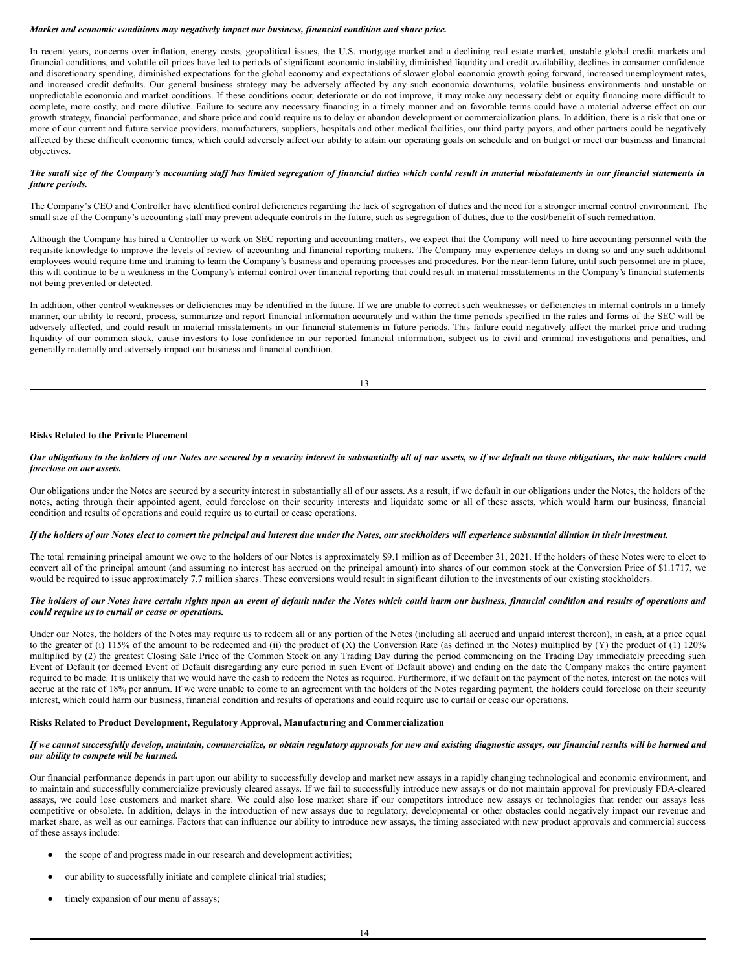## *Market and economic conditions may negatively impact our business, financial condition and share price.*

In recent years, concerns over inflation, energy costs, geopolitical issues, the U.S. mortgage market and a declining real estate market, unstable global credit markets and financial conditions, and volatile oil prices have led to periods of significant economic instability, diminished liquidity and credit availability, declines in consumer confidence and discretionary spending, diminished expectations for the global economy and expectations of slower global economic growth going forward, increased unemployment rates, and increased credit defaults. Our general business strategy may be adversely affected by any such economic downturns, volatile business environments and unstable or unpredictable economic and market conditions. If these conditions occur, deteriorate or do not improve, it may make any necessary debt or equity financing more difficult to complete, more costly, and more dilutive. Failure to secure any necessary financing in a timely manner and on favorable terms could have a material adverse effect on our growth strategy, financial performance, and share price and could require us to delay or abandon development or commercialization plans. In addition, there is a risk that one or more of our current and future service providers, manufacturers, suppliers, hospitals and other medical facilities, our third party payors, and other partners could be negatively affected by these difficult economic times, which could adversely affect our ability to attain our operating goals on schedule and on budget or meet our business and financial objectives.

## The small size of the Company's accounting staff has limited segregation of financial duties which could result in material misstatements in our financial statements in *future periods.*

The Company's CEO and Controller have identified control deficiencies regarding the lack of segregation of duties and the need for a stronger internal control environment. The small size of the Company's accounting staff may prevent adequate controls in the future, such as segregation of duties, due to the cost/benefit of such remediation.

Although the Company has hired a Controller to work on SEC reporting and accounting matters, we expect that the Company will need to hire accounting personnel with the requisite knowledge to improve the levels of review of accounting and financial reporting matters. The Company may experience delays in doing so and any such additional employees would require time and training to learn the Company's business and operating processes and procedures. For the near-term future, until such personnel are in place, this will continue to be a weakness in the Company's internal control over financial reporting that could result in material misstatements in the Company's financial statements not being prevented or detected.

In addition, other control weaknesses or deficiencies may be identified in the future. If we are unable to correct such weaknesses or deficiencies in internal controls in a timely manner, our ability to record, process, summarize and report financial information accurately and within the time periods specified in the rules and forms of the SEC will be adversely affected, and could result in material misstatements in our financial statements in future periods. This failure could negatively affect the market price and trading liquidity of our common stock, cause investors to lose confidence in our reported financial information, subject us to civil and criminal investigations and penalties, and generally materially and adversely impact our business and financial condition.

13

### **Risks Related to the Private Placement**

## Our obligations to the holders of our Notes are secured by a security interest in substantially all of our assets, so if we default on those obligations, the note holders could *foreclose on our assets.*

Our obligations under the Notes are secured by a security interest in substantially all of our assets. As a result, if we default in our obligations under the Notes, the holders of the notes, acting through their appointed agent, could foreclose on their security interests and liquidate some or all of these assets, which would harm our business, financial condition and results of operations and could require us to curtail or cease operations.

### If the holders of our Notes elect to convert the principal and interest due under the Notes, our stockholders will experience substantial dilution in their investment.

The total remaining principal amount we owe to the holders of our Notes is approximately \$9.1 million as of December 31, 2021. If the holders of these Notes were to elect to convert all of the principal amount (and assuming no interest has accrued on the principal amount) into shares of our common stock at the Conversion Price of \$1.1717, we would be required to issue approximately 7.7 million shares. These conversions would result in significant dilution to the investments of our existing stockholders.

### The holders of our Notes have certain rights upon an event of default under the Notes which could harm our business, financial condition and results of operations and *could require us to curtail or cease or operations.*

Under our Notes, the holders of the Notes may require us to redeem all or any portion of the Notes (including all accrued and unpaid interest thereon), in cash, at a price equal to the greater of (i) 115% of the amount to be redeemed and (ii) the product of (X) the Conversion Rate (as defined in the Notes) multiplied by (Y) the product of (1) 120% multiplied by (2) the greatest Closing Sale Price of the Common Stock on any Trading Day during the period commencing on the Trading Day immediately preceding such Event of Default (or deemed Event of Default disregarding any cure period in such Event of Default above) and ending on the date the Company makes the entire payment required to be made. It is unlikely that we would have the cash to redeem the Notes as required. Furthermore, if we default on the payment of the notes, interest on the notes will accrue at the rate of 18% per annum. If we were unable to come to an agreement with the holders of the Notes regarding payment, the holders could foreclose on their security interest, which could harm our business, financial condition and results of operations and could require use to curtail or cease our operations.

# **Risks Related to Product Development, Regulatory Approval, Manufacturing and Commercialization**

## If we cannot successfully develop, maintain, commercialize, or obtain regulatory approvals for new and existing diagnostic assays, our financial results will be harmed and *our ability to compete will be harmed.*

Our financial performance depends in part upon our ability to successfully develop and market new assays in a rapidly changing technological and economic environment, and to maintain and successfully commercialize previously cleared assays. If we fail to successfully introduce new assays or do not maintain approval for previously FDA-cleared assays, we could lose customers and market share. We could also lose market share if our competitors introduce new assays or technologies that render our assays less competitive or obsolete. In addition, delays in the introduction of new assays due to regulatory, developmental or other obstacles could negatively impact our revenue and market share, as well as our earnings. Factors that can influence our ability to introduce new assays, the timing associated with new product approvals and commercial success of these assays include:

- the scope of and progress made in our research and development activities;
- our ability to successfully initiate and complete clinical trial studies;
- timely expansion of our menu of assays;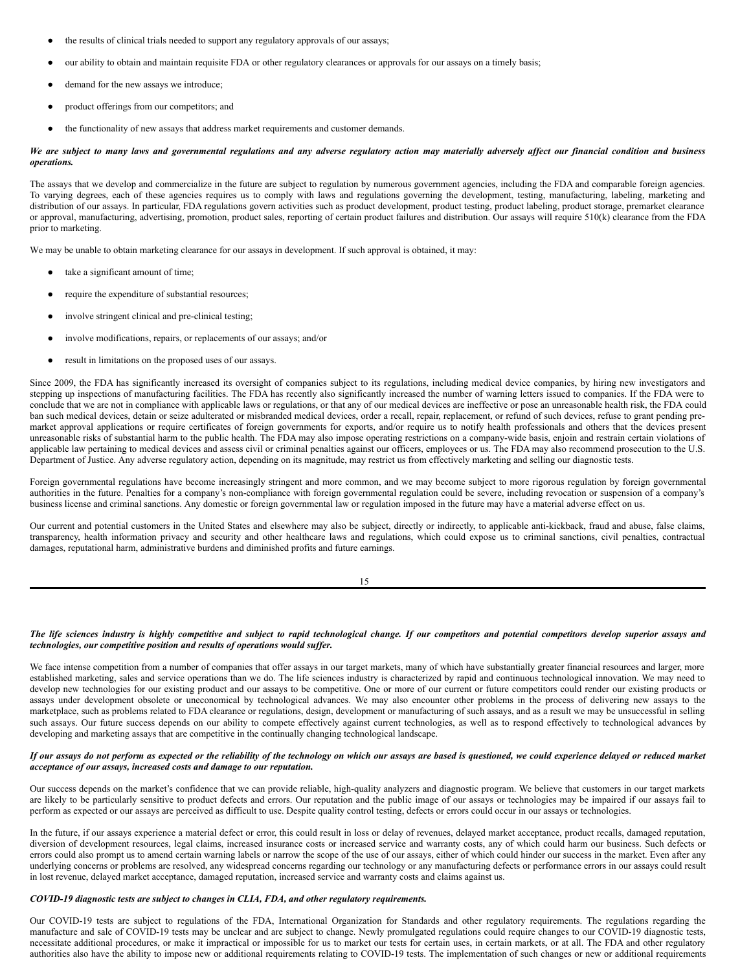- the results of clinical trials needed to support any regulatory approvals of our assays;
- our ability to obtain and maintain requisite FDA or other regulatory clearances or approvals for our assays on a timely basis;
- demand for the new assays we introduce;
- product offerings from our competitors; and
- the functionality of new assays that address market requirements and customer demands.

### We are subject to many laws and governmental regulations and any adverse regulatory action may materially adversely affect our financial condition and business *operations.*

The assays that we develop and commercialize in the future are subject to regulation by numerous government agencies, including the FDA and comparable foreign agencies. To varying degrees, each of these agencies requires us to comply with laws and regulations governing the development, testing, manufacturing, labeling, marketing and distribution of our assays. In particular, FDA regulations govern activities such as product development, product testing, product labeling, product storage, premarket clearance or approval, manufacturing, advertising, promotion, product sales, reporting of certain product failures and distribution. Our assays will require 510(k) clearance from the FDA prior to marketing.

We may be unable to obtain marketing clearance for our assays in development. If such approval is obtained, it may:

- take a significant amount of time;
- require the expenditure of substantial resources;
- involve stringent clinical and pre-clinical testing;
- involve modifications, repairs, or replacements of our assays; and/or
- result in limitations on the proposed uses of our assays.

Since 2009, the FDA has significantly increased its oversight of companies subject to its regulations, including medical device companies, by hiring new investigators and stepping up inspections of manufacturing facilities. The FDA has recently also significantly increased the number of warning letters issued to companies. If the FDA were to conclude that we are not in compliance with applicable laws or regulations, or that any of our medical devices are ineffective or pose an unreasonable health risk, the FDA could ban such medical devices, detain or seize adulterated or misbranded medical devices, order a recall, repair, replacement, or refund of such devices, refuse to grant pending premarket approval applications or require certificates of foreign governments for exports, and/or require us to notify health professionals and others that the devices present unreasonable risks of substantial harm to the public health. The FDA may also impose operating restrictions on a company-wide basis, enjoin and restrain certain violations of applicable law pertaining to medical devices and assess civil or criminal penalties against our officers, employees or us. The FDA may also recommend prosecution to the U.S. Department of Justice. Any adverse regulatory action, depending on its magnitude, may restrict us from effectively marketing and selling our diagnostic tests.

Foreign governmental regulations have become increasingly stringent and more common, and we may become subject to more rigorous regulation by foreign governmental authorities in the future. Penalties for a company's non-compliance with foreign governmental regulation could be severe, including revocation or suspension of a company's business license and criminal sanctions. Any domestic or foreign governmental law or regulation imposed in the future may have a material adverse effect on us.

Our current and potential customers in the United States and elsewhere may also be subject, directly or indirectly, to applicable anti-kickback, fraud and abuse, false claims, transparency, health information privacy and security and other healthcare laws and regulations, which could expose us to criminal sanctions, civil penalties, contractual damages, reputational harm, administrative burdens and diminished profits and future earnings.

15

# The life sciences industry is highly competitive and subject to rapid technological change. If our competitors and potential competitors develop superior assays and *technologies, our competitive position and results of operations would suffer.*

We face intense competition from a number of companies that offer assays in our target markets, many of which have substantially greater financial resources and larger, more established marketing, sales and service operations than we do. The life sciences industry is characterized by rapid and continuous technological innovation. We may need to develop new technologies for our existing product and our assays to be competitive. One or more of our current or future competitors could render our existing products or assays under development obsolete or uneconomical by technological advances. We may also encounter other problems in the process of delivering new assays to the marketplace, such as problems related to FDA clearance or regulations, design, development or manufacturing of such assays, and as a result we may be unsuccessful in selling such assays. Our future success depends on our ability to compete effectively against current technologies, as well as to respond effectively to technological advances by developing and marketing assays that are competitive in the continually changing technological landscape.

# If our assays do not perform as expected or the reliability of the technology on which our assays are based is questioned, we could experience delayed or reduced market *acceptance of our assays, increased costs and damage to our reputation.*

Our success depends on the market's confidence that we can provide reliable, high-quality analyzers and diagnostic program. We believe that customers in our target markets are likely to be particularly sensitive to product defects and errors. Our reputation and the public image of our assays or technologies may be impaired if our assays fail to perform as expected or our assays are perceived as difficult to use. Despite quality control testing, defects or errors could occur in our assays or technologies.

In the future, if our assays experience a material defect or error, this could result in loss or delay of revenues, delayed market acceptance, product recalls, damaged reputation, diversion of development resources, legal claims, increased insurance costs or increased service and warranty costs, any of which could harm our business. Such defects or errors could also prompt us to amend certain warning labels or narrow the scope of the use of our assays, either of which could hinder our success in the market. Even after any underlying concerns or problems are resolved, any widespread concerns regarding our technology or any manufacturing defects or performance errors in our assays could result in lost revenue, delayed market acceptance, damaged reputation, increased service and warranty costs and claims against us.

# *COVID-19 diagnostic tests are subject to changes in CLIA, FDA, and other regulatory requirements.*

Our COVID-19 tests are subject to regulations of the FDA, International Organization for Standards and other regulatory requirements. The regulations regarding the manufacture and sale of COVID-19 tests may be unclear and are subject to change. Newly promulgated regulations could require changes to our COVID-19 diagnostic tests, necessitate additional procedures, or make it impractical or impossible for us to market our tests for certain uses, in certain markets, or at all. The FDA and other regulatory authorities also have the ability to impose new or additional requirements relating to COVID-19 tests. The implementation of such changes or new or additional requirements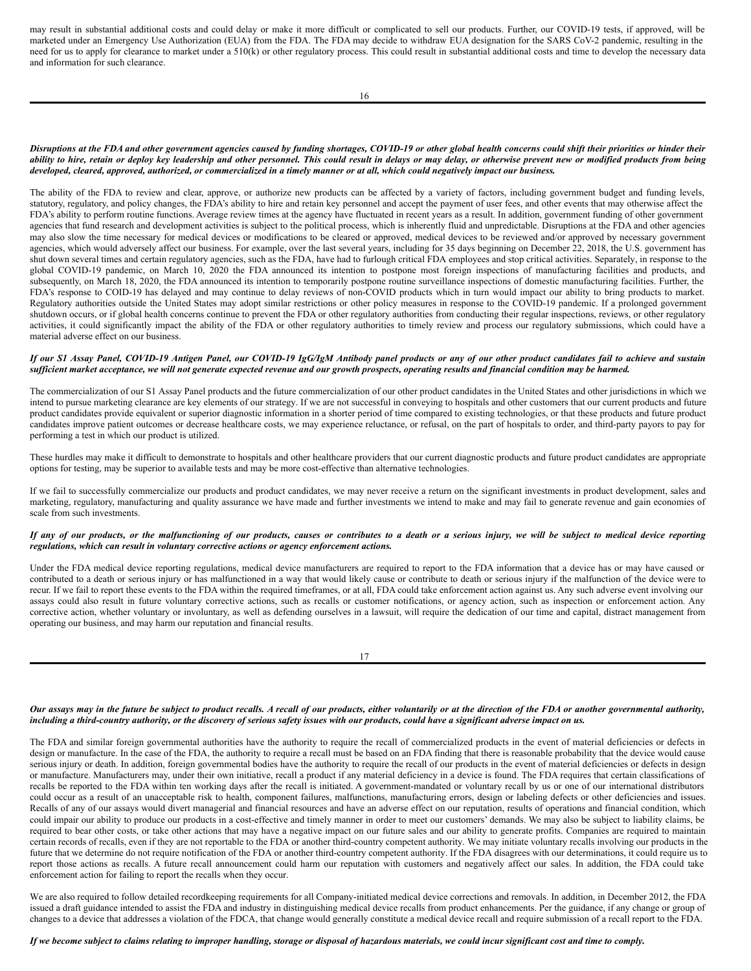may result in substantial additional costs and could delay or make it more difficult or complicated to sell our products. Further, our COVID-19 tests, if approved, will be marketed under an Emergency Use Authorization (EUA) from the FDA. The FDA may decide to withdraw EUA designation for the SARS CoV-2 pandemic, resulting in the need for us to apply for clearance to market under a 510(k) or other regulatory process. This could result in substantial additional costs and time to develop the necessary data and information for such clearance.

# Disruptions at the FDA and other government agencies caused by funding shortages, COVID-19 or other global health concerns could shift their priorities or hinder their ability to hire, retain or deploy key leadership and other personnel. This could result in delays or may delay, or otherwise prevent new or modified products from being developed, cleared, approved, authorized, or commercialized in a timely manner or at all, which could negatively impact our business.

The ability of the FDA to review and clear, approve, or authorize new products can be affected by a variety of factors, including government budget and funding levels, statutory, regulatory, and policy changes, the FDA's ability to hire and retain key personnel and accept the payment of user fees, and other events that may otherwise affect the FDA's ability to perform routine functions. Average review times at the agency have fluctuated in recent years as a result. In addition, government funding of other government agencies that fund research and development activities is subject to the political process, which is inherently fluid and unpredictable. Disruptions at the FDA and other agencies may also slow the time necessary for medical devices or modifications to be cleared or approved, medical devices to be reviewed and/or approved by necessary government agencies, which would adversely affect our business. For example, over the last several years, including for 35 days beginning on December 22, 2018, the U.S. government has shut down several times and certain regulatory agencies, such as the FDA, have had to furlough critical FDA employees and stop critical activities. Separately, in response to the global COVID-19 pandemic, on March 10, 2020 the FDA announced its intention to postpone most foreign inspections of manufacturing facilities and products, and subsequently, on March 18, 2020, the FDA announced its intention to temporarily postpone routine surveillance inspections of domestic manufacturing facilities. Further, the FDA's response to COID-19 has delayed and may continue to delay reviews of non-COVID products which in turn would impact our ability to bring products to market. Regulatory authorities outside the United States may adopt similar restrictions or other policy measures in response to the COVID-19 pandemic. If a prolonged government shutdown occurs, or if global health concerns continue to prevent the FDA or other regulatory authorities from conducting their regular inspections, reviews, or other regulatory activities, it could significantly impact the ability of the FDA or other regulatory authorities to timely review and process our regulatory submissions, which could have a material adverse effect on our business.

# If our S1 Assay Panel, COVID-19 Antigen Panel, our COVID-19 IgG/IgM Antibody panel products or any of our other product candidates fail to achieve and sustain sufficient market acceptance, we will not generate expected revenue and our growth prospects, operating results and financial condition may be harmed.

The commercialization of our S1 Assay Panel products and the future commercialization of our other product candidates in the United States and other jurisdictions in which we intend to pursue marketing clearance are key elements of our strategy. If we are not successful in conveying to hospitals and other customers that our current products and future product candidates provide equivalent or superior diagnostic information in a shorter period of time compared to existing technologies, or that these products and future product candidates improve patient outcomes or decrease healthcare costs, we may experience reluctance, or refusal, on the part of hospitals to order, and third-party payors to pay for performing a test in which our product is utilized.

These hurdles may make it difficult to demonstrate to hospitals and other healthcare providers that our current diagnostic products and future product candidates are appropriate options for testing, may be superior to available tests and may be more cost-effective than alternative technologies.

If we fail to successfully commercialize our products and product candidates, we may never receive a return on the significant investments in product development, sales and marketing, regulatory, manufacturing and quality assurance we have made and further investments we intend to make and may fail to generate revenue and gain economies of scale from such investments.

# If any of our products, or the malfunctioning of our products, causes or contributes to a death or a serious injury, we will be subject to medical device reporting *regulations, which can result in voluntary corrective actions or agency enforcement actions.*

Under the FDA medical device reporting regulations, medical device manufacturers are required to report to the FDA information that a device has or may have caused or contributed to a death or serious injury or has malfunctioned in a way that would likely cause or contribute to death or serious injury if the malfunction of the device were to recur. If we fail to report these events to the FDA within the required timeframes, or at all, FDA could take enforcement action against us. Any such adverse event involving our assays could also result in future voluntary corrective actions, such as recalls or customer notifications, or agency action, such as inspection or enforcement action. Any corrective action, whether voluntary or involuntary, as well as defending ourselves in a lawsuit, will require the dedication of our time and capital, distract management from operating our business, and may harm our reputation and financial results.

# Our assays may in the future be subject to product recalls. A recall of our products, either voluntarily or at the direction of the FDA or another governmental authority, including a third-country authority, or the discovery of serious safety issues with our products, could have a significant adverse impact on us.

The FDA and similar foreign governmental authorities have the authority to require the recall of commercialized products in the event of material deficiencies or defects in design or manufacture. In the case of the FDA, the authority to require a recall must be based on an FDA finding that there is reasonable probability that the device would cause serious injury or death. In addition, foreign governmental bodies have the authority to require the recall of our products in the event of material deficiencies or defects in design or manufacture. Manufacturers may, under their own initiative, recall a product if any material deficiency in a device is found. The FDA requires that certain classifications of recalls be reported to the FDA within ten working days after the recall is initiated. A government-mandated or voluntary recall by us or one of our international distributors could occur as a result of an unacceptable risk to health, component failures, malfunctions, manufacturing errors, design or labeling defects or other deficiencies and issues. Recalls of any of our assays would divert managerial and financial resources and have an adverse effect on our reputation, results of operations and financial condition, which could impair our ability to produce our products in a cost-effective and timely manner in order to meet our customers' demands. We may also be subject to liability claims, be required to bear other costs, or take other actions that may have a negative impact on our future sales and our ability to generate profits. Companies are required to maintain certain records of recalls, even if they are not reportable to the FDA or another third-country competent authority. We may initiate voluntary recalls involving our products in the future that we determine do not require notification of the FDA or another third-country competent authority. If the FDA disagrees with our determinations, it could require us to report those actions as recalls. A future recall announcement could harm our reputation with customers and negatively affect our sales. In addition, the FDA could take enforcement action for failing to report the recalls when they occur.

We are also required to follow detailed recordkeeping requirements for all Company-initiated medical device corrections and removals. In addition, in December 2012, the FDA issued a draft guidance intended to assist the FDA and industry in distinguishing medical device recalls from product enhancements. Per the guidance, if any change or group of changes to a device that addresses a violation of the FDCA, that change would generally constitute a medical device recall and require submission of a recall report to the FDA.

If we become subject to claims relating to improper handling, storage or disposal of hazardous materials, we could incur significant cost and time to comply.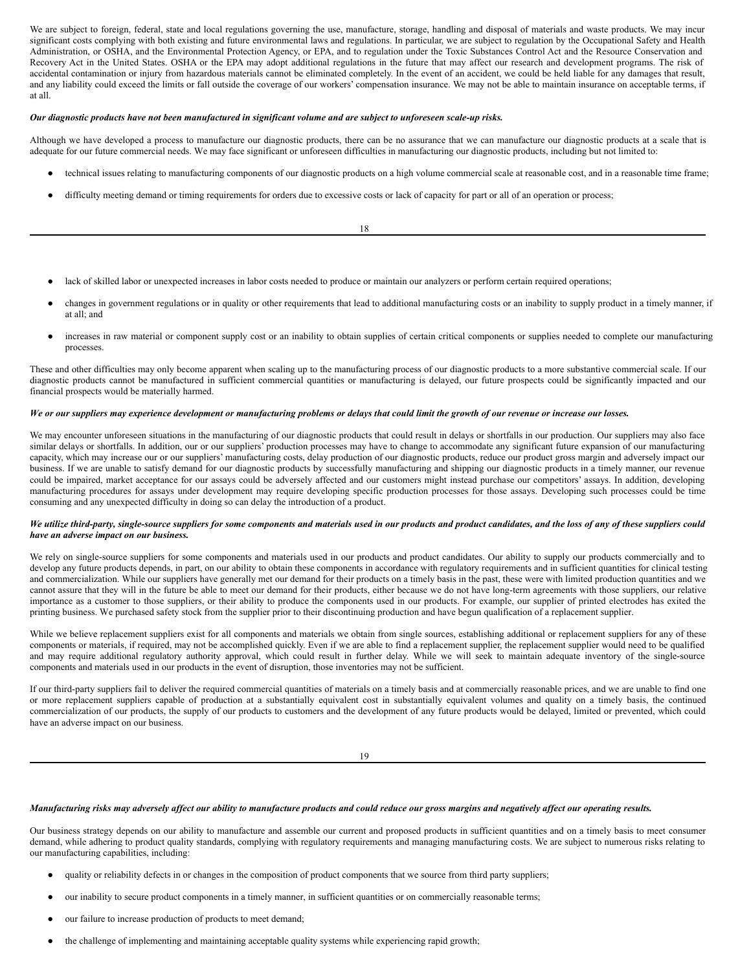We are subject to foreign, federal, state and local regulations governing the use, manufacture, storage, handling and disposal of materials and waste products. We may incur significant costs complying with both existing and future environmental laws and regulations. In particular, we are subject to regulation by the Occupational Safety and Health Administration, or OSHA, and the Environmental Protection Agency, or EPA, and to regulation under the Toxic Substances Control Act and the Resource Conservation and Recovery Act in the United States. OSHA or the EPA may adopt additional regulations in the future that may affect our research and development programs. The risk of accidental contamination or injury from hazardous materials cannot be eliminated completely. In the event of an accident, we could be held liable for any damages that result, and any liability could exceed the limits or fall outside the coverage of our workers' compensation insurance. We may not be able to maintain insurance on acceptable terms, if at all.

## Our diagnostic products have not been manufactured in significant volume and are subject to unforeseen scale-up risks.

Although we have developed a process to manufacture our diagnostic products, there can be no assurance that we can manufacture our diagnostic products at a scale that is adequate for our future commercial needs. We may face significant or unforeseen difficulties in manufacturing our diagnostic products, including but not limited to:

- technical issues relating to manufacturing components of our diagnostic products on a high volume commercial scale at reasonable cost, and in a reasonable time frame;
- difficulty meeting demand or timing requirements for orders due to excessive costs or lack of capacity for part or all of an operation or process;

- lack of skilled labor or unexpected increases in labor costs needed to produce or maintain our analyzers or perform certain required operations;
- changes in government regulations or in quality or other requirements that lead to additional manufacturing costs or an inability to supply product in a timely manner, if at all; and
- increases in raw material or component supply cost or an inability to obtain supplies of certain critical components or supplies needed to complete our manufacturing processes.

These and other difficulties may only become apparent when scaling up to the manufacturing process of our diagnostic products to a more substantive commercial scale. If our diagnostic products cannot be manufactured in sufficient commercial quantities or manufacturing is delayed, our future prospects could be significantly impacted and our financial prospects would be materially harmed.

### We or our suppliers may experience development or manufacturing problems or delays that could limit the growth of our revenue or increase our losses.

We may encounter unforeseen situations in the manufacturing of our diagnostic products that could result in delays or shortfalls in our production. Our suppliers may also face similar delays or shortfalls. In addition, our or our suppliers' production processes may have to change to accommodate any significant future expansion of our manufacturing capacity, which may increase our or our suppliers' manufacturing costs, delay production of our diagnostic products, reduce our product gross margin and adversely impact our business. If we are unable to satisfy demand for our diagnostic products by successfully manufacturing and shipping our diagnostic products in a timely manner, our revenue could be impaired, market acceptance for our assays could be adversely affected and our customers might instead purchase our competitors' assays. In addition, developing manufacturing procedures for assays under development may require developing specific production processes for those assays. Developing such processes could be time consuming and any unexpected difficulty in doing so can delay the introduction of a product.

# We utilize third-party, single-source suppliers for some components and materials used in our products and product candidates, and the loss of any of these suppliers could *have an adverse impact on our business.*

We rely on single-source suppliers for some components and materials used in our products and product candidates. Our ability to supply our products commercially and to develop any future products depends, in part, on our ability to obtain these components in accordance with regulatory requirements and in sufficient quantities for clinical testing and commercialization. While our suppliers have generally met our demand for their products on a timely basis in the past, these were with limited production quantities and we cannot assure that they will in the future be able to meet our demand for their products, either because we do not have long-term agreements with those suppliers, our relative importance as a customer to those suppliers, or their ability to produce the components used in our products. For example, our supplier of printed electrodes has exited the printing business. We purchased safety stock from the supplier prior to their discontinuing production and have begun qualification of a replacement supplier.

While we believe replacement suppliers exist for all components and materials we obtain from single sources, establishing additional or replacement suppliers for any of these components or materials, if required, may not be accomplished quickly. Even if we are able to find a replacement supplier, the replacement supplier would need to be qualified and may require additional regulatory authority approval, which could result in further delay. While we will seek to maintain adequate inventory of the single-source components and materials used in our products in the event of disruption, those inventories may not be sufficient.

If our third-party suppliers fail to deliver the required commercial quantities of materials on a timely basis and at commercially reasonable prices, and we are unable to find one or more replacement suppliers capable of production at a substantially equivalent cost in substantially equivalent volumes and quality on a timely basis, the continued commercialization of our products, the supply of our products to customers and the development of any future products would be delayed, limited or prevented, which could have an adverse impact on our business.

19

#### Manufacturing risks may adversely affect our ability to manufacture products and could reduce our gross margins and negatively affect our operating results.

Our business strategy depends on our ability to manufacture and assemble our current and proposed products in sufficient quantities and on a timely basis to meet consumer demand, while adhering to product quality standards, complying with regulatory requirements and managing manufacturing costs. We are subject to numerous risks relating to our manufacturing capabilities, including:

- quality or reliability defects in or changes in the composition of product components that we source from third party suppliers;
- our inability to secure product components in a timely manner, in sufficient quantities or on commercially reasonable terms;
- our failure to increase production of products to meet demand;
- the challenge of implementing and maintaining acceptable quality systems while experiencing rapid growth;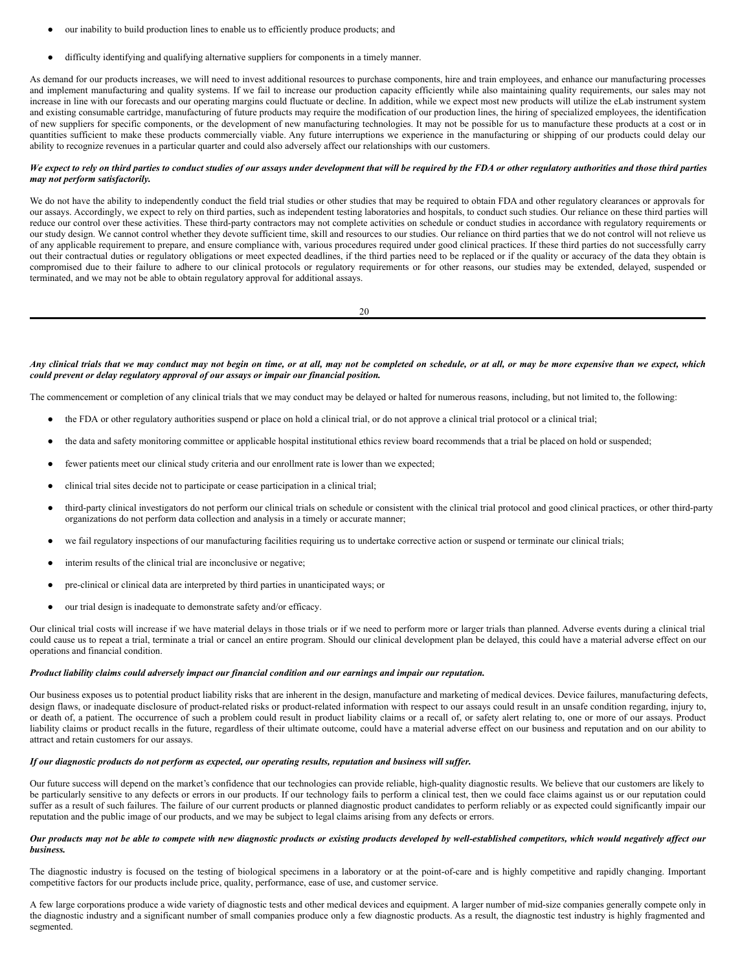- our inability to build production lines to enable us to efficiently produce products; and
- difficulty identifying and qualifying alternative suppliers for components in a timely manner.

As demand for our products increases, we will need to invest additional resources to purchase components, hire and train employees, and enhance our manufacturing processes and implement manufacturing and quality systems. If we fail to increase our production capacity efficiently while also maintaining quality requirements, our sales may not increase in line with our forecasts and our operating margins could fluctuate or decline. In addition, while we expect most new products will utilize the eLab instrument system and existing consumable cartridge, manufacturing of future products may require the modification of our production lines, the hiring of specialized employees, the identification of new suppliers for specific components, or the development of new manufacturing technologies. It may not be possible for us to manufacture these products at a cost or in quantities sufficient to make these products commercially viable. Any future interruptions we experience in the manufacturing or shipping of our products could delay our ability to recognize revenues in a particular quarter and could also adversely affect our relationships with our customers.

# We expect to rely on third parties to conduct studies of our assays under development that will be required by the FDA or other regulatory authorities and those third parties *may not perform satisfactorily.*

We do not have the ability to independently conduct the field trial studies or other studies that may be required to obtain FDA and other regulatory clearances or approvals for our assays. Accordingly, we expect to rely on third parties, such as independent testing laboratories and hospitals, to conduct such studies. Our reliance on these third parties will reduce our control over these activities. These third-party contractors may not complete activities on schedule or conduct studies in accordance with regulatory requirements or our study design. We cannot control whether they devote sufficient time, skill and resources to our studies. Our reliance on third parties that we do not control will not relieve us of any applicable requirement to prepare, and ensure compliance with, various procedures required under good clinical practices. If these third parties do not successfully carry out their contractual duties or regulatory obligations or meet expected deadlines, if the third parties need to be replaced or if the quality or accuracy of the data they obtain is compromised due to their failure to adhere to our clinical protocols or regulatory requirements or for other reasons, our studies may be extended, delayed, suspended or terminated, and we may not be able to obtain regulatory approval for additional assays.

20

### Any clinical trials that we may conduct may not begin on time, or at all, may not be completed on schedule, or at all, or may be more expensive than we expect, which *could prevent or delay regulatory approval of our assays or impair our financial position.*

The commencement or completion of any clinical trials that we may conduct may be delayed or halted for numerous reasons, including, but not limited to, the following:

- the FDA or other regulatory authorities suspend or place on hold a clinical trial, or do not approve a clinical trial trial; trial;
- the data and safety monitoring committee or applicable hospital institutional ethics review board recommends that a trial be placed on hold or suspended;
- fewer patients meet our clinical study criteria and our enrollment rate is lower than we expected;
- clinical trial sites decide not to participate or cease participation in a clinical trial;
- third-party clinical investigators do not perform our clinical trials on schedule or consistent with the clinical trial protocol and good clinical practices, or other third-party organizations do not perform data collection and analysis in a timely or accurate manner;
- we fail regulatory inspections of our manufacturing facilities requiring us to undertake corrective action or suspend or terminate our clinical trials;
- interim results of the clinical trial are inconclusive or negative;
- pre-clinical or clinical data are interpreted by third parties in unanticipated ways; or
- our trial design is inadequate to demonstrate safety and/or efficacy.

Our clinical trial costs will increase if we have material delays in those trials or if we need to perform more or larger trials than planned. Adverse events during a clinical trial could cause us to repeat a trial, terminate a trial or cancel an entire program. Should our clinical development plan be delayed, this could have a material adverse effect on our operations and financial condition.

### Product liability claims could adversely impact our financial condition and our earnings and impair our reputation.

Our business exposes us to potential product liability risks that are inherent in the design, manufacture and marketing of medical devices. Device failures, manufacturing defects, design flaws, or inadequate disclosure of product-related risks or product-related information with respect to our assays could result in an unsafe condition regarding, injury to, or death of, a patient. The occurrence of such a problem could result in product liability claims or a recall of, or safety alert relating to, one or more of our assays. Product liability claims or product recalls in the future, regardless of their ultimate outcome, could have a material adverse effect on our business and reputation and on our ability to attract and retain customers for our assays.

## If our diagnostic products do not perform as expected, our operating results, reputation and business will suffer.

Our future success will depend on the market's confidence that our technologies can provide reliable, high-quality diagnostic results. We believe that our customers are likely to be particularly sensitive to any defects or errors in our products. If our technology fails to perform a clinical test, then we could face claims against us or our reputation could suffer as a result of such failures. The failure of our current products or planned diagnostic product candidates to perform reliably or as expected could significantly impair our reputation and the public image of our products, and we may be subject to legal claims arising from any defects or errors.

### Our products may not be able to compete with new diagnostic products or existing products developed by well-established competitors, which would negatively affect our *business.*

The diagnostic industry is focused on the testing of biological specimens in a laboratory or at the point-of-care and is highly competitive and rapidly changing. Important competitive factors for our products include price, quality, performance, ease of use, and customer service.

A few large corporations produce a wide variety of diagnostic tests and other medical devices and equipment. A larger number of mid-size companies generally compete only in the diagnostic industry and a significant number of small companies produce only a few diagnostic products. As a result, the diagnostic test industry is highly fragmented and segmented.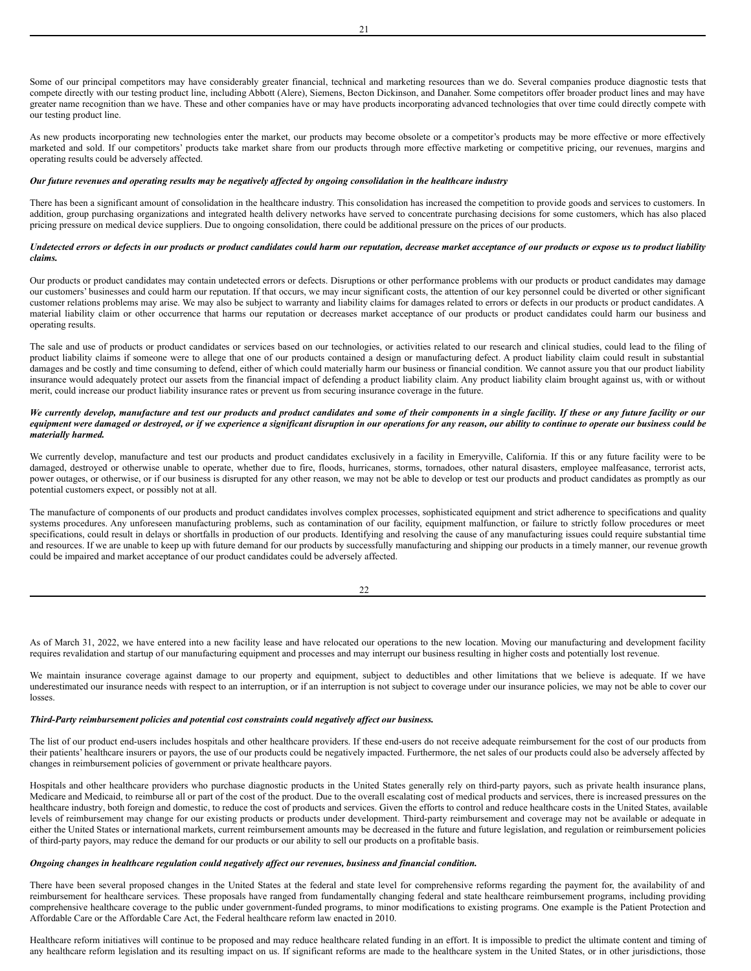Some of our principal competitors may have considerably greater financial, technical and marketing resources than we do. Several companies produce diagnostic tests that compete directly with our testing product line, including Abbott (Alere), Siemens, Becton Dickinson, and Danaher. Some competitors offer broader product lines and may have greater name recognition than we have. These and other companies have or may have products incorporating advanced technologies that over time could directly compete with our testing product line.

As new products incorporating new technologies enter the market, our products may become obsolete or a competitor's products may be more effective or more effectively marketed and sold. If our competitors' products take market share from our products through more effective marketing or competitive pricing, our revenues, margins and operating results could be adversely affected.

## Our future revenues and operating results may be negatively affected by ongoing consolidation in the healthcare industry

There has been a significant amount of consolidation in the healthcare industry. This consolidation has increased the competition to provide goods and services to customers. In addition, group purchasing organizations and integrated health delivery networks have served to concentrate purchasing decisions for some customers, which has also placed pricing pressure on medical device suppliers. Due to ongoing consolidation, there could be additional pressure on the prices of our products.

## Undetected errors or defects in our products or product candidates could harm our reputation, decrease market acceptance of our products or expose us to product liability *claims.*

Our products or product candidates may contain undetected errors or defects. Disruptions or other performance problems with our products or product candidates may damage our customers' businesses and could harm our reputation. If that occurs, we may incur significant costs, the attention of our key personnel could be diverted or other significant customer relations problems may arise. We may also be subject to warranty and liability claims for damages related to errors or defects in our products or product candidates. A material liability claim or other occurrence that harms our reputation or decreases market acceptance of our products or product candidates could harm our business and operating results.

The sale and use of products or product candidates or services based on our technologies, or activities related to our research and clinical studies, could lead to the filing of product liability claims if someone were to allege that one of our products contained a design or manufacturing defect. A product liability claim could result in substantial damages and be costly and time consuming to defend, either of which could materially harm our business or financial condition. We cannot assure you that our product liability insurance would adequately protect our assets from the financial impact of defending a product liability claim. Any product liability claim brought against us, with or without merit, could increase our product liability insurance rates or prevent us from securing insurance coverage in the future.

# We currently develop, manufacture and test our products and product candidates and some of their components in a single facility. If these or any future facility or our equipment were damaged or destroyed, or if we experience a significant disruption in our operations for any reason, our ability to continue to operate our business could be *materially harmed.*

We currently develop, manufacture and test our products and product candidates exclusively in a facility in Emeryville, California. If this or any future facility were to be damaged, destroyed or otherwise unable to operate, whether due to fire, floods, hurricanes, storms, tornadoes, other natural disasters, employee malfeasance, terrorist acts, power outages, or otherwise, or if our business is disrupted for any other reason, we may not be able to develop or test our products and product candidates as promptly as our potential customers expect, or possibly not at all.

The manufacture of components of our products and product candidates involves complex processes, sophisticated equipment and strict adherence to specifications and quality systems procedures. Any unforeseen manufacturing problems, such as contamination of our facility, equipment malfunction, or failure to strictly follow procedures or meet specifications, could result in delays or shortfalls in production of our products. Identifying and resolving the cause of any manufacturing issues could require substantial time and resources. If we are unable to keep up with future demand for our products by successfully manufacturing and shipping our products in a timely manner, our revenue growth could be impaired and market acceptance of our product candidates could be adversely affected.

| I |  |
|---|--|

As of March 31, 2022, we have entered into a new facility lease and have relocated our operations to the new location. Moving our manufacturing and development facility requires revalidation and startup of our manufacturing equipment and processes and may interrupt our business resulting in higher costs and potentially lost revenue.

We maintain insurance coverage against damage to our property and equipment, subject to deductibles and other limitations that we believe is adequate. If we have underestimated our insurance needs with respect to an interruption, or if an interruption is not subject to coverage under our insurance policies, we may not be able to cover our losses.

# *Third-Party reimbursement policies and potential cost constraints could negatively af ect our business.*

The list of our product end-users includes hospitals and other healthcare providers. If these end-users do not receive adequate reimbursement for the cost of our products from their patients' healthcare insurers or payors, the use of our products could be negatively impacted. Furthermore, the net sales of our products could also be adversely affected by changes in reimbursement policies of government or private healthcare payors.

Hospitals and other healthcare providers who purchase diagnostic products in the United States generally rely on third-party payors, such as private health insurance plans, Medicare and Medicaid, to reimburse all or part of the cost of the product. Due to the overall escalating cost of medical products and services, there is increased pressures on the healthcare industry, both foreign and domestic, to reduce the cost of products and services. Given the efforts to control and reduce healthcare costs in the United States, available levels of reimbursement may change for our existing products or products under development. Third-party reimbursement and coverage may not be available or adequate in either the United States or international markets, current reimbursement amounts may be decreased in the future and future legislation, and regulation or reimbursement policies of third-party payors, may reduce the demand for our products or our ability to sell our products on a profitable basis.

# *Ongoing changes in healthcare regulation could negatively af ect our revenues, business and financial condition.*

There have been several proposed changes in the United States at the federal and state level for comprehensive reforms regarding the payment for, the availability of and reimbursement for healthcare services. These proposals have ranged from fundamentally changing federal and state healthcare reimbursement programs, including providing comprehensive healthcare coverage to the public under government-funded programs, to minor modifications to existing programs. One example is the Patient Protection and Affordable Care or the Affordable Care Act, the Federal healthcare reform law enacted in 2010.

Healthcare reform initiatives will continue to be proposed and may reduce healthcare related funding in an effort. It is impossible to predict the ultimate content and timing of any healthcare reform legislation and its resulting impact on us. If significant reforms are made to the healthcare system in the United States, or in other jurisdictions, those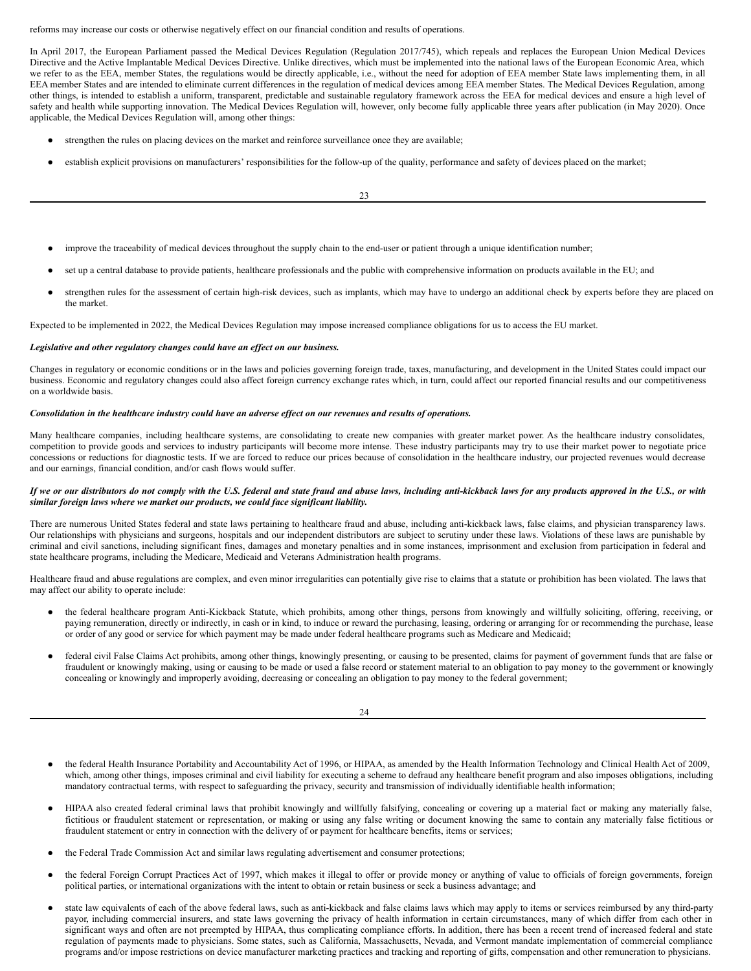reforms may increase our costs or otherwise negatively effect on our financial condition and results of operations.

In April 2017, the European Parliament passed the Medical Devices Regulation (Regulation 2017/745), which repeals and replaces the European Union Medical Devices Directive and the Active Implantable Medical Devices Directive. Unlike directives, which must be implemented into the national laws of the European Economic Area, which we refer to as the EEA, member States, the regulations would be directly applicable, i.e., without the need for adoption of EEA member State laws implementing them, in all EEA member States and are intended to eliminate current differences in the regulation of medical devices among EEA member States. The Medical Devices Regulation, among other things, is intended to establish a uniform, transparent, predictable and sustainable regulatory framework across the EEA for medical devices and ensure a high level of safety and health while supporting innovation. The Medical Devices Regulation will, however, only become fully applicable three years after publication (in May 2020). Once applicable, the Medical Devices Regulation will, among other things:

- strengthen the rules on placing devices on the market and reinforce surveillance once they are available;
- establish explicit provisions on manufacturers' responsibilities for the follow-up of the quality, performance and safety of devices placed on the market;

- improve the traceability of medical devices throughout the supply chain to the end-user or patient through a unique identification number;
- set up a central database to provide patients, healthcare professionals and the public with comprehensive information on products available in the EU; and
- strengthen rules for the assessment of certain high-risk devices, such as implants, which may have to undergo an additional check by experts before they are placed on the market.

Expected to be implemented in 2022, the Medical Devices Regulation may impose increased compliance obligations for us to access the EU market.

### *Legislative and other regulatory changes could have an ef ect on our business.*

Changes in regulatory or economic conditions or in the laws and policies governing foreign trade, taxes, manufacturing, and development in the United States could impact our business. Economic and regulatory changes could also affect foreign currency exchange rates which, in turn, could affect our reported financial results and our competitiveness on a worldwide basis.

### Consolidation in the healthcare industry could have an adverse effect on our revenues and results of operations.

Many healthcare companies, including healthcare systems, are consolidating to create new companies with greater market power. As the healthcare industry consolidates, competition to provide goods and services to industry participants will become more intense. These industry participants may try to use their market power to negotiate price concessions or reductions for diagnostic tests. If we are forced to reduce our prices because of consolidation in the healthcare industry, our projected revenues would decrease and our earnings, financial condition, and/or cash flows would suffer.

### If we or our distributors do not comply with the U.S. federal and state fraud and abuse laws, including anti-kickback laws for any products approved in the U.S., or with *similar foreign laws where we market our products, we could face significant liability.*

There are numerous United States federal and state laws pertaining to healthcare fraud and abuse, including anti-kickback laws, false claims, and physician transparency laws. Our relationships with physicians and surgeons, hospitals and our independent distributors are subject to scrutiny under these laws. Violations of these laws are punishable by criminal and civil sanctions, including significant fines, damages and monetary penalties and in some instances, imprisonment and exclusion from participation in federal and state healthcare programs, including the Medicare, Medicaid and Veterans Administration health programs.

Healthcare fraud and abuse regulations are complex, and even minor irregularities can potentially give rise to claims that a statute or prohibition has been violated. The laws that may affect our ability to operate include:

- the federal healthcare program Anti-Kickback Statute, which prohibits, among other things, persons from knowingly and willfully soliciting, offering, receiving, or paying remuneration, directly or indirectly, in cash or in kind, to induce or reward the purchasing, leasing, ordering or arranging for or recommending the purchase, lease or order of any good or service for which payment may be made under federal healthcare programs such as Medicare and Medicaid;
- federal civil False Claims Act prohibits, among other things, knowingly presenting, or causing to be presented, claims for payment of government funds that are false or fraudulent or knowingly making, using or causing to be made or used a false record or statement material to an obligation to pay money to the government or knowingly concealing or knowingly and improperly avoiding, decreasing or concealing an obligation to pay money to the federal government;

|   | I |
|---|---|
| I |   |

- the federal Health Insurance Portability and Accountability Act of 1996, or HIPAA, as amended by the Health Information Technology and Clinical Health Act of 2009, which, among other things, imposes criminal and civil liability for executing a scheme to defraud any healthcare benefit program and also imposes obligations, including mandatory contractual terms, with respect to safeguarding the privacy, security and transmission of individually identifiable health information;
- HIPAA also created federal criminal laws that prohibit knowingly and willfully falsifying, concealing or covering up a material fact or making any materially false, fictitious or fraudulent statement or representation, or making or using any false writing or document knowing the same to contain any materially false fictitious or fraudulent statement or entry in connection with the delivery of or payment for healthcare benefits, items or services;
- the Federal Trade Commission Act and similar laws regulating advertisement and consumer protections;
- the federal Foreign Corrupt Practices Act of 1997, which makes it illegal to offer or provide money or anything of value to officials of foreign governments, foreign political parties, or international organizations with the intent to obtain or retain business or seek a business advantage; and
- state law equivalents of each of the above federal laws, such as anti-kickback and false claims laws which may apply to items or services reimbursed by any third-party payor, including commercial insurers, and state laws governing the privacy of health information in certain circumstances, many of which differ from each other in significant ways and often are not preempted by HIPAA, thus complicating compliance efforts. In addition, there has been a recent trend of increased federal and state regulation of payments made to physicians. Some states, such as California, Massachusetts, Nevada, and Vermont mandate implementation of commercial compliance programs and/or impose restrictions on device manufacturer marketing practices and tracking and reporting of gifts, compensation and other remuneration to physicians.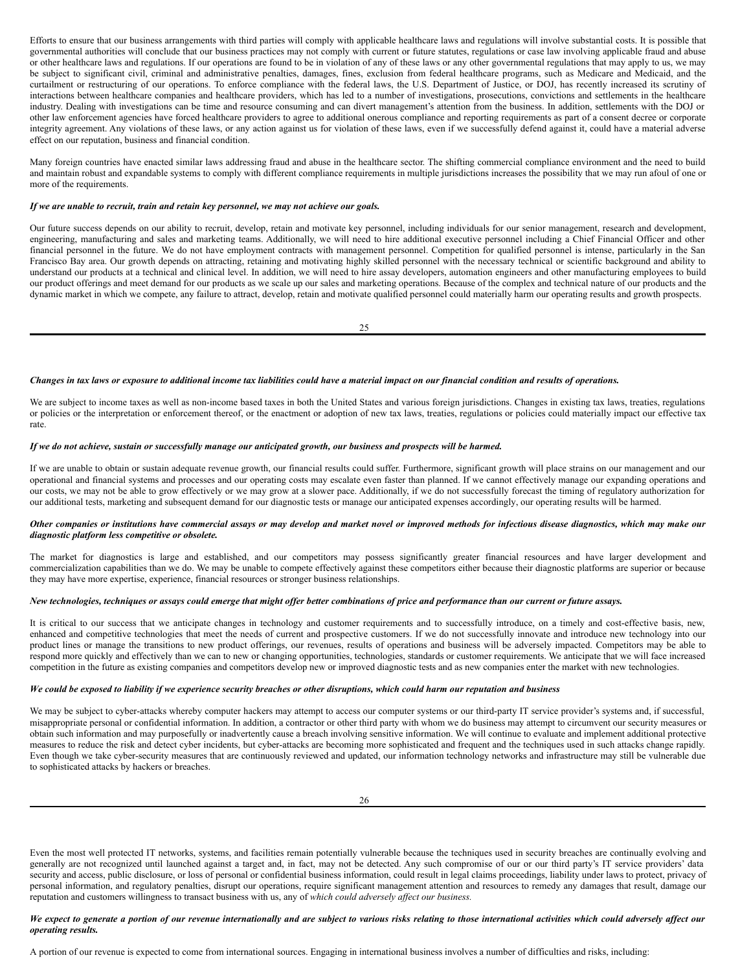Efforts to ensure that our business arrangements with third parties will comply with applicable healthcare laws and regulations will involve substantial costs. It is possible that governmental authorities will conclude that our business practices may not comply with current or future statutes, regulations or case law involving applicable fraud and abuse or other healthcare laws and regulations. If our operations are found to be in violation of any of these laws or any other governmental regulations that may apply to us, we may be subject to significant civil, criminal and administrative penalties, damages, fines, exclusion from federal healthcare programs, such as Medicare and Medicaid, and the curtailment or restructuring of our operations. To enforce compliance with the federal laws, the U.S. Department of Justice, or DOJ, has recently increased its scrutiny of interactions between healthcare companies and healthcare providers, which has led to a number of investigations, prosecutions, convictions and settlements in the healthcare industry. Dealing with investigations can be time and resource consuming and can divert management's attention from the business. In addition, settlements with the DOJ or other law enforcement agencies have forced healthcare providers to agree to additional onerous compliance and reporting requirements as part of a consent decree or corporate integrity agreement. Any violations of these laws, or any action against us for violation of these laws, even if we successfully defend against it, could have a material adverse effect on our reputation, business and financial condition.

Many foreign countries have enacted similar laws addressing fraud and abuse in the healthcare sector. The shifting commercial compliance environment and the need to build and maintain robust and expandable systems to comply with different compliance requirements in multiple jurisdictions increases the possibility that we may run afoul of one or more of the requirements.

#### *If we are unable to recruit, train and retain key personnel, we may not achieve our goals.*

Our future success depends on our ability to recruit, develop, retain and motivate key personnel, including individuals for our senior management, research and development, engineering, manufacturing and sales and marketing teams. Additionally, we will need to hire additional executive personnel including a Chief Financial Officer and other financial personnel in the future. We do not have employment contracts with management personnel. Competition for qualified personnel is intense, particularly in the San Francisco Bay area. Our growth depends on attracting, retaining and motivating highly skilled personnel with the necessary technical or scientific background and ability to understand our products at a technical and clinical level. In addition, we will need to hire assay developers, automation engineers and other manufacturing employees to build our product offerings and meet demand for our products as we scale up our sales and marketing operations. Because of the complex and technical nature of our products and the dynamic market in which we compete, any failure to attract, develop, retain and motivate qualified personnel could materially harm our operating results and growth prospects.

 $25$ 

### Changes in tax laws or exposure to additional income tax liabilities could have a material impact on our financial condition and results of operations.

We are subject to income taxes as well as non-income based taxes in both the United States and various foreign jurisdictions. Changes in existing tax laws, treaties, regulations or policies or the interpretation or enforcement thereof, or the enactment or adoption of new tax laws, treaties, regulations or policies could materially impact our effective tax rate.

### If we do not achieve, sustain or successfully manage our anticipated growth, our business and prospects will be harmed.

If we are unable to obtain or sustain adequate revenue growth, our financial results could suffer. Furthermore, significant growth will place strains on our management and our operational and financial systems and processes and our operating costs may escalate even faster than planned. If we cannot effectively manage our expanding operations and our costs, we may not be able to grow effectively or we may grow at a slower pace. Additionally, if we do not successfully forecast the timing of regulatory authorization for our additional tests, marketing and subsequent demand for our diagnostic tests or manage our anticipated expenses accordingly, our operating results will be harmed.

# Other companies or institutions have commercial assays or may develop and market novel or improved methods for infectious disease diagnostics, which may make our *diagnostic platform less competitive or obsolete.*

The market for diagnostics is large and established, and our competitors may possess significantly greater financial resources and have larger development and commercialization capabilities than we do. We may be unable to compete effectively against these competitors either because their diagnostic platforms are superior or because they may have more expertise, experience, financial resources or stronger business relationships.

## New technologies, techniques or assays could emerge that might offer better combinations of price and performance than our current or future assays.

It is critical to our success that we anticipate changes in technology and customer requirements and to successfully introduce, on a timely and cost-effective basis, new, enhanced and competitive technologies that meet the needs of current and prospective customers. If we do not successfully innovate and introduce new technology into our product lines or manage the transitions to new product offerings, our revenues, results of operations and business will be adversely impacted. Competitors may be able to respond more quickly and effectively than we can to new or changing opportunities, technologies, standards or customer requirements. We anticipate that we will face increased competition in the future as existing companies and competitors develop new or improved diagnostic tests and as new companies enter the market with new technologies.

# We could be exposed to liability if we experience security breaches or other disruptions, which could harm our reputation and business

We may be subject to cyber-attacks whereby computer hackers may attempt to access our computer systems or our third-party IT service provider's systems and, if successful, misappropriate personal or confidential information. In addition, a contractor or other third party with whom we do business may attempt to circumvent our security measures or obtain such information and may purposefully or inadvertently cause a breach involving sensitive information. We will continue to evaluate and implement additional protective measures to reduce the risk and detect cyber incidents, but cyber-attacks are becoming more sophisticated and frequent and the techniques used in such attacks change rapidly. Even though we take cyber-security measures that are continuously reviewed and updated, our information technology networks and infrastructure may still be vulnerable due to sophisticated attacks by hackers or breaches.

Even the most well protected IT networks, systems, and facilities remain potentially vulnerable because the techniques used in security breaches are continually evolving and generally are not recognized until launched against a target and, in fact, may not be detected. Any such compromise of our or our third party's IT service providers' data security and access, public disclosure, or loss of personal or confidential business information, could result in legal claims proceedings, liability under laws to protect, privacy of personal information, and regulatory penalties, disrupt our operations, require significant management attention and resources to remedy any damages that result, damage our reputation and customers willingness to transact business with us, any of *which could adversely af ect our business.*

# We expect to generate a portion of our revenue internationally and are subject to various risks relating to those international activities which could adversely affect our *operating results.*

A portion of our revenue is expected to come from international sources. Engaging in international business involves a number of difficulties and risks, including: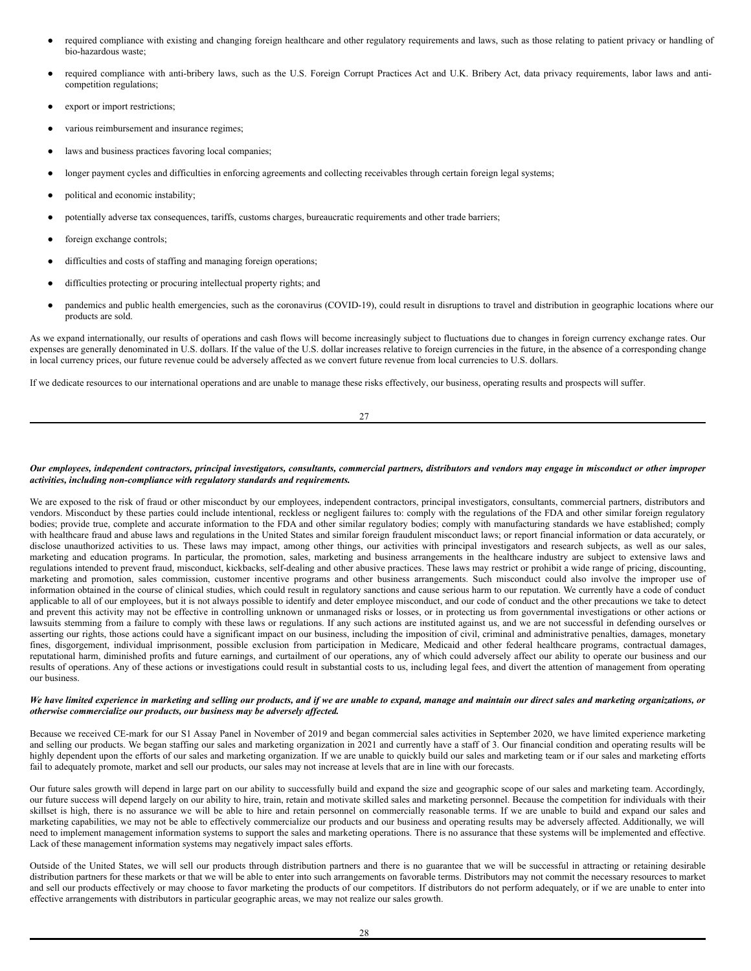- required compliance with existing and changing foreign healthcare and other regulatory requirements and laws, such as those relating to patient privacy or handling of bio-hazardous waste;
- required compliance with anti-bribery laws, such as the U.S. Foreign Corrupt Practices Act and U.K. Bribery Act, data privacy requirements, labor laws and anticompetition regulations;
- export or import restrictions;
- various reimbursement and insurance regimes;
- laws and business practices favoring local companies;
- longer payment cycles and difficulties in enforcing agreements and collecting receivables through certain foreign legal systems;
- political and economic instability;
- potentially adverse tax consequences, tariffs, customs charges, bureaucratic requirements and other trade barriers;
- foreign exchange controls;
- difficulties and costs of staffing and managing foreign operations;
- difficulties protecting or procuring intellectual property rights; and
- pandemics and public health emergencies, such as the coronavirus (COVID-19), could result in disruptions to travel and distribution in geographic locations where our products are sold.

As we expand internationally, our results of operations and cash flows will become increasingly subject to fluctuations due to changes in foreign currency exchange rates. Our expenses are generally denominated in U.S. dollars. If the value of the U.S. dollar increases relative to foreign currencies in the future, in the absence of a corresponding change in local currency prices, our future revenue could be adversely affected as we convert future revenue from local currencies to U.S. dollars.

If we dedicate resources to our international operations and are unable to manage these risks effectively, our business, operating results and prospects will suffer.

 $27$ 

### Our employees, independent contractors, principal investigators, consultants, commercial partners, distributors and vendors may engage in misconduct or other improper *activities, including non-compliance with regulatory standards and requirements.*

We are exposed to the risk of fraud or other misconduct by our employees, independent contractors, principal investigators, consultants, commercial partners, distributors and vendors. Misconduct by these parties could include intentional, reckless or negligent failures to: comply with the regulations of the FDA and other similar foreign regulatory bodies; provide true, complete and accurate information to the FDA and other similar regulatory bodies; comply with manufacturing standards we have established; comply with healthcare fraud and abuse laws and regulations in the United States and similar foreign fraudulent misconduct laws; or report financial information or data accurately, or disclose unauthorized activities to us. These laws may impact, among other things, our activities with principal investigators and research subjects, as well as our sales, marketing and education programs. In particular, the promotion, sales, marketing and business arrangements in the healthcare industry are subject to extensive laws and regulations intended to prevent fraud, misconduct, kickbacks, self-dealing and other abusive practices. These laws may restrict or prohibit a wide range of pricing, discounting, marketing and promotion, sales commission, customer incentive programs and other business arrangements. Such misconduct could also involve the improper use of information obtained in the course of clinical studies, which could result in regulatory sanctions and cause serious harm to our reputation. We currently have a code of conduct applicable to all of our employees, but it is not always possible to identify and deter employee misconduct, and our code of conduct and the other precautions we take to detect and prevent this activity may not be effective in controlling unknown or unmanaged risks or losses, or in protecting us from governmental investigations or other actions or lawsuits stemming from a failure to comply with these laws or regulations. If any such actions are instituted against us, and we are not successful in defending ourselves or asserting our rights, those actions could have a significant impact on our business, including the imposition of civil, criminal and administrative penalties, damages, monetary fines, disgorgement, individual imprisonment, possible exclusion from participation in Medicare, Medicaid and other federal healthcare programs, contractual damages, reputational harm, diminished profits and future earnings, and curtailment of our operations, any of which could adversely affect our ability to operate our business and our results of operations. Any of these actions or investigations could result in substantial costs to us, including legal fees, and divert the attention of management from operating our business.

# We have limited experience in marketing and selling our products, and if we are unable to expand, manage and maintain our direct sales and marketing organizations, or *otherwise commercialize our products, our business may be adversely af ected.*

Because we received CE-mark for our S1 Assay Panel in November of 2019 and began commercial sales activities in September 2020, we have limited experience marketing and selling our products. We began staffing our sales and marketing organization in 2021 and currently have a staff of 3. Our financial condition and operating results will be highly dependent upon the efforts of our sales and marketing organization. If we are unable to quickly build our sales and marketing team or if our sales and marketing efforts fail to adequately promote, market and sell our products, our sales may not increase at levels that are in line with our forecasts.

Our future sales growth will depend in large part on our ability to successfully build and expand the size and geographic scope of our sales and marketing team. Accordingly, our future success will depend largely on our ability to hire, train, retain and motivate skilled sales and marketing personnel. Because the competition for individuals with their skillset is high, there is no assurance we will be able to hire and retain personnel on commercially reasonable terms. If we are unable to build and expand our sales and marketing capabilities, we may not be able to effectively commercialize our products and our business and operating results may be adversely affected. Additionally, we will need to implement management information systems to support the sales and marketing operations. There is no assurance that these systems will be implemented and effective. Lack of these management information systems may negatively impact sales efforts.

Outside of the United States, we will sell our products through distribution partners and there is no guarantee that we will be successful in attracting or retaining desirable distribution partners for these markets or that we will be able to enter into such arrangements on favorable terms. Distributors may not commit the necessary resources to market and sell our products effectively or may choose to favor marketing the products of our competitors. If distributors do not perform adequately, or if we are unable to enter into effective arrangements with distributors in particular geographic areas, we may not realize our sales growth.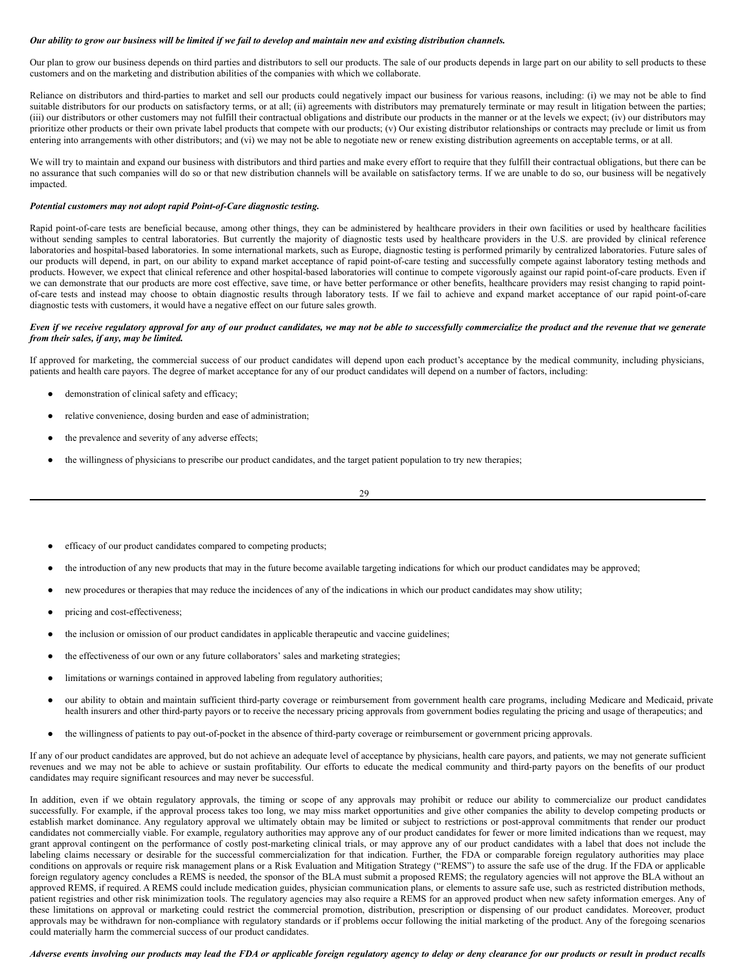### Our ability to grow our business will be limited if we fail to develop and maintain new and existing distribution channels.

Our plan to grow our business depends on third parties and distributors to sell our products. The sale of our products depends in large part on our ability to sell products to these customers and on the marketing and distribution abilities of the companies with which we collaborate.

Reliance on distributors and third-parties to market and sell our products could negatively impact our business for various reasons, including: (i) we may not be able to find suitable distributors for our products on satisfactory terms, or at all; (ii) agreements with distributors may prematurely terminate or may result in litigation between the parties; (iii) our distributors or other customers may not fulfill their contractual obligations and distribute our products in the manner or at the levels we expect; (iv) our distributors may prioritize other products or their own private label products that compete with our products; (v) Our existing distributor relationships or contracts may preclude or limit us from entering into arrangements with other distributors; and (vi) we may not be able to negotiate new or renew existing distribution agreements on acceptable terms, or at all.

We will try to maintain and expand our business with distributors and third parties and make every effort to require that they fulfill their contractual obligations, but there can be no assurance that such companies will do so or that new distribution channels will be available on satisfactory terms. If we are unable to do so, our business will be negatively impacted.

#### *Potential customers may not adopt rapid Point-of-Care diagnostic testing.*

Rapid point-of-care tests are beneficial because, among other things, they can be administered by healthcare providers in their own facilities or used by healthcare facilities without sending samples to central laboratories. But currently the majority of diagnostic tests used by healthcare providers in the U.S. are provided by clinical reference laboratories and hospital-based laboratories. In some international markets, such as Europe, diagnostic testing is performed primarily by centralized laboratories. Future sales of our products will depend, in part, on our ability to expand market acceptance of rapid point-of-care testing and successfully compete against laboratory testing methods and products. However, we expect that clinical reference and other hospital-based laboratories will continue to compete vigorously against our rapid point-of-care products. Even if we can demonstrate that our products are more cost effective, save time, or have better performance or other benefits, healthcare providers may resist changing to rapid pointof-care tests and instead may choose to obtain diagnostic results through laboratory tests. If we fail to achieve and expand market acceptance of our rapid point-of-care diagnostic tests with customers, it would have a negative effect on our future sales growth.

## Even if we receive regulatory approval for any of our product candidates, we may not be able to successfully commercialize the product and the revenue that we generate *from their sales, if any, may be limited.*

If approved for marketing, the commercial success of our product candidates will depend upon each product's acceptance by the medical community, including physicians, patients and health care payors. The degree of market acceptance for any of our product candidates will depend on a number of factors, including:

- demonstration of clinical safety and efficacy;
- relative convenience, dosing burden and ease of administration;
- the prevalence and severity of any adverse effects;
- the willingness of physicians to prescribe our product candidates, and the target patient population to try new therapies;

29

- efficacy of our product candidates compared to competing products;
- the introduction of any new products that may in the future become available targeting indications for which our product candidates may be approved;
- new procedures or therapies that may reduce the incidences of any of the indications in which our product candidates may show utility;
- pricing and cost-effectiveness:
- the inclusion or omission of our product candidates in applicable therapeutic and vaccine guidelines;
- the effectiveness of our own or any future collaborators' sales and marketing strategies;
- limitations or warnings contained in approved labeling from regulatory authorities;
- our ability to obtain and maintain sufficient third-party coverage or reimbursement from government health care programs, including Medicare and Medicaid, private health insurers and other third-party payors or to receive the necessary pricing approvals from government bodies regulating the pricing and usage of therapeutics; and
- the willingness of patients to pay out-of-pocket in the absence of third-party coverage or reimbursement or government pricing approvals.

If any of our product candidates are approved, but do not achieve an adequate level of acceptance by physicians, health care payors, and patients, we may not generate sufficient revenues and we may not be able to achieve or sustain profitability. Our efforts to educate the medical community and third-party payors on the benefits of our product candidates may require significant resources and may never be successful.

In addition, even if we obtain regulatory approvals, the timing or scope of any approvals may prohibit or reduce our ability to commercialize our product candidates successfully. For example, if the approval process takes too long, we may miss market opportunities and give other companies the ability to develop competing products or establish market dominance. Any regulatory approval we ultimately obtain may be limited or subject to restrictions or post-approval commitments that render our product candidates not commercially viable. For example, regulatory authorities may approve any of our product candidates for fewer or more limited indications than we request, may grant approval contingent on the performance of costly post-marketing clinical trials, or may approve any of our product candidates with a label that does not include the labeling claims necessary or desirable for the successful commercialization for that indication. Further, the FDA or comparable foreign regulatory authorities may place conditions on approvals or require risk management plans or a Risk Evaluation and Mitigation Strategy ("REMS") to assure the safe use of the drug. If the FDA or applicable foreign regulatory agency concludes a REMS is needed, the sponsor of the BLA must submit a proposed REMS; the regulatory agencies will not approve the BLA without an approved REMS, if required. A REMS could include medication guides, physician communication plans, or elements to assure safe use, such as restricted distribution methods, patient registries and other risk minimization tools. The regulatory agencies may also require a REMS for an approved product when new safety information emerges. Any of these limitations on approval or marketing could restrict the commercial promotion, distribution, prescription or dispensing of our product candidates. Moreover, product approvals may be withdrawn for non-compliance with regulatory standards or if problems occur following the initial marketing of the product. Any of the foregoing scenarios could materially harm the commercial success of our product candidates.

Adverse events involving our products may lead the FDA or applicable foreign regulatory agency to delay or deny clearance for our products or result in product recalls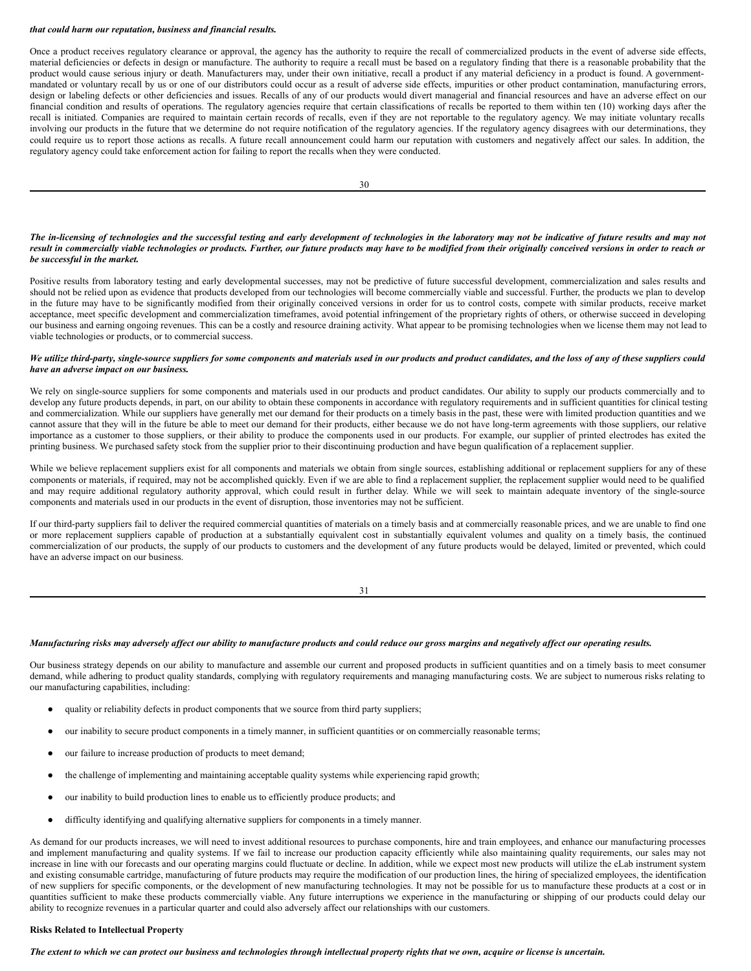### *that could harm our reputation, business and financial results.*

Once a product receives regulatory clearance or approval, the agency has the authority to require the recall of commercialized products in the event of adverse side effects, material deficiencies or defects in design or manufacture. The authority to require a recall must be based on a regulatory finding that there is a reasonable probability that the product would cause serious injury or death. Manufacturers may, under their own initiative, recall a product if any material deficiency in a product is found. A governmentmandated or voluntary recall by us or one of our distributors could occur as a result of adverse side effects, impurities or other product contamination, manufacturing errors, design or labeling defects or other deficiencies and issues. Recalls of any of our products would divert managerial and financial resources and have an adverse effect on our financial condition and results of operations. The regulatory agencies require that certain classifications of recalls be reported to them within ten (10) working days after the recall is initiated. Companies are required to maintain certain records of recalls, even if they are not reportable to the regulatory agency. We may initiate voluntary recalls involving our products in the future that we determine do not require notification of the regulatory agencies. If the regulatory agency disagrees with our determinations, they could require us to report those actions as recalls. A future recall announcement could harm our reputation with customers and negatively affect our sales. In addition, the regulatory agency could take enforcement action for failing to report the recalls when they were conducted.

## The in-licensing of technologies and the successful testing and early development of technologies in the laboratory may not be indicative of future results and may not result in commercially viable technologies or products. Further, our future products may have to be modified from their originally conceived versions in order to reach or *be successful in the market.*

Positive results from laboratory testing and early developmental successes, may not be predictive of future successful development, commercialization and sales results and should not be relied upon as evidence that products developed from our technologies will become commercially viable and successful. Further, the products we plan to develop in the future may have to be significantly modified from their originally conceived versions in order for us to control costs, compete with similar products, receive market acceptance, meet specific development and commercialization timeframes, avoid potential infringement of the proprietary rights of others, or otherwise succeed in developing our business and earning ongoing revenues. This can be a costly and resource draining activity. What appear to be promising technologies when we license them may not lead to viable technologies or products, or to commercial success.

## We utilize third-party, single-source suppliers for some components and materials used in our products and product candidates, and the loss of any of these suppliers could *have an adverse impact on our business.*

We rely on single-source suppliers for some components and materials used in our products and product candidates. Our ability to supply our products commercially and to develop any future products depends, in part, on our ability to obtain these components in accordance with regulatory requirements and in sufficient quantities for clinical testing and commercialization. While our suppliers have generally met our demand for their products on a timely basis in the past, these were with limited production quantities and we cannot assure that they will in the future be able to meet our demand for their products, either because we do not have long-term agreements with those suppliers, our relative importance as a customer to those suppliers, or their ability to produce the components used in our products. For example, our supplier of printed electrodes has exited the printing business. We purchased safety stock from the supplier prior to their discontinuing production and have begun qualification of a replacement supplier.

While we believe replacement suppliers exist for all components and materials we obtain from single sources, establishing additional or replacement suppliers for any of these components or materials, if required, may not be accomplished quickly. Even if we are able to find a replacement supplier, the replacement supplier would need to be qualified and may require additional regulatory authority approval, which could result in further delay. While we will seek to maintain adequate inventory of the single-source components and materials used in our products in the event of disruption, those inventories may not be sufficient.

If our third-party suppliers fail to deliver the required commercial quantities of materials on a timely basis and at commercially reasonable prices, and we are unable to find one or more replacement suppliers capable of production at a substantially equivalent cost in substantially equivalent volumes and quality on a timely basis, the continued commercialization of our products, the supply of our products to customers and the development of any future products would be delayed, limited or prevented, which could have an adverse impact on our business.

31

# Manufacturing risks may adversely affect our ability to manufacture products and could reduce our gross margins and negatively affect our operating results.

Our business strategy depends on our ability to manufacture and assemble our current and proposed products in sufficient quantities and on a timely basis to meet consumer demand, while adhering to product quality standards, complying with regulatory requirements and managing manufacturing costs. We are subject to numerous risks relating to our manufacturing capabilities, including:

- quality or reliability defects in product components that we source from third party suppliers;
- our inability to secure product components in a timely manner, in sufficient quantities or on commercially reasonable terms;
- our failure to increase production of products to meet demand;
- the challenge of implementing and maintaining acceptable quality systems while experiencing rapid growth;
- our inability to build production lines to enable us to efficiently produce products; and
- difficulty identifying and qualifying alternative suppliers for components in a timely manner.

As demand for our products increases, we will need to invest additional resources to purchase components, hire and train employees, and enhance our manufacturing processes and implement manufacturing and quality systems. If we fail to increase our production capacity efficiently while also maintaining quality requirements, our sales may not increase in line with our forecasts and our operating margins could fluctuate or decline. In addition, while we expect most new products will utilize the eLab instrument system and existing consumable cartridge, manufacturing of future products may require the modification of our production lines, the hiring of specialized employees, the identification of new suppliers for specific components, or the development of new manufacturing technologies. It may not be possible for us to manufacture these products at a cost or in quantities sufficient to make these products commercially viable. Any future interruptions we experience in the manufacturing or shipping of our products could delay our ability to recognize revenues in a particular quarter and could also adversely affect our relationships with our customers.

# **Risks Related to Intellectual Property**

The extent to which we can protect our business and technologies through intellectual property rights that we own, acquire or license is uncertain.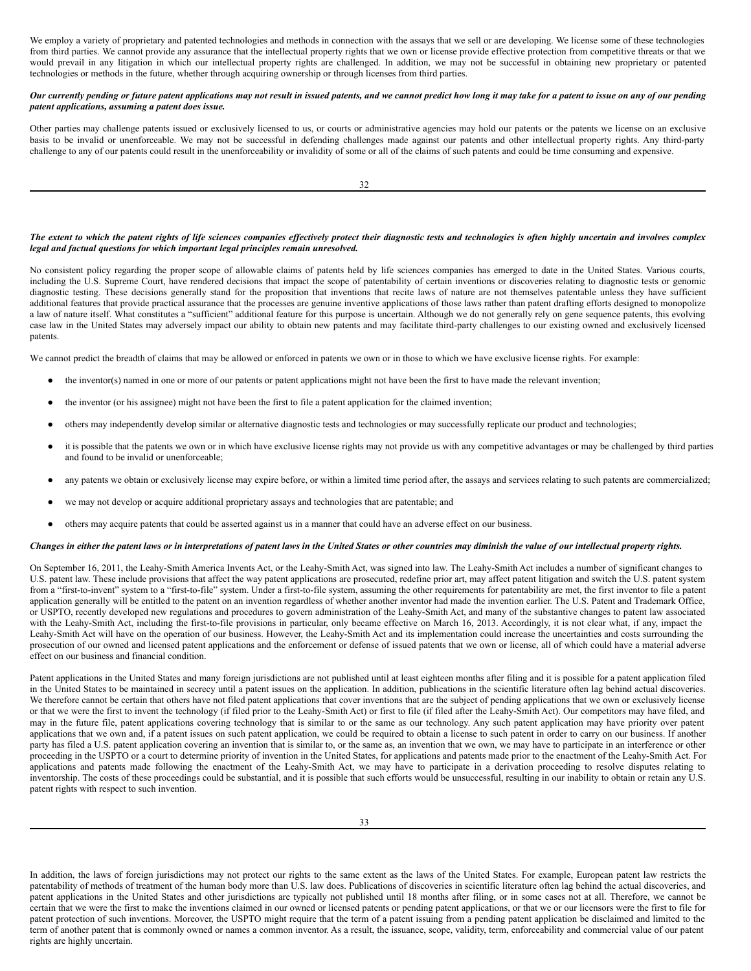We employ a variety of proprietary and patented technologies and methods in connection with the assays that we sell or are developing. We license some of these technologies from third parties. We cannot provide any assurance that the intellectual property rights that we own or license provide effective protection from competitive threats or that we would prevail in any litigation in which our intellectual property rights are challenged. In addition, we may not be successful in obtaining new proprietary or patented technologies or methods in the future, whether through acquiring ownership or through licenses from third parties.

# Our currently pending or future patent applications may not result in issued patents, and we cannot predict how long it may take for a patent to issue on any of our pending *patent applications, assuming a patent does issue.*

Other parties may challenge patents issued or exclusively licensed to us, or courts or administrative agencies may hold our patents or the patents we license on an exclusive basis to be invalid or unenforceable. We may not be successful in defending challenges made against our patents and other intellectual property rights. Any third-party challenge to any of our patents could result in the unenforceability or invalidity of some or all of the claims of such patents and could be time consuming and expensive.

# The extent to which the patent rights of life sciences companies effectively protect their diagnostic tests and technologies is often highly uncertain and involves complex *legal and factual questions for which important legal principles remain unresolved.*

No consistent policy regarding the proper scope of allowable claims of patents held by life sciences companies has emerged to date in the United States. Various courts, including the U.S. Supreme Court, have rendered decisions that impact the scope of patentability of certain inventions or discoveries relating to diagnostic tests or genomic diagnostic testing. These decisions generally stand for the proposition that inventions that recite laws of nature are not themselves patentable unless they have sufficient additional features that provide practical assurance that the processes are genuine inventive applications of those laws rather than patent drafting efforts designed to monopolize a law of nature itself. What constitutes a "sufficient" additional feature for this purpose is uncertain. Although we do not generally rely on gene sequence patents, this evolving case law in the United States may adversely impact our ability to obtain new patents and may facilitate third-party challenges to our existing owned and exclusively licensed patents.

We cannot predict the breadth of claims that may be allowed or enforced in patents we own or in those to which we have exclusive license rights. For example:

- the inventor(s) named in one or more of our patents or patent applications might not have been the first to have made the relevant invention;
- the inventor (or his assignee) might not have been the first to file a patent application for the claimed invention;
- others may independently develop similar or alternative diagnostic tests and technologies or may successfully replicate our product and technologies;
- it is possible that the patents we own or in which have exclusive license rights may not provide us with any competitive advantages or may be challenged by third parties and found to be invalid or unenforceable;
- any patents we obtain or exclusively license may expire before, or within a limited time period after, the assays and services relating to such patents are commercialized;
- we may not develop or acquire additional proprietary assays and technologies that are patentable; and
- others may acquire patents that could be asserted against us in a manner that could have an adverse effect on our business.

# Changes in either the patent laws or in interpretations of patent laws in the United States or other countries may diminish the value of our intellectual property rights.

On September 16, 2011, the Leahy-Smith America Invents Act, or the Leahy-Smith Act, was signed into law. The Leahy-Smith Act includes a number of significant changes to U.S. patent law. These include provisions that affect the way patent applications are prosecuted, redefine prior art, may affect patent litigation and switch the U.S. patent system from a "first-to-invent" system to a "first-to-file" system. Under a first-to-file system, assuming the other requirements for patentability are met, the first inventor to file a patent application generally will be entitled to the patent on an invention regardless of whether another inventor had made the invention earlier. The U.S. Patent and Trademark Office, or USPTO, recently developed new regulations and procedures to govern administration of the Leahy-Smith Act, and many of the substantive changes to patent law associated with the Leahy-Smith Act, including the first-to-file provisions in particular, only became effective on March 16, 2013. Accordingly, it is not clear what, if any, impact the Leahy-Smith Act will have on the operation of our business. However, the Leahy-Smith Act and its implementation could increase the uncertainties and costs surrounding the prosecution of our owned and licensed patent applications and the enforcement or defense of issued patents that we own or license, all of which could have a material adverse effect on our business and financial condition.

Patent applications in the United States and many foreign jurisdictions are not published until at least eighteen months after filing and it is possible for a patent application filed in the United States to be maintained in secrecy until a patent issues on the application. In addition, publications in the scientific literature often lag behind actual discoveries. We therefore cannot be certain that others have not filed patent applications that cover inventions that are the subject of pending applications that we own or exclusively license or that we were the first to invent the technology (if filed prior to the Leahy-Smith Act) or first to file (if filed after the Leahy-Smith Act). Our competitors may have filed, and may in the future file, patent applications covering technology that is similar to or the same as our technology. Any such patent application may have priority over patent applications that we own and, if a patent issues on such patent application, we could be required to obtain a license to such patent in order to carry on our business. If another party has filed a U.S. patent application covering an invention that is similar to, or the same as, an invention that we own, we may have to participate in an interference or other proceeding in the USPTO or a court to determine priority of invention in the United States, for applications and patents made prior to the enactment of the Leahy-Smith Act. For applications and patents made following the enactment of the Leahy-Smith Act, we may have to participate in a derivation proceeding to resolve disputes relating to inventorship. The costs of these proceedings could be substantial, and it is possible that such efforts would be unsuccessful, resulting in our inability to obtain or retain any U.S. patent rights with respect to such invention.

In addition, the laws of foreign jurisdictions may not protect our rights to the same extent as the laws of the United States. For example, European patent law restricts the patentability of methods of treatment of the human body more than U.S. law does. Publications of discoveries in scientific literature often lag behind the actual discoveries, and patent applications in the United States and other jurisdictions are typically not published until 18 months after filing, or in some cases not at all. Therefore, we cannot be certain that we were the first to make the inventions claimed in our owned or licensed patents or pending patent applications, or that we or our licensors were the first to file for patent protection of such inventions. Moreover, the USPTO might require that the term of a patent issuing from a pending patent application be disclaimed and limited to the term of another patent that is commonly owned or names a common inventor. As a result, the issuance, scope, validity, term, enforceability and commercial value of our patent rights are highly uncertain.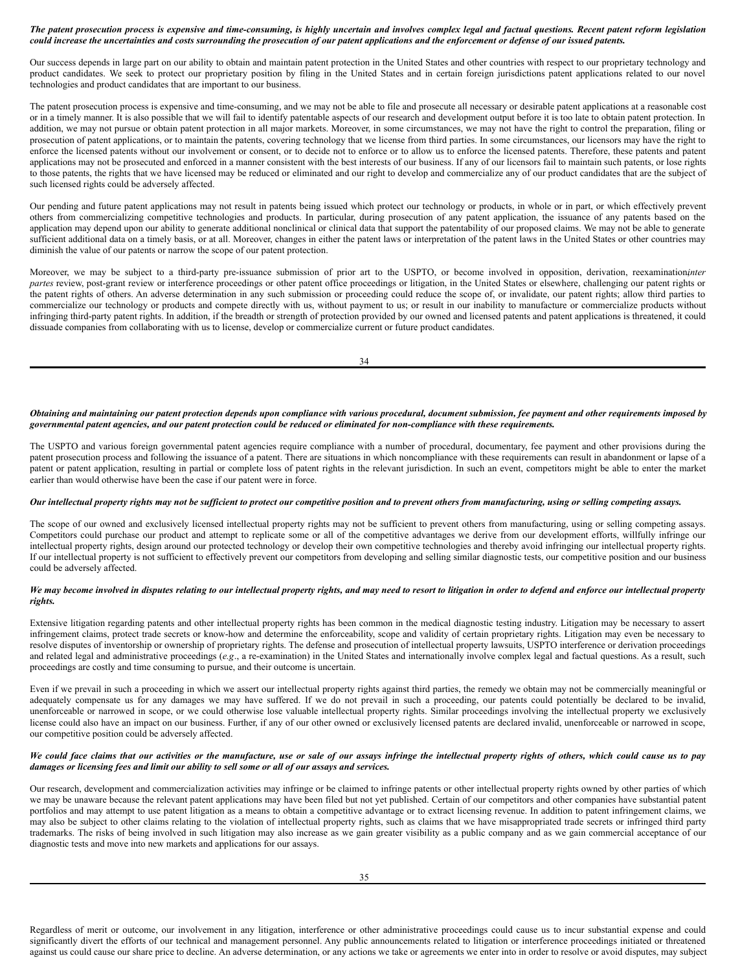# The patent prosecution process is expensive and time-consuming, is highly uncertain and involves complex legal and factual questions. Recent patent reform legislation could increase the uncertainties and costs surrounding the prosecution of our patent applications and the enforcement or defense of our issued patents.

Our success depends in large part on our ability to obtain and maintain patent protection in the United States and other countries with respect to our proprietary technology and product candidates. We seek to protect our proprietary position by filing in the United States and in certain foreign jurisdictions patent applications related to our novel technologies and product candidates that are important to our business.

The patent prosecution process is expensive and time-consuming, and we may not be able to file and prosecute all necessary or desirable patent applications at a reasonable cost or in a timely manner. It is also possible that we will fail to identify patentable aspects of our research and development output before it is too late to obtain patent protection. In addition, we may not pursue or obtain patent protection in all major markets. Moreover, in some circumstances, we may not have the right to control the preparation, filing or prosecution of patent applications, or to maintain the patents, covering technology that we license from third parties. In some circumstances, our licensors may have the right to enforce the licensed patents without our involvement or consent, or to decide not to enforce or to allow us to enforce the licensed patents. Therefore, these patents and patent applications may not be prosecuted and enforced in a manner consistent with the best interests of our business. If any of our licensors fail to maintain such patents, or lose rights to those patents, the rights that we have licensed may be reduced or eliminated and our right to develop and commercialize any of our product candidates that are the subject of such licensed rights could be adversely affected.

Our pending and future patent applications may not result in patents being issued which protect our technology or products, in whole or in part, or which effectively prevent others from commercializing competitive technologies and products. In particular, during prosecution of any patent application, the issuance of any patents based on the application may depend upon our ability to generate additional nonclinical or clinical data that support the patentability of our proposed claims. We may not be able to generate sufficient additional data on a timely basis, or at all. Moreover, changes in either the patent laws or interpretation of the patent laws in the United States or other countries may diminish the value of our patents or narrow the scope of our patent protection.

Moreover, we may be subject to a third-party pre-issuance submission of prior art to the USPTO, or become involved in opposition, derivation, reexamination,*inter partes* review, post-grant review or interference proceedings or other patent office proceedings or litigation, in the United States or elsewhere, challenging our patent rights or the patent rights of others. An adverse determination in any such submission or proceeding could reduce the scope of, or invalidate, our patent rights; allow third parties to commercialize our technology or products and compete directly with us, without payment to us; or result in our inability to manufacture or commercialize products without infringing third-party patent rights. In addition, if the breadth or strength of protection provided by our owned and licensed patents and patent applications is threatened, it could dissuade companies from collaborating with us to license, develop or commercialize current or future product candidates.

|                    | I<br>٠ |
|--------------------|--------|
| ۰,<br>I<br>×<br>۰. | ٧      |

# Obtaining and maintaining our patent protection depends upon compliance with various procedural, document submission, fee payment and other requirements imposed by governmental patent agencies, and our patent protection could be reduced or eliminated for non-compliance with these requirements.

The USPTO and various foreign governmental patent agencies require compliance with a number of procedural, documentary, fee payment and other provisions during the patent prosecution process and following the issuance of a patent. There are situations in which noncompliance with these requirements can result in abandonment or lapse of a patent or patent application, resulting in partial or complete loss of patent rights in the relevant jurisdiction. In such an event, competitors might be able to enter the market earlier than would otherwise have been the case if our patent were in force.

# Our intellectual property rights may not be sufficient to protect our competitive position and to prevent others from manufacturing, using or selling competing assays.

The scope of our owned and exclusively licensed intellectual property rights may not be sufficient to prevent others from manufacturing, using or selling competing assays. Competitors could purchase our product and attempt to replicate some or all of the competitive advantages we derive from our development efforts, willfully infringe our intellectual property rights, design around our protected technology or develop their own competitive technologies and thereby avoid infringing our intellectual property rights. If our intellectual property is not sufficient to effectively prevent our competitors from developing and selling similar diagnostic tests, our competitive position and our business could be adversely affected.

# We may become involved in disputes relating to our intellectual property rights, and may need to resort to litigation in order to defend and enforce our intellectual property *rights.*

Extensive litigation regarding patents and other intellectual property rights has been common in the medical diagnostic testing industry. Litigation may be necessary to assert infringement claims, protect trade secrets or know-how and determine the enforceability, scope and validity of certain proprietary rights. Litigation may even be necessary to resolve disputes of inventorship or ownership of proprietary rights. The defense and prosecution of intellectual property lawsuits, USPTO interference or derivation proceedings and related legal and administrative proceedings (e.g., a re-examination) in the United States and internationally involve complex legal and factual questions. As a result, such proceedings are costly and time consuming to pursue, and their outcome is uncertain.

Even if we prevail in such a proceeding in which we assert our intellectual property rights against third parties, the remedy we obtain may not be commercially meaningful or adequately compensate us for any damages we may have suffered. If we do not prevail in such a proceeding, our patents could potentially be declared to be invalid, unenforceable or narrowed in scope, or we could otherwise lose valuable intellectual property rights. Similar proceedings involving the intellectual property we exclusively license could also have an impact on our business. Further, if any of our other owned or exclusively licensed patents are declared invalid, unenforceable or narrowed in scope, our competitive position could be adversely affected.

# We could face claims that our activities or the manufacture, use or sale of our assays infringe the intellectual property rights of others, which could cause us to pay *damages or licensing fees and limit our ability to sell some or all of our assays and services.*

Our research, development and commercialization activities may infringe or be claimed to infringe patents or other intellectual property rights owned by other parties of which we may be unaware because the relevant patent applications may have been filed but not yet published. Certain of our competitors and other companies have substantial patent portfolios and may attempt to use patent litigation as a means to obtain a competitive advantage or to extract licensing revenue. In addition to patent infringement claims, we may also be subject to other claims relating to the violation of intellectual property rights, such as claims that we have misappropriated trade secrets or infringed third party trademarks. The risks of being involved in such litigation may also increase as we gain greater visibility as a public company and as we gain commercial acceptance of our diagnostic tests and move into new markets and applications for our assays.

Regardless of merit or outcome, our involvement in any litigation, interference or other administrative proceedings could cause us to incur substantial expense and could significantly divert the efforts of our technical and management personnel. Any public announcements related to litigation or interference proceedings initiated or threatened against us could cause our share price to decline. An adverse determination, or any actions we take or agreements we enter into in order to resolve or avoid disputes, may subject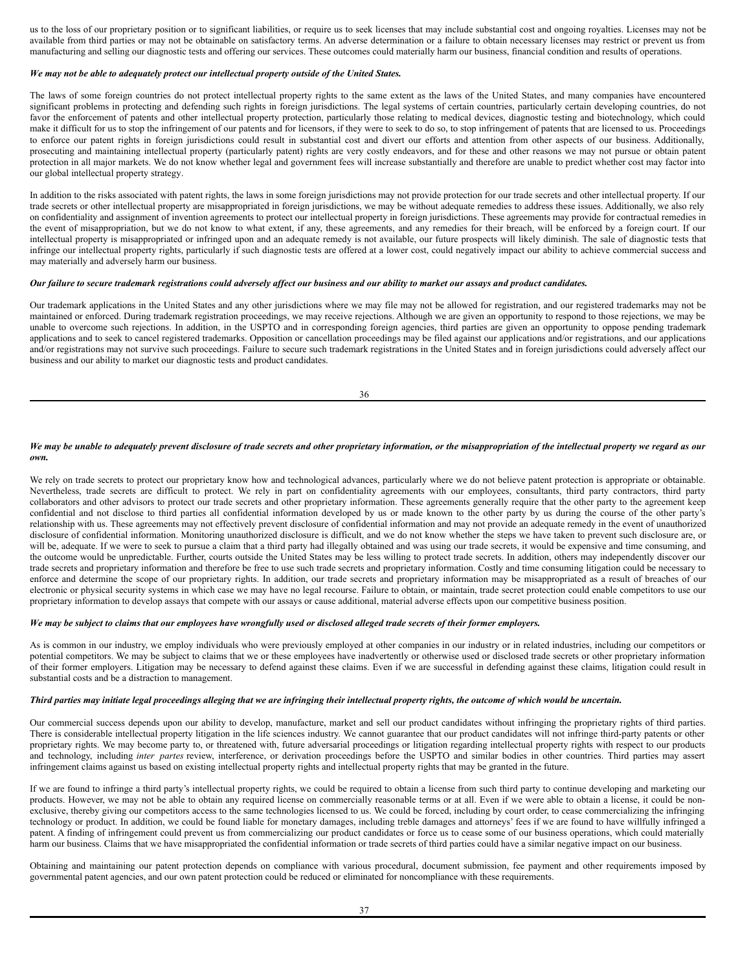us to the loss of our proprietary position or to significant liabilities, or require us to seek licenses that may include substantial cost and ongoing royalties. Licenses may not be available from third parties or may not be obtainable on satisfactory terms. An adverse determination or a failure to obtain necessary licenses may restrict or prevent us from manufacturing and selling our diagnostic tests and offering our services. These outcomes could materially harm our business, financial condition and results of operations.

# *We may not be able to adequately protect our intellectual property outside of the United States.*

The laws of some foreign countries do not protect intellectual property rights to the same extent as the laws of the United States, and many companies have encountered significant problems in protecting and defending such rights in foreign jurisdictions. The legal systems of certain countries, particularly certain developing countries, do not favor the enforcement of patents and other intellectual property protection, particularly those relating to medical devices, diagnostic testing and biotechnology, which could make it difficult for us to stop the infringement of our patents and for licensors, if they were to seek to do so, to stop infringement of patents that are licensed to us. Proceedings to enforce our patent rights in foreign jurisdictions could result in substantial cost and divert our efforts and attention from other aspects of our business. Additionally, prosecuting and maintaining intellectual property (particularly patent) rights are very costly endeavors, and for these and other reasons we may not pursue or obtain patent protection in all major markets. We do not know whether legal and government fees will increase substantially and therefore are unable to predict whether cost may factor into our global intellectual property strategy.

In addition to the risks associated with patent rights, the laws in some foreign jurisdictions may not provide protection for our trade secrets and other intellectual property. If our trade secrets or other intellectual property are misappropriated in foreign jurisdictions, we may be without adequate remedies to address these issues. Additionally, we also rely on confidentiality and assignment of invention agreements to protect our intellectual property in foreign jurisdictions. These agreements may provide for contractual remedies in the event of misappropriation, but we do not know to what extent, if any, these agreements, and any remedies for their breach, will be enforced by a foreign court. If our intellectual property is misappropriated or infringed upon and an adequate remedy is not available, our future prospects will likely diminish. The sale of diagnostic tests that infringe our intellectual property rights, particularly if such diagnostic tests are offered at a lower cost, could negatively impact our ability to achieve commercial success and may materially and adversely harm our business.

### Our failure to secure trademark registrations could adversely affect our business and our ability to market our assays and product candidates.

Our trademark applications in the United States and any other jurisdictions where we may file may not be allowed for registration, and our registered trademarks may not be maintained or enforced. During trademark registration proceedings, we may receive rejections. Although we are given an opportunity to respond to those rejections, we may be unable to overcome such rejections. In addition, in the USPTO and in corresponding foreign agencies, third parties are given an opportunity to oppose pending trademark applications and to seek to cancel registered trademarks. Opposition or cancellation proceedings may be filed against our applications and/or registrations, and our applications and/or registrations may not survive such proceedings. Failure to secure such trademark registrations in the United States and in foreign jurisdictions could adversely affect our business and our ability to market our diagnostic tests and product candidates.

36

# We may be unable to adequately prevent disclosure of trade secrets and other proprietary information, or the misappropriation of the intellectual property we regard as our *own.*

We rely on trade secrets to protect our proprietary know how and technological advances, particularly where we do not believe patent protection is appropriate or obtainable. Nevertheless, trade secrets are difficult to protect. We rely in part on confidentiality agreements with our employees, consultants, third party contractors, third party collaborators and other advisors to protect our trade secrets and other proprietary information. These agreements generally require that the other party to the agreement keep confidential and not disclose to third parties all confidential information developed by us or made known to the other party by us during the course of the other party's relationship with us. These agreements may not effectively prevent disclosure of confidential information and may not provide an adequate remedy in the event of unauthorized disclosure of confidential information. Monitoring unauthorized disclosure is difficult, and we do not know whether the steps we have taken to prevent such disclosure are, or will be, adequate. If we were to seek to pursue a claim that a third party had illegally obtained and was using our trade secrets, it would be expensive and time consuming, and the outcome would be unpredictable. Further, courts outside the United States may be less willing to protect trade secrets. In addition, others may independently discover our trade secrets and proprietary information and therefore be free to use such trade secrets and proprietary information. Costly and time consuming litigation could be necessary to enforce and determine the scope of our proprietary rights. In addition, our trade secrets and proprietary information may be misappropriated as a result of breaches of our electronic or physical security systems in which case we may have no legal recourse. Failure to obtain, or maintain, trade secret protection could enable competitors to use our proprietary information to develop assays that compete with our assays or cause additional, material adverse effects upon our competitive business position.

# We may be subject to claims that our employees have wrongfully used or disclosed alleged trade secrets of their former employers.

As is common in our industry, we employ individuals who were previously employed at other companies in our industry or in related industries, including our competitors or potential competitors. We may be subject to claims that we or these employees have inadvertently or otherwise used or disclosed trade secrets or other proprietary information of their former employers. Litigation may be necessary to defend against these claims. Even if we are successful in defending against these claims, litigation could result in substantial costs and be a distraction to management.

# Third parties may initiate legal proceedings alleging that we are infringing their intellectual property rights, the outcome of which would be uncertain.

Our commercial success depends upon our ability to develop, manufacture, market and sell our product candidates without infringing the proprietary rights of third parties. There is considerable intellectual property litigation in the life sciences industry. We cannot guarantee that our product candidates will not infringe third-party patents or other proprietary rights. We may become party to, or threatened with, future adversarial proceedings or litigation regarding intellectual property rights with respect to our products and technology, including *inter partes* review, interference, or derivation proceedings before the USPTO and similar bodies in other countries. Third parties may assert infringement claims against us based on existing intellectual property rights and intellectual property rights that may be granted in the future.

If we are found to infringe a third party's intellectual property rights, we could be required to obtain a license from such third party to continue developing and marketing our products. However, we may not be able to obtain any required license on commercially reasonable terms or at all. Even if we were able to obtain a license, it could be nonexclusive, thereby giving our competitors access to the same technologies licensed to us. We could be forced, including by court order, to cease commercializing the infringing technology or product. In addition, we could be found liable for monetary damages, including treble damages and attorneys' fees if we are found to have willfully infringed a patent. A finding of infringement could prevent us from commercializing our product candidates or force us to cease some of our business operations, which could materially harm our business. Claims that we have misappropriated the confidential information or trade secrets of third parties could have a similar negative impact on our business.

Obtaining and maintaining our patent protection depends on compliance with various procedural, document submission, fee payment and other requirements imposed by governmental patent agencies, and our own patent protection could be reduced or eliminated for noncompliance with these requirements.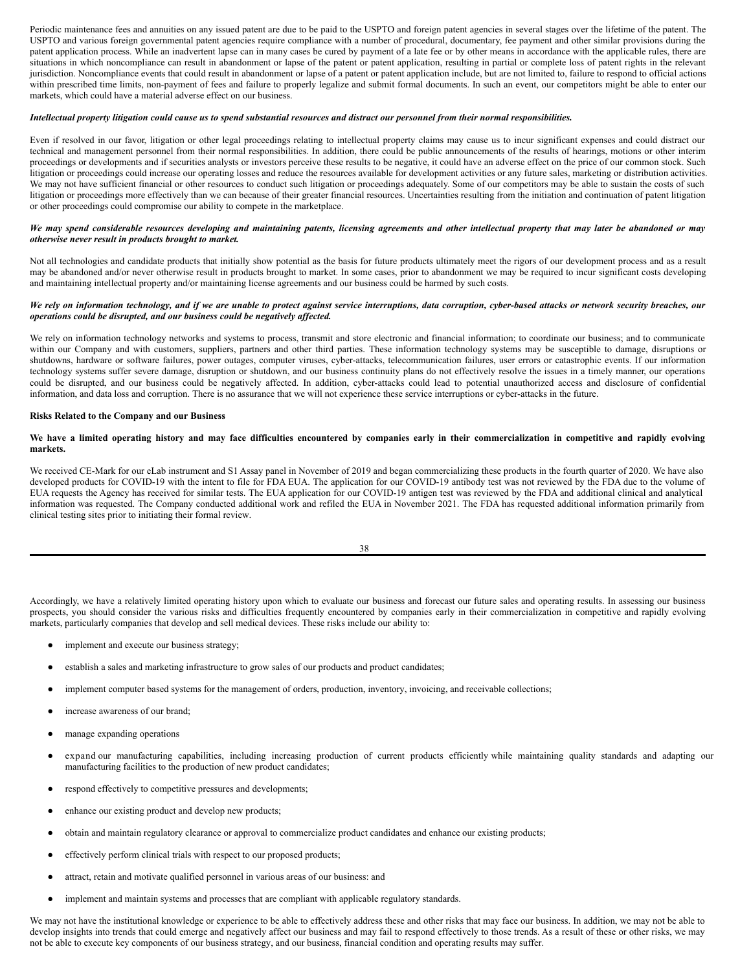Periodic maintenance fees and annuities on any issued patent are due to be paid to the USPTO and foreign patent agencies in several stages over the lifetime of the patent. The USPTO and various foreign governmental patent agencies require compliance with a number of procedural, documentary, fee payment and other similar provisions during the patent application process. While an inadvertent lapse can in many cases be cured by payment of a late fee or by other means in accordance with the applicable rules, there are situations in which noncompliance can result in abandonment or lapse of the patent or patent application, resulting in partial or complete loss of patent rights in the relevant jurisdiction. Noncompliance events that could result in abandonment or lapse of a patent or patent application include, but are not limited to, failure to respond to official actions within prescribed time limits, non-payment of fees and failure to properly legalize and submit formal documents. In such an event, our competitors might be able to enter our markets, which could have a material adverse effect on our business.

# Intellectual property litigation could cause us to spend substantial resources and distract our personnel from their normal responsibilities.

Even if resolved in our favor, litigation or other legal proceedings relating to intellectual property claims may cause us to incur significant expenses and could distract our technical and management personnel from their normal responsibilities. In addition, there could be public announcements of the results of hearings, motions or other interim proceedings or developments and if securities analysts or investors perceive these results to be negative, it could have an adverse effect on the price of our common stock. Such litigation or proceedings could increase our operating losses and reduce the resources available for development activities or any future sales, marketing or distribution activities. We may not have sufficient financial or other resources to conduct such litigation or proceedings adequately. Some of our competitors may be able to sustain the costs of such litigation or proceedings more effectively than we can because of their greater financial resources. Uncertainties resulting from the initiation and continuation of patent litigation or other proceedings could compromise our ability to compete in the marketplace.

## We may spend considerable resources developing and maintaining patents, licensing agreements and other intellectual property that may later be abandoned or may *otherwise never result in products brought to market.*

Not all technologies and candidate products that initially show potential as the basis for future products ultimately meet the rigors of our development process and as a result may be abandoned and/or never otherwise result in products brought to market. In some cases, prior to abandonment we may be required to incur significant costs developing and maintaining intellectual property and/or maintaining license agreements and our business could be harmed by such costs.

### We rely on information technology, and if we are unable to protect against service interruptions, data corruption, cyber-based attacks or network security breaches, our *operations could be disrupted, and our business could be negatively af ected.*

We rely on information technology networks and systems to process, transmit and store electronic and financial information; to coordinate our business; and to communicate within our Company and with customers, suppliers, partners and other third parties. These information technology systems may be susceptible to damage, disruptions or shutdowns, hardware or software failures, power outages, computer viruses, cyber-attacks, telecommunication failures, user errors or catastrophic events. If our information technology systems suffer severe damage, disruption or shutdown, and our business continuity plans do not effectively resolve the issues in a timely manner, our operations could be disrupted, and our business could be negatively affected. In addition, cyber-attacks could lead to potential unauthorized access and disclosure of confidential information, and data loss and corruption. There is no assurance that we will not experience these service interruptions or cyber-attacks in the future.

### **Risks Related to the Company and our Business**

### We have a limited operating history and may face difficulties encountered by companies early in their commercialization in competitive and rapidly evolving **markets.**

We received CE-Mark for our eLab instrument and S1 Assay panel in November of 2019 and began commercializing these products in the fourth quarter of 2020. We have also developed products for COVID-19 with the intent to file for FDA EUA. The application for our COVID-19 antibody test was not reviewed by the FDA due to the volume of EUA requests the Agency has received for similar tests. The EUA application for our COVID-19 antigen test was reviewed by the FDA and additional clinical and analytical information was requested. The Company conducted additional work and refiled the EUA in November 2021. The FDA has requested additional information primarily from clinical testing sites prior to initiating their formal review.

|        | I |
|--------|---|
| ۰,     | × |
| I      | w |
| $\sim$ | ۹ |
|        |   |

Accordingly, we have a relatively limited operating history upon which to evaluate our business and forecast our future sales and operating results. In assessing our business prospects, you should consider the various risks and difficulties frequently encountered by companies early in their commercialization in competitive and rapidly evolving markets, particularly companies that develop and sell medical devices. These risks include our ability to:

- implement and execute our business strategy;
- establish a sales and marketing infrastructure to grow sales of our products and product candidates;
- implement computer based systems for the management of orders, production, inventory, invoicing, and receivable collections;
- increase awareness of our brand;
- manage expanding operations
- expand our manufacturing capabilities, including increasing production of current products efficiently while maintaining quality standards and adapting our manufacturing facilities to the production of new product candidates;
- respond effectively to competitive pressures and developments;
- enhance our existing product and develop new products;
- obtain and maintain regulatory clearance or approval to commercialize product candidates and enhance our existing products;
- effectively perform clinical trials with respect to our proposed products;
- attract, retain and motivate qualified personnel in various areas of our business: and
- implement and maintain systems and processes that are compliant with applicable regulatory standards.

We may not have the institutional knowledge or experience to be able to effectively address these and other risks that may face our business. In addition, we may not be able to develop insights into trends that could emerge and negatively affect our business and may fail to respond effectively to those trends. As a result of these or other risks, we may not be able to execute key components of our business strategy, and our business, financial condition and operating results may suffer.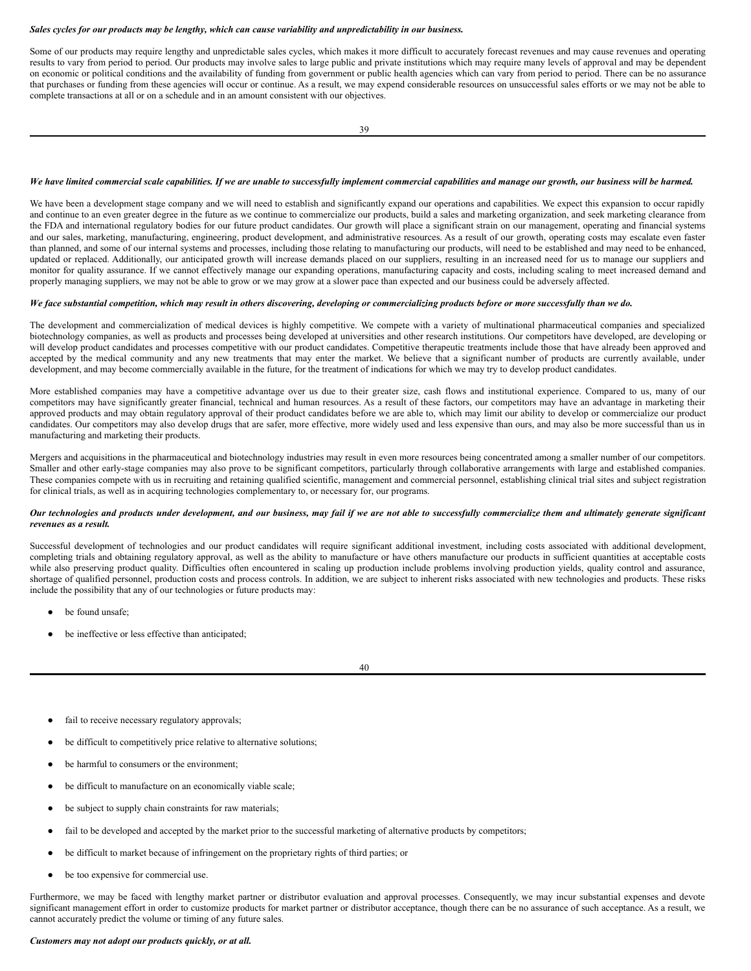### Sales cycles for our products may be lengthy, which can cause variability and unpredictability in our business.

Some of our products may require lengthy and unpredictable sales cycles, which makes it more difficult to accurately forecast revenues and may cause revenues and operating results to vary from period to period. Our products may involve sales to large public and private institutions which may require many levels of approval and may be dependent on economic or political conditions and the availability of funding from government or public health agencies which can vary from period to period. There can be no assurance that purchases or funding from these agencies will occur or continue. As a result, we may expend considerable resources on unsuccessful sales efforts or we may not be able to complete transactions at all or on a schedule and in an amount consistent with our objectives.

39

# We have limited commercial scale capabilities. If we are unable to successfully implement commercial capabilities and manage our growth, our business will be harmed.

We have been a development stage company and we will need to establish and significantly expand our operations and capabilities. We expect this expansion to occur rapidly and continue to an even greater degree in the future as we continue to commercialize our products, build a sales and marketing organization, and seek marketing clearance from the FDA and international regulatory bodies for our future product candidates. Our growth will place a significant strain on our management, operating and financial systems and our sales, marketing, manufacturing, engineering, product development, and administrative resources. As a result of our growth, operating costs may escalate even faster than planned, and some of our internal systems and processes, including those relating to manufacturing our products, will need to be established and may need to be enhanced, updated or replaced. Additionally, our anticipated growth will increase demands placed on our suppliers, resulting in an increased need for us to manage our suppliers and monitor for quality assurance. If we cannot effectively manage our expanding operations, manufacturing capacity and costs, including scaling to meet increased demand and properly managing suppliers, we may not be able to grow or we may grow at a slower pace than expected and our business could be adversely affected.

### We face substantial competition, which may result in others discovering, developing or commercializing products before or more successfully than we do.

The development and commercialization of medical devices is highly competitive. We compete with a variety of multinational pharmaceutical companies and specialized biotechnology companies, as well as products and processes being developed at universities and other research institutions. Our competitors have developed, are developing or will develop product candidates and processes competitive with our product candidates. Competitive therapeutic treatments include those that have already been approved and accepted by the medical community and any new treatments that may enter the market. We believe that a significant number of products are currently available, under development, and may become commercially available in the future, for the treatment of indications for which we may try to develop product candidates.

More established companies may have a competitive advantage over us due to their greater size, cash flows and institutional experience. Compared to us, many of our competitors may have significantly greater financial, technical and human resources. As a result of these factors, our competitors may have an advantage in marketing their approved products and may obtain regulatory approval of their product candidates before we are able to, which may limit our ability to develop or commercialize our product candidates. Our competitors may also develop drugs that are safer, more effective, more widely used and less expensive than ours, and may also be more successful than us in manufacturing and marketing their products.

Mergers and acquisitions in the pharmaceutical and biotechnology industries may result in even more resources being concentrated among a smaller number of our competitors. Smaller and other early-stage companies may also prove to be significant competitors, particularly through collaborative arrangements with large and established companies. These companies compete with us in recruiting and retaining qualified scientific, management and commercial personnel, establishing clinical trial sites and subject registration for clinical trials, as well as in acquiring technologies complementary to, or necessary for, our programs.

# Our technologies and products under development, and our business, may fail if we are not able to successfully commercialize them and ultimately generate significant *revenues as a result.*

Successful development of technologies and our product candidates will require significant additional investment, including costs associated with additional development, completing trials and obtaining regulatory approval, as well as the ability to manufacture or have others manufacture our products in sufficient quantities at acceptable costs while also preserving product quality. Difficulties often encountered in scaling up production include problems involving production yields, quality control and assurance, shortage of qualified personnel, production costs and process controls. In addition, we are subject to inherent risks associated with new technologies and products. These risks include the possibility that any of our technologies or future products may:

- be found unsafe;
- be ineffective or less effective than anticipated;

40

- fail to receive necessary regulatory approvals;
- be difficult to competitively price relative to alternative solutions;
- be harmful to consumers or the environment:
- be difficult to manufacture on an economically viable scale;
- be subject to supply chain constraints for raw materials;
- fail to be developed and accepted by the market prior to the successful marketing of alternative products by competitors;
- be difficult to market because of infringement on the proprietary rights of third parties; or
- be too expensive for commercial use.

Furthermore, we may be faced with lengthy market partner or distributor evaluation and approval processes. Consequently, we may incur substantial expenses and devote significant management effort in order to customize products for market partner or distributor acceptance, though there can be no assurance of such acceptance. As a result, we cannot accurately predict the volume or timing of any future sales.

#### *Customers may not adopt our products quickly, or at all.*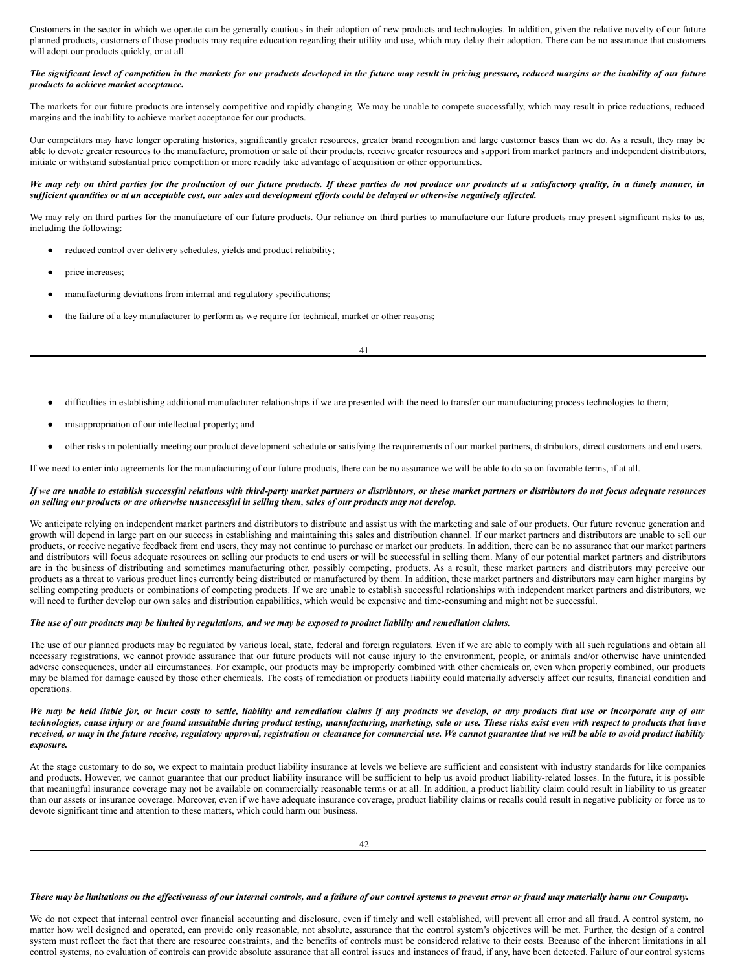Customers in the sector in which we operate can be generally cautious in their adoption of new products and technologies. In addition, given the relative novelty of our future planned products, customers of those products may require education regarding their utility and use, which may delay their adoption. There can be no assurance that customers will adopt our products quickly, or at all.

# The significant level of competition in the markets for our products developed in the future may result in pricing pressure, reduced margins or the inability of our future *products to achieve market acceptance.*

The markets for our future products are intensely competitive and rapidly changing. We may be unable to compete successfully, which may result in price reductions, reduced margins and the inability to achieve market acceptance for our products.

Our competitors may have longer operating histories, significantly greater resources, greater brand recognition and large customer bases than we do. As a result, they may be able to devote greater resources to the manufacture, promotion or sale of their products, receive greater resources and support from market partners and independent distributors, initiate or withstand substantial price competition or more readily take advantage of acquisition or other opportunities.

# We may rely on third parties for the production of our future products. If these parties do not produce our products at a satisfactory quality, in a timely manner, in sufficient quantities or at an acceptable cost, our sales and development efforts could be delayed or otherwise negatively affected.

We may rely on third parties for the manufacture of our future products. Our reliance on third parties to manufacture our future products may present significant risks to us, including the following:

- reduced control over delivery schedules, yields and product reliability;
- price increases;
- manufacturing deviations from internal and regulatory specifications;
- the failure of a key manufacturer to perform as we require for technical, market or other reasons;

41

- difficulties in establishing additional manufacturer relationships if we are presented with the need to transfer our manufacturing process technologies to them;
- misappropriation of our intellectual property; and
- other risks in potentially meeting our product development schedule or satisfying the requirements of our market partners, distributors, direct customers and end users.

If we need to enter into agreements for the manufacturing of our future products, there can be no assurance we will be able to do so on favorable terms, if at all.

# If we are unable to establish successful relations with third-party market partners or distributors, or these market partners or distributors do not focus adequate resources on selling our products or are otherwise unsuccessful in selling them, sales of our products may not develop.

We anticipate relying on independent market partners and distributors to distribute and assist us with the marketing and sale of our products. Our future revenue generation and growth will depend in large part on our success in establishing and maintaining this sales and distribution channel. If our market partners and distributors are unable to sell our products, or receive negative feedback from end users, they may not continue to purchase or market our products. In addition, there can be no assurance that our market partners and distributors will focus adequate resources on selling our products to end users or will be successful in selling them. Many of our potential market partners and distributors are in the business of distributing and sometimes manufacturing other, possibly competing, products. As a result, these market partners and distributors may perceive our products as a threat to various product lines currently being distributed or manufactured by them. In addition, these market partners and distributors may earn higher margins by selling competing products or combinations of competing products. If we are unable to establish successful relationships with independent market partners and distributors, we will need to further develop our own sales and distribution capabilities, which would be expensive and time-consuming and might not be successful.

# The use of our products may be limited by regulations, and we may be exposed to product liability and remediation claims.

The use of our planned products may be regulated by various local, state, federal and foreign regulators. Even if we are able to comply with all such regulations and obtain all necessary registrations, we cannot provide assurance that our future products will not cause injury to the environment, people, or animals and/or otherwise have unintended adverse consequences, under all circumstances. For example, our products may be improperly combined with other chemicals or, even when properly combined, our products may be blamed for damage caused by those other chemicals. The costs of remediation or products liability could materially adversely affect our results, financial condition and operations.

# We may be held liable for, or incur costs to settle, liability and remediation claims if any products we develop, or any products that use or incorporate any of our technologies, cause injury or are found unsuitable during product testing, manufacturing, marketing, sale or use. These risks exist even with respect to products that have received, or may in the future receive, regulatory approval, registration or clearance for commercial use. We cannot guarantee that we will be able to avoid product liability *exposure.*

At the stage customary to do so, we expect to maintain product liability insurance at levels we believe are sufficient and consistent with industry standards for like companies and products. However, we cannot guarantee that our product liability insurance will be sufficient to help us avoid product liability-related losses. In the future, it is possible that meaningful insurance coverage may not be available on commercially reasonable terms or at all. In addition, a product liability claim could result in liability to us greater than our assets or insurance coverage. Moreover, even if we have adequate insurance coverage, product liability claims or recalls could result in negative publicity or force us to devote significant time and attention to these matters, which could harm our business.

## There may be limitations on the effectiveness of our internal controls, and a failure of our control systems to prevent error or fraud may materially harm our Company.

We do not expect that internal control over financial accounting and disclosure, even if timely and well established, will prevent all error and all fraud. A control system, no matter how well designed and operated, can provide only reasonable, not absolute, assurance that the control system's objectives will be met. Further, the design of a control system must reflect the fact that there are resource constraints, and the benefits of controls must be considered relative to their costs. Because of the inherent limitations in all control systems, no evaluation of controls can provide absolute assurance that all control issues and instances of fraud, if any, have been detected. Failure of our control systems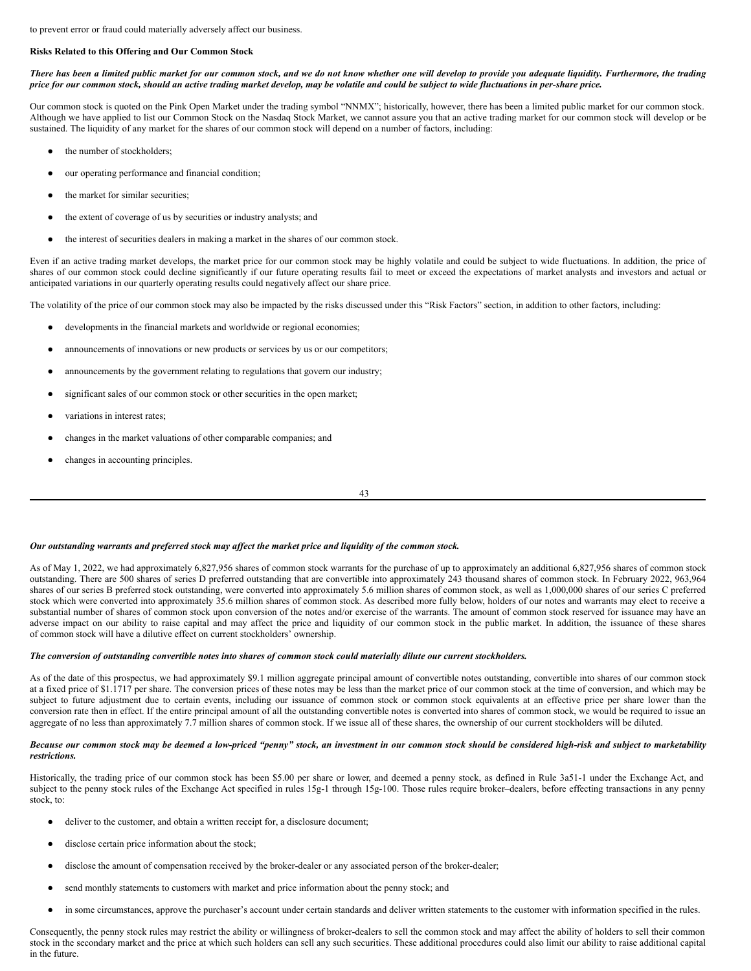to prevent error or fraud could materially adversely affect our business.

# **Risks Related to this Offering and Our Common Stock**

# There has been a limited public market for our common stock, and we do not know whether one will develop to provide you adequate liquidity. Furthermore, the trading price for our common stock, should an active trading market develop, may be volatile and could be subject to wide fluctuations in per-share price.

Our common stock is quoted on the Pink Open Market under the trading symbol "NNMX"; historically, however, there has been a limited public market for our common stock. Although we have applied to list our Common Stock on the Nasdaq Stock Market, we cannot assure you that an active trading market for our common stock will develop or be sustained. The liquidity of any market for the shares of our common stock will depend on a number of factors, including:

- the number of stockholders;
- our operating performance and financial condition;
- the market for similar securities;
- the extent of coverage of us by securities or industry analysts; and
- the interest of securities dealers in making a market in the shares of our common stock.

Even if an active trading market develops, the market price for our common stock may be highly volatile and could be subject to wide fluctuations. In addition, the price of shares of our common stock could decline significantly if our future operating results fail to meet or exceed the expectations of market analysts and investors and actual or anticipated variations in our quarterly operating results could negatively affect our share price.

The volatility of the price of our common stock may also be impacted by the risks discussed under this "Risk Factors" section, in addition to other factors, including:

- developments in the financial markets and worldwide or regional economies;
- announcements of innovations or new products or services by us or our competitors;
- announcements by the government relating to regulations that govern our industry;
- significant sales of our common stock or other securities in the open market;
- variations in interest rates;
- changes in the market valuations of other comparable companies; and
- changes in accounting principles.

43

### Our outstanding warrants and preferred stock may affect the market price and liquidity of the common stock.

As of May 1, 2022, we had approximately 6,827,956 shares of common stock warrants for the purchase of up to approximately an additional 6,827,956 shares of common stock outstanding. There are 500 shares of series D preferred outstanding that are convertible into approximately 243 thousand shares of common stock. In February 2022, 963,964 shares of our series B preferred stock outstanding, were converted into approximately 5.6 million shares of common stock, as well as 1,000,000 shares of our series C preferred stock which were converted into approximately 35.6 million shares of common stock. As described more fully below, holders of our notes and warrants may elect to receive a substantial number of shares of common stock upon conversion of the notes and/or exercise of the warrants. The amount of common stock reserved for issuance may have an adverse impact on our ability to raise capital and may affect the price and liquidity of our common stock in the public market. In addition, the issuance of these shares of common stock will have a dilutive effect on current stockholders' ownership.

### The conversion of outstanding convertible notes into shares of common stock could materially dilute our current stockholders.

As of the date of this prospectus, we had approximately \$9.1 million aggregate principal amount of convertible notes outstanding, convertible into shares of our common stock at a fixed price of \$1.1717 per share. The conversion prices of these notes may be less than the market price of our common stock at the time of conversion, and which may be subject to future adjustment due to certain events, including our issuance of common stock or common stock equivalents at an effective price per share lower than the conversion rate then in effect. If the entire principal amount of all the outstanding convertible notes is converted into shares of common stock, we would be required to issue an aggregate of no less than approximately 7.7 million shares of common stock. If we issue all of these shares, the ownership of our current stockholders will be diluted.

### Because our common stock may be deemed a low-priced "penny" stock, an investment in our common stock should be considered high-risk and subject to marketability *restrictions.*

Historically, the trading price of our common stock has been \$5.00 per share or lower, and deemed a penny stock, as defined in Rule 3a51-1 under the Exchange Act, and subject to the penny stock rules of the Exchange Act specified in rules 15g-1 through 15g-100. Those rules require broker-dealers, before effecting transactions in any penny stock, to:

- deliver to the customer, and obtain a written receipt for, a disclosure document;
- disclose certain price information about the stock;
- disclose the amount of compensation received by the broker-dealer or any associated person of the broker-dealer;
- send monthly statements to customers with market and price information about the penny stock; and
- in some circumstances, approve the purchaser's account under certain standards and deliver written statements to the customer with information specified in the rules.

Consequently, the penny stock rules may restrict the ability or willingness of broker-dealers to sell the common stock and may affect the ability of holders to sell their common stock in the secondary market and the price at which such holders can sell any such securities. These additional procedures could also limit our ability to raise additional capital in the future.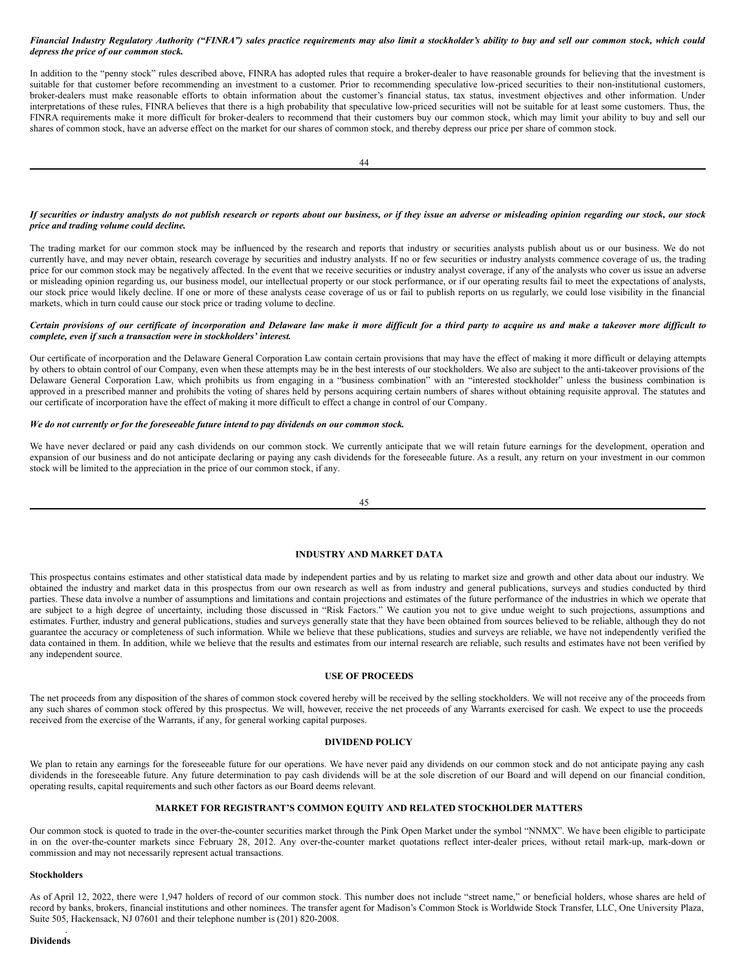# Financial Industry Regulatory Authority ("FINRA") sales practice requirements may also limit a stockholder's ability to buy and sell our common stock, which could *depress the price of our common stock.*

In addition to the "penny stock" rules described above, FINRA has adopted rules that require a broker-dealer to have reasonable grounds for believing that the investment is suitable for that customer before recommending an investment to a customer. Prior to recommending speculative low-priced securities to their non-institutional customers, broker-dealers must make reasonable efforts to obtain information about the customer's financial status, tax status, investment objectives and other information. Under interpretations of these rules, FINRA believes that there is a high probability that speculative low-priced securities will not be suitable for at least some customers. Thus, the FINRA requirements make it more difficult for broker-dealers to recommend that their customers buy our common stock, which may limit your ability to buy and sell our shares of common stock, have an adverse effect on the market for our shares of common stock, and thereby depress our price per share of common stock.

### If securities or industry analysts do not publish research or reports about our business, or if they issue an adverse or misleading opinion regarding our stock, our stock *price and trading volume could decline.*

The trading market for our common stock may be influenced by the research and reports that industry or securities analysts publish about us or our business. We do not currently have, and may never obtain, research coverage by securities and industry analysts. If no or few securities or industry analysts commence coverage of us, the trading price for our common stock may be negatively affected. In the event that we receive securities or industry analyst coverage, if any of the analysts who cover us issue an adverse or misleading opinion regarding us, our business model, our intellectual property or our stock performance, or if our operating results fail to meet the expectations of analysts, our stock price would likely decline. If one or more of these analysts cease coverage of us or fail to publish reports on us regularly, we could lose visibility in the financial markets, which in turn could cause our stock price or trading volume to decline.

### Certain provisions of our certificate of incorporation and Delaware law make it more difficult for a third party to acquire us and make a takeover more difficult to *complete, even if such a transaction were in stockholders' interest.*

Our certificate of incorporation and the Delaware General Corporation Law contain certain provisions that may have the effect of making it more difficult or delaying attempts by others to obtain control of our Company, even when these attempts may be in the best interests of our stockholders. We also are subject to the anti-takeover provisions of the Delaware General Corporation Law, which prohibits us from engaging in a "business combination" with an "interested stockholder" unless the business combination is approved in a prescribed manner and prohibits the voting of shares held by persons acquiring certain numbers of shares without obtaining requisite approval. The statutes and our certificate of incorporation have the effect of making it more difficult to effect a change in control of our Company.

# *We do not currently or for the foreseeable future intend to pay dividends on our common stock.*

We have never declared or paid any cash dividends on our common stock. We currently anticipate that we will retain future earnings for the development, operation and expansion of our business and do not anticipate declaring or paying any cash dividends for the foreseeable future. As a result, any return on your investment in our common stock will be limited to the appreciation in the price of our common stock, if any.

45

# <span id="page-28-0"></span>**INDUSTRY AND MARKET DATA**

This prospectus contains estimates and other statistical data made by independent parties and by us relating to market size and growth and other data about our industry. We obtained the industry and market data in this prospectus from our own research as well as from industry and general publications, surveys and studies conducted by third parties. These data involve a number of assumptions and limitations and contain projections and estimates of the future performance of the industries in which we operate that are subject to a high degree of uncertainty, including those discussed in "Risk Factors." We caution you not to give undue weight to such projections, assumptions and estimates. Further, industry and general publications, studies and surveys generally state that they have been obtained from sources believed to be reliable, although they do not guarantee the accuracy or completeness of such information. While we believe that these publications, studies and surveys are reliable, we have not independently verified the data contained in them. In addition, while we believe that the results and estimates from our internal research are reliable, such results and estimates have not been verified by any independent source.

# <span id="page-28-1"></span>**USE OF PROCEEDS**

The net proceeds from any disposition of the shares of common stock covered hereby will be received by the selling stockholders. We will not receive any of the proceeds from any such shares of common stock offered by this prospectus. We will, however, receive the net proceeds of any Warrants exercised for cash. We expect to use the proceeds received from the exercise of the Warrants, if any, for general working capital purposes.

## <span id="page-28-2"></span>**DIVIDEND POLICY**

We plan to retain any earnings for the foreseeable future for our operations. We have never paid any dividends on our common stock and do not anticipate paying any cash dividends in the foreseeable future. Any future determination to pay cash dividends will be at the sole discretion of our Board and will depend on our financial condition, operating results, capital requirements and such other factors as our Board deems relevant.

# **MARKET FOR REGISTRANT'S COMMON EQUITY AND RELATED STOCKHOLDER MATTERS**

Our common stock is quoted to trade in the over-the-counter securities market through the Pink Open Market under the symbol "NNMX". We have been eligible to participate in on the over-the-counter markets since February 28, 2012. Any over-the-counter market quotations reflect inter-dealer prices, without retail mark-up, mark-down or commission and may not necessarily represent actual transactions.

## **Stockholders**

As of April 12, 2022, there were 1,947 holders of record of our common stock. This number does not include "street name," or beneficial holders, whose shares are held of record by banks, brokers, financial institutions and other nominees. The transfer agent for Madison's Common Stock is Worldwide Stock Transfer, LLC, One University Plaza, Suite 505, Hackensack, NJ 07601 and their telephone number is (201) 820-2008.

.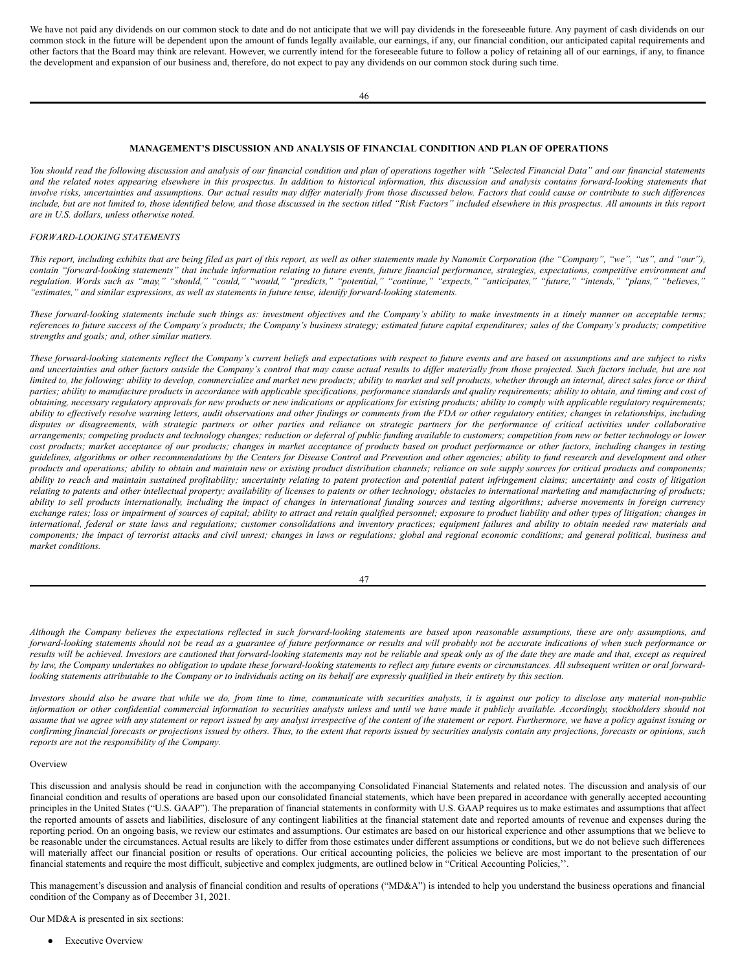We have not paid any dividends on our common stock to date and do not anticipate that we will pay dividends in the foreseeable future. Any payment of cash dividends on our common stock in the future will be dependent upon the amount of funds legally available, our earnings, if any, our financial condition, our anticipated capital requirements and other factors that the Board may think are relevant. However, we currently intend for the foreseeable future to follow a policy of retaining all of our earnings, if any, to finance the development and expansion of our business and, therefore, do not expect to pay any dividends on our common stock during such time.

## <span id="page-29-0"></span>**MANAGEMENT'S DISCUSSION AND ANALYSIS OF FINANCIAL CONDITION AND PLAN OF OPERATIONS**

You should read the following discussion and analysis of our financial condition and plan of operations together with "Selected Financial Data" and our financial statements and the related notes appearing elsewhere in this prospectus. In addition to historical information, this discussion and analysis contains forward-looking statements that involve risks, uncertainties and assumptions. Our actual results may differ materially from those discussed below. Factors that could cause or contribute to such differences include, but are not limited to, those identified below, and those discussed in the section titled "Risk Factors" included elsewhere in this prospectus. All amounts in this report *are in U.S. dollars, unless otherwise noted.*

# *FORWARD-LOOKING STATEMENTS*

This report, including exhibits that are being filed as part of this report, as well as other statements made by Nanomix Corporation (the "Company", "we", "us", and "our"), contain "forward-looking statements" that include information relating to future events, future financial performance, strategies, expectations, competitive environment and regulation. Words such as "may," "should," "could," "would," "predicts," "potential," "continue," "expects," "anticipates," "future," "intends," "plans," "believes," *"estimates," and similar expressions, as well as statements in future tense, identify forward-looking statements.*

These forward-looking statements include such things as: investment objectives and the Company's ability to make investments in a timely manner on acceptable terms; references to future success of the Company's products; the Company's business strategy; estimated future capital expenditures; sales of the Company's products; competitive *strengths and goals; and, other similar matters.*

These forward-looking statements reflect the Company's current beliefs and expectations with respect to future events and are based on assumptions and are subject to risks and uncertainties and other factors outside the Company's control that may cause actual results to differ materially from those projected. Such factors include, but are not limited to, the following: ability to develop, commercialize and market new products; ability to market and sell products, whether through an internal, direct sales force or third parties; ability to manufacture products in accordance with applicable specifications, performance standards and quality requirements; ability to obtain, and timing and cost of obtaining, necessary regulatory approvals for new products or new indications or applications for existing products; ability to comply with applicable regulatory requirements; ability to effectively resolve warning letters, audit observations and other findings or comments from the FDA or other regulatory entities; changes in relationships, including disputes or disagreements, with strategic partners or other parties and reliance on strategic partners for the performance of critical activities under collaborative arrangements; competing products and technology changes; reduction or deferral of public funding available to customers; competition from new or better technology or lower cost products; market acceptance of our products; changes in market acceptance of products based on product performance or other factors, including changes in testing guidelines, algorithms or other recommendations by the Centers for Disease Control and Prevention and other agencies; ability to fund research and development and other products and operations; ability to obtain and maintain new or existing product distribution channels; reliance on sole supply sources for critical products and components; ability to reach and maintain sustained profitability; uncertainty relating to patent protection and potential patent infringement claims; uncertainty and costs of litigation relating to patents and other intellectual property; availability of licenses to patents or other technology; obstacles to international marketing and manufacturing of products; ability to sell products internationally, including the impact of changes in international funding sources and testing algorithms; adverse movements in foreign currency exchange rates; loss or impairment of sources of capital; ability to attract and retain qualified personnel; exposure to product liability and other types of litigation; changes in international, federal or state laws and regulations; customer consolidations and inventory practices; equipment failures and ability to obtain needed raw materials and components; the impact of terrorist attacks and civil unrest; changes in laws or regulations; global and regional economic conditions; and general political, business and *market conditions.*

| ٦ |
|---|
|   |

Although the Company believes the expectations reflected in such forward-looking statements are based upon reasonable assumptions, these are only assumptions, and forward-looking statements should not be read as a guarantee of future performance or results and will probably not be accurate indications of when such performance or results will be achieved. Investors are cautioned that forward-looking statements may not be reliable and speak only as of the date they are made and that, except as required by law, the Company undertakes no obligation to update these forward-looking statements to reflect any future events or circumstances. All subsequent written or oral forwardlooking statements attributable to the Company or to individuals acting on its behalf are expressly qualified in their entirety by this section.

Investors should also be aware that while we do, from time to time, communicate with securities analysts, it is against our policy to disclose any material non-public information or other confidential commercial information to securities analysts unless and until we have made it publicly available. Accordingly, stockholders should not assume that we agree with any statement or report issued by any analyst irrespective of the content of the statement or report. Furthermore, we have a policy against issuing or confirming financial forecasts or projections issued by others. Thus, to the extent that reports issued by securities analysts contain any projections, forecasts or opinions, such *reports are not the responsibility of the Company.*

### Overview

This discussion and analysis should be read in conjunction with the accompanying Consolidated Financial Statements and related notes. The discussion and analysis of our financial condition and results of operations are based upon our consolidated financial statements, which have been prepared in accordance with generally accepted accounting principles in the United States ("U.S. GAAP"). The preparation of financial statements in conformity with U.S. GAAP requires us to make estimates and assumptions that affect the reported amounts of assets and liabilities, disclosure of any contingent liabilities at the financial statement date and reported amounts of revenue and expenses during the reporting period. On an ongoing basis, we review our estimates and assumptions. Our estimates are based on our historical experience and other assumptions that we believe to be reasonable under the circumstances. Actual results are likely to differ from those estimates under different assumptions or conditions, but we do not believe such differences will materially affect our financial position or results of operations. Our critical accounting policies, the policies we believe are most important to the presentation of our financial statements and require the most difficult, subjective and complex judgments, are outlined below in "Critical Accounting Policies,''.

This management's discussion and analysis of financial condition and results of operations ("MD&A") is intended to help you understand the business operations and financial condition of the Company as of December 31, 2021*.*

Our MD&A is presented in six sections: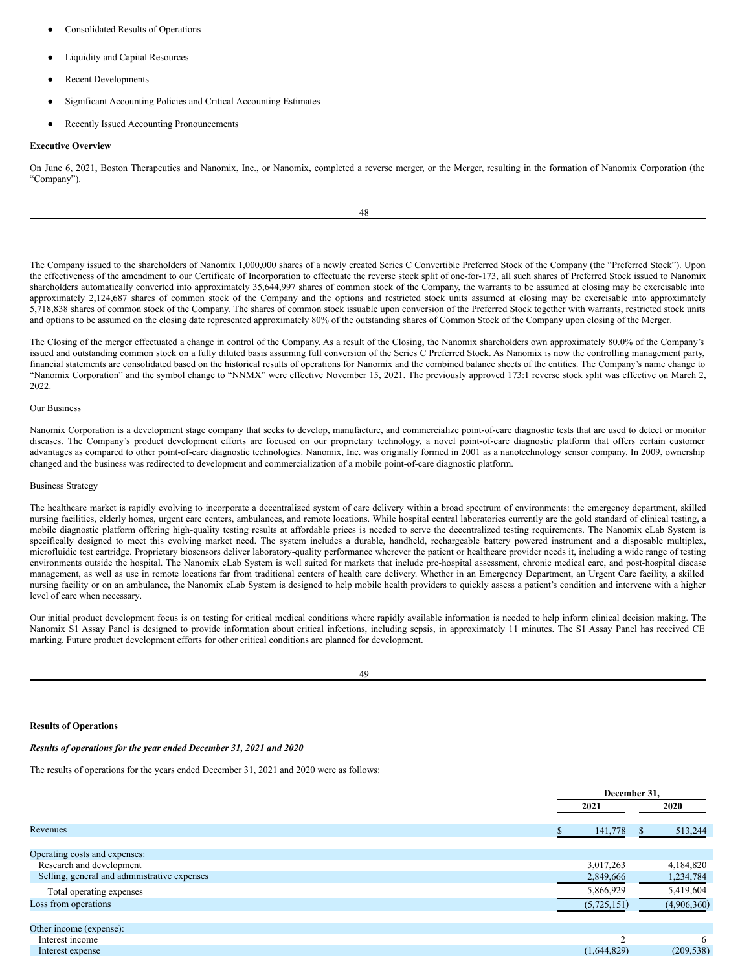- Consolidated Results of Operations
- Liquidity and Capital Resources
- **Recent Developments**
- Significant Accounting Policies and Critical Accounting Estimates
- Recently Issued Accounting Pronouncements

# **Executive Overview**

On June 6, 2021, Boston Therapeutics and Nanomix, Inc., or Nanomix, completed a reverse merger, or the Merger, resulting in the formation of Nanomix Corporation (the "Company").

The Company issued to the shareholders of Nanomix 1,000,000 shares of a newly created Series C Convertible Preferred Stock of the Company (the "Preferred Stock"). Upon the effectiveness of the amendment to our Certificate of Incorporation to effectuate the reverse stock split of one-for-173, all such shares of Preferred Stock issued to Nanomix shareholders automatically converted into approximately 35,644,997 shares of common stock of the Company, the warrants to be assumed at closing may be exercisable into approximately 2,124,687 shares of common stock of the Company and the options and restricted stock units assumed at closing may be exercisable into approximately 5,718,838 shares of common stock of the Company. The shares of common stock issuable upon conversion of the Preferred Stock together with warrants, restricted stock units and options to be assumed on the closing date represented approximately 80% of the outstanding shares of Common Stock of the Company upon closing of the Merger.

The Closing of the merger effectuated a change in control of the Company. As a result of the Closing, the Nanomix shareholders own approximately 80.0% of the Company's issued and outstanding common stock on a fully diluted basis assuming full conversion of the Series C Preferred Stock. As Nanomix is now the controlling management party, financial statements are consolidated based on the historical results of operations for Nanomix and the combined balance sheets of the entities. The Company's name change to "Nanomix Corporation" and the symbol change to "NNMX" were effective November 15, 2021. The previously approved 173:1 reverse stock split was effective on March 2, 2022.

# Our Business

Nanomix Corporation is a development stage company that seeks to develop, manufacture, and commercialize point-of-care diagnostic tests that are used to detect or monitor diseases. The Company's product development efforts are focused on our proprietary technology, a novel point-of-care diagnostic platform that offers certain customer advantages as compared to other point-of-care diagnostic technologies. Nanomix, Inc. was originally formed in 2001 as a nanotechnology sensor company. In 2009, ownership changed and the business was redirected to development and commercialization of a mobile point-of-care diagnostic platform.

# Business Strategy

The healthcare market is rapidly evolving to incorporate a decentralized system of care delivery within a broad spectrum of environments: the emergency department, skilled nursing facilities, elderly homes, urgent care centers, ambulances, and remote locations. While hospital central laboratories currently are the gold standard of clinical testing, a mobile diagnostic platform offering high-quality testing results at affordable prices is needed to serve the decentralized testing requirements. The Nanomix eLab System is specifically designed to meet this evolving market need. The system includes a durable, handheld, rechargeable battery powered instrument and a disposable multiplex, microfluidic test cartridge. Proprietary biosensors deliver laboratory-quality performance wherever the patient or healthcare provider needs it, including a wide range of testing environments outside the hospital. The Nanomix eLab System is well suited for markets that include pre-hospital assessment, chronic medical care, and post-hospital disease management, as well as use in remote locations far from traditional centers of health care delivery. Whether in an Emergency Department, an Urgent Care facility, a skilled nursing facility or on an ambulance, the Nanomix eLab System is designed to help mobile health providers to quickly assess a patient's condition and intervene with a higher level of care when necessary.

Our initial product development focus is on testing for critical medical conditions where rapidly available information is needed to help inform clinical decision making. The Nanomix S1 Assay Panel is designed to provide information about critical infections, including sepsis, in approximately 11 minutes. The S1 Assay Panel has received CE marking. Future product development efforts for other critical conditions are planned for development.

| ٦ | I<br>¢<br>۰.<br>۰,<br>٧ |
|---|-------------------------|

## **Results of Operations**

# *Results of operations for the year ended December 31, 2021 and 2020*

The results of operations for the years ended December 31, 2021 and 2020 were as follows:

|                                              |             | December 31, |  |
|----------------------------------------------|-------------|--------------|--|
|                                              | 2021        | 2020         |  |
| Revenues                                     | 141,778     | 513,244      |  |
| Operating costs and expenses:                |             |              |  |
| Research and development                     | 3,017,263   | 4,184,820    |  |
| Selling, general and administrative expenses | 2,849,666   | 1,234,784    |  |
| Total operating expenses                     | 5,866,929   | 5,419,604    |  |
| Loss from operations                         | (5,725,151) | (4,906,360)  |  |
|                                              |             |              |  |
| Other income (expense):                      |             |              |  |
| Interest income                              | $\sim$      | 6            |  |

Interest expense (1,644,829) (209,538)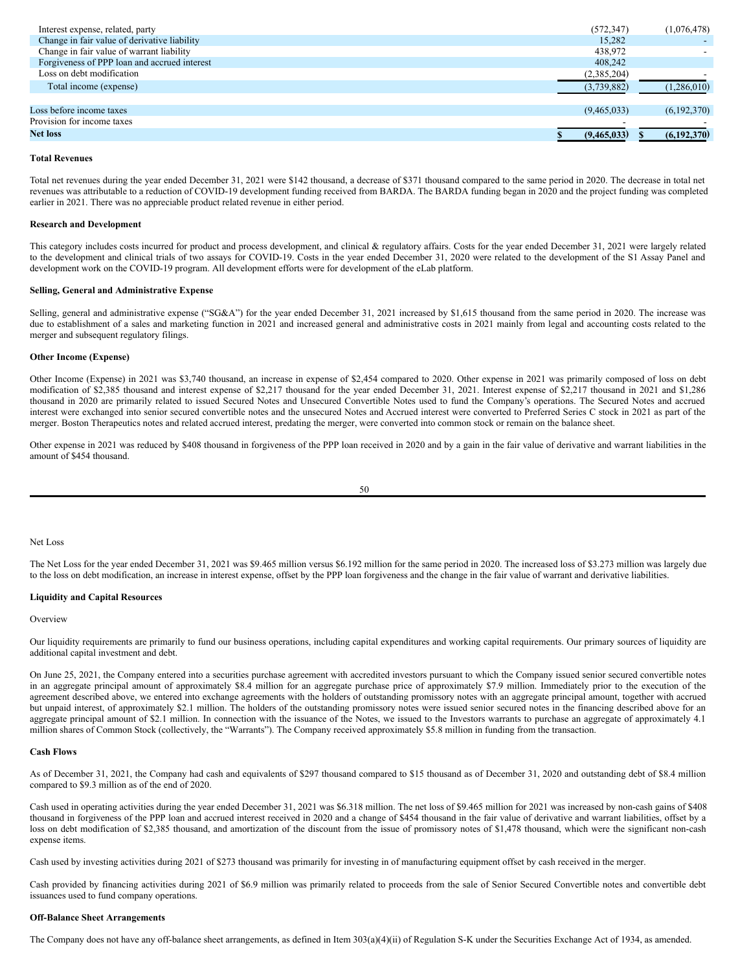| Interest expense, related, party             | (572, 347)  | (1,076,478)   |
|----------------------------------------------|-------------|---------------|
| Change in fair value of derivative liability | 15.282      |               |
| Change in fair value of warrant liability    | 438,972     |               |
| Forgiveness of PPP loan and accrued interest | 408,242     |               |
| Loss on debt modification                    | (2,385,204) |               |
| Total income (expense)                       | (3,739,882) | (1,286,010)   |
|                                              |             |               |
| Loss before income taxes                     | (9,465,033) | (6,192,370)   |
| Provision for income taxes                   |             |               |
| <b>Net loss</b>                              | (9,465,033) | (6, 192, 370) |
|                                              |             |               |

### **Total Revenues**

Total net revenues during the year ended December 31, 2021 were \$142 thousand, a decrease of \$371 thousand compared to the same period in 2020. The decrease in total net revenues was attributable to a reduction of COVID-19 development funding received from BARDA. The BARDA funding began in 2020 and the project funding was completed earlier in 2021. There was no appreciable product related revenue in either period.

### **Research and Development**

This category includes costs incurred for product and process development, and clinical & regulatory affairs. Costs for the year ended December 31, 2021 were largely related to the development and clinical trials of two assays for COVID-19. Costs in the year ended December 31, 2020 were related to the development of the S1 Assay Panel and development work on the COVID-19 program. All development efforts were for development of the eLab platform.

### **Selling, General and Administrative Expense**

Selling, general and administrative expense ("SG&A") for the year ended December 31, 2021 increased by \$1,615 thousand from the same period in 2020. The increase was due to establishment of a sales and marketing function in 2021 and increased general and administrative costs in 2021 mainly from legal and accounting costs related to the merger and subsequent regulatory filings.

### **Other Income (Expense)**

Other Income (Expense) in 2021 was \$3,740 thousand, an increase in expense of \$2,454 compared to 2020. Other expense in 2021 was primarily composed of loss on debt modification of \$2,385 thousand and interest expense of \$2,217 thousand for the year ended December 31, 2021. Interest expense of \$2,217 thousand in 2021 and \$1,286 thousand in 2020 are primarily related to issued Secured Notes and Unsecured Convertible Notes used to fund the Company's operations. The Secured Notes and accrued interest were exchanged into senior secured convertible notes and the unsecured Notes and Accrued interest were converted to Preferred Series C stock in 2021 as part of the merger. Boston Therapeutics notes and related accrued interest, predating the merger, were converted into common stock or remain on the balance sheet.

Other expense in 2021 was reduced by \$408 thousand in forgiveness of the PPP loan received in 2020 and by a gain in the fair value of derivative and warrant liabilities in the amount of \$454 thousand.

| I<br>I<br>×<br>۰. | ۰.<br>×<br>۰. |  |
|-------------------|---------------|--|

### Net Loss

The Net Loss for the year ended December 31, 2021 was \$9.465 million versus \$6.192 million for the same period in 2020. The increased loss of \$3.273 million was largely due to the loss on debt modification, an increase in interest expense, offset by the PPP loan forgiveness and the change in the fair value of warrant and derivative liabilities.

### **Liquidity and Capital Resources**

### **Overview**

Our liquidity requirements are primarily to fund our business operations, including capital expenditures and working capital requirements. Our primary sources of liquidity are additional capital investment and debt.

On June 25, 2021, the Company entered into a securities purchase agreement with accredited investors pursuant to which the Company issued senior secured convertible notes in an aggregate principal amount of approximately \$8.4 million for an aggregate purchase price of approximately \$7.9 million. Immediately prior to the execution of the agreement described above, we entered into exchange agreements with the holders of outstanding promissory notes with an aggregate principal amount, together with accrued but unpaid interest, of approximately \$2.1 million. The holders of the outstanding promissory notes were issued senior secured notes in the financing described above for an aggregate principal amount of \$2.1 million. In connection with the issuance of the Notes, we issued to the Investors warrants to purchase an aggregate of approximately 4.1 million shares of Common Stock (collectively, the "Warrants"). The Company received approximately \$5.8 million in funding from the transaction.

## **Cash Flows**

As of December 31, 2021, the Company had cash and equivalents of \$297 thousand compared to \$15 thousand as of December 31, 2020 and outstanding debt of \$8.4 million compared to \$9.3 million as of the end of 2020.

Cash used in operating activities during the year ended December 31, 2021 was \$6.318 million. The net loss of \$9.465 million for 2021 was increased by non-cash gains of \$408 thousand in forgiveness of the PPP loan and accrued interest received in 2020 and a change of \$454 thousand in the fair value of derivative and warrant liabilities, offset by a loss on debt modification of \$2,385 thousand, and amortization of the discount from the issue of promissory notes of \$1,478 thousand, which were the significant non-cash expense items.

Cash used by investing activities during 2021 of \$273 thousand was primarily for investing in of manufacturing equipment offset by cash received in the merger.

Cash provided by financing activities during 2021 of \$6.9 million was primarily related to proceeds from the sale of Senior Secured Convertible notes and convertible debt issuances used to fund company operations.

### **Off-Balance Sheet Arrangements**

The Company does not have any off-balance sheet arrangements, as defined in Item 303(a)(4)(ii) of Regulation S-K under the Securities Exchange Act of 1934, as amended.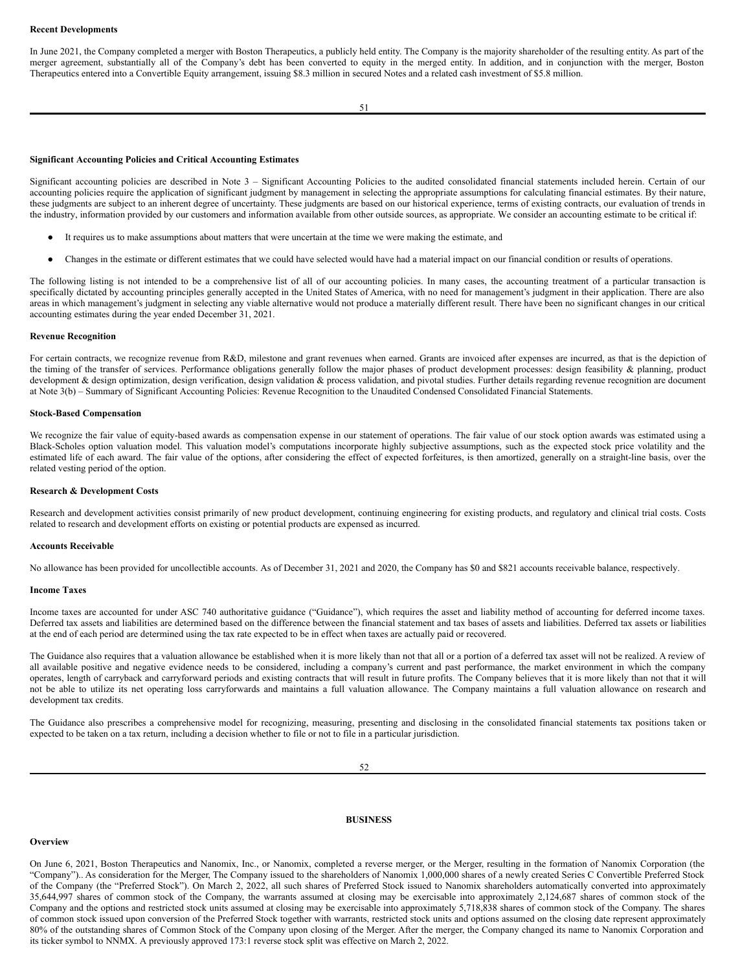In June 2021, the Company completed a merger with Boston Therapeutics, a publicly held entity. The Company is the majority shareholder of the resulting entity. As part of the merger agreement, substantially all of the Company's debt has been converted to equity in the merged entity. In addition, and in conjunction with the merger, Boston Therapeutics entered into a Convertible Equity arrangement, issuing \$8.3 million in secured Notes and a related cash investment of \$5.8 million.

51

# **Significant Accounting Policies and Critical Accounting Estimates**

Significant accounting policies are described in Note 3 – Significant Accounting Policies to the audited consolidated financial statements included herein. Certain of our accounting policies require the application of significant judgment by management in selecting the appropriate assumptions for calculating financial estimates. By their nature, these judgments are subject to an inherent degree of uncertainty. These judgments are based on our historical experience, terms of existing contracts, our evaluation of trends in the industry, information provided by our customers and information available from other outside sources, as appropriate. We consider an accounting estimate to be critical if:

- It requires us to make assumptions about matters that were uncertain at the time we were making the estimate, and
- Changes in the estimate or different estimates that we could have selected would have had a material impact on our financial condition or results of operations.

The following listing is not intended to be a comprehensive list of all of our accounting policies. In many cases, the accounting treatment of a particular transaction is specifically dictated by accounting principles generally accepted in the United States of America, with no need for management's judgment in their application. There are also areas in which management's judgment in selecting any viable alternative would not produce a materially different result. There have been no significant changes in our critical accounting estimates during the year ended December 31, 2021.

#### **Revenue Recognition**

For certain contracts, we recognize revenue from R&D, milestone and grant revenues when earned. Grants are invoiced after expenses are incurred, as that is the depiction of the timing of the transfer of services. Performance obligations generally follow the major phases of product development processes: design feasibility & planning, product development & design optimization, design verification, design validation & process validation, and pivotal studies. Further details regarding revenue recognition are document at Note 3(b) – Summary of Significant Accounting Policies: Revenue Recognition to the Unaudited Condensed Consolidated Financial Statements.

### **Stock-Based Compensation**

We recognize the fair value of equity-based awards as compensation expense in our statement of operations. The fair value of our stock option awards was estimated using a Black-Scholes option valuation model. This valuation model's computations incorporate highly subjective assumptions, such as the expected stock price volatility and the estimated life of each award. The fair value of the options, after considering the effect of expected forfeitures, is then amortized, generally on a straight-line basis, over the related vesting period of the option.

### **Research & Development Costs**

Research and development activities consist primarily of new product development, continuing engineering for existing products, and regulatory and clinical trial costs. Costs related to research and development efforts on existing or potential products are expensed as incurred.

#### **Accounts Receivable**

No allowance has been provided for uncollectible accounts. As of December 31, 2021 and 2020, the Company has \$0 and \$821 accounts receivable balance, respectively.

#### **Income Taxes**

Income taxes are accounted for under ASC 740 authoritative guidance ("Guidance"), which requires the asset and liability method of accounting for deferred income taxes. Deferred tax assets and liabilities are determined based on the difference between the financial statement and tax bases of assets and liabilities. Deferred tax assets or liabilities at the end of each period are determined using the tax rate expected to be in effect when taxes are actually paid or recovered.

The Guidance also requires that a valuation allowance be established when it is more likely than not that all or a portion of a deferred tax asset will not be realized. A review of all available positive and negative evidence needs to be considered, including a company's current and past performance, the market environment in which the company operates, length of carryback and carryforward periods and existing contracts that will result in future profits. The Company believes that it is more likely than not that it will not be able to utilize its net operating loss carryforwards and maintains a full valuation allowance. The Company maintains a full valuation allowance on research and development tax credits.

The Guidance also prescribes a comprehensive model for recognizing, measuring, presenting and disclosing in the consolidated financial statements tax positions taken or expected to be taken on a tax return, including a decision whether to file or not to file in a particular jurisdiction.

|        | v  |
|--------|----|
| I<br>I | ۰. |

<span id="page-32-0"></span>**BUSINESS**

## **Overview**

On June 6, 2021, Boston Therapeutics and Nanomix, Inc., or Nanomix, completed a reverse merger, or the Merger, resulting in the formation of Nanomix Corporation (the "Company").. As consideration for the Merger, The Company issued to the shareholders of Nanomix 1,000,000 shares of a newly created Series C Convertible Preferred Stock of the Company (the "Preferred Stock"). On March 2, 2022, all such shares of Preferred Stock issued to Nanomix shareholders automatically converted into approximately 35,644,997 shares of common stock of the Company, the warrants assumed at closing may be exercisable into approximately 2,124,687 shares of common stock of the Company and the options and restricted stock units assumed at closing may be exercisable into approximately 5,718,838 shares of common stock of the Company. The shares of common stock issued upon conversion of the Preferred Stock together with warrants, restricted stock units and options assumed on the closing date represent approximately 80% of the outstanding shares of Common Stock of the Company upon closing of the Merger. After the merger, the Company changed its name to Nanomix Corporation and its ticker symbol to NNMX. A previously approved 173:1 reverse stock split was effective on March 2, 2022.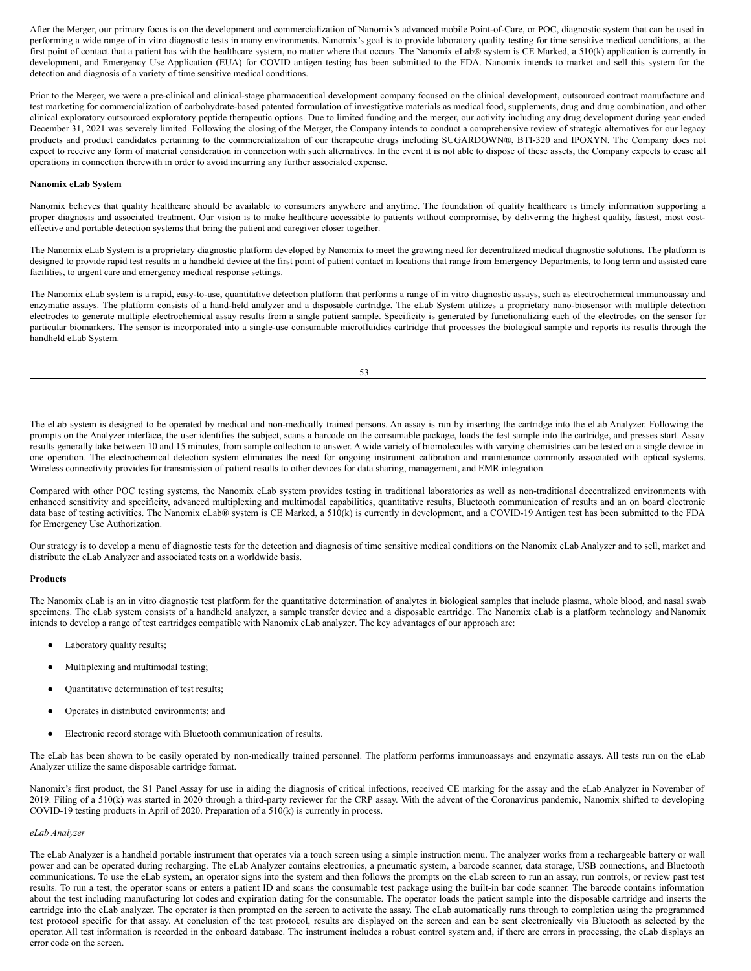After the Merger, our primary focus is on the development and commercialization of Nanomix's advanced mobile Point-of-Care, or POC, diagnostic system that can be used in performing a wide range of in vitro diagnostic tests in many environments. Nanomix's goal is to provide laboratory quality testing for time sensitive medical conditions, at the first point of contact that a patient has with the healthcare system, no matter where that occurs. The Nanomix eLab® system is CE Marked, a 510(k) application is currently in development, and Emergency Use Application (EUA) for COVID antigen testing has been submitted to the FDA. Nanomix intends to market and sell this system for the detection and diagnosis of a variety of time sensitive medical conditions.

Prior to the Merger, we were a pre-clinical and clinical-stage pharmaceutical development company focused on the clinical development, outsourced contract manufacture and test marketing for commercialization of carbohydrate-based patented formulation of investigative materials as medical food, supplements, drug and drug combination, and other clinical exploratory outsourced exploratory peptide therapeutic options. Due to limited funding and the merger, our activity including any drug development during year ended December 31, 2021 was severely limited. Following the closing of the Merger, the Company intends to conduct a comprehensive review of strategic alternatives for our legacy products and product candidates pertaining to the commercialization of our therapeutic drugs including SUGARDOWN®, BTI-320 and IPOXYN. The Company does not expect to receive any form of material consideration in connection with such alternatives. In the event it is not able to dispose of these assets, the Company expects to cease all operations in connection therewith in order to avoid incurring any further associated expense.

## **Nanomix eLab System**

Nanomix believes that quality healthcare should be available to consumers anywhere and anytime. The foundation of quality healthcare is timely information supporting a proper diagnosis and associated treatment. Our vision is to make healthcare accessible to patients without compromise, by delivering the highest quality, fastest, most costeffective and portable detection systems that bring the patient and caregiver closer together.

The Nanomix eLab System is a proprietary diagnostic platform developed by Nanomix to meet the growing need for decentralized medical diagnostic solutions. The platform is designed to provide rapid test results in a handheld device at the first point of patient contact in locations that range from Emergency Departments, to long term and assisted care facilities, to urgent care and emergency medical response settings.

The Nanomix eLab system is a rapid, easy-to-use, quantitative detection platform that performs a range of in vitro diagnostic assays, such as electrochemical immunoassay and enzymatic assays. The platform consists of a hand-held analyzer and a disposable cartridge. The eLab System utilizes a proprietary nano-biosensor with multiple detection electrodes to generate multiple electrochemical assay results from a single patient sample. Specificity is generated by functionalizing each of the electrodes on the sensor for particular biomarkers. The sensor is incorporated into a single-use consumable microfluidics cartridge that processes the biological sample and reports its results through the handheld eLab System.

| I<br>I<br>$\sim$ | ı<br>ı<br>$\sim$ |
|------------------|------------------|

The eLab system is designed to be operated by medical and non-medically trained persons. An assay is run by inserting the cartridge into the eLab Analyzer. Following the prompts on the Analyzer interface, the user identifies the subject, scans a barcode on the consumable package, loads the test sample into the cartridge, and presses start. Assay results generally take between 10 and 15 minutes, from sample collection to answer. A wide variety of biomolecules with varying chemistries can be tested on a single device in one operation. The electrochemical detection system eliminates the need for ongoing instrument calibration and maintenance commonly associated with optical systems. Wireless connectivity provides for transmission of patient results to other devices for data sharing, management, and EMR integration.

Compared with other POC testing systems, the Nanomix eLab system provides testing in traditional laboratories as well as non-traditional decentralized environments with enhanced sensitivity and specificity, advanced multiplexing and multimodal capabilities, quantitative results, Bluetooth communication of results and an on board electronic data base of testing activities. The Nanomix eLab® system is CE Marked, a 510(k) is currently in development, and a COVID-19 Antigen test has been submitted to the FDA for Emergency Use Authorization.

Our strategy is to develop a menu of diagnostic tests for the detection and diagnosis of time sensitive medical conditions on the Nanomix eLab Analyzer and to sell, market and distribute the eLab Analyzer and associated tests on a worldwide basis.

### **Products**

The Nanomix eLab is an in vitro diagnostic test platform for the quantitative determination of analytes in biological samples that include plasma, whole blood, and nasal swab specimens. The eLab system consists of a handheld analyzer, a sample transfer device and a disposable cartridge. The Nanomix eLab is a platform technology and Nanomix intends to develop a range of test cartridges compatible with Nanomix eLab analyzer. The key advantages of our approach are:

- Laboratory quality results;
- Multiplexing and multimodal testing;
- Quantitative determination of test results;
- Operates in distributed environments; and
- Electronic record storage with Bluetooth communication of results.

The eLab has been shown to be easily operated by non-medically trained personnel. The platform performs immunoassays and enzymatic assays. All tests run on the eLab Analyzer utilize the same disposable cartridge format.

Nanomix's first product, the S1 Panel Assay for use in aiding the diagnosis of critical infections, received CE marking for the assay and the eLab Analyzer in November of 2019. Filing of a 510(k) was started in 2020 through a third-party reviewer for the CRP assay. With the advent of the Coronavirus pandemic, Nanomix shifted to developing COVID-19 testing products in April of 2020. Preparation of a 510(k) is currently in process.

### *eLab Analyzer*

The eLab Analyzer is a handheld portable instrument that operates via a touch screen using a simple instruction menu. The analyzer works from a rechargeable battery or wall power and can be operated during recharging. The eLab Analyzer contains electronics, a pneumatic system, a barcode scanner, data storage, USB connections, and Bluetooth communications. To use the eLab system, an operator signs into the system and then follows the prompts on the eLab screen to run an assay, run controls, or review past test results. To run a test, the operator scans or enters a patient ID and scans the consumable test package using the built-in bar code scanner. The barcode contains information about the test including manufacturing lot codes and expiration dating for the consumable. The operator loads the patient sample into the disposable cartridge and inserts the cartridge into the eLab analyzer. The operator is then prompted on the screen to activate the assay. The eLab automatically runs through to completion using the programmed test protocol specific for that assay. At conclusion of the test protocol, results are displayed on the screen and can be sent electronically via Bluetooth as selected by the operator. All test information is recorded in the onboard database. The instrument includes a robust control system and, if there are errors in processing, the eLab displays an error code on the screen.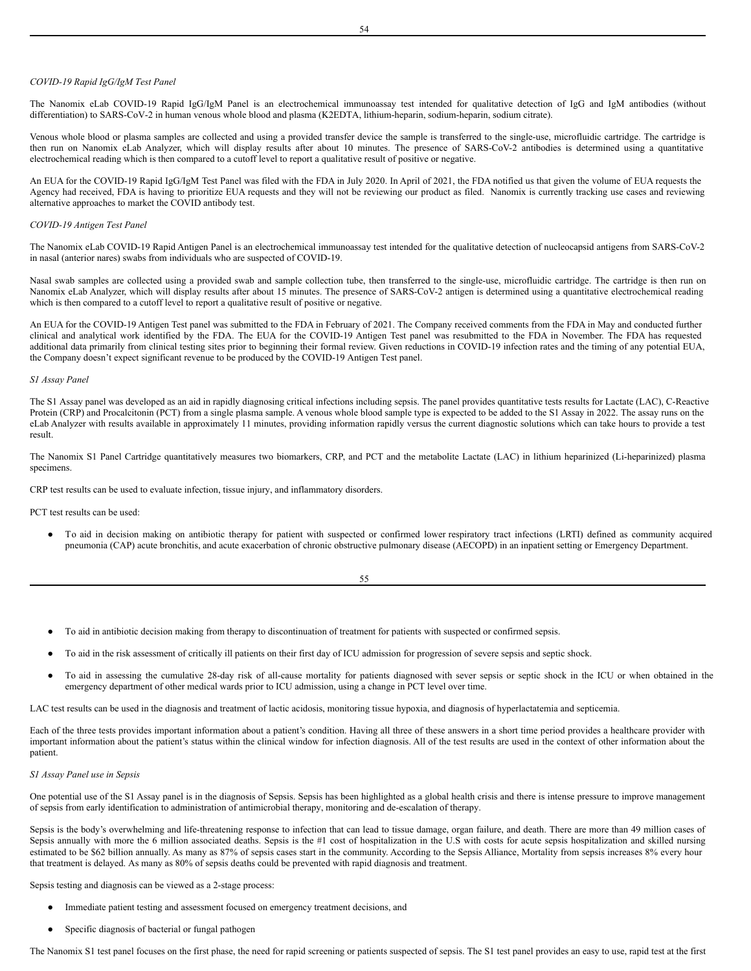# *COVID-19 Rapid IgG/IgM Test Panel*

The Nanomix eLab COVID-19 Rapid IgG/IgM Panel is an electrochemical immunoassay test intended for qualitative detection of IgG and IgM antibodies (without differentiation) to SARS-CoV-2 in human venous whole blood and plasma (K2EDTA, lithium-heparin, sodium-heparin, sodium citrate).

Venous whole blood or plasma samples are collected and using a provided transfer device the sample is transferred to the single-use, microfluidic cartridge. The cartridge is then run on Nanomix eLab Analyzer, which will display results after about 10 minutes. The presence of SARS-CoV-2 antibodies is determined using a quantitative electrochemical reading which is then compared to a cutoff level to report a qualitative result of positive or negative.

An EUA for the COVID-19 Rapid IgG/IgM Test Panel was filed with the FDA in July 2020. In April of 2021, the FDA notified us that given the volume of EUA requests the Agency had received, FDA is having to prioritize EUA requests and they will not be reviewing our product as filed. Nanomix is currently tracking use cases and reviewing alternative approaches to market the COVID antibody test.

### *COVID-19 Antigen Test Panel*

The Nanomix eLab COVID-19 Rapid Antigen Panel is an electrochemical immunoassay test intended for the qualitative detection of nucleocapsid antigens from SARS-CoV-2 in nasal (anterior nares) swabs from individuals who are suspected of COVID-19.

Nasal swab samples are collected using a provided swab and sample collection tube, then transferred to the single-use, microfluidic cartridge. The cartridge is then run on Nanomix eLab Analyzer, which will display results after about 15 minutes. The presence of SARS-CoV-2 antigen is determined using a quantitative electrochemical reading which is then compared to a cutoff level to report a qualitative result of positive or negative.

An EUA for the COVID-19 Antigen Test panel was submitted to the FDA in February of 2021. The Company received comments from the FDA in May and conducted further clinical and analytical work identified by the FDA. The EUA for the COVID-19 Antigen Test panel was resubmitted to the FDA in November. The FDA has requested additional data primarily from clinical testing sites prior to beginning their formal review. Given reductions in COVID-19 infection rates and the timing of any potential EUA, the Company doesn't expect significant revenue to be produced by the COVID-19 Antigen Test panel.

### *S1 Assay Panel*

The S1 Assay panel was developed as an aid in rapidly diagnosing critical infections including sepsis. The panel provides quantitative tests results for Lactate (LAC), C-Reactive Protein (CRP) and Procalcitonin (PCT) from a single plasma sample. A venous whole blood sample type is expected to be added to the S1 Assay in 2022. The assay runs on the eLab Analyzer with results available in approximately 11 minutes, providing information rapidly versus the current diagnostic solutions which can take hours to provide a test result.

The Nanomix S1 Panel Cartridge quantitatively measures two biomarkers, CRP, and PCT and the metabolite Lactate (LAC) in lithium heparinized (Li-heparinized) plasma specimens.

CRP test results can be used to evaluate infection, tissue injury, and inflammatory disorders.

PCT test results can be used:

To aid in decision making on antibiotic therapy for patient with suspected or confirmed lower respiratory tract infections (LRTI) defined as community acquired pneumonia (CAP) acute bronchitis, and acute exacerbation of chronic obstructive pulmonary disease (AECOPD) in an inpatient setting or Emergency Department.

- To aid in antibiotic decision making from therapy to discontinuation of treatment for patients with suspected or confirmed sepsis.
- To aid in the risk assessment of critically ill patients on their first day of ICU admission for progression of severe sepsis and septic shock.
- To aid in assessing the cumulative 28-day risk of all-cause mortality for patients diagnosed with sever sepsis or septic shock in the ICU or when obtained in the emergency department of other medical wards prior to ICU admission, using a change in PCT level over time.

LAC test results can be used in the diagnosis and treatment of lactic acidosis, monitoring tissue hypoxia, and diagnosis of hyperlactatemia and septicemia.

Each of the three tests provides important information about a patient's condition. Having all three of these answers in a short time period provides a healthcare provider with important information about the patient's status within the clinical window for infection diagnosis. All of the test results are used in the context of other information about the patient.

# *S1 Assay Panel use in Sepsis*

One potential use of the S1 Assay panel is in the diagnosis of Sepsis. Sepsis has been highlighted as a global health crisis and there is intense pressure to improve management of sepsis from early identification to administration of antimicrobial therapy, monitoring and de-escalation of therapy.

Sepsis is the body's overwhelming and life-threatening response to infection that can lead to tissue damage, organ failure, and death. There are more than 49 million cases of Sepsis annually with more the 6 million associated deaths. Sepsis is the #1 cost of hospitalization in the U.S with costs for acute sepsis hospitalization and skilled nursing estimated to be \$62 billion annually. As many as 87% of sepsis cases start in the community. According to the Sepsis Alliance, Mortality from sepsis increases 8% every hour that treatment is delayed. As many as 80% of sepsis deaths could be prevented with rapid diagnosis and treatment.

Sepsis testing and diagnosis can be viewed as a 2-stage process:

- Immediate patient testing and assessment focused on emergency treatment decisions, and
- Specific diagnosis of bacterial or fungal pathogen

The Nanomix S1 test panel focuses on the first phase, the need for rapid screening or patients suspected of sepsis. The S1 test panel provides an easy to use, rapid test at the first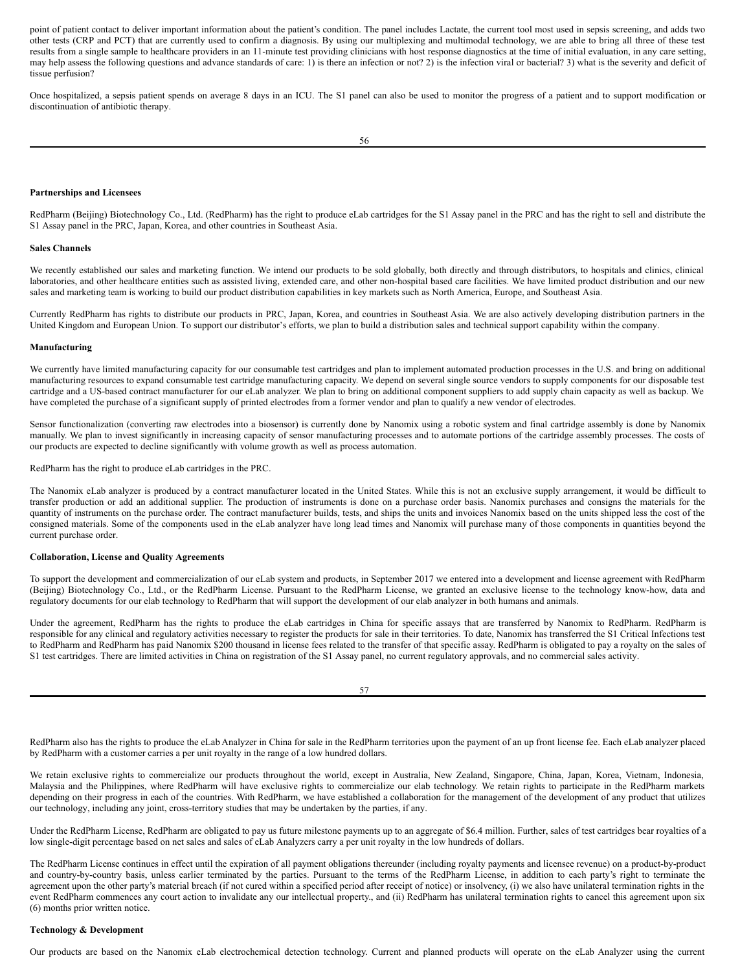point of patient contact to deliver important information about the patient's condition. The panel includes Lactate, the current tool most used in sepsis screening, and adds two other tests (CRP and PCT) that are currently used to confirm a diagnosis. By using our multiplexing and multimodal technology, we are able to bring all three of these test results from a single sample to healthcare providers in an 11-minute test providing clinicians with host response diagnostics at the time of initial evaluation, in any care setting, may help assess the following questions and advance standards of care: 1) is there an infection or not? 2) is the infection viral or bacterial? 3) what is the severity and deficit of tissue perfusion?

Once hospitalized, a sepsis patient spends on average 8 days in an ICU. The S1 panel can also be used to monitor the progress of a patient and to support modification or discontinuation of antibiotic therapy.

### **Partnerships and Licensees**

RedPharm (Beijing) Biotechnology Co., Ltd. (RedPharm) has the right to produce eLab cartridges for the S1 Assay panel in the PRC and has the right to sell and distribute the S1 Assay panel in the PRC, Japan, Korea, and other countries in Southeast Asia.

### **Sales Channels**

We recently established our sales and marketing function. We intend our products to be sold globally, both directly and through distributors, to hospitals and clinics, clinical laboratories, and other healthcare entities such as assisted living, extended care, and other non-hospital based care facilities. We have limited product distribution and our new sales and marketing team is working to build our product distribution capabilities in key markets such as North America, Europe, and Southeast Asia.

Currently RedPharm has rights to distribute our products in PRC, Japan, Korea, and countries in Southeast Asia. We are also actively developing distribution partners in the United Kingdom and European Union. To support our distributor's efforts, we plan to build a distribution sales and technical support capability within the company.

# **Manufacturing**

We currently have limited manufacturing capacity for our consumable test cartridges and plan to implement automated production processes in the U.S. and bring on additional manufacturing resources to expand consumable test cartridge manufacturing capacity. We depend on several single source vendors to supply components for our disposable test cartridge and a US-based contract manufacturer for our eLab analyzer. We plan to bring on additional component suppliers to add supply chain capacity as well as backup. We have completed the purchase of a significant supply of printed electrodes from a former vendor and plan to qualify a new vendor of electrodes.

Sensor functionalization (converting raw electrodes into a biosensor) is currently done by Nanomix using a robotic system and final cartridge assembly is done by Nanomix manually. We plan to invest significantly in increasing capacity of sensor manufacturing processes and to automate portions of the cartridge assembly processes. The costs of our products are expected to decline significantly with volume growth as well as process automation.

RedPharm has the right to produce eLab cartridges in the PRC.

The Nanomix eLab analyzer is produced by a contract manufacturer located in the United States. While this is not an exclusive supply arrangement, it would be difficult to transfer production or add an additional supplier. The production of instruments is done on a purchase order basis. Nanomix purchases and consigns the materials for the quantity of instruments on the purchase order. The contract manufacturer builds, tests, and ships the units and invoices Nanomix based on the units shipped less the cost of the consigned materials. Some of the components used in the eLab analyzer have long lead times and Nanomix will purchase many of those components in quantities beyond the current purchase order.

### **Collaboration, License and Quality Agreements**

To support the development and commercialization of our eLab system and products, in September 2017 we entered into a development and license agreement with RedPharm (Beijing) Biotechnology Co., Ltd., or the RedPharm License. Pursuant to the RedPharm License, we granted an exclusive license to the technology know-how, data and regulatory documents for our elab technology to RedPharm that will support the development of our elab analyzer in both humans and animals.

Under the agreement, RedPharm has the rights to produce the eLab cartridges in China for specific assays that are transferred by Nanomix to RedPharm. RedPharm is responsible for any clinical and regulatory activities necessary to register the products for sale in their territories. To date, Nanomix has transferred the S1 Critical Infections test to RedPharm and RedPharm has paid Nanomix \$200 thousand in license fees related to the transfer of that specific assay. RedPharm is obligated to pay a royalty on the sales of S1 test cartridges. There are limited activities in China on registration of the S1 Assay panel, no current regulatory approvals, and no commercial sales activity.

| I<br>I |  |
|--------|--|

RedPharm also has the rights to produce the eLab Analyzer in China for sale in the RedPharm territories upon the payment of an up front license fee. Each eLab analyzer placed by RedPharm with a customer carries a per unit royalty in the range of a low hundred dollars.

We retain exclusive rights to commercialize our products throughout the world, except in Australia, New Zealand, Singapore, China, Japan, Korea, Vietnam, Indonesia, Malaysia and the Philippines, where RedPharm will have exclusive rights to commercialize our elab technology. We retain rights to participate in the RedPharm markets depending on their progress in each of the countries. With RedPharm, we have established a collaboration for the management of the development of any product that utilizes our technology, including any joint, cross-territory studies that may be undertaken by the parties, if any.

Under the RedPharm License, RedPharm are obligated to pay us future milestone payments up to an aggregate of \$6.4 million. Further, sales of test cartridges bear royalties of a low single-digit percentage based on net sales and sales of eLab Analyzers carry a per unit royalty in the low hundreds of dollars.

The RedPharm License continues in effect until the expiration of all payment obligations thereunder (including royalty payments and licensee revenue) on a product-by-product and country-by-country basis, unless earlier terminated by the parties. Pursuant to the terms of the RedPharm License, in addition to each party's right to terminate the agreement upon the other party's material breach (if not cured within a specified period after receipt of notice) or insolvency, (i) we also have unilateral termination rights in the event RedPharm commences any court action to invalidate any our intellectual property., and (ii) RedPharm has unilateral termination rights to cancel this agreement upon six (6) months prior written notice.

### **Technology & Development**

Our products are based on the Nanomix eLab electrochemical detection technology. Current and planned products will operate on the eLab Analyzer using the current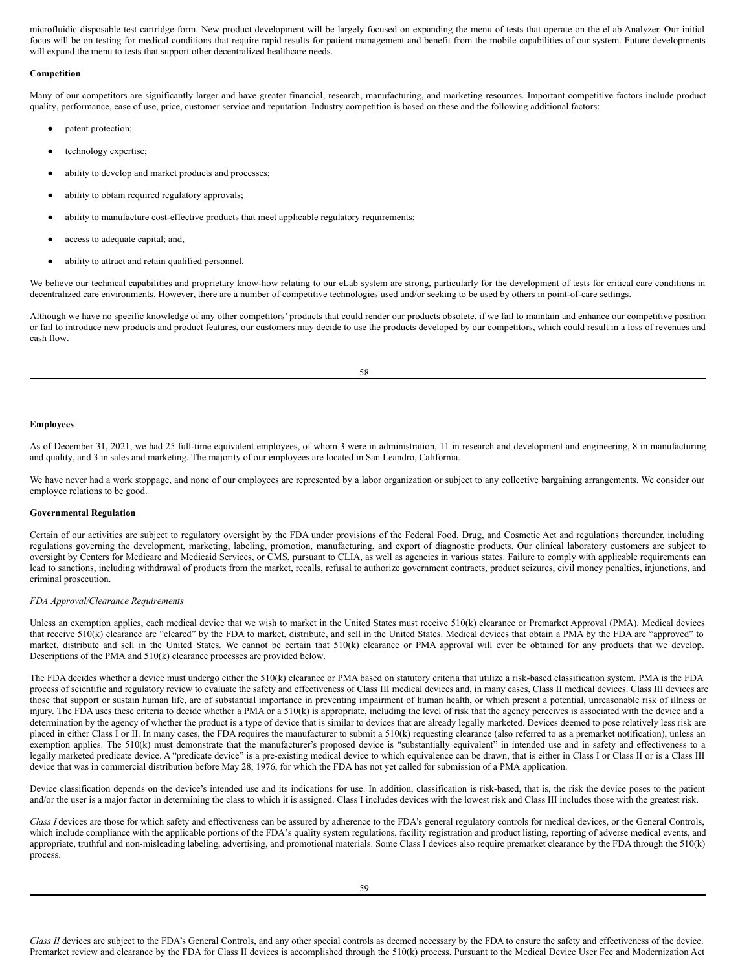microfluidic disposable test cartridge form. New product development will be largely focused on expanding the menu of tests that operate on the eLab Analyzer. Our initial focus will be on testing for medical conditions that require rapid results for patient management and benefit from the mobile capabilities of our system. Future developments will expand the menu to tests that support other decentralized healthcare needs.

### **Competition**

Many of our competitors are significantly larger and have greater financial, research, manufacturing, and marketing resources. Important competitive factors include product quality, performance, ease of use, price, customer service and reputation. Industry competition is based on these and the following additional factors:

- patent protection;
- technology expertise;
- ability to develop and market products and processes;
- ability to obtain required regulatory approvals;
- ability to manufacture cost-effective products that meet applicable regulatory requirements;
- access to adequate capital; and,
- ability to attract and retain qualified personnel.

We believe our technical capabilities and proprietary know-how relating to our eLab system are strong, particularly for the development of tests for critical care conditions in decentralized care environments. However, there are a number of competitive technologies used and/or seeking to be used by others in point-of-care settings.

Although we have no specific knowledge of any other competitors' products that could render our products obsolete, if we fail to maintain and enhance our competitive position or fail to introduce new products and product features, our customers may decide to use the products developed by our competitors, which could result in a loss of revenues and cash flow.

### **Employees**

As of December 31, 2021, we had 25 full-time equivalent employees, of whom 3 were in administration, 11 in research and development and engineering, 8 in manufacturing and quality, and 3 in sales and marketing. The majority of our employees are located in San Leandro, California.

We have never had a work stoppage, and none of our employees are represented by a labor organization or subject to any collective bargaining arrangements. We consider our employee relations to be good.

### **Governmental Regulation**

Certain of our activities are subject to regulatory oversight by the FDA under provisions of the Federal Food, Drug, and Cosmetic Act and regulations thereunder, including regulations governing the development, marketing, labeling, promotion, manufacturing, and export of diagnostic products. Our clinical laboratory customers are subject to oversight by Centers for Medicare and Medicaid Services, or CMS, pursuant to CLIA, as well as agencies in various states. Failure to comply with applicable requirements can lead to sanctions, including withdrawal of products from the market, recalls, refusal to authorize government contracts, product seizures, civil money penalties, injunctions, and criminal prosecution.

#### *FDA Approval/Clearance Requirements*

Unless an exemption applies, each medical device that we wish to market in the United States must receive 510(k) clearance or Premarket Approval (PMA). Medical devices that receive 510(k) clearance are "cleared" by the FDA to market, distribute, and sell in the United States. Medical devices that obtain a PMA by the FDA are "approved" to market, distribute and sell in the United States. We cannot be certain that 510(k) clearance or PMA approval will ever be obtained for any products that we develop. Descriptions of the PMA and 510(k) clearance processes are provided below.

The FDA decides whether a device must undergo either the 510(k) clearance or PMA based on statutory criteria that utilize a risk-based classification system. PMA is the FDA process of scientific and regulatory review to evaluate the safety and effectiveness of Class III medical devices and, in many cases, Class II medical devices. Class III devices are those that support or sustain human life, are of substantial importance in preventing impairment of human health, or which present a potential, unreasonable risk of illness or injury. The FDA uses these criteria to decide whether a PMA or a 510(k) is appropriate, including the level of risk that the agency perceives is associated with the device and a determination by the agency of whether the product is a type of device that is similar to devices that are already legally marketed. Devices deemed to pose relatively less risk are placed in either Class I or II. In many cases, the FDA requires the manufacturer to submit a 510(k) requesting clearance (also referred to as a premarket notification), unless an exemption applies. The 510(k) must demonstrate that the manufacturer's proposed device is "substantially equivalent" in intended use and in safety and effectiveness to a legally marketed predicate device. A "predicate device" is a pre-existing medical device to which equivalence can be drawn, that is either in Class I or Class II or is a Class III device that was in commercial distribution before May 28, 1976, for which the FDA has not yet called for submission of a PMA application.

Device classification depends on the device's intended use and its indications for use. In addition, classification is risk-based, that is, the risk the device poses to the patient and/or the user is a major factor in determining the class to which it is assigned. Class I includes devices with the lowest risk and Class III includes those with the greatest risk.

*Class I* devices are those for which safety and effectiveness can be assured by adherence to the FDA's general regulatory controls for medical devices, or the General Controls, which include compliance with the applicable portions of the FDA's quality system regulations, facility registration and product listing, reporting of adverse medical events, and appropriate, truthful and non-misleading labeling, advertising, and promotional materials. Some Class I devices also require premarket clearance by the FDA through the 510(k) process.

*Class II* devices are subject to the FDA's General Controls, and any other special controls as deemed necessary by the FDA to ensure the safety and effectiveness of the device. Premarket review and clearance by the FDA for Class II devices is accomplished through the 510(k) process. Pursuant to the Medical Device User Fee and Modernization Act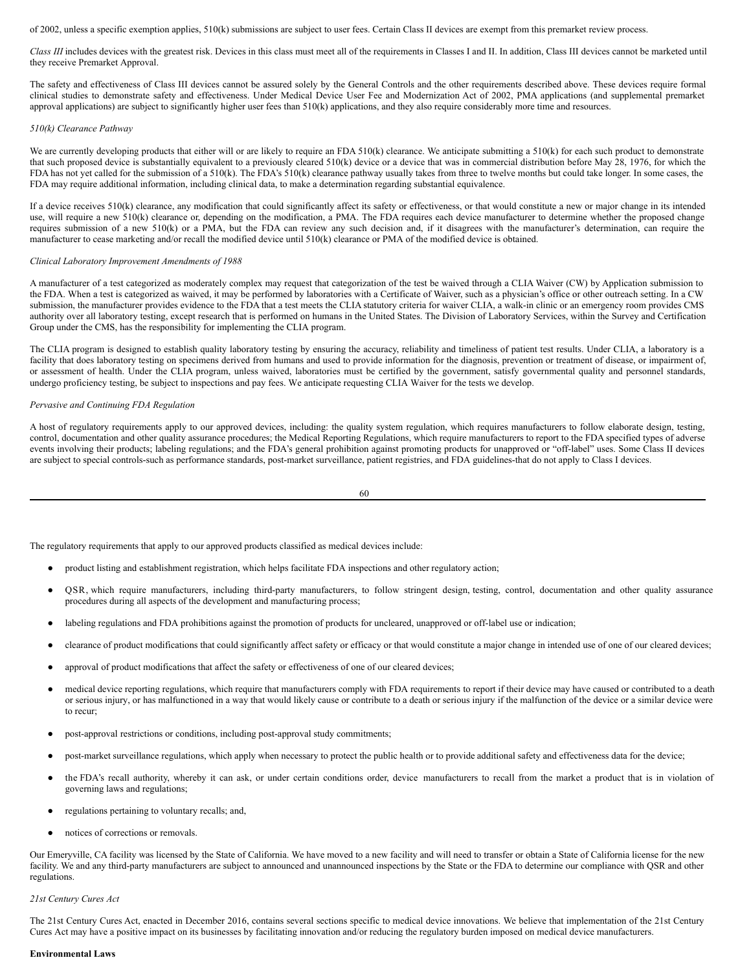of 2002, unless a specific exemption applies, 510(k) submissions are subject to user fees. Certain Class II devices are exempt from this premarket review process.

*Class III* includes devices with the greatest risk. Devices in this class must meet all of the requirements in Classes I and II. In addition, Class III devices cannot be marketed until they receive Premarket Approval.

The safety and effectiveness of Class III devices cannot be assured solely by the General Controls and the other requirements described above. These devices require formal clinical studies to demonstrate safety and effectiveness. Under Medical Device User Fee and Modernization Act of 2002, PMA applications (and supplemental premarket approval applications) are subject to significantly higher user fees than 510(k) applications, and they also require considerably more time and resources.

#### *510(k) Clearance Pathway*

We are currently developing products that either will or are likely to require an FDA 510(k) clearance. We anticipate submitting a 510(k) for each such product to demonstrate that such proposed device is substantially equivalent to a previously cleared 510(k) device or a device that was in commercial distribution before May 28, 1976, for which the FDA has not yet called for the submission of a 510(k). The FDA's 510(k) clearance pathway usually takes from three to twelve months but could take longer. In some cases, the FDA may require additional information, including clinical data, to make a determination regarding substantial equivalence.

If a device receives 510(k) clearance, any modification that could significantly affect its safety or effectiveness, or that would constitute a new or major change in its intended use, will require a new 510(k) clearance or, depending on the modification, a PMA. The FDA requires each device manufacturer to determine whether the proposed change requires submission of a new 510(k) or a PMA, but the FDA can review any such decision and, if it disagrees with the manufacturer's determination, can require the manufacturer to cease marketing and/or recall the modified device until 510(k) clearance or PMA of the modified device is obtained.

#### *Clinical Laboratory Improvement Amendments of 1988*

A manufacturer of a test categorized as moderately complex may request that categorization of the test be waived through a CLIA Waiver (CW) by Application submission to the FDA. When a test is categorized as waived, it may be performed by laboratories with a Certificate of Waiver, such as a physician's office or other outreach setting. In a CW submission, the manufacturer provides evidence to the FDA that a test meets the CLIA statutory criteria for waiver CLIA, a walk-in clinic or an emergency room provides CMS authority over all laboratory testing, except research that is performed on humans in the United States. The Division of Laboratory Services, within the Survey and Certification Group under the CMS, has the responsibility for implementing the CLIA program.

The CLIA program is designed to establish quality laboratory testing by ensuring the accuracy, reliability and timeliness of patient test results. Under CLIA, a laboratory is a facility that does laboratory testing on specimens derived from humans and used to provide information for the diagnosis, prevention or treatment of disease, or impairment of, or assessment of health. Under the CLIA program, unless waived, laboratories must be certified by the government, satisfy governmental quality and personnel standards, undergo proficiency testing, be subject to inspections and pay fees. We anticipate requesting CLIA Waiver for the tests we develop.

#### *Pervasive and Continuing FDA Regulation*

A host of regulatory requirements apply to our approved devices, including: the quality system regulation, which requires manufacturers to follow elaborate design, testing, control, documentation and other quality assurance procedures; the Medical Reporting Regulations, which require manufacturers to report to the FDA specified types of adverse events involving their products; labeling regulations; and the FDA's general prohibition against promoting products for unapproved or "off-label" uses. Some Class II devices are subject to special controls-such as performance standards, post-market surveillance, patient registries, and FDA guidelines-that do not apply to Class I devices.

$$
60\,
$$

The regulatory requirements that apply to our approved products classified as medical devices include:

- product listing and establishment registration, which helps facilitate FDA inspections and other regulatory action;
- QSR, which require manufacturers, including third-party manufacturers, to follow stringent design, testing, control, documentation and other quality assurance procedures during all aspects of the development and manufacturing process;
- labeling regulations and FDA prohibitions against the promotion of products for uncleared, unapproved or off-label use or indication;
- clearance of product modifications that could significantly affect safety or efficacy or that would constitute a major change in intended use of one of our cleared devices;
- approval of product modifications that affect the safety or effectiveness of one of our cleared devices;
- medical device reporting regulations, which require that manufacturers comply with FDA requirements to report if their device may have caused or contributed to a death or serious injury, or has malfunctioned in a way that would likely cause or contribute to a death or serious injury if the malfunction of the device or a similar device were to recur;
- post-approval restrictions or conditions, including post-approval study commitments;
- post-market surveillance regulations, which apply when necessary to protect the public health or to provide additional safety and effectiveness data for the device;
- the FDA's recall authority, whereby it can ask, or under certain conditions order, device manufacturers to recall from the market a product that is in violation of governing laws and regulations;
- regulations pertaining to voluntary recalls; and,
- notices of corrections or removals.

Our Emeryville, CA facility was licensed by the State of California. We have moved to a new facility and will need to transfer or obtain a State of California license for the new facility. We and any third-party manufacturers are subject to announced and unannounced inspections by the State or the FDA to determine our compliance with QSR and other regulations.

#### *21st Century Cures Act*

The 21st Century Cures Act, enacted in December 2016, contains several sections specific to medical device innovations. We believe that implementation of the 21st Century Cures Act may have a positive impact on its businesses by facilitating innovation and/or reducing the regulatory burden imposed on medical device manufacturers.

#### **Environmental Laws**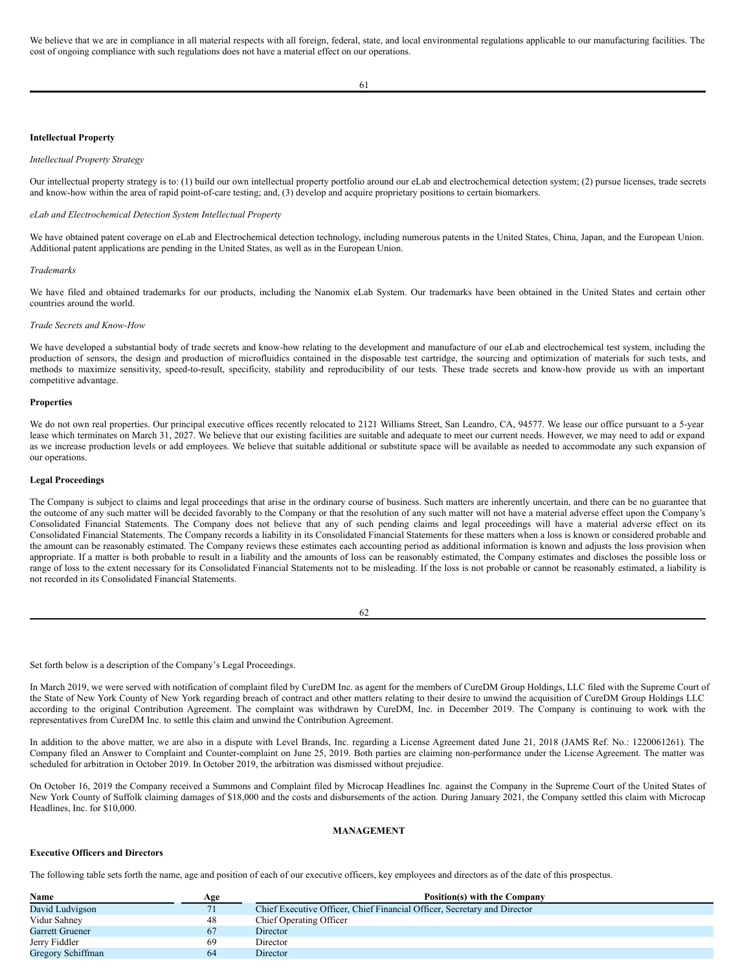We believe that we are in compliance in all material respects with all foreign, federal, state, and local environmental regulations applicable to our manufacturing facilities. The cost of ongoing compliance with such regulations does not have a material effect on our operations.

### **Intellectual Property**

### *Intellectual Property Strategy*

Our intellectual property strategy is to: (1) build our own intellectual property portfolio around our eLab and electrochemical detection system; (2) pursue licenses, trade secrets and know-how within the area of rapid point-of-care testing; and, (3) develop and acquire proprietary positions to certain biomarkers.

### *eLab and Electrochemical Detection System Intellectual Property*

We have obtained patent coverage on eLab and Electrochemical detection technology, including numerous patents in the United States, China, Japan, and the European Union. Additional patent applications are pending in the United States, as well as in the European Union.

#### *Trademarks*

We have filed and obtained trademarks for our products, including the Nanomix eLab System. Our trademarks have been obtained in the United States and certain other countries around the world.

#### *Trade Secrets and Know-How*

We have developed a substantial body of trade secrets and know-how relating to the development and manufacture of our eLab and electrochemical test system, including the production of sensors, the design and production of microfluidics contained in the disposable test cartridge, the sourcing and optimization of materials for such tests, and methods to maximize sensitivity, speed-to-result, specificity, stability and reproducibility of our tests. These trade secrets and know-how provide us with an important competitive advantage.

### **Properties**

We do not own real properties. Our principal executive offices recently relocated to 2121 Williams Street, San Leandro, CA, 94577. We lease our office pursuant to a 5-year lease which terminates on March 31, 2027. We believe that our existing facilities are suitable and adequate to meet our current needs. However, we may need to add or expand as we increase production levels or add employees. We believe that suitable additional or substitute space will be available as needed to accommodate any such expansion of our operations.

### **Legal Proceedings**

The Company is subject to claims and legal proceedings that arise in the ordinary course of business. Such matters are inherently uncertain, and there can be no guarantee that the outcome of any such matter will be decided favorably to the Company or that the resolution of any such matter will not have a material adverse effect upon the Company's Consolidated Financial Statements. The Company does not believe that any of such pending claims and legal proceedings will have a material adverse effect on its Consolidated Financial Statements. The Company records a liability in its Consolidated Financial Statements for these matters when a loss is known or considered probable and the amount can be reasonably estimated. The Company reviews these estimates each accounting period as additional information is known and adjusts the loss provision when appropriate. If a matter is both probable to result in a liability and the amounts of loss can be reasonably estimated, the Company estimates and discloses the possible loss or range of loss to the extent necessary for its Consolidated Financial Statements not to be misleading. If the loss is not probable or cannot be reasonably estimated, a liability is not recorded in its Consolidated Financial Statements.

|          | v  |
|----------|----|
| ۰,<br>۰, | ۰. |

Set forth below is a description of the Company's Legal Proceedings.

In March 2019, we were served with notification of complaint filed by CureDM Inc. as agent for the members of CureDM Group Holdings, LLC filed with the Supreme Court of the State of New York County of New York regarding breach of contract and other matters relating to their desire to unwind the acquisition of CureDM Group Holdings LLC according to the original Contribution Agreement. The complaint was withdrawn by CureDM, Inc. in December 2019. The Company is continuing to work with the representatives from CureDM Inc. to settle this claim and unwind the Contribution Agreement.

In addition to the above matter, we are also in a dispute with Level Brands, Inc. regarding a License Agreement dated June 21, 2018 (JAMS Ref. No.: 1220061261). The Company filed an Answer to Complaint and Counter-complaint on June 25, 2019. Both parties are claiming non-performance under the License Agreement. The matter was scheduled for arbitration in October 2019. In October 2019, the arbitration was dismissed without prejudice.

On October 16, 2019 the Company received a Summons and Complaint filed by Microcap Headlines Inc. against the Company in the Supreme Court of the United States of New York County of Suffolk claiming damages of \$18,000 and the costs and disbursements of the action. During January 2021, the Company settled this claim with Microcap Headlines, Inc. for \$10,000.

### **MANAGEMENT**

#### **Executive Officers and Directors**

The following table sets forth the name, age and position of each of our executive officers, key employees and directors as of the date of this prospectus.

| Name              | Age | Position(s) with the Company                                             |
|-------------------|-----|--------------------------------------------------------------------------|
| David Ludvigson   | 71  | Chief Executive Officer, Chief Financial Officer, Secretary and Director |
| Vidur Sahney      | 48  | <b>Chief Operating Officer</b>                                           |
| Garrett Gruener   | 67  | Director                                                                 |
| Jerry Fiddler     | 69  | Director                                                                 |
| Gregory Schiffman | 64  | Director                                                                 |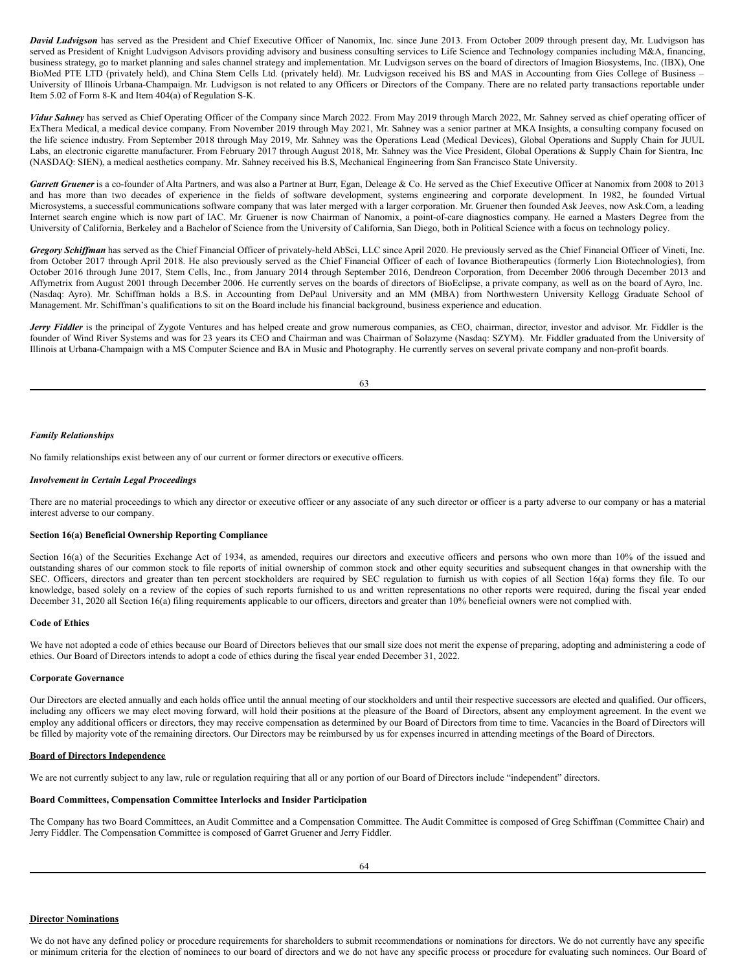*David Ludvigson* has served as the President and Chief Executive Officer of Nanomix, Inc. since June 2013. From October 2009 through present day, Mr. Ludvigson has served as President of Knight Ludvigson Advisors providing advisory and business consulting services to Life Science and Technology companies including M&A, financing, business strategy, go to market planning and sales channel strategy and implementation. Mr. Ludvigson serves on the board of directors of Imagion Biosystems, Inc. (IBX), One BioMed PTE LTD (privately held), and China Stem Cells Ltd. (privately held). Mr. Ludvigson received his BS and MAS in Accounting from Gies College of Business – University of Illinois Urbana-Champaign. Mr. Ludvigson is not related to any Officers or Directors of the Company. There are no related party transactions reportable under Item 5.02 of Form 8-K and Item 404(a) of Regulation S-K.

*Vidur Sahney* has served as Chief Operating Officer of the Company since March 2022. From May 2019 through March 2022, Mr. Sahney served as chief operating officer of ExThera Medical, a medical device company. From November 2019 through May 2021, Mr. Sahney was a senior partner at MKA Insights, a consulting company focused on the life science industry. From September 2018 through May 2019, Mr. Sahney was the Operations Lead (Medical Devices), Global Operations and Supply Chain for JUUL Labs, an electronic cigarette manufacturer. From February 2017 through August 2018, Mr. Sahney was the Vice President, Global Operations & Supply Chain for Sientra, Inc (NASDAQ: SIEN), a medical aesthetics company. Mr. Sahney received his B.S, Mechanical Engineering from San Francisco State University.

Garrett Gruener is a co-founder of Alta Partners, and was also a Partner at Burr, Egan, Deleage & Co. He served as the Chief Executive Officer at Nanomix from 2008 to 2013 and has more than two decades of experience in the fields of software development, systems engineering and corporate development. In 1982, he founded Virtual Microsystems, a successful communications software company that was later merged with a larger corporation. Mr. Gruener then founded Ask Jeeves, now Ask.Com, a leading Internet search engine which is now part of IAC. Mr. Gruener is now Chairman of Nanomix, a point-of-care diagnostics company. He earned a Masters Degree from the University of California, Berkeley and a Bachelor of Science from the University of California, San Diego, both in Political Science with a focus on technology policy.

*Gregory Schif man* has served as the Chief Financial Officer of privately-held AbSci, LLC since April 2020. He previously served as the Chief Financial Officer of Vineti, Inc. from October 2017 through April 2018. He also previously served as the Chief Financial Officer of each of Iovance Biotherapeutics (formerly Lion Biotechnologies), from October 2016 through June 2017, Stem Cells, Inc., from January 2014 through September 2016, Dendreon Corporation, from December 2006 through December 2013 and Affymetrix from August 2001 through December 2006. He currently serves on the boards of directors of BioEclipse, a private company, as well as on the board of Ayro, Inc. (Nasdaq: Ayro). Mr. Schiffman holds a B.S. in Accounting from DePaul University and an MM (MBA) from Northwestern University Kellogg Graduate School of Management. Mr. Schiffman's qualifications to sit on the Board include his financial background, business experience and education.

*Jerry Fiddler* is the principal of Zygote Ventures and has helped create and grow numerous companies, as CEO, chairman, director, investor and advisor. Mr. Fiddler is the founder of Wind River Systems and was for 23 years its CEO and Chairman and was Chairman of Solazyme (Nasdaq: SZYM). Mr. Fiddler graduated from the University of Illinois at Urbana-Champaign with a MS Computer Science and BA in Music and Photography. He currently serves on several private company and non-profit boards.

#### *Family Relationships*

No family relationships exist between any of our current or former directors or executive officers.

### *Involvement in Certain Legal Proceedings*

There are no material proceedings to which any director or executive officer or any associate of any such director or officer is a party adverse to our company or has a material interest adverse to our company.

### **Section 16(a) Beneficial Ownership Reporting Compliance**

Section 16(a) of the Securities Exchange Act of 1934, as amended, requires our directors and executive officers and persons who own more than 10% of the issued and outstanding shares of our common stock to file reports of initial ownership of common stock and other equity securities and subsequent changes in that ownership with the SEC. Officers, directors and greater than ten percent stockholders are required by SEC regulation to furnish us with copies of all Section 16(a) forms they file. To our knowledge, based solely on a review of the copies of such reports furnished to us and written representations no other reports were required, during the fiscal year ended December 31, 2020 all Section 16(a) filing requirements applicable to our officers, directors and greater than 10% beneficial owners were not complied with.

### **Code of Ethics**

We have not adopted a code of ethics because our Board of Directors believes that our small size does not merit the expense of preparing, adopting and administering a code of ethics. Our Board of Directors intends to adopt a code of ethics during the fiscal year ended December 31, 2022.

### **Corporate Governance**

Our Directors are elected annually and each holds office until the annual meeting of our stockholders and until their respective successors are elected and qualified. Our officers, including any officers we may elect moving forward, will hold their positions at the pleasure of the Board of Directors, absent any employment agreement. In the event we employ any additional officers or directors, they may receive compensation as determined by our Board of Directors from time to time. Vacancies in the Board of Directors will be filled by majority vote of the remaining directors. Our Directors may be reimbursed by us for expenses incurred in attending meetings of the Board of Directors.

### **Board of Directors Independence**

We are not currently subject to any law, rule or regulation requiring that all or any portion of our Board of Directors include "independent" directors.

#### **Board Committees, Compensation Committee Interlocks and Insider Participation**

The Company has two Board Committees, an Audit Committee and a Compensation Committee. The Audit Committee is composed of Greg Schiffman (Committee Chair) and Jerry Fiddler. The Compensation Committee is composed of Garret Gruener and Jerry Fiddler.

#### **Director Nominations**

We do not have any defined policy or procedure requirements for shareholders to submit recommendations or nominations for directors. We do not currently have any specific or minimum criteria for the election of nominees to our board of directors and we do not have any specific process or procedure for evaluating such nominees. Our Board of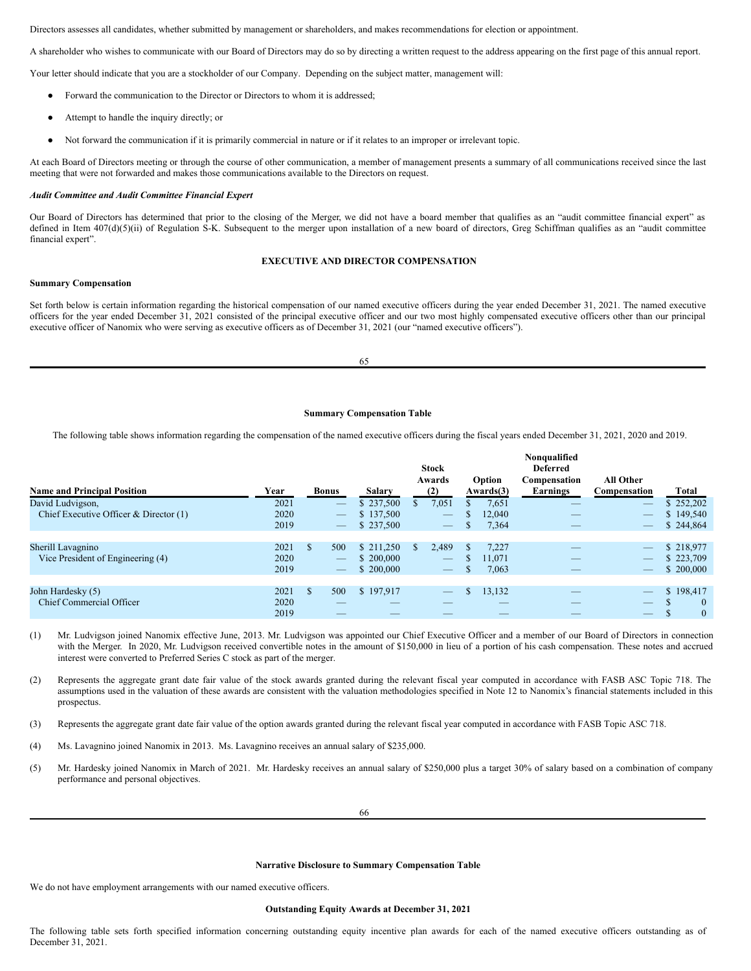Directors assesses all candidates, whether submitted by management or shareholders, and makes recommendations for election or appointment.

A shareholder who wishes to communicate with our Board of Directors may do so by directing a written request to the address appearing on the first page of this annual report.

Your letter should indicate that you are a stockholder of our Company. Depending on the subject matter, management will:

- Forward the communication to the Director or Directors to whom it is addressed;
- Attempt to handle the inquiry directly; or
- Not forward the communication if it is primarily commercial in nature or if it relates to an improper or irrelevant topic.

At each Board of Directors meeting or through the course of other communication, a member of management presents a summary of all communications received since the last meeting that were not forwarded and makes those communications available to the Directors on request.

#### *Audit Committee and Audit Committee Financial Expert*

Our Board of Directors has determined that prior to the closing of the Merger, we did not have a board member that qualifies as an "audit committee financial expert" as defined in Item 407(d)(5)(ii) of Regulation S-K. Subsequent to the merger upon installation of a new board of directors, Greg Schiffman qualifies as an "audit committee financial expert".

# **EXECUTIVE AND DIRECTOR COMPENSATION**

#### **Summary Compensation**

Set forth below is certain information regarding the historical compensation of our named executive officers during the year ended December 31, 2021. The named executive officers for the year ended December 31, 2021 consisted of the principal executive officer and our two most highly compensated executive officers other than our principal executive officer of Nanomix who were serving as executive officers as of December 31, 2021 (our "named executive officers").

#### 65

#### **Summary Compensation Table**

The following table shows information regarding the compensation of the named executive officers during the fiscal years ended December 31, 2021, 2020 and 2019.

|                                          |      |              |               | <b>Stock</b><br>Awards          |    | Option    | Nonqualified<br><b>Deferred</b><br>Compensation | <b>All Other</b>                |                         |
|------------------------------------------|------|--------------|---------------|---------------------------------|----|-----------|-------------------------------------------------|---------------------------------|-------------------------|
| <b>Name and Principal Position</b>       | Year | <b>Bonus</b> | <b>Salary</b> | (2)                             |    | Awards(3) | <b>Earnings</b>                                 | Compensation                    | Total                   |
| David Ludvigson,                         | 2021 |              | \$237,500     | 7,051                           |    | 7,651     | _                                               |                                 | \$252,202               |
| Chief Executive Officer & Director $(1)$ | 2020 |              | \$137,500     | $\qquad \qquad - \qquad$        |    | 12,040    |                                                 | $\hspace{0.1mm}-\hspace{0.1mm}$ | \$149,540               |
|                                          | 2019 |              | \$237,500     | $\hspace{0.1mm}-\hspace{0.1mm}$ |    | 7,364     |                                                 | $\hspace{0.1mm}-\hspace{0.1mm}$ | \$244,864               |
|                                          |      |              |               |                                 |    |           |                                                 |                                 |                         |
| Sherill Lavagnino                        | 2021 | S<br>500     | \$211,250     | 2,489                           | \$ | 7,227     |                                                 |                                 | \$218,977               |
| Vice President of Engineering (4)        | 2020 |              | \$200,000     | $\qquad \qquad - \qquad$        | \$ | 11.071    | _                                               |                                 | \$223,709               |
|                                          | 2019 |              | \$200,000     | $-$                             | ъ  | 7,063     |                                                 | _                               | \$200,000               |
|                                          |      |              |               |                                 |    |           |                                                 |                                 |                         |
| John Hardesky (5)                        | 2021 | S<br>500     | \$197.917     |                                 |    | 13,132    |                                                 |                                 | $\mathbb{S}$<br>198,417 |
| Chief Commercial Officer                 | 2020 | _            |               |                                 |    |           |                                                 |                                 | $\overline{0}$<br>ж     |
|                                          | 2019 | _            | _             |                                 |    |           |                                                 |                                 | $\mathbf{0}$            |

(1) Mr. Ludvigson joined Nanomix effective June, 2013. Mr. Ludvigson was appointed our Chief Executive Officer and a member of our Board of Directors in connection with the Merger. In 2020, Mr. Ludvigson received convertible notes in the amount of \$150,000 in lieu of a portion of his cash compensation. These notes and accrued interest were converted to Preferred Series C stock as part of the merger.

(2) Represents the aggregate grant date fair value of the stock awards granted during the relevant fiscal year computed in accordance with FASB ASC Topic 718. The assumptions used in the valuation of these awards are consistent with the valuation methodologies specified in Note 12 to Nanomix's financial statements included in this prospectus.

(3) Represents the aggregate grant date fair value of the option awards granted during the relevant fiscal year computed in accordance with FASB Topic ASC 718.

(4) Ms. Lavagnino joined Nanomix in 2013. Ms. Lavagnino receives an annual salary of \$235,000.

(5) Mr. Hardesky joined Nanomix in March of 2021. Mr. Hardesky receives an annual salary of \$250,000 plus a target 30% of salary based on a combination of company performance and personal objectives.

66

### **Narrative Disclosure to Summary Compensation Table**

We do not have employment arrangements with our named executive officers.

### **Outstanding Equity Awards at December 31, 2021**

The following table sets forth specified information concerning outstanding equity incentive plan awards for each of the named executive officers outstanding as of December 31, 2021.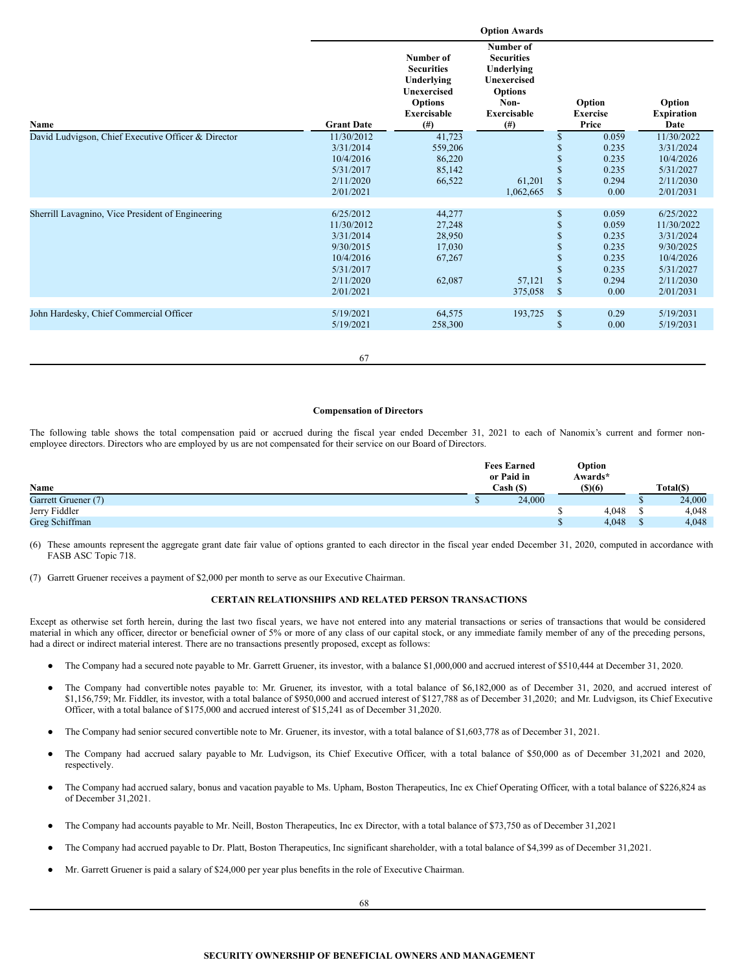|                                                     |                                                                                                       |                                                                                                                    | <b>Option Awards</b>                                                                                                     |                                                                                                 |                                                                     |                                                                                                       |
|-----------------------------------------------------|-------------------------------------------------------------------------------------------------------|--------------------------------------------------------------------------------------------------------------------|--------------------------------------------------------------------------------------------------------------------------|-------------------------------------------------------------------------------------------------|---------------------------------------------------------------------|-------------------------------------------------------------------------------------------------------|
| Name                                                | <b>Grant Date</b>                                                                                     | Number of<br><b>Securities</b><br>Underlying<br><b>Unexercised</b><br><b>Options</b><br><b>Exercisable</b><br>(# ) | Number of<br><b>Securities</b><br>Underlying<br>Unexercised<br><b>Options</b><br>Non-<br><b>Exercisable</b><br>$($ # $)$ |                                                                                                 | Option<br><b>Exercise</b><br>Price                                  | Option<br><b>Expiration</b><br>Date                                                                   |
| David Ludvigson, Chief Executive Officer & Director | 11/30/2012<br>3/31/2014<br>10/4/2016<br>5/31/2017<br>2/11/2020<br>2/01/2021                           | 41,723<br>559,206<br>86,220<br>85,142<br>66,522                                                                    | 61,201<br>1,062,665                                                                                                      | \$<br>$\mathbb{S}$<br>$\mathbb{S}$<br>$\mathbb{S}$<br>$\mathbb{S}$<br>$\$$                      | 0.059<br>0.235<br>0.235<br>0.235<br>0.294<br>0.00                   | 11/30/2022<br>3/31/2024<br>10/4/2026<br>5/31/2027<br>2/11/2030<br>2/01/2031                           |
| Sherrill Lavagnino, Vice President of Engineering   | 6/25/2012<br>11/30/2012<br>3/31/2014<br>9/30/2015<br>10/4/2016<br>5/31/2017<br>2/11/2020<br>2/01/2021 | 44,277<br>27,248<br>28,950<br>17,030<br>67,267<br>62,087                                                           | 57,121<br>375,058                                                                                                        | \$<br>$\mathbb S$<br>\$<br>$\mathbb{S}$<br>$\$$<br>$\mathbb{S}$<br>$\mathbb{S}$<br>$\mathbb{S}$ | 0.059<br>0.059<br>0.235<br>0.235<br>0.235<br>0.235<br>0.294<br>0.00 | 6/25/2022<br>11/30/2022<br>3/31/2024<br>9/30/2025<br>10/4/2026<br>5/31/2027<br>2/11/2030<br>2/01/2031 |
| John Hardesky, Chief Commercial Officer             | 5/19/2021<br>5/19/2021                                                                                | 64,575<br>258,300                                                                                                  | 193,725                                                                                                                  | \$<br>$\$$                                                                                      | 0.29<br>0.00                                                        | 5/19/2031<br>5/19/2031                                                                                |
|                                                     | 67                                                                                                    |                                                                                                                    |                                                                                                                          |                                                                                                 |                                                                     |                                                                                                       |

### **Compensation of Directors**

The following table shows the total compensation paid or accrued during the fiscal year ended December 31, 2021 to each of Nanomix's current and former nonemployee directors. Directors who are employed by us are not compensated for their service on our Board of Directors.

| Name                | <b>Fees Earned</b><br>or Paid in<br>Cash ( <sub>s</sub> ) |        | Option<br>Awards*<br>\$)(6) |       | Total(\$) |        |
|---------------------|-----------------------------------------------------------|--------|-----------------------------|-------|-----------|--------|
| Garrett Gruener (7) |                                                           | 24,000 |                             |       |           | 24,000 |
| Jerry Fiddler       |                                                           |        |                             | 4,048 |           | 4,048  |
| Greg Schiffman      |                                                           |        |                             | 4,048 | m         | 4,048  |

(6) These amounts represent the aggregate grant date fair value of options granted to each director in the fiscal year ended December 31, 2020, computed in accordance with FASB ASC Topic 718.

(7) Garrett Gruener receives a payment of \$2,000 per month to serve as our Executive Chairman.

# **CERTAIN RELATIONSHIPS AND RELATED PERSON TRANSACTIONS**

Except as otherwise set forth herein, during the last two fiscal years, we have not entered into any material transactions or series of transactions that would be considered material in which any officer, director or beneficial owner of 5% or more of any class of our capital stock, or any immediate family member of any of the preceding persons, had a direct or indirect material interest. There are no transactions presently proposed, except as follows:

- The Company had a secured note payable to Mr. Garrett Gruener, its investor, with a balance \$1,000,000 and accrued interest of \$510,444 at December 31, 2020.
- The Company had convertible notes payable to: Mr. Gruener, its investor, with a total balance of \$6,182,000 as of December 31, 2020, and accrued interest of \$1,156,759; Mr. Fiddler, its investor, with a total balance of \$950,000 and accrued interest of \$127,788 as of December 31,2020; and Mr. Ludvigson, its Chief Executive Officer, with a total balance of \$175,000 and accrued interest of \$15,241 as of December 31,2020.
- The Company had senior secured convertible note to Mr. Gruener, its investor, with a total balance of \$1,603,778 as of December 31, 2021.
- The Company had accrued salary payable to Mr. Ludvigson, its Chief Executive Officer, with a total balance of \$50,000 as of December 31,2021 and 2020, respectively.
- The Company had accrued salary, bonus and vacation payable to Ms. Upham, Boston Therapeutics, Inc ex Chief Operating Officer, with a total balance of \$226,824 as of December 31,2021.
- The Company had accounts payable to Mr. Neill, Boston Therapeutics, Inc ex Director, with a total balance of \$73,750 as of December 31,2021
- The Company had accrued payable to Dr. Platt, Boston Therapeutics, Inc significant shareholder, with a total balance of \$4,399 as of December 31,2021.
- Mr. Garrett Gruener is paid a salary of \$24,000 per year plus benefits in the role of Executive Chairman.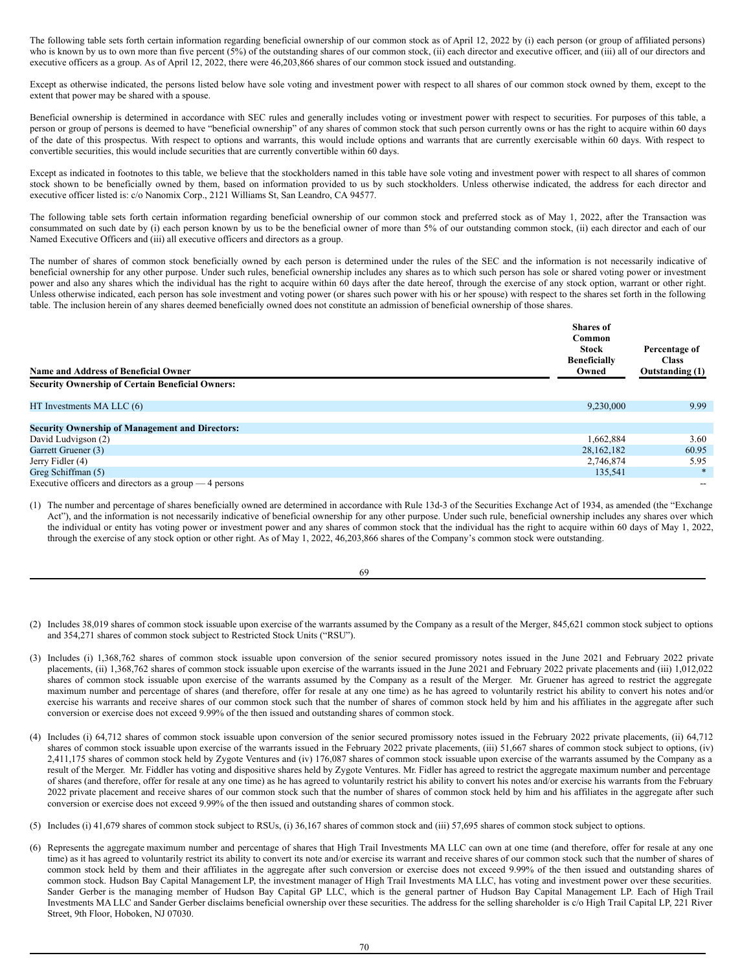The following table sets forth certain information regarding beneficial ownership of our common stock as of April 12, 2022 by (i) each person (or group of affiliated persons) who is known by us to own more than five percent (5%) of the outstanding shares of our common stock, (ii) each director and executive officer, and (iii) all of our directors and executive officers as a group. As of April 12, 2022, there were 46,203,866 shares of our common stock issued and outstanding.

Except as otherwise indicated, the persons listed below have sole voting and investment power with respect to all shares of our common stock owned by them, except to the extent that power may be shared with a spouse.

Beneficial ownership is determined in accordance with SEC rules and generally includes voting or investment power with respect to securities. For purposes of this table, a person or group of persons is deemed to have "beneficial ownership" of any shares of common stock that such person currently owns or has the right to acquire within 60 days of the date of this prospectus. With respect to options and warrants, this would include options and warrants that are currently exercisable within 60 days. With respect to convertible securities, this would include securities that are currently convertible within 60 days.

Except as indicated in footnotes to this table, we believe that the stockholders named in this table have sole voting and investment power with respect to all shares of common stock shown to be beneficially owned by them, based on information provided to us by such stockholders. Unless otherwise indicated, the address for each director and executive officer listed is: c/o Nanomix Corp., 2121 Williams St, San Leandro, CA 94577.

The following table sets forth certain information regarding beneficial ownership of our common stock and preferred stock as of May 1, 2022, after the Transaction was consummated on such date by (i) each person known by us to be the beneficial owner of more than 5% of our outstanding common stock, (ii) each director and each of our Named Executive Officers and (iii) all executive officers and directors as a group.

The number of shares of common stock beneficially owned by each person is determined under the rules of the SEC and the information is not necessarily indicative of beneficial ownership for any other purpose. Under such rules, beneficial ownership includes any shares as to which such person has sole or shared voting power or investment power and also any shares which the individual has the right to acquire within 60 days after the date hereof, through the exercise of any stock option, warrant or other right. Unless otherwise indicated, each person has sole investment and voting power (or shares such power with his or her spouse) with respect to the shares set forth in the following table. The inclusion herein of any shares deemed beneficially owned does not constitute an admission of beneficial ownership of those shares.

| <b>Name and Address of Beneficial Owner</b>                                                                                 | <b>Shares</b> of<br>Common<br><b>Stock</b><br><b>Beneficially</b><br>Owned | Percentage of<br><b>Class</b><br><b>Outstanding (1)</b> |
|-----------------------------------------------------------------------------------------------------------------------------|----------------------------------------------------------------------------|---------------------------------------------------------|
| <b>Security Ownership of Certain Beneficial Owners:</b>                                                                     |                                                                            |                                                         |
| HT Investments MA LLC $(6)$                                                                                                 | 9,230,000                                                                  | 9.99                                                    |
| <b>Security Ownership of Management and Directors:</b>                                                                      |                                                                            |                                                         |
| David Ludvigson (2)                                                                                                         | 1,662,884                                                                  | 3.60                                                    |
| Garrett Gruener (3)                                                                                                         | 28, 162, 182                                                               | 60.95                                                   |
| Jerry Fidler (4)                                                                                                            | 2,746,874                                                                  | 5.95                                                    |
| Greg Schiffman (5)                                                                                                          | 135,541                                                                    |                                                         |
| $\Gamma$ . The continuous $\Omega^{\alpha}$ is the contribution of the continuous contribution of $\Lambda$ is contributed. |                                                                            |                                                         |

Executive officers and directors as a group  $-4$  persons

(1) The number and percentage of shares beneficially owned are determined in accordance with Rule 13d-3 of the Securities Exchange Act of 1934, as amended (the "Exchange Act"), and the information is not necessarily indicative of beneficial ownership for any other purpose. Under such rule, beneficial ownership includes any shares over which the individual or entity has voting power or investment power and any shares of common stock that the individual has the right to acquire within 60 days of May 1, 2022, through the exercise of any stock option or other right. As of May 1, 2022, 46,203,866 shares of the Company's common stock were outstanding.

| v.            |                     |
|---------------|---------------------|
|               |                     |
|               |                     |
|               |                     |
|               | ť,                  |
| I<br>۰,<br>۰, | ۰.<br>۰.<br>۰,<br>٧ |

- (2) Includes 38,019 shares of common stock issuable upon exercise of the warrants assumed by the Company as a result of the Merger, 845,621 common stock subject to options and 354,271 shares of common stock subject to Restricted Stock Units ("RSU").
- (3) Includes (i) 1,368,762 shares of common stock issuable upon conversion of the senior secured promissory notes issued in the June 2021 and February 2022 private placements, (ii) 1,368,762 shares of common stock issuable upon exercise of the warrants issued in the June 2021 and February 2022 private placements and (iii) 1,012,022 shares of common stock issuable upon exercise of the warrants assumed by the Company as a result of the Merger. Mr. Gruener has agreed to restrict the aggregate maximum number and percentage of shares (and therefore, offer for resale at any one time) as he has agreed to voluntarily restrict his ability to convert his notes and/or exercise his warrants and receive shares of our common stock such that the number of shares of common stock held by him and his affiliates in the aggregate after such conversion or exercise does not exceed 9.99% of the then issued and outstanding shares of common stock.
- (4) Includes (i) 64,712 shares of common stock issuable upon conversion of the senior secured promissory notes issued in the February 2022 private placements, (ii) 64,712 shares of common stock issuable upon exercise of the warrants issued in the February 2022 private placements, (iii) 51,667 shares of common stock subject to options, (iv) 2,411,175 shares of common stock held by Zygote Ventures and (iv) 176,087 shares of common stock issuable upon exercise of the warrants assumed by the Company as a result of the Merger. Mr. Fiddler has voting and dispositive shares held by Zygote Ventures. Mr. Fidler has agreed to restrict the aggregate maximum number and percentage of shares (and therefore, offer for resale at any one time) as he has agreed to voluntarily restrict his ability to convert his notes and/or exercise his warrants from the February 2022 private placement and receive shares of our common stock such that the number of shares of common stock held by him and his affiliates in the aggregate after such conversion or exercise does not exceed 9.99% of the then issued and outstanding shares of common stock.
- (5) Includes (i) 41,679 shares of common stock subject to RSUs, (i) 36,167 shares of common stock and (iii) 57,695 shares of common stock subject to options.
- (6) Represents the aggregate maximum number and percentage of shares that High Trail Investments MA LLC can own at one time (and therefore, offer for resale at any one time) as it has agreed to voluntarily restrict its ability to convert its note and/or exercise its warrant and receive shares of our common stock such that the number of shares of common stock held by them and their affiliates in the aggregate after such conversion or exercise does not exceed 9.99% of the then issued and outstanding shares of common stock. Hudson Bay Capital Management LP, the investment manager of High Trail Investments MA LLC, has voting and investment power over these securities. Sander Gerber is the managing member of Hudson Bay Capital GP LLC, which is the general partner of Hudson Bay Capital Management LP. Each of High Trail Investments MA LLC and Sander Gerber disclaims beneficial ownership over these securities. The address for the selling shareholder is c/o High Trail Capital LP, 221 River Street, 9th Floor, Hoboken, NJ 07030.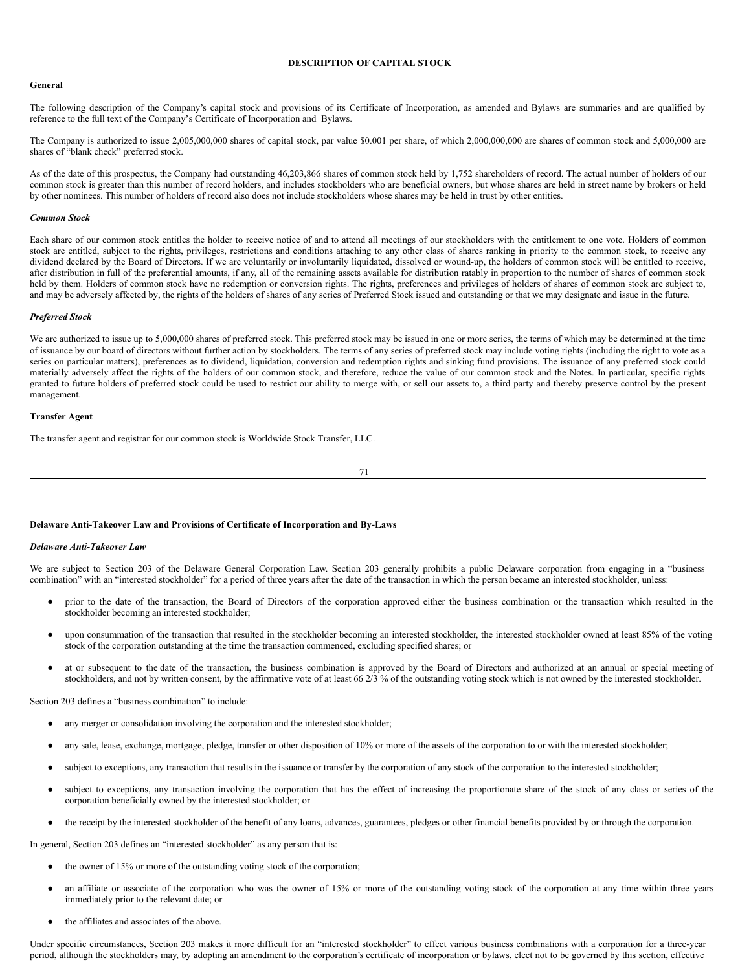### **DESCRIPTION OF CAPITAL STOCK**

#### **General**

The following description of the Company's capital stock and provisions of its Certificate of Incorporation, as amended and Bylaws are summaries and are qualified by reference to the full text of the Company's Certificate of Incorporation and Bylaws.

The Company is authorized to issue 2,005,000,000 shares of capital stock, par value \$0.001 per share, of which 2,000,000,000 are shares of common stock and 5,000,000 are shares of "blank check" preferred stock.

As of the date of this prospectus, the Company had outstanding 46,203,866 shares of common stock held by 1,752 shareholders of record. The actual number of holders of our common stock is greater than this number of record holders, and includes stockholders who are beneficial owners, but whose shares are held in street name by brokers or held by other nominees. This number of holders of record also does not include stockholders whose shares may be held in trust by other entities.

### *Common Stock*

Each share of our common stock entitles the holder to receive notice of and to attend all meetings of our stockholders with the entitlement to one vote. Holders of common stock are entitled, subject to the rights, privileges, restrictions and conditions attaching to any other class of shares ranking in priority to the common stock, to receive any dividend declared by the Board of Directors. If we are voluntarily or involuntarily liquidated, dissolved or wound-up, the holders of common stock will be entitled to receive, after distribution in full of the preferential amounts, if any, all of the remaining assets available for distribution ratably in proportion to the number of shares of common stock held by them. Holders of common stock have no redemption or conversion rights. The rights, preferences and privileges of holders of shares of common stock are subject to, and may be adversely affected by, the rights of the holders of shares of any series of Preferred Stock issued and outstanding or that we may designate and issue in the future.

### *Preferred Stock*

We are authorized to issue up to 5,000,000 shares of preferred stock. This preferred stock may be issued in one or more series, the terms of which may be determined at the time of issuance by our board of directors without further action by stockholders. The terms of any series of preferred stock may include voting rights (including the right to vote as a series on particular matters), preferences as to dividend, liquidation, conversion and redemption rights and sinking fund provisions. The issuance of any preferred stock could materially adversely affect the rights of the holders of our common stock, and therefore, reduce the value of our common stock and the Notes. In particular, specific rights granted to future holders of preferred stock could be used to restrict our ability to merge with, or sell our assets to, a third party and thereby preserve control by the present management.

#### **Transfer Agent**

The transfer agent and registrar for our common stock is Worldwide Stock Transfer, LLC.

71

#### **Delaware Anti-Takeover Law and Provisions of Certificate of Incorporation and By-Laws**

### *Delaware Anti-Takeover Law*

We are subject to Section 203 of the Delaware General Corporation Law. Section 203 generally prohibits a public Delaware corporation from engaging in a "business combination" with an "interested stockholder" for a period of three years after the date of the transaction in which the person became an interested stockholder, unless:

- prior to the date of the transaction, the Board of Directors of the corporation approved either the business combination or the transaction which resulted in the stockholder becoming an interested stockholder;
- upon consummation of the transaction that resulted in the stockholder becoming an interested stockholder, the interested stockholder owned at least 85% of the voting stock of the corporation outstanding at the time the transaction commenced, excluding specified shares; or
- at or subsequent to the date of the transaction, the business combination is approved by the Board of Directors and authorized at an annual or special meeting of stockholders, and not by written consent, by the affirmative vote of at least 66 2/3 % of the outstanding voting stock which is not owned by the interested stockholder.

Section 203 defines a "business combination" to include:

- any merger or consolidation involving the corporation and the interested stockholder;
- any sale, lease, exchange, mortgage, pledge, transfer or other disposition of 10% or more of the assets of the corporation to or with the interested stockholder;
- subject to exceptions, any transaction that results in the issuance or transfer by the corporation of any stock of the corporation to the interested stockholder;
- subject to exceptions, any transaction involving the corporation that has the effect of increasing the proportionate share of the stock of any class or series of the corporation beneficially owned by the interested stockholder; or
- the receipt by the interested stockholder of the benefit of any loans, advances, guarantees, pledges or other financial benefits provided by or through the corporation.

In general, Section 203 defines an "interested stockholder" as any person that is:

- the owner of 15% or more of the outstanding voting stock of the corporation;
- an affiliate or associate of the corporation who was the owner of 15% or more of the outstanding voting stock of the corporation at any time within three years immediately prior to the relevant date; or
- the affiliates and associates of the above.

Under specific circumstances, Section 203 makes it more difficult for an "interested stockholder" to effect various business combinations with a corporation for a three-year period, although the stockholders may, by adopting an amendment to the corporation's certificate of incorporation or bylaws, elect not to be governed by this section, effective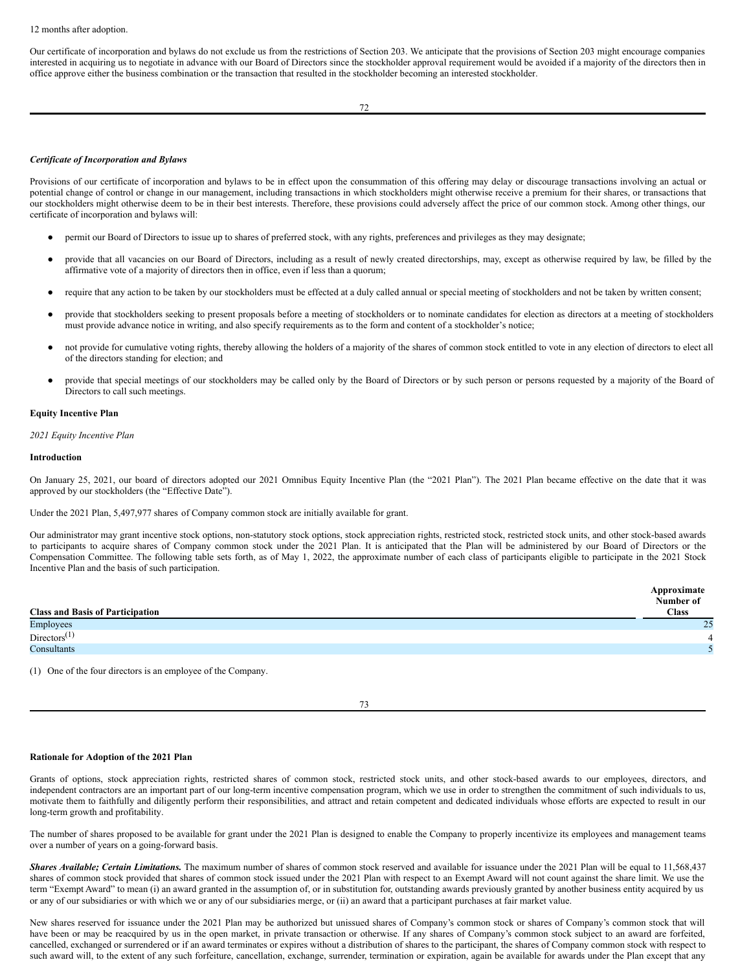#### 12 months after adoption.

Our certificate of incorporation and bylaws do not exclude us from the restrictions of Section 203. We anticipate that the provisions of Section 203 might encourage companies interested in acquiring us to negotiate in advance with our Board of Directors since the stockholder approval requirement would be avoided if a majority of the directors then in office approve either the business combination or the transaction that resulted in the stockholder becoming an interested stockholder.

### *Certificate of Incorporation and Bylaws*

Provisions of our certificate of incorporation and bylaws to be in effect upon the consummation of this offering may delay or discourage transactions involving an actual or potential change of control or change in our management, including transactions in which stockholders might otherwise receive a premium for their shares, or transactions that our stockholders might otherwise deem to be in their best interests. Therefore, these provisions could adversely affect the price of our common stock. Among other things, our certificate of incorporation and bylaws will:

- permit our Board of Directors to issue up to shares of preferred stock, with any rights, preferences and privileges as they may designate;
- provide that all vacancies on our Board of Directors, including as a result of newly created directorships, may, except as otherwise required by law, be filled by the affirmative vote of a majority of directors then in office, even if less than a quorum;
- require that any action to be taken by our stockholders must be effected at a duly called annual or special meeting of stockholders and not be taken by written consent;
- provide that stockholders seeking to present proposals before a meeting of stockholders or to nominate candidates for election as directors at a meeting of stockholders must provide advance notice in writing, and also specify requirements as to the form and content of a stockholder's notice;
- not provide for cumulative voting rights, thereby allowing the holders of a majority of the shares of common stock entitled to vote in any election of directors to elect all of the directors standing for election; and
- provide that special meetings of our stockholders may be called only by the Board of Directors or by such person or persons requested by a majority of the Board of Directors to call such meetings.

#### **Equity Incentive Plan**

#### *2021 Equity Incentive Plan*

#### **Introduction**

On January 25, 2021, our board of directors adopted our 2021 Omnibus Equity Incentive Plan (the "2021 Plan"). The 2021 Plan became effective on the date that it was approved by our stockholders (the "Effective Date").

Under the 2021 Plan, 5,497,977 shares of Company common stock are initially available for grant.

Our administrator may grant incentive stock options, non-statutory stock options, stock appreciation rights, restricted stock, restricted stock units, and other stock-based awards to participants to acquire shares of Company common stock under the 2021 Plan. It is anticipated that the Plan will be administered by our Board of Directors or the Compensation Committee. The following table sets forth, as of May 1, 2022, the approximate number of each class of participants eligible to participate in the 2021 Stock Incentive Plan and the basis of such participation.

| <b>Class and Basis of Participation</b> | <b>Approximate</b><br>Number of<br><b>Class</b> |
|-----------------------------------------|-------------------------------------------------|
| Employees                               | 25                                              |
| Directions <sup>(1)</sup>               |                                                 |
| Consultants                             |                                                 |
|                                         |                                                 |

(1) One of the four directors is an employee of the Company.

73

#### **Rationale for Adoption of the 2021 Plan**

Grants of options, stock appreciation rights, restricted shares of common stock, restricted stock units, and other stock-based awards to our employees, directors, and independent contractors are an important part of our long-term incentive compensation program, which we use in order to strengthen the commitment of such individuals to us, motivate them to faithfully and diligently perform their responsibilities, and attract and retain competent and dedicated individuals whose efforts are expected to result in our long-term growth and profitability.

The number of shares proposed to be available for grant under the 2021 Plan is designed to enable the Company to properly incentivize its employees and management teams over a number of years on a going-forward basis.

*Shares Available; Certain Limitations.* The maximum number of shares of common stock reserved and available for issuance under the 2021 Plan will be equal to 11,568,437 shares of common stock provided that shares of common stock issued under the 2021 Plan with respect to an Exempt Award will not count against the share limit. We use the term "Exempt Award" to mean (i) an award granted in the assumption of, or in substitution for, outstanding awards previously granted by another business entity acquired by us or any of our subsidiaries or with which we or any of our subsidiaries merge, or (ii) an award that a participant purchases at fair market value.

New shares reserved for issuance under the 2021 Plan may be authorized but unissued shares of Company's common stock or shares of Company's common stock that will have been or may be reacquired by us in the open market, in private transaction or otherwise. If any shares of Company's common stock subject to an award are forfeited, cancelled, exchanged or surrendered or if an award terminates or expires without a distribution of shares to the participant, the shares of Company common stock with respect to such award will, to the extent of any such forfeiture, cancellation, exchange, surrender, termination or expiration, again be available for awards under the Plan except that any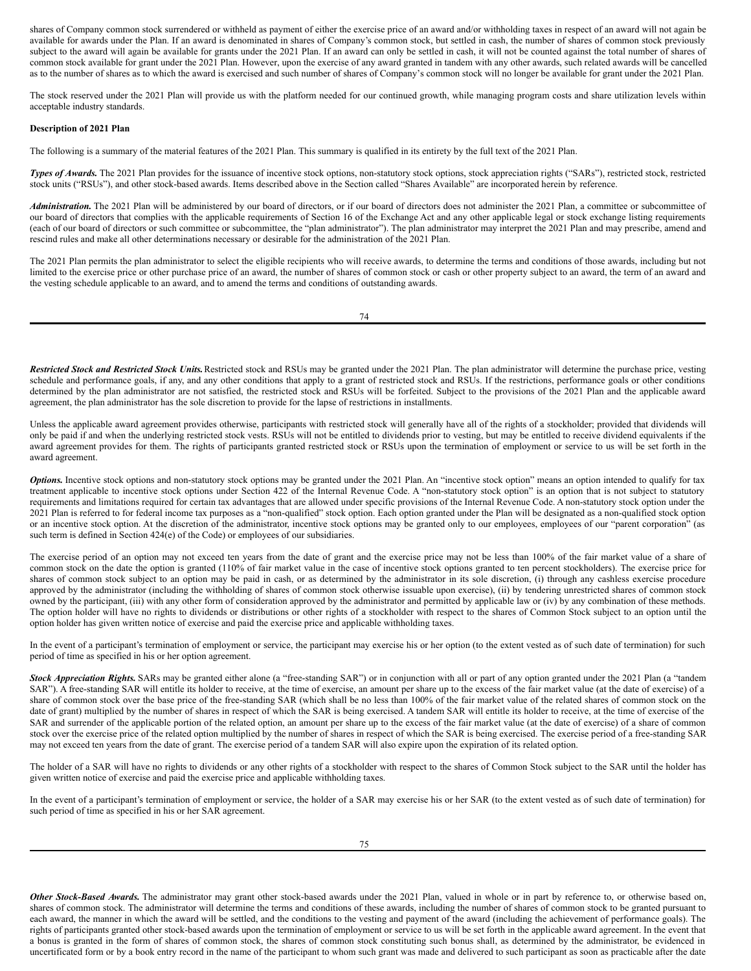shares of Company common stock surrendered or withheld as payment of either the exercise price of an award and/or withholding taxes in respect of an award will not again be available for awards under the Plan. If an award is denominated in shares of Company's common stock, but settled in cash, the number of shares of common stock previously subject to the award will again be available for grants under the 2021 Plan. If an award can only be settled in cash, it will not be counted against the total number of shares of common stock available for grant under the 2021 Plan. However, upon the exercise of any award granted in tandem with any other awards, such related awards will be cancelled as to the number of shares as to which the award is exercised and such number of shares of Company's common stock will no longer be available for grant under the 2021 Plan.

The stock reserved under the 2021 Plan will provide us with the platform needed for our continued growth, while managing program costs and share utilization levels within acceptable industry standards.

### **Description of 2021 Plan**

The following is a summary of the material features of the 2021 Plan. This summary is qualified in its entirety by the full text of the 2021 Plan.

*Types of Awards.* The 2021 Plan provides for the issuance of incentive stock options, non-statutory stock options, stock appreciation rights ("SARs"), restricted stock, restricted stock units ("RSUs"), and other stock-based awards. Items described above in the Section called "Shares Available" are incorporated herein by reference.

Administration. The 2021 Plan will be administered by our board of directors, or if our board of directors does not administer the 2021 Plan, a committee or subcommittee of our board of directors that complies with the applicable requirements of Section 16 of the Exchange Act and any other applicable legal or stock exchange listing requirements (each of our board of directors or such committee or subcommittee, the "plan administrator"). The plan administrator may interpret the 2021 Plan and may prescribe, amend and rescind rules and make all other determinations necessary or desirable for the administration of the 2021 Plan.

The 2021 Plan permits the plan administrator to select the eligible recipients who will receive awards, to determine the terms and conditions of those awards, including but not limited to the exercise price or other purchase price of an award, the number of shares of common stock or cash or other property subject to an award, the term of an award and the vesting schedule applicable to an award, and to amend the terms and conditions of outstanding awards.

| I |
|---|
|---|

*Restricted Stock and Restricted Stock Units.*Restricted stock and RSUs may be granted under the 2021 Plan. The plan administrator will determine the purchase price, vesting schedule and performance goals, if any, and any other conditions that apply to a grant of restricted stock and RSUs. If the restrictions, performance goals or other conditions determined by the plan administrator are not satisfied, the restricted stock and RSUs will be forfeited. Subject to the provisions of the 2021 Plan and the applicable award agreement, the plan administrator has the sole discretion to provide for the lapse of restrictions in installments.

Unless the applicable award agreement provides otherwise, participants with restricted stock will generally have all of the rights of a stockholder; provided that dividends will only be paid if and when the underlying restricted stock vests. RSUs will not be entitled to dividends prior to vesting, but may be entitled to receive dividend equivalents if the award agreement provides for them. The rights of participants granted restricted stock or RSUs upon the termination of employment or service to us will be set forth in the award agreement.

*Options.* Incentive stock options and non-statutory stock options may be granted under the 2021 Plan. An "incentive stock option" means an option intended to qualify for tax treatment applicable to incentive stock options under Section 422 of the Internal Revenue Code. A "non-statutory stock option" is an option that is not subject to statutory requirements and limitations required for certain tax advantages that are allowed under specific provisions of the Internal Revenue Code. A non-statutory stock option under the 2021 Plan is referred to for federal income tax purposes as a "non-qualified" stock option. Each option granted under the Plan will be designated as a non-qualified stock option or an incentive stock option. At the discretion of the administrator, incentive stock options may be granted only to our employees, employees of our "parent corporation" (as such term is defined in Section 424(e) of the Code) or employees of our subsidiaries.

The exercise period of an option may not exceed ten years from the date of grant and the exercise price may not be less than 100% of the fair market value of a share of common stock on the date the option is granted (110% of fair market value in the case of incentive stock options granted to ten percent stockholders). The exercise price for shares of common stock subject to an option may be paid in cash, or as determined by the administrator in its sole discretion, (i) through any cashless exercise procedure approved by the administrator (including the withholding of shares of common stock otherwise issuable upon exercise), (ii) by tendering unrestricted shares of common stock owned by the participant, (iii) with any other form of consideration approved by the administrator and permitted by applicable law or (iv) by any combination of these methods. The option holder will have no rights to dividends or distributions or other rights of a stockholder with respect to the shares of Common Stock subject to an option until the option holder has given written notice of exercise and paid the exercise price and applicable withholding taxes.

In the event of a participant's termination of employment or service, the participant may exercise his or her option (to the extent vested as of such date of termination) for such period of time as specified in his or her option agreement.

*Stock Appreciation Rights.* SARs may be granted either alone (a "free-standing SAR") or in conjunction with all or part of any option granted under the 2021 Plan (a "tandem SAR"). A free-standing SAR will entitle its holder to receive, at the time of exercise, an amount per share up to the excess of the fair market value (at the date of exercise) of a share of common stock over the base price of the free-standing SAR (which shall be no less than 100% of the fair market value of the related shares of common stock on the date of grant) multiplied by the number of shares in respect of which the SAR is being exercised. A tandem SAR will entitle its holder to receive, at the time of exercise of the SAR and surrender of the applicable portion of the related option, an amount per share up to the excess of the fair market value (at the date of exercise) of a share of common stock over the exercise price of the related option multiplied by the number of shares in respect of which the SAR is being exercised. The exercise period of a free-standing SAR may not exceed ten years from the date of grant. The exercise period of a tandem SAR will also expire upon the expiration of its related option.

The holder of a SAR will have no rights to dividends or any other rights of a stockholder with respect to the shares of Common Stock subject to the SAR until the holder has given written notice of exercise and paid the exercise price and applicable withholding taxes.

In the event of a participant's termination of employment or service, the holder of a SAR may exercise his or her SAR (to the extent vested as of such date of termination) for such period of time as specified in his or her SAR agreement.

*Other Stock-Based Awards.* The administrator may grant other stock-based awards under the 2021 Plan, valued in whole or in part by reference to, or otherwise based on, shares of common stock. The administrator will determine the terms and conditions of these awards, including the number of shares of common stock to be granted pursuant to each award, the manner in which the award will be settled, and the conditions to the vesting and payment of the award (including the achievement of performance goals). The rights of participants granted other stock-based awards upon the termination of employment or service to us will be set forth in the applicable award agreement. In the event that a bonus is granted in the form of shares of common stock, the shares of common stock constituting such bonus shall, as determined by the administrator, be evidenced in uncertificated form or by a book entry record in the name of the participant to whom such grant was made and delivered to such participant as soon as practicable after the date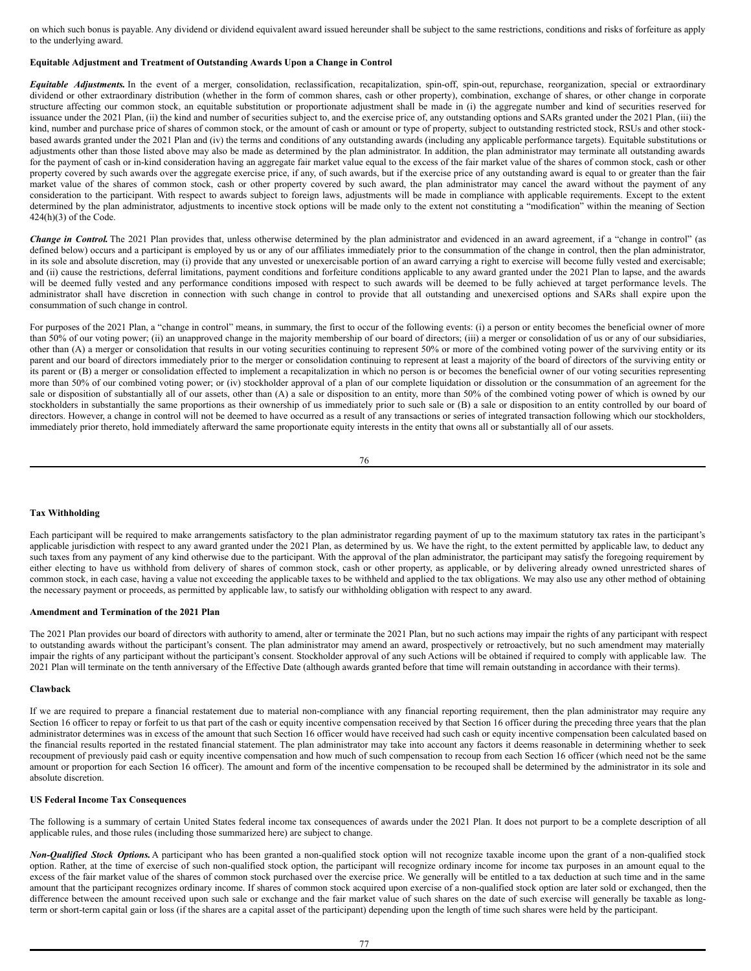on which such bonus is payable. Any dividend or dividend equivalent award issued hereunder shall be subject to the same restrictions, conditions and risks of forfeiture as apply to the underlying award.

### **Equitable Adjustment and Treatment of Outstanding Awards Upon a Change in Control**

*Equitable Adjustments.* In the event of a merger, consolidation, reclassification, recapitalization, spin-off, spin-out, repurchase, reorganization, special or extraordinary dividend or other extraordinary distribution (whether in the form of common shares, cash or other property), combination, exchange of shares, or other change in corporate structure affecting our common stock, an equitable substitution or proportionate adjustment shall be made in (i) the aggregate number and kind of securities reserved for issuance under the 2021 Plan, (ii) the kind and number of securities subject to, and the exercise price of, any outstanding options and SARs granted under the 2021 Plan, (iii) the kind, number and purchase price of shares of common stock, or the amount of cash or amount or type of property, subject to outstanding restricted stock, RSUs and other stockbased awards granted under the 2021 Plan and (iv) the terms and conditions of any outstanding awards (including any applicable performance targets). Equitable substitutions or adjustments other than those listed above may also be made as determined by the plan administrator. In addition, the plan administrator may terminate all outstanding awards for the payment of cash or in-kind consideration having an aggregate fair market value equal to the excess of the fair market value of the shares of common stock, cash or other property covered by such awards over the aggregate exercise price, if any, of such awards, but if the exercise price of any outstanding award is equal to or greater than the fair market value of the shares of common stock, cash or other property covered by such award, the plan administrator may cancel the award without the payment of any consideration to the participant. With respect to awards subject to foreign laws, adjustments will be made in compliance with applicable requirements. Except to the extent determined by the plan administrator, adjustments to incentive stock options will be made only to the extent not constituting a "modification" within the meaning of Section 424(h)(3) of the Code.

*Change in Control.* The 2021 Plan provides that, unless otherwise determined by the plan administrator and evidenced in an award agreement, if a "change in control" (as defined below) occurs and a participant is employed by us or any of our affiliates immediately prior to the consummation of the change in control, then the plan administrator, in its sole and absolute discretion, may (i) provide that any unvested or unexercisable portion of an award carrying a right to exercise will become fully vested and exercisable; and (ii) cause the restrictions, deferral limitations, payment conditions and forfeiture conditions applicable to any award granted under the 2021 Plan to lapse, and the awards will be deemed fully vested and any performance conditions imposed with respect to such awards will be deemed to be fully achieved at target performance levels. The administrator shall have discretion in connection with such change in control to provide that all outstanding and unexercised options and SARs shall expire upon the consummation of such change in control.

For purposes of the 2021 Plan, a "change in control" means, in summary, the first to occur of the following events: (i) a person or entity becomes the beneficial owner of more than 50% of our voting power; (ii) an unapproved change in the majority membership of our board of directors; (iii) a merger or consolidation of us or any of our subsidiaries, other than (A) a merger or consolidation that results in our voting securities continuing to represent 50% or more of the combined voting power of the surviving entity or its parent and our board of directors immediately prior to the merger or consolidation continuing to represent at least a majority of the board of directors of the surviving entity or its parent or (B) a merger or consolidation effected to implement a recapitalization in which no person is or becomes the beneficial owner of our voting securities representing more than 50% of our combined voting power; or (iv) stockholder approval of a plan of our complete liquidation or dissolution or the consummation of an agreement for the sale or disposition of substantially all of our assets, other than (A) a sale or disposition to an entity, more than 50% of the combined voting power of which is owned by our stockholders in substantially the same proportions as their ownership of us immediately prior to such sale or (B) a sale or disposition to an entity controlled by our board of directors. However, a change in control will not be deemed to have occurred as a result of any transactions or series of integrated transaction following which our stockholders, immediately prior thereto, hold immediately afterward the same proportionate equity interests in the entity that owns all or substantially all of our assets.

76

### **Tax Withholding**

Each participant will be required to make arrangements satisfactory to the plan administrator regarding payment of up to the maximum statutory tax rates in the participant's applicable jurisdiction with respect to any award granted under the 2021 Plan, as determined by us. We have the right, to the extent permitted by applicable law, to deduct any such taxes from any payment of any kind otherwise due to the participant. With the approval of the plan administrator, the participant may satisfy the foregoing requirement by either electing to have us withhold from delivery of shares of common stock, cash or other property, as applicable, or by delivering already owned unrestricted shares of common stock, in each case, having a value not exceeding the applicable taxes to be withheld and applied to the tax obligations. We may also use any other method of obtaining the necessary payment or proceeds, as permitted by applicable law, to satisfy our withholding obligation with respect to any award.

### **Amendment and Termination of the 2021 Plan**

The 2021 Plan provides our board of directors with authority to amend, alter or terminate the 2021 Plan, but no such actions may impair the rights of any participant with respect to outstanding awards without the participant's consent. The plan administrator may amend an award, prospectively or retroactively, but no such amendment may materially impair the rights of any participant without the participant's consent. Stockholder approval of any such Actions will be obtained if required to comply with applicable law. The 2021 Plan will terminate on the tenth anniversary of the Effective Date (although awards granted before that time will remain outstanding in accordance with their terms).

#### **Clawback**

If we are required to prepare a financial restatement due to material non-compliance with any financial reporting requirement, then the plan administrator may require any Section 16 officer to repay or forfeit to us that part of the cash or equity incentive compensation received by that Section 16 officer during the preceding three years that the plan administrator determines was in excess of the amount that such Section 16 officer would have received had such cash or equity incentive compensation been calculated based on the financial results reported in the restated financial statement. The plan administrator may take into account any factors it deems reasonable in determining whether to seek recoupment of previously paid cash or equity incentive compensation and how much of such compensation to recoup from each Section 16 officer (which need not be the same amount or proportion for each Section 16 officer). The amount and form of the incentive compensation to be recouped shall be determined by the administrator in its sole and absolute discretion.

#### **US Federal Income Tax Consequences**

The following is a summary of certain United States federal income tax consequences of awards under the 2021 Plan. It does not purport to be a complete description of all applicable rules, and those rules (including those summarized here) are subject to change.

*Non-Qualified Stock Options.* A participant who has been granted a non-qualified stock option will not recognize taxable income upon the grant of a non-qualified stock option. Rather, at the time of exercise of such non-qualified stock option, the participant will recognize ordinary income for income tax purposes in an amount equal to the excess of the fair market value of the shares of common stock purchased over the exercise price. We generally will be entitled to a tax deduction at such time and in the same amount that the participant recognizes ordinary income. If shares of common stock acquired upon exercise of a non-qualified stock option are later sold or exchanged, then the difference between the amount received upon such sale or exchange and the fair market value of such shares on the date of such exercise will generally be taxable as longterm or short-term capital gain or loss (if the shares are a capital asset of the participant) depending upon the length of time such shares were held by the participant.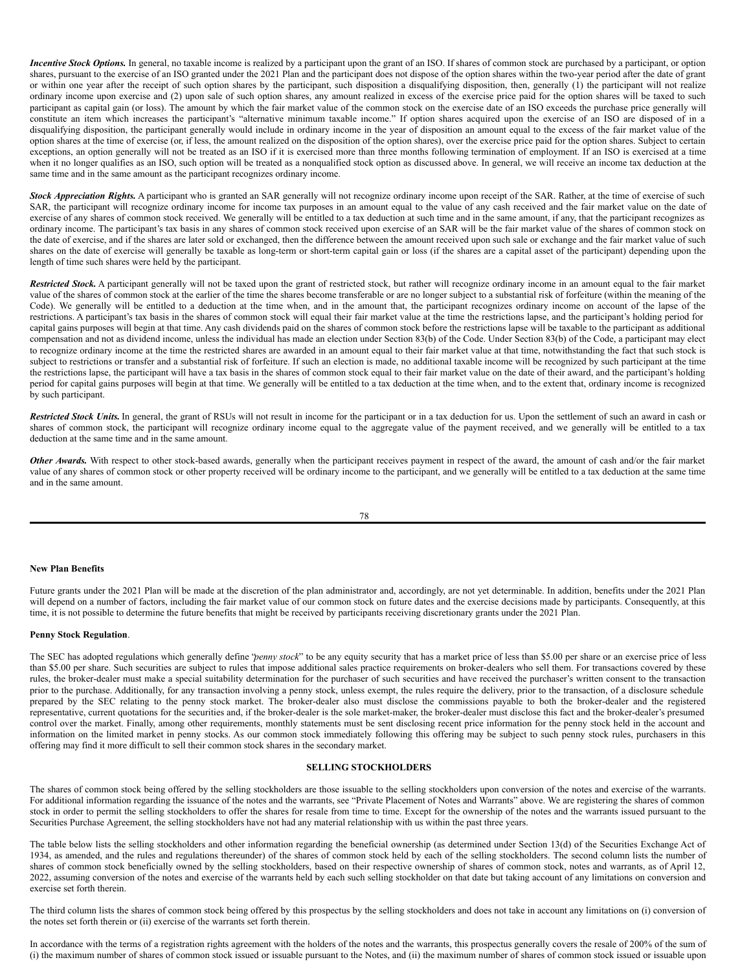*Incentive Stock Options*. In general, no taxable income is realized by a participant upon the grant of an ISO. If shares of common stock are purchased by a participant, or option shares, pursuant to the exercise of an ISO granted under the 2021 Plan and the participant does not dispose of the option shares within the two-year period after the date of grant or within one year after the receipt of such option shares by the participant, such disposition a disqualifying disposition, then, generally (1) the participant will not realize ordinary income upon exercise and (2) upon sale of such option shares, any amount realized in excess of the exercise price paid for the option shares will be taxed to such participant as capital gain (or loss). The amount by which the fair market value of the common stock on the exercise date of an ISO exceeds the purchase price generally will constitute an item which increases the participant's "alternative minimum taxable income." If option shares acquired upon the exercise of an ISO are disposed of in a disqualifying disposition, the participant generally would include in ordinary income in the year of disposition an amount equal to the excess of the fair market value of the option shares at the time of exercise (or, if less, the amount realized on the disposition of the option shares), over the exercise price paid for the option shares. Subject to certain exceptions, an option generally will not be treated as an ISO if it is exercised more than three months following termination of employment. If an ISO is exercised at a time when it no longer qualifies as an ISO, such option will be treated as a nonqualified stock option as discussed above. In general, we will receive an income tax deduction at the same time and in the same amount as the participant recognizes ordinary income.

*Stock Appreciation Rights.* A participant who is granted an SAR generally will not recognize ordinary income upon receipt of the SAR. Rather, at the time of exercise of such SAR, the participant will recognize ordinary income for income tax purposes in an amount equal to the value of any cash received and the fair market value on the date of exercise of any shares of common stock received. We generally will be entitled to a tax deduction at such time and in the same amount, if any, that the participant recognizes as ordinary income. The participant's tax basis in any shares of common stock received upon exercise of an SAR will be the fair market value of the shares of common stock on the date of exercise, and if the shares are later sold or exchanged, then the difference between the amount received upon such sale or exchange and the fair market value of such shares on the date of exercise will generally be taxable as long-term or short-term capital gain or loss (if the shares are a capital asset of the participant) depending upon the length of time such shares were held by the participant.

*Restricted Stock.* A participant generally will not be taxed upon the grant of restricted stock, but rather will recognize ordinary income in an amount equal to the fair market value of the shares of common stock at the earlier of the time the shares become transferable or are no longer subject to a substantial risk of forfeiture (within the meaning of the Code). We generally will be entitled to a deduction at the time when, and in the amount that, the participant recognizes ordinary income on account of the lapse of the restrictions. A participant's tax basis in the shares of common stock will equal their fair market value at the time the restrictions lapse, and the participant's holding period for capital gains purposes will begin at that time. Any cash dividends paid on the shares of common stock before the restrictions lapse will be taxable to the participant as additional compensation and not as dividend income, unless the individual has made an election under Section 83(b) of the Code. Under Section 83(b) of the Code, a participant may elect to recognize ordinary income at the time the restricted shares are awarded in an amount equal to their fair market value at that time, notwithstanding the fact that such stock is subject to restrictions or transfer and a substantial risk of forfeiture. If such an election is made, no additional taxable income will be recognized by such participant at the time the restrictions lapse, the participant will have a tax basis in the shares of common stock equal to their fair market value on the date of their award, and the participant's holding period for capital gains purposes will begin at that time. We generally will be entitled to a tax deduction at the time when, and to the extent that, ordinary income is recognized by such participant.

*Restricted Stock Units*. In general, the grant of RSUs will not result in income for the participant or in a tax deduction for us. Upon the settlement of such an award in cash or shares of common stock, the participant will recognize ordinary income equal to the aggregate value of the payment received, and we generally will be entitled to a tax deduction at the same time and in the same amount.

*Other Awards.* With respect to other stock-based awards, generally when the participant receives payment in respect of the award, the amount of cash and/or the fair market value of any shares of common stock or other property received will be ordinary income to the participant, and we generally will be entitled to a tax deduction at the same time and in the same amount.

$$
^{78}
$$

#### **New Plan Benefits**

Future grants under the 2021 Plan will be made at the discretion of the plan administrator and, accordingly, are not yet determinable. In addition, benefits under the 2021 Plan will depend on a number of factors, including the fair market value of our common stock on future dates and the exercise decisions made by participants. Consequently, at this time, it is not possible to determine the future benefits that might be received by participants receiving discretionary grants under the 2021 Plan.

### **Penny Stock Regulation**.

The SEC has adopted regulations which generally define "*penny stock*" to be any equity security that has a market price of less than \$5.00 per share or an exercise price of less than \$5.00 per share. Such securities are subject to rules that impose additional sales practice requirements on broker-dealers who sell them. For transactions covered by these rules, the broker-dealer must make a special suitability determination for the purchaser of such securities and have received the purchaser's written consent to the transaction prior to the purchase. Additionally, for any transaction involving a penny stock, unless exempt, the rules require the delivery, prior to the transaction, of a disclosure schedule prepared by the SEC relating to the penny stock market. The broker-dealer also must disclose the commissions payable to both the broker-dealer and the registered representative, current quotations for the securities and, if the broker-dealer is the sole market-maker, the broker-dealer must disclose this fact and the broker-dealer's presumed control over the market. Finally, among other requirements, monthly statements must be sent disclosing recent price information for the penny stock held in the account and information on the limited market in penny stocks. As our common stock immediately following this offering may be subject to such penny stock rules, purchasers in this offering may find it more difficult to sell their common stock shares in the secondary market.

### **SELLING STOCKHOLDERS**

The shares of common stock being offered by the selling stockholders are those issuable to the selling stockholders upon conversion of the notes and exercise of the warrants. For additional information regarding the issuance of the notes and the warrants, see "Private Placement of Notes and Warrants" above. We are registering the shares of common stock in order to permit the selling stockholders to offer the shares for resale from time to time. Except for the ownership of the notes and the warrants issued pursuant to the Securities Purchase Agreement, the selling stockholders have not had any material relationship with us within the past three years.

The table below lists the selling stockholders and other information regarding the beneficial ownership (as determined under Section 13(d) of the Securities Exchange Act of 1934, as amended, and the rules and regulations thereunder) of the shares of common stock held by each of the selling stockholders. The second column lists the number of shares of common stock beneficially owned by the selling stockholders, based on their respective ownership of shares of common stock, notes and warrants, as of April 12, 2022, assuming conversion of the notes and exercise of the warrants held by each such selling stockholder on that date but taking account of any limitations on conversion and exercise set forth therein.

The third column lists the shares of common stock being offered by this prospectus by the selling stockholders and does not take in account any limitations on (i) conversion of the notes set forth therein or (ii) exercise of the warrants set forth therein.

In accordance with the terms of a registration rights agreement with the holders of the notes and the warrants, this prospectus generally covers the resale of 200% of the sum of (i) the maximum number of shares of common stock issued or issuable pursuant to the Notes, and (ii) the maximum number of shares of common stock issued or issuable upon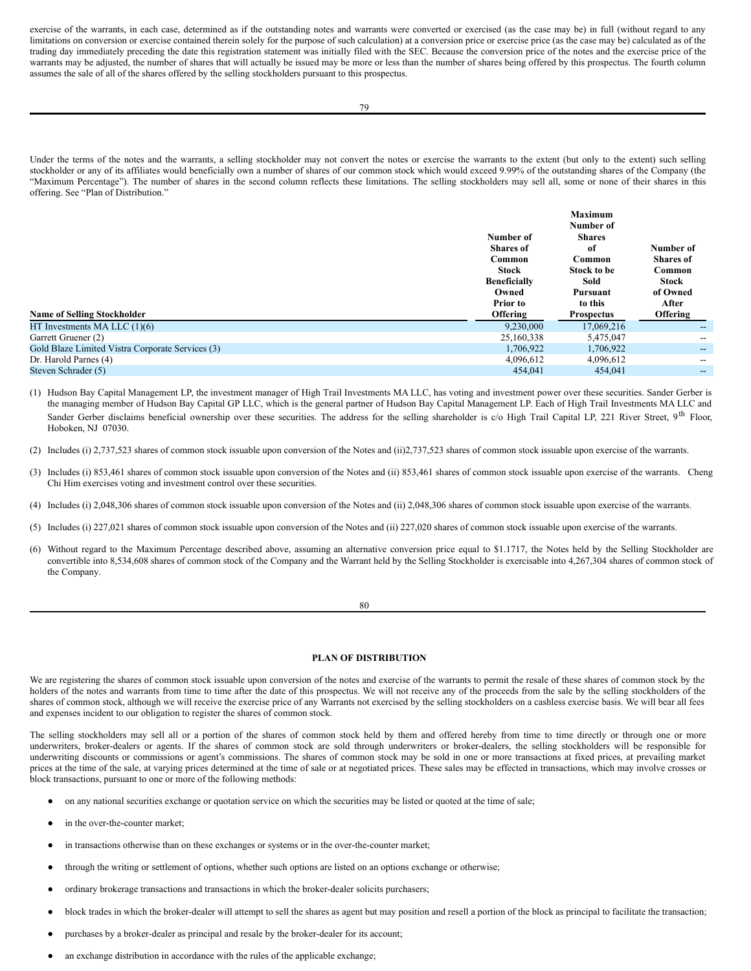exercise of the warrants, in each case, determined as if the outstanding notes and warrants were converted or exercised (as the case may be) in full (without regard to any limitations on conversion or exercise contained therein solely for the purpose of such calculation) at a conversion price or exercise price (as the case may be) calculated as of the trading day immediately preceding the date this registration statement was initially filed with the SEC. Because the conversion price of the notes and the exercise price of the warrants may be adjusted, the number of shares that will actually be issued may be more or less than the number of shares being offered by this prospectus. The fourth column assumes the sale of all of the shares offered by the selling stockholders pursuant to this prospectus.

Under the terms of the notes and the warrants, a selling stockholder may not convert the notes or exercise the warrants to the extent (but only to the extent) such selling stockholder or any of its affiliates would beneficially own a number of shares of our common stock which would exceed 9.99% of the outstanding shares of the Company (the "Maximum Percentage"). The number of shares in the second column reflects these limitations. The selling stockholders may sell all, some or none of their shares in this offering. See "Plan of Distribution."

| <b>Name of Selling Stockholder</b>               | Number of<br><b>Shares</b> of<br>Common<br><b>Stock</b><br><b>Beneficially</b><br>Owned<br>Prior to<br><b>Offering</b> | <b>Maximum</b><br>Number of<br><b>Shares</b><br>of<br>Common<br>Stock to be<br>Sold<br>Pursuant<br>to this<br><b>Prospectus</b> | Number of<br><b>Shares</b> of<br>Common<br><b>Stock</b><br>of Owned<br>After<br>Offering |
|--------------------------------------------------|------------------------------------------------------------------------------------------------------------------------|---------------------------------------------------------------------------------------------------------------------------------|------------------------------------------------------------------------------------------|
| HT Investments MA LLC $(1)(6)$                   | 9.230,000                                                                                                              | 17,069,216                                                                                                                      | $\qquad \qquad \cdots$                                                                   |
| Garrett Gruener (2)                              | 25,160,338                                                                                                             | 5,475,047                                                                                                                       | --                                                                                       |
| Gold Blaze Limited Vistra Corporate Services (3) | 1.706.922                                                                                                              | 1,706,922                                                                                                                       | $- -$                                                                                    |
| Dr. Harold Parnes (4)                            | 4,096,612                                                                                                              | 4,096,612                                                                                                                       | --                                                                                       |
| Steven Schrader (5)                              | 454,041                                                                                                                | 454,041                                                                                                                         | $\qquad \qquad \cdots$                                                                   |

(1) Hudson Bay Capital Management LP, the investment manager of High Trail Investments MA LLC, has voting and investment power over these securities. Sander Gerber is the managing member of Hudson Bay Capital GP LLC, which is the general partner of Hudson Bay Capital Management LP. Each of High Trail Investments MA LLC and Sander Gerber disclaims beneficial ownership over these securities. The address for the selling shareholder is c/o High Trail Capital LP, 221 River Street, 9<sup>th</sup> Floor, Hoboken, NJ 07030.

- (3) Includes (i) 853,461 shares of common stock issuable upon conversion of the Notes and (ii) 853,461 shares of common stock issuable upon exercise of the warrants. Cheng Chi Him exercises voting and investment control over these securities.
- (4) Includes (i) 2,048,306 shares of common stock issuable upon conversion of the Notes and (ii) 2,048,306 shares of common stock issuable upon exercise of the warrants.
- (5) Includes (i) 227,021 shares of common stock issuable upon conversion of the Notes and (ii) 227,020 shares of common stock issuable upon exercise of the warrants.
- (6) Without regard to the Maximum Percentage described above, assuming an alternative conversion price equal to \$1.1717, the Notes held by the Selling Stockholder are convertible into 8,534,608 shares of common stock of the Company and the Warrant held by the Selling Stockholder is exercisable into 4,267,304 shares of common stock of the Company.

### 80

#### **PLAN OF DISTRIBUTION**

We are registering the shares of common stock issuable upon conversion of the notes and exercise of the warrants to permit the resale of these shares of common stock by the holders of the notes and warrants from time to time after the date of this prospectus. We will not receive any of the proceeds from the sale by the selling stockholders of the shares of common stock, although we will receive the exercise price of any Warrants not exercised by the selling stockholders on a cashless exercise basis. We will bear all fees and expenses incident to our obligation to register the shares of common stock.

The selling stockholders may sell all or a portion of the shares of common stock held by them and offered hereby from time to time directly or through one or more underwriters, broker-dealers or agents. If the shares of common stock are sold through underwriters or broker-dealers, the selling stockholders will be responsible for underwriting discounts or commissions or agent's commissions. The shares of common stock may be sold in one or more transactions at fixed prices, at prevailing market prices at the time of the sale, at varying prices determined at the time of sale or at negotiated prices. These sales may be effected in transactions, which may involve crosses or block transactions, pursuant to one or more of the following methods:

- on any national securities exchange or quotation service on which the securities may be listed or quoted at the time of sale;
- in the over-the-counter market:
- in transactions otherwise than on these exchanges or systems or in the over-the-counter market;
- through the writing or settlement of options, whether such options are listed on an options exchange or otherwise;
- ordinary brokerage transactions and transactions in which the broker-dealer solicits purchasers;
- block trades in which the broker-dealer will attempt to sell the shares as agent but may position and resell a portion of the block as principal to facilitate the transaction;
- purchases by a broker-dealer as principal and resale by the broker-dealer for its account;
- an exchange distribution in accordance with the rules of the applicable exchange;

<sup>(2)</sup> Includes (i) 2,737,523 shares of common stock issuable upon conversion of the Notes and (ii)2,737,523 shares of common stock issuable upon exercise of the warrants.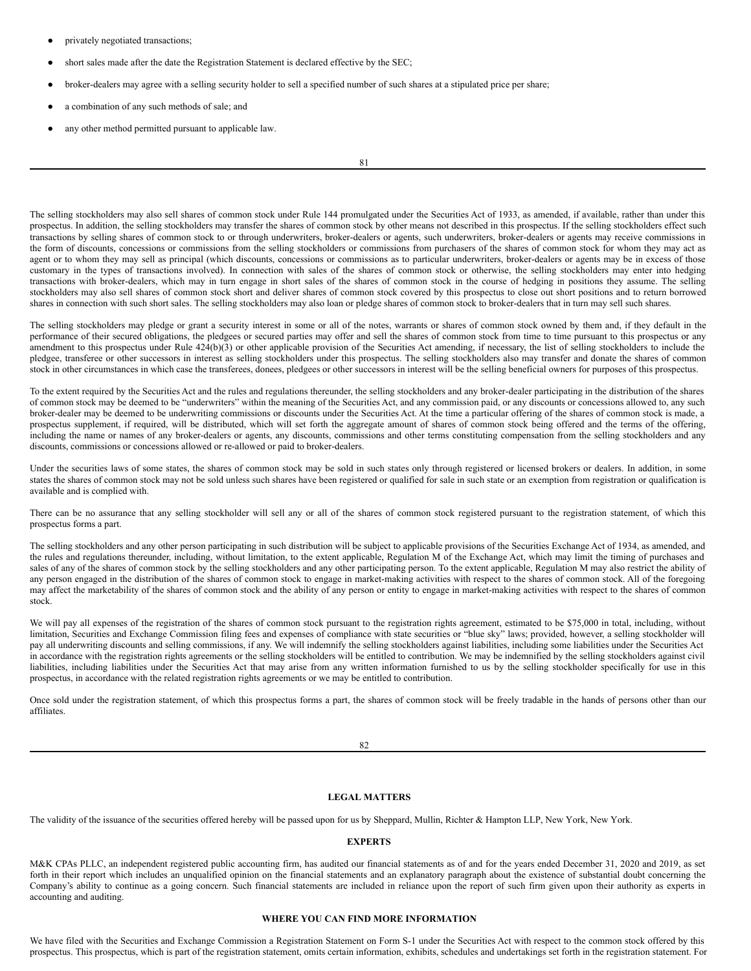- privately negotiated transactions;
- short sales made after the date the Registration Statement is declared effective by the SEC;
- broker-dealers may agree with a selling security holder to sell a specified number of such shares at a stipulated price per share;
- a combination of any such methods of sale; and
- any other method permitted pursuant to applicable law.

81

The selling stockholders may also sell shares of common stock under Rule 144 promulgated under the Securities Act of 1933, as amended, if available, rather than under this prospectus. In addition, the selling stockholders may transfer the shares of common stock by other means not described in this prospectus. If the selling stockholders effect such transactions by selling shares of common stock to or through underwriters, broker-dealers or agents, such underwriters, broker-dealers or agents may receive commissions in the form of discounts, concessions or commissions from the selling stockholders or commissions from purchasers of the shares of common stock for whom they may act as agent or to whom they may sell as principal (which discounts, concessions or commissions as to particular underwriters, broker-dealers or agents may be in excess of those customary in the types of transactions involved). In connection with sales of the shares of common stock or otherwise, the selling stockholders may enter into hedging transactions with broker-dealers, which may in turn engage in short sales of the shares of common stock in the course of hedging in positions they assume. The selling stockholders may also sell shares of common stock short and deliver shares of common stock covered by this prospectus to close out short positions and to return borrowed shares in connection with such short sales. The selling stockholders may also loan or pledge shares of common stock to broker-dealers that in turn may sell such shares.

The selling stockholders may pledge or grant a security interest in some or all of the notes, warrants or shares of common stock owned by them and, if they default in the performance of their secured obligations, the pledgees or secured parties may offer and sell the shares of common stock from time to time pursuant to this prospectus or any amendment to this prospectus under Rule 424(b)(3) or other applicable provision of the Securities Act amending, if necessary, the list of selling stockholders to include the pledgee, transferee or other successors in interest as selling stockholders under this prospectus. The selling stockholders also may transfer and donate the shares of common stock in other circumstances in which case the transferees, donees, pledgees or other successors in interest will be the selling beneficial owners for purposes of this prospectus.

To the extent required by the Securities Act and the rules and regulations thereunder, the selling stockholders and any broker-dealer participating in the distribution of the shares of common stock may be deemed to be "underwriters" within the meaning of the Securities Act, and any commission paid, or any discounts or concessions allowed to, any such broker-dealer may be deemed to be underwriting commissions or discounts under the Securities Act. At the time a particular offering of the shares of common stock is made, a prospectus supplement, if required, will be distributed, which will set forth the aggregate amount of shares of common stock being offered and the terms of the offering, including the name or names of any broker-dealers or agents, any discounts, commissions and other terms constituting compensation from the selling stockholders and any discounts, commissions or concessions allowed or re-allowed or paid to broker-dealers.

Under the securities laws of some states, the shares of common stock may be sold in such states only through registered or licensed brokers or dealers. In addition, in some states the shares of common stock may not be sold unless such shares have been registered or qualified for sale in such state or an exemption from registration or qualification is available and is complied with.

There can be no assurance that any selling stockholder will sell any or all of the shares of common stock registered pursuant to the registration statement, of which this prospectus forms a part.

The selling stockholders and any other person participating in such distribution will be subject to applicable provisions of the Securities Exchange Act of 1934, as amended, and the rules and regulations thereunder, including, without limitation, to the extent applicable, Regulation M of the Exchange Act, which may limit the timing of purchases and sales of any of the shares of common stock by the selling stockholders and any other participating person. To the extent applicable, Regulation M may also restrict the ability of any person engaged in the distribution of the shares of common stock to engage in market-making activities with respect to the shares of common stock. All of the foregoing may affect the marketability of the shares of common stock and the ability of any person or entity to engage in market-making activities with respect to the shares of common stock.

We will pay all expenses of the registration of the shares of common stock pursuant to the registration rights agreement, estimated to be \$75,000 in total, including, without limitation, Securities and Exchange Commission filing fees and expenses of compliance with state securities or "blue sky" laws; provided, however, a selling stockholder will pay all underwriting discounts and selling commissions, if any. We will indemnify the selling stockholders against liabilities, including some liabilities under the Securities Act in accordance with the registration rights agreements or the selling stockholders will be entitled to contribution. We may be indemnified by the selling stockholders against civil liabilities, including liabilities under the Securities Act that may arise from any written information furnished to us by the selling stockholder specifically for use in this prospectus, in accordance with the related registration rights agreements or we may be entitled to contribution.

Once sold under the registration statement, of which this prospectus forms a part, the shares of common stock will be freely tradable in the hands of persons other than our affiliates.

82

# **LEGAL MATTERS**

The validity of the issuance of the securities offered hereby will be passed upon for us by Sheppard, Mullin, Richter & Hampton LLP, New York, New York.

#### **EXPERTS**

M&K CPAs PLLC, an independent registered public accounting firm, has audited our financial statements as of and for the years ended December 31, 2020 and 2019, as set forth in their report which includes an unqualified opinion on the financial statements and an explanatory paragraph about the existence of substantial doubt concerning the Company's ability to continue as a going concern. Such financial statements are included in reliance upon the report of such firm given upon their authority as experts in accounting and auditing.

### **WHERE YOU CAN FIND MORE INFORMATION**

We have filed with the Securities and Exchange Commission a Registration Statement on Form S-1 under the Securities Act with respect to the common stock offered by this prospectus. This prospectus, which is part of the registration statement, omits certain information, exhibits, schedules and undertakings set forth in the registration statement. For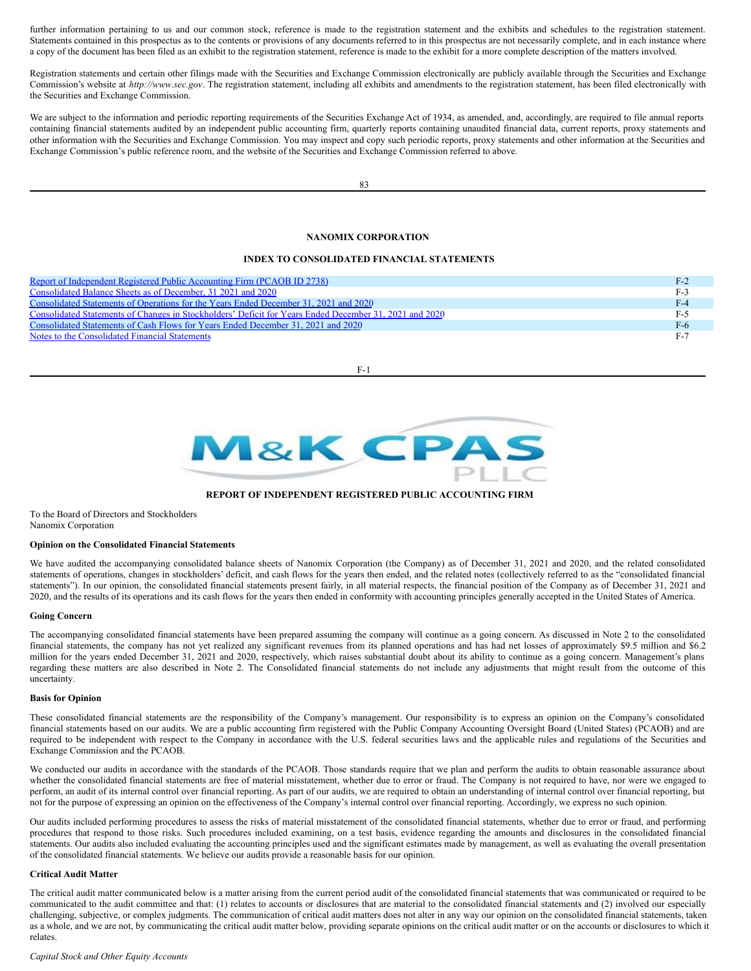further information pertaining to us and our common stock, reference is made to the registration statement and the exhibits and schedules to the registration statement. Statements contained in this prospectus as to the contents or provisions of any documents referred to in this prospectus are not necessarily complete, and in each instance where a copy of the document has been filed as an exhibit to the registration statement, reference is made to the exhibit for a more complete description of the matters involved.

Registration statements and certain other filings made with the Securities and Exchange Commission electronically are publicly available through the Securities and Exchange Commission's website at *http://www.sec.gov*. The registration statement, including all exhibits and amendments to the registration statement, has been filed electronically with the Securities and Exchange Commission.

We are subject to the information and periodic reporting requirements of the Securities Exchange Act of 1934, as amended, and, accordingly, are required to file annual reports containing financial statements audited by an independent public accounting firm, quarterly reports containing unaudited financial data, current reports, proxy statements and other information with the Securities and Exchange Commission. You may inspect and copy such periodic reports, proxy statements and other information at the Securities and Exchange Commission's public reference room, and the website of the Securities and Exchange Commission referred to above.

83

### **NANOMIX CORPORATION**

### **INDEX TO CONSOLIDATED FINANCIAL STATEMENTS**

| Report of Independent Registered Public Accounting Firm (PCAOB ID 2738)                                | F-2   |
|--------------------------------------------------------------------------------------------------------|-------|
| Consolidated Balance Sheets as of December, 31 2021 and 2020                                           | F-3   |
| Consolidated Statements of Operations for the Years Ended December 31, 2021 and 2020                   | F-4   |
| Consolidated Statements of Changes in Stockholders' Deficit for Years Ended December 31, 2021 and 2020 | F-5   |
| Consolidated Statements of Cash Flows for Years Ended December 31, 2021 and 2020                       | F-6   |
| Notes to the Consolidated Financial Statements                                                         | $F-7$ |

F-1



#### <span id="page-50-0"></span>**REPORT OF INDEPENDENT REGISTERED PUBLIC ACCOUNTING FIRM**

To the Board of Directors and Stockholders Nanomix Corporation

#### **Opinion on the Consolidated Financial Statements**

We have audited the accompanying consolidated balance sheets of Nanomix Corporation (the Company) as of December 31, 2021 and 2020, and the related consolidated statements of operations, changes in stockholders' deficit, and cash flows for the years then ended, and the related notes (collectively referred to as the "consolidated financial statements"). In our opinion, the consolidated financial statements present fairly, in all material respects, the financial position of the Company as of December 31, 2021 and 2020, and the results of its operations and its cash flows for the years then ended in conformity with accounting principles generally accepted in the United States of America.

#### **Going Concern**

The accompanying consolidated financial statements have been prepared assuming the company will continue as a going concern. As discussed in Note 2 to the consolidated financial statements, the company has not yet realized any significant revenues from its planned operations and has had net losses of approximately \$9.5 million and \$6.2 million for the years ended December 31, 2021 and 2020, respectively, which raises substantial doubt about its ability to continue as a going concern. Management's plans regarding these matters are also described in Note 2. The Consolidated financial statements do not include any adjustments that might result from the outcome of this uncertainty.

#### **Basis for Opinion**

These consolidated financial statements are the responsibility of the Company's management. Our responsibility is to express an opinion on the Company's consolidated financial statements based on our audits. We are a public accounting firm registered with the Public Company Accounting Oversight Board (United States) (PCAOB) and are required to be independent with respect to the Company in accordance with the U.S. federal securities laws and the applicable rules and regulations of the Securities and Exchange Commission and the PCAOB.

We conducted our audits in accordance with the standards of the PCAOB. Those standards require that we plan and perform the audits to obtain reasonable assurance about whether the consolidated financial statements are free of material misstatement, whether due to error or fraud. The Company is not required to have, nor were we engaged to perform, an audit of its internal control over financial reporting. As part of our audits, we are required to obtain an understanding of internal control over financial reporting, but not for the purpose of expressing an opinion on the effectiveness of the Company's internal control over financial reporting. Accordingly, we express no such opinion.

Our audits included performing procedures to assess the risks of material misstatement of the consolidated financial statements, whether due to error or fraud, and performing procedures that respond to those risks. Such procedures included examining, on a test basis, evidence regarding the amounts and disclosures in the consolidated financial statements. Our audits also included evaluating the accounting principles used and the significant estimates made by management, as well as evaluating the overall presentation of the consolidated financial statements. We believe our audits provide a reasonable basis for our opinion.

### **Critical Audit Matter**

The critical audit matter communicated below is a matter arising from the current period audit of the consolidated financial statements that was communicated or required to be communicated to the audit committee and that: (1) relates to accounts or disclosures that are material to the consolidated financial statements and (2) involved our especially challenging, subjective, or complex judgments. The communication of critical audit matters does not alter in any way our opinion on the consolidated financial statements, taken as a whole, and we are not, by communicating the critical audit matter below, providing separate opinions on the critical audit matter or on the accounts or disclosures to which it relates.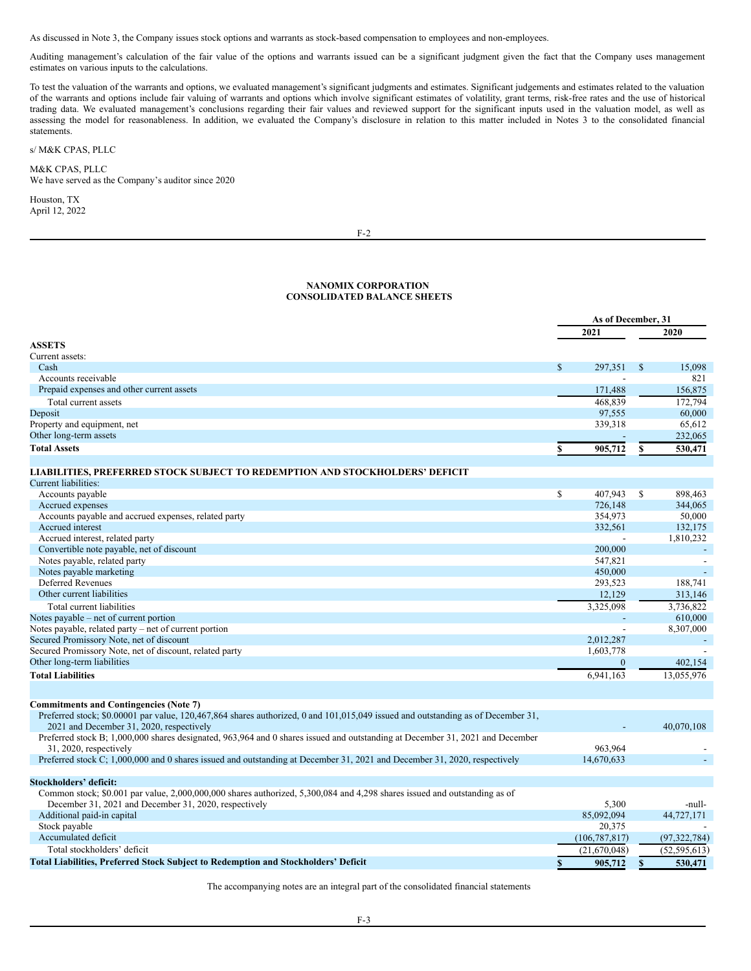As discussed in Note 3, the Company issues stock options and warrants as stock-based compensation to employees and non-employees.

Auditing management's calculation of the fair value of the options and warrants issued can be a significant judgment given the fact that the Company uses management estimates on various inputs to the calculations.

To test the valuation of the warrants and options, we evaluated management's significant judgments and estimates. Significant judgements and estimates related to the valuation of the warrants and options include fair valuing of warrants and options which involve significant estimates of volatility, grant terms, risk-free rates and the use of historical trading data. We evaluated management's conclusions regarding their fair values and reviewed support for the significant inputs used in the valuation model, as well as assessing the model for reasonableness. In addition, we evaluated the Company's disclosure in relation to this matter included in Notes 3 to the consolidated financial statements.

s/ M&K CPAS, PLLC

M&K CPAS, PLLC We have served as the Company's auditor since 2020

Houston, TX April 12, 2022

F-2

### <span id="page-51-0"></span>**NANOMIX CORPORATION CONSOLIDATED BALANCE SHEETS**

|                                                                                                                                                                              |              | As of December, 31 |              |                |  |  |
|------------------------------------------------------------------------------------------------------------------------------------------------------------------------------|--------------|--------------------|--------------|----------------|--|--|
|                                                                                                                                                                              |              | 2021               |              | 2020           |  |  |
| <b>ASSETS</b>                                                                                                                                                                |              |                    |              |                |  |  |
| Current assets:                                                                                                                                                              |              |                    |              |                |  |  |
| Cash                                                                                                                                                                         | $\mathbb{S}$ | 297,351            | $\mathbb{S}$ | 15,098         |  |  |
| Accounts receivable                                                                                                                                                          |              |                    |              | 821            |  |  |
| Prepaid expenses and other current assets                                                                                                                                    |              | 171,488            |              | 156,875        |  |  |
| Total current assets                                                                                                                                                         |              | 468.839            |              | 172.794        |  |  |
| Deposit                                                                                                                                                                      |              | 97,555             |              | 60,000         |  |  |
| Property and equipment, net                                                                                                                                                  |              | 339,318            |              | 65,612         |  |  |
| Other long-term assets                                                                                                                                                       |              |                    |              | 232,065        |  |  |
| <b>Total Assets</b>                                                                                                                                                          | \$           | 905,712            | S            | 530,471        |  |  |
|                                                                                                                                                                              |              |                    |              |                |  |  |
| LIABILITIES, PREFERRED STOCK SUBJECT TO REDEMPTION AND STOCKHOLDERS' DEFICIT                                                                                                 |              |                    |              |                |  |  |
| Current liabilities:                                                                                                                                                         |              |                    |              |                |  |  |
| Accounts payable                                                                                                                                                             | \$           | 407,943            | \$           | 898,463        |  |  |
| Accrued expenses                                                                                                                                                             |              | 726,148            |              | 344,065        |  |  |
| Accounts payable and accrued expenses, related party                                                                                                                         |              | 354,973            |              | 50,000         |  |  |
| Accrued interest                                                                                                                                                             |              | 332,561            |              | 132,175        |  |  |
| Accrued interest, related party                                                                                                                                              |              |                    |              | 1,810,232      |  |  |
| Convertible note payable, net of discount                                                                                                                                    |              | 200,000            |              |                |  |  |
| Notes payable, related party                                                                                                                                                 |              | 547,821            |              |                |  |  |
| Notes payable marketing                                                                                                                                                      |              | 450,000            |              |                |  |  |
| <b>Deferred Revenues</b>                                                                                                                                                     |              | 293,523            |              | 188,741        |  |  |
| Other current liabilities                                                                                                                                                    |              | 12,129             |              | 313,146        |  |  |
| Total current liabilities                                                                                                                                                    |              | 3,325,098          |              | 3,736,822      |  |  |
| Notes payable $-$ net of current portion                                                                                                                                     |              |                    |              | 610,000        |  |  |
| Notes payable, related party – net of current portion                                                                                                                        |              | $\overline{a}$     |              | 8,307,000      |  |  |
| Secured Promissory Note, net of discount                                                                                                                                     |              | 2,012,287          |              |                |  |  |
| Secured Promissory Note, net of discount, related party                                                                                                                      |              | 1,603,778          |              |                |  |  |
| Other long-term liabilities                                                                                                                                                  |              | $\overline{0}$     |              | 402,154        |  |  |
| <b>Total Liabilities</b>                                                                                                                                                     |              | 6.941.163          |              | 13,055,976     |  |  |
|                                                                                                                                                                              |              |                    |              |                |  |  |
| <b>Commitments and Contingencies (Note 7)</b>                                                                                                                                |              |                    |              |                |  |  |
| Preferred stock; \$0.00001 par value, 120,467,864 shares authorized, 0 and 101,015,049 issued and outstanding as of December 31,<br>2021 and December 31, 2020, respectively |              |                    |              | 40.070.108     |  |  |
| Preferred stock B; 1,000,000 shares designated, 963,964 and 0 shares issued and outstanding at December 31, 2021 and December<br>31, 2020, respectively                      |              | 963,964            |              |                |  |  |
| Preferred stock C; 1,000,000 and 0 shares issued and outstanding at December 31, 2021 and December 31, 2020, respectively                                                    |              | 14,670,633         |              |                |  |  |
|                                                                                                                                                                              |              |                    |              |                |  |  |
| Stockholders' deficit:                                                                                                                                                       |              |                    |              |                |  |  |
| Common stock; \$0.001 par value, 2,000,000,000 shares authorized, 5,300,084 and 4,298 shares issued and outstanding as of                                                    |              |                    |              |                |  |  |
| December 31, 2021 and December 31, 2020, respectively                                                                                                                        |              | 5,300              |              | -null-         |  |  |
| Additional paid-in capital                                                                                                                                                   |              | 85,092,094         |              | 44,727,171     |  |  |
| Stock payable                                                                                                                                                                |              | 20,375             |              |                |  |  |
| Accumulated deficit                                                                                                                                                          |              | (106, 787, 817)    |              | (97, 322, 784) |  |  |
| Total stockholders' deficit                                                                                                                                                  |              | (21,670,048)       |              | (52, 595, 613) |  |  |
| <b>Total Liabilities, Preferred Stock Subject to Redemption and Stockholders' Deficit</b>                                                                                    | \$           | 905,712            | \$           | 530,471        |  |  |

The accompanying notes are an integral part of the consolidated financial statements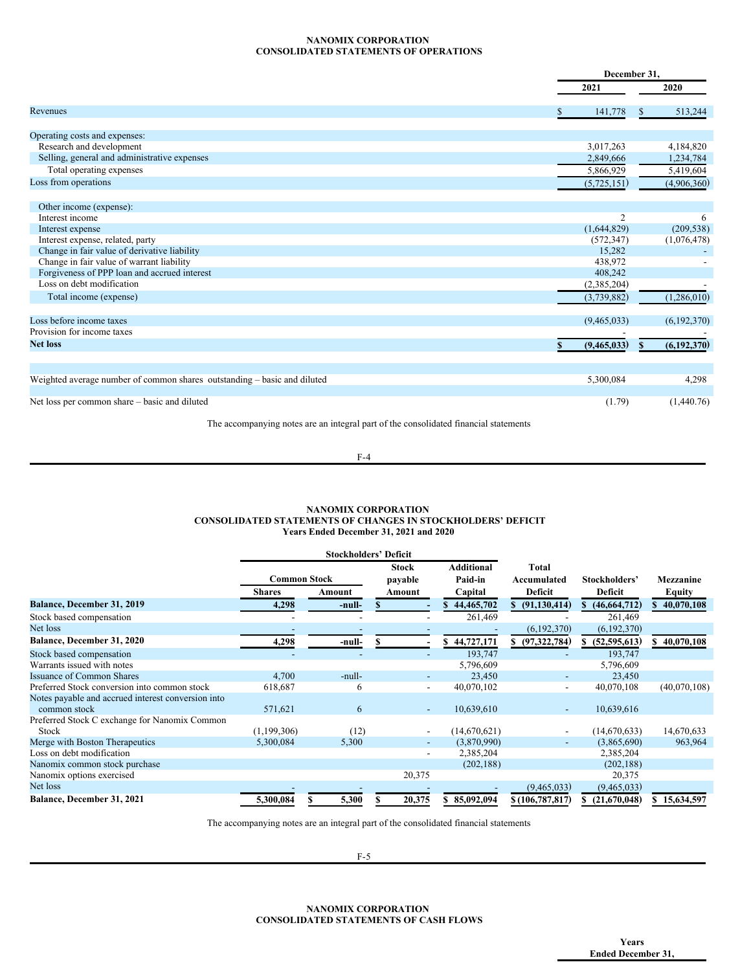# <span id="page-52-0"></span>**NANOMIX CORPORATION CONSOLIDATED STATEMENTS OF OPERATIONS**

|                                                                          |                | December 31,       |
|--------------------------------------------------------------------------|----------------|--------------------|
|                                                                          | 2021           | 2020               |
| Revenues                                                                 | 141,778        | 513,244<br>S.      |
| Operating costs and expenses:                                            |                |                    |
| Research and development                                                 | 3,017,263      | 4,184,820          |
| Selling, general and administrative expenses                             | 2,849,666      | 1,234,784          |
| Total operating expenses                                                 | 5,866,929      | 5,419,604          |
| Loss from operations                                                     | (5,725,151)    | (4,906,360)        |
| Other income (expense):                                                  |                |                    |
| Interest income                                                          | $\overline{2}$ | 6                  |
| Interest expense                                                         | (1,644,829)    | (209, 538)         |
| Interest expense, related, party                                         | (572, 347)     | (1,076,478)        |
| Change in fair value of derivative liability                             | 15,282         |                    |
| Change in fair value of warrant liability                                | 438,972        |                    |
| Forgiveness of PPP loan and accrued interest                             | 408,242        |                    |
| Loss on debt modification                                                | (2,385,204)    |                    |
| Total income (expense)                                                   | (3,739,882)    | (1,286,010)        |
| Loss before income taxes                                                 | (9,465,033)    | (6,192,370)        |
| Provision for income taxes                                               |                |                    |
| <b>Net loss</b>                                                          | (9,465,033)    | (6, 192, 370)<br>S |
|                                                                          |                |                    |
| Weighted average number of common shares outstanding – basic and diluted | 5,300,084      | 4,298              |
| Net loss per common share - basic and diluted                            | (1.79)         | (1,440.76)         |
|                                                                          |                |                    |

The accompanying notes are an integral part of the consolidated financial statements

F-4

### <span id="page-52-1"></span>**NANOMIX CORPORATION CONSOLIDATED STATEMENTS OF CHANGES IN STOCKHOLDERS' DEFICIT Years Ended December 31, 2021 and 2020**

|                                                    |                     | <b>Stockholders' Deficit</b> |                         |                                        |                          |                |              |
|----------------------------------------------------|---------------------|------------------------------|-------------------------|----------------------------------------|--------------------------|----------------|--------------|
|                                                    | <b>Common Stock</b> |                              | <b>Stock</b><br>payable | <b>Additional</b><br>Paid-in           | Total<br>Accumulated     | Stockholders'  | Mezzanine    |
|                                                    | <b>Shares</b>       | Amount                       | Amount                  | Capital                                | <b>Deficit</b>           | Deficit        | Equity       |
| Balance, December 31, 2019                         | 4,298               | -null-                       |                         | 44,465,702                             | \$ (91,130,414)          | (46, 664, 712) | 40,070,108   |
| Stock based compensation                           |                     |                              |                         | 261,469                                |                          | 261,469        |              |
| Net loss                                           |                     |                              |                         |                                        | (6,192,370)              | (6,192,370)    |              |
| Balance, December 31, 2020                         | 4,298               | -null-                       |                         | 44,727,171<br>S                        | (97, 322, 784)           | (52, 595, 613) | 40,070,108   |
| Stock based compensation                           |                     |                              |                         | 193,747                                |                          | 193,747        |              |
| Warrants issued with notes                         |                     |                              |                         | 5,796,609                              |                          | 5,796,609      |              |
| <b>Issuance of Common Shares</b>                   | 4.700               | -null-                       |                         | 23,450                                 |                          | 23,450         |              |
| Preferred Stock conversion into common stock       | 618,687             | 6                            |                         | 40,070,102<br>$\overline{\phantom{0}}$ |                          | 40,070,108     | (40,070,108) |
| Notes payable and accrued interest conversion into |                     |                              |                         |                                        |                          |                |              |
| common stock                                       | 571,621             | 6                            |                         | 10,639,610<br>$\sim$                   |                          | 10,639,616     |              |
| Preferred Stock C exchange for Nanomix Common      |                     |                              |                         |                                        |                          |                |              |
| Stock                                              | (1, 199, 306)       | (12)                         |                         | (14,670,621)                           |                          | (14,670,633)   | 14,670,633   |
| Merge with Boston Therapeutics                     | 5,300,084           | 5,300                        |                         | (3,870,990)<br>$\sim$                  | $\overline{\phantom{a}}$ | (3,865,690)    | 963,964      |
| Loss on debt modification                          |                     |                              |                         | 2,385,204                              |                          | 2,385,204      |              |
| Nanomix common stock purchase                      |                     |                              |                         | (202, 188)                             |                          | (202, 188)     |              |
| Nanomix options exercised                          |                     |                              | 20,375                  |                                        |                          | 20,375         |              |
| Net loss                                           |                     |                              |                         |                                        | (9,465,033)              | (9,465,033)    |              |
| Balance, December 31, 2021                         | 5,300,084           | 5,300                        | 20,375                  | 85,092,094                             | \$(106, 787, 817)        | (21,670,048)   | \$15,634,597 |

The accompanying notes are an integral part of the consolidated financial statements

<span id="page-52-2"></span>**NANOMIX CORPORATION CONSOLIDATED STATEMENTS OF CASH FLOWS**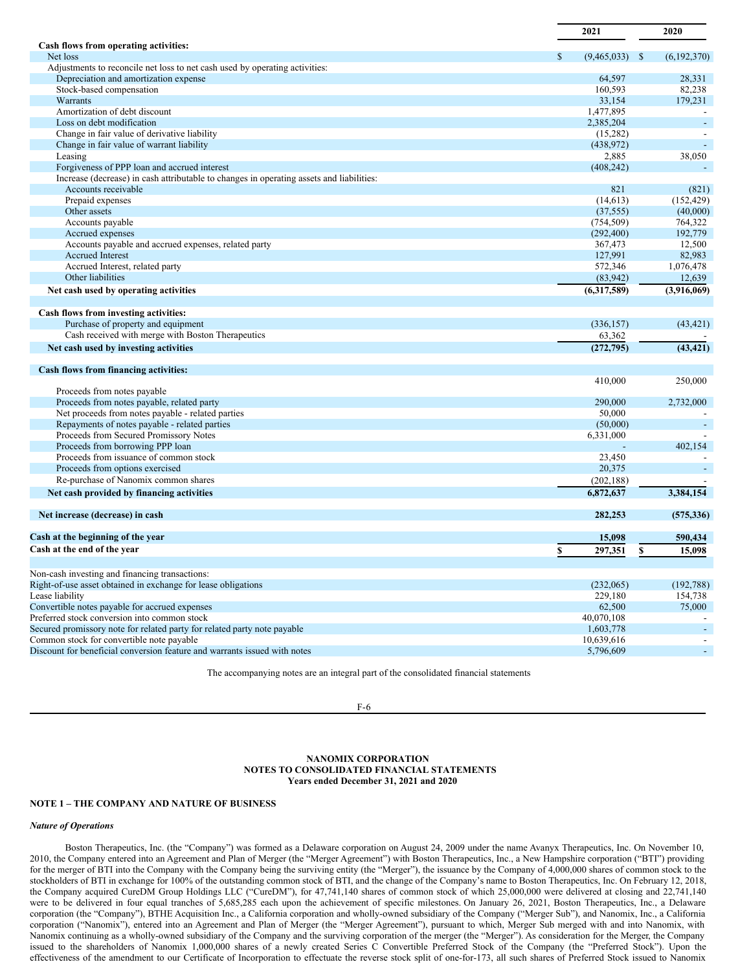|                                                                                          | 2021                        | 2020                       |
|------------------------------------------------------------------------------------------|-----------------------------|----------------------------|
| Cash flows from operating activities:<br>Net loss                                        | $\mathbf{s}$<br>(9,465,033) | $\mathbf S$<br>(6,192,370) |
| Adjustments to reconcile net loss to net cash used by operating activities:              |                             |                            |
| Depreciation and amortization expense                                                    | 64,597                      | 28,331                     |
| Stock-based compensation                                                                 | 160,593                     | 82,238                     |
| Warrants                                                                                 | 33,154                      | 179,231                    |
| Amortization of debt discount                                                            | 1,477,895                   |                            |
| Loss on debt modification                                                                | 2,385,204                   |                            |
| Change in fair value of derivative liability                                             | (15,282)                    | $\overline{a}$             |
| Change in fair value of warrant liability                                                | (438, 972)                  |                            |
| Leasing                                                                                  | 2,885                       | 38,050                     |
| Forgiveness of PPP loan and accrued interest                                             | (408, 242)                  |                            |
| Increase (decrease) in cash attributable to changes in operating assets and liabilities: |                             |                            |
| Accounts receivable                                                                      | 821                         | (821)                      |
| Prepaid expenses                                                                         | (14, 613)                   | (152, 429)                 |
| Other assets                                                                             | (37, 555)                   | (40,000)                   |
| Accounts payable                                                                         | (754, 509)                  | 764,322                    |
| Accrued expenses                                                                         | (292, 400)                  | 192,779                    |
| Accounts payable and accrued expenses, related party                                     | 367,473                     | 12.500                     |
| <b>Accrued Interest</b>                                                                  | 127,991                     | 82,983                     |
| Accrued Interest, related party                                                          | 572,346                     | 1,076,478                  |
| Other liabilities                                                                        | (83,942)                    | 12,639                     |
| Net cash used by operating activities                                                    | (6,317,589)                 | (3,916,069)                |
|                                                                                          |                             |                            |
| Cash flows from investing activities:                                                    |                             |                            |
| Purchase of property and equipment                                                       | (336, 157)                  | (43, 421)                  |
| Cash received with merge with Boston Therapeutics                                        | 63,362                      |                            |
|                                                                                          |                             |                            |
| Net cash used by investing activities                                                    | (272, 795)                  | (43, 421)                  |
| Cash flows from financing activities:                                                    |                             |                            |
|                                                                                          | 410,000                     | 250,000                    |
| Proceeds from notes payable                                                              |                             |                            |
| Proceeds from notes payable, related party                                               | 290,000                     | 2,732,000                  |
| Net proceeds from notes payable - related parties                                        | 50,000                      |                            |
| Repayments of notes payable - related parties                                            | (50,000)                    |                            |
| Proceeds from Secured Promissory Notes                                                   | 6,331,000                   |                            |
| Proceeds from borrowing PPP loan                                                         |                             | 402,154                    |
| Proceeds from issuance of common stock                                                   | 23,450                      |                            |
| Proceeds from options exercised                                                          | 20,375                      |                            |
| Re-purchase of Nanomix common shares                                                     | (202, 188)                  |                            |
| Net cash provided by financing activities                                                | 6,872,637                   | 3,384,154                  |
|                                                                                          |                             |                            |
| Net increase (decrease) in cash                                                          | 282,253                     | (575, 336)                 |
|                                                                                          |                             |                            |
| Cash at the beginning of the year                                                        | 15,098                      | 590,434                    |
| Cash at the end of the year                                                              | 297,351<br>\$               | 15,098<br>\$               |
| Non-cash investing and financing transactions:                                           |                             |                            |
| Right-of-use asset obtained in exchange for lease obligations                            | (232,065)                   | (192, 788)                 |
| Lease liability                                                                          | 229,180                     | 154,738                    |
| Convertible notes payable for accrued expenses                                           | 62,500                      | 75,000                     |
| Preferred stock conversion into common stock                                             | 40,070,108                  |                            |
| Secured promissory note for related party for related party note payable                 | 1,603,778                   |                            |
| Common stock for convertible note payable                                                | 10,639,616                  | $\overline{\phantom{a}}$   |
| Discount for beneficial conversion feature and warrants issued with notes                | 5,796,609                   | $\blacksquare$             |
|                                                                                          |                             |                            |

The accompanying notes are an integral part of the consolidated financial statements

F-6

### <span id="page-53-0"></span>**NANOMIX CORPORATION NOTES TO CONSOLIDATED FINANCIAL STATEMENTS Years ended December 31, 2021 and 2020**

# **NOTE 1 – THE COMPANY AND NATURE OF BUSINESS**

#### *Nature of Operations*

Boston Therapeutics, Inc. (the "Company") was formed as a Delaware corporation on August 24, 2009 under the name Avanyx Therapeutics, Inc. On November 10, 2010, the Company entered into an Agreement and Plan of Merger (the "Merger Agreement") with Boston Therapeutics, Inc., a New Hampshire corporation ("BTI") providing for the merger of BTI into the Company with the Company being the surviving entity (the "Merger"), the issuance by the Company of 4,000,000 shares of common stock to the stockholders of BTI in exchange for 100% of the outstanding common stock of BTI, and the change of the Company's name to Boston Therapeutics, Inc. On February 12, 2018, the Company acquired CureDM Group Holdings LLC ("CureDM"), for 47,741,140 shares of common stock of which 25,000,000 were delivered at closing and 22,741,140 were to be delivered in four equal tranches of 5,685,285 each upon the achievement of specific milestones. On January 26, 2021, Boston Therapeutics, Inc., a Delaware corporation (the "Company"), BTHE Acquisition Inc., a California corporation and wholly-owned subsidiary of the Company ("Merger Sub"), and Nanomix, Inc., a California corporation ("Nanomix"), entered into an Agreement and Plan of Merger (the "Merger Agreement"), pursuant to which, Merger Sub merged with and into Nanomix, with Nanomix continuing as a wholly-owned subsidiary of the Company and the surviving corporation of the merger (the "Merger"). As consideration for the Merger, the Company issued to the shareholders of Nanomix 1,000,000 shares of a newly created Series C Convertible Preferred Stock of the Company (the "Preferred Stock"). Upon the effectiveness of the amendment to our Certificate of Incorporation to effectuate the reverse stock split of one-for-173, all such shares of Preferred Stock issued to Nanomix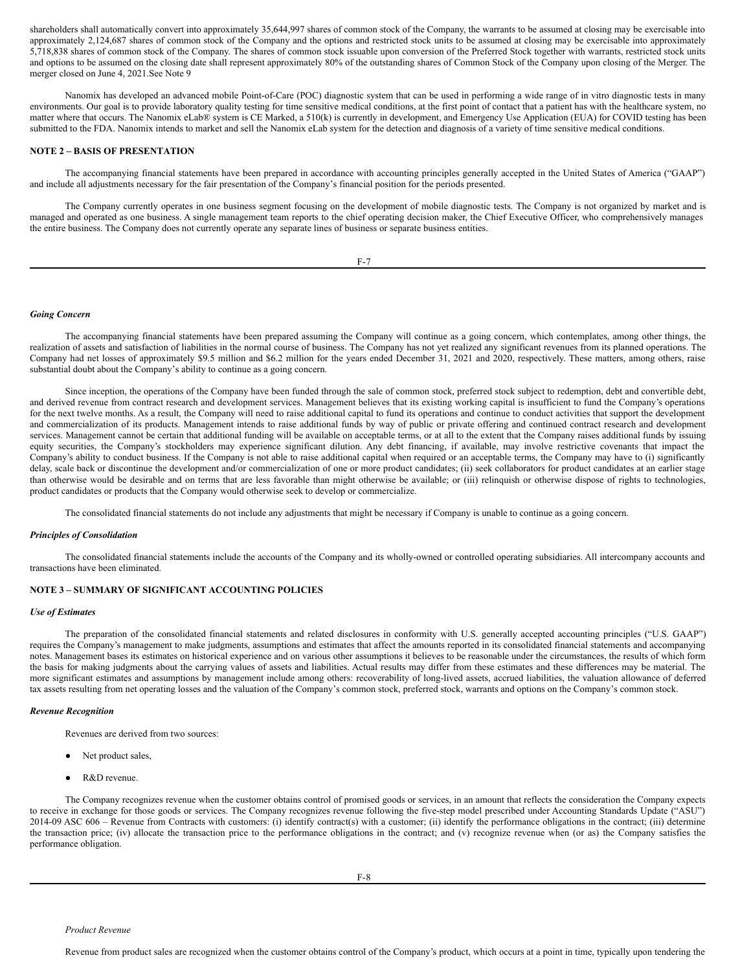shareholders shall automatically convert into approximately 35,644,997 shares of common stock of the Company, the warrants to be assumed at closing may be exercisable into approximately 2,124,687 shares of common stock of the Company and the options and restricted stock units to be assumed at closing may be exercisable into approximately 5,718,838 shares of common stock of the Company. The shares of common stock issuable upon conversion of the Preferred Stock together with warrants, restricted stock units and options to be assumed on the closing date shall represent approximately 80% of the outstanding shares of Common Stock of the Company upon closing of the Merger. The merger closed on June 4, 2021.See Note 9

Nanomix has developed an advanced mobile Point-of-Care (POC) diagnostic system that can be used in performing a wide range of in vitro diagnostic tests in many environments. Our goal is to provide laboratory quality testing for time sensitive medical conditions, at the first point of contact that a patient has with the healthcare system, no matter where that occurs. The Nanomix eLab® system is CE Marked, a 510(k) is currently in development, and Emergency Use Application (EUA) for COVID testing has been submitted to the FDA. Nanomix intends to market and sell the Nanomix eLab system for the detection and diagnosis of a variety of time sensitive medical conditions.

#### **NOTE 2 – BASIS OF PRESENTATION**

The accompanying financial statements have been prepared in accordance with accounting principles generally accepted in the United States of America ("GAAP") and include all adjustments necessary for the fair presentation of the Company's financial position for the periods presented.

The Company currently operates in one business segment focusing on the development of mobile diagnostic tests. The Company is not organized by market and is managed and operated as one business. A single management team reports to the chief operating decision maker, the Chief Executive Officer, who comprehensively manages the entire business. The Company does not currently operate any separate lines of business or separate business entities.

| - |  |
|---|--|
|   |  |

#### *Going Concern*

The accompanying financial statements have been prepared assuming the Company will continue as a going concern, which contemplates, among other things, the realization of assets and satisfaction of liabilities in the normal course of business. The Company has not yet realized any significant revenues from its planned operations. The Company had net losses of approximately \$9.5 million and \$6.2 million for the years ended December 31, 2021 and 2020, respectively. These matters, among others, raise substantial doubt about the Company's ability to continue as a going concern.

Since inception, the operations of the Company have been funded through the sale of common stock, preferred stock subject to redemption, debt and convertible debt, and derived revenue from contract research and development services. Management believes that its existing working capital is insufficient to fund the Company's operations for the next twelve months. As a result, the Company will need to raise additional capital to fund its operations and continue to conduct activities that support the development and commercialization of its products. Management intends to raise additional funds by way of public or private offering and continued contract research and development services. Management cannot be certain that additional funding will be available on acceptable terms, or at all to the extent that the Company raises additional funds by issuing equity securities, the Company's stockholders may experience significant dilution. Any debt financing, if available, may involve restrictive covenants that impact the Company's ability to conduct business. If the Company is not able to raise additional capital when required or an acceptable terms, the Company may have to (i) significantly delay, scale back or discontinue the development and/or commercialization of one or more product candidates; (ii) seek collaborators for product candidates at an earlier stage than otherwise would be desirable and on terms that are less favorable than might otherwise be available; or (iii) relinquish or otherwise dispose of rights to technologies, product candidates or products that the Company would otherwise seek to develop or commercialize.

The consolidated financial statements do not include any adjustments that might be necessary if Company is unable to continue as a going concern.

#### *Principles of Consolidation*

The consolidated financial statements include the accounts of the Company and its wholly-owned or controlled operating subsidiaries. All intercompany accounts and transactions have been eliminated.

### **NOTE 3 – SUMMARY OF SIGNIFICANT ACCOUNTING POLICIES**

### *Use of Estimates*

The preparation of the consolidated financial statements and related disclosures in conformity with U.S. generally accepted accounting principles ("U.S. GAAP") requires the Company's management to make judgments, assumptions and estimates that affect the amounts reported in its consolidated financial statements and accompanying notes. Management bases its estimates on historical experience and on various other assumptions it believes to be reasonable under the circumstances, the results of which form the basis for making judgments about the carrying values of assets and liabilities. Actual results may differ from these estimates and these differences may be material. The more significant estimates and assumptions by management include among others: recoverability of long-lived assets, accrued liabilities, the valuation allowance of deferred tax assets resulting from net operating losses and the valuation of the Company's common stock, preferred stock, warrants and options on the Company's common stock.

#### *Revenue Recognition*

Revenues are derived from two sources:

- Net product sales,
- R&D revenue.

The Company recognizes revenue when the customer obtains control of promised goods or services, in an amount that reflects the consideration the Company expects to receive in exchange for those goods or services. The Company recognizes revenue following the five-step model prescribed under Accounting Standards Update ("ASU") 2014-09 ASC 606 – Revenue from Contracts with customers: (i) identify contract(s) with a customer; (ii) identify the performance obligations in the contract; (iii) determine the transaction price; (iv) allocate the transaction price to the performance obligations in the contract; and (v) recognize revenue when (or as) the Company satisfies the performance obligation.

*Product Revenue*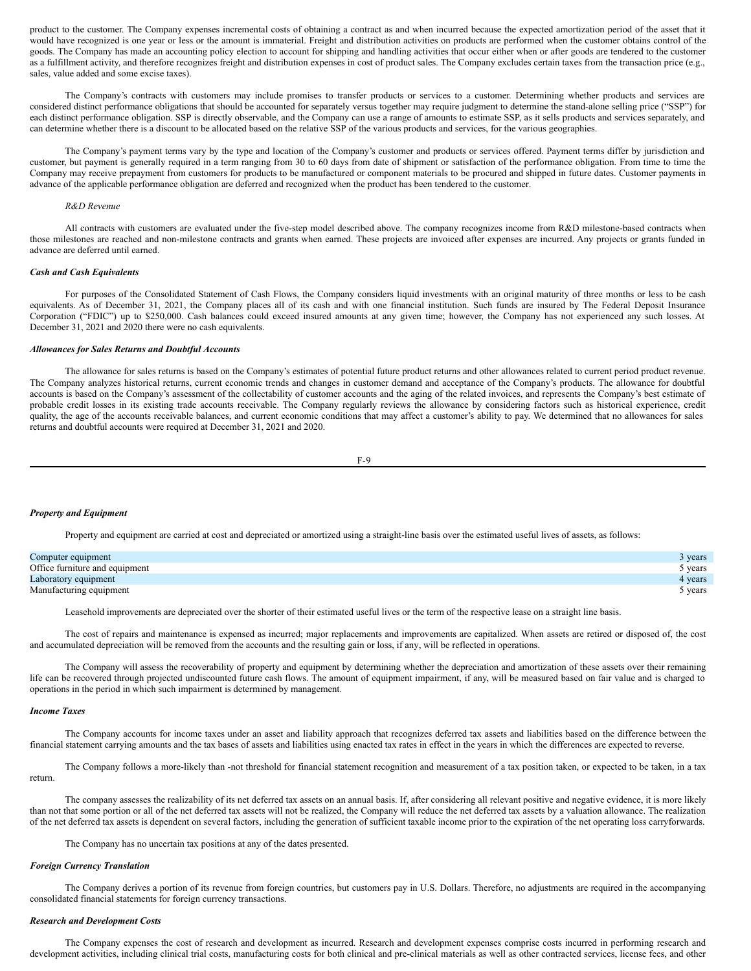product to the customer. The Company expenses incremental costs of obtaining a contract as and when incurred because the expected amortization period of the asset that it would have recognized is one year or less or the amount is immaterial. Freight and distribution activities on products are performed when the customer obtains control of the goods. The Company has made an accounting policy election to account for shipping and handling activities that occur either when or after goods are tendered to the customer as a fulfillment activity, and therefore recognizes freight and distribution expenses in cost of product sales. The Company excludes certain taxes from the transaction price (e.g., sales, value added and some excise taxes).

The Company's contracts with customers may include promises to transfer products or services to a customer. Determining whether products and services are considered distinct performance obligations that should be accounted for separately versus together may require judgment to determine the stand-alone selling price ("SSP") for each distinct performance obligation. SSP is directly observable, and the Company can use a range of amounts to estimate SSP, as it sells products and services separately, and can determine whether there is a discount to be allocated based on the relative SSP of the various products and services, for the various geographies.

The Company's payment terms vary by the type and location of the Company's customer and products or services offered. Payment terms differ by jurisdiction and customer, but payment is generally required in a term ranging from 30 to 60 days from date of shipment or satisfaction of the performance obligation. From time to time the Company may receive prepayment from customers for products to be manufactured or component materials to be procured and shipped in future dates. Customer payments in advance of the applicable performance obligation are deferred and recognized when the product has been tendered to the customer.

#### *R&D Revenue*

All contracts with customers are evaluated under the five-step model described above. The company recognizes income from R&D milestone-based contracts when those milestones are reached and non-milestone contracts and grants when earned. These projects are invoiced after expenses are incurred. Any projects or grants funded in advance are deferred until earned.

### *Cash and Cash Equivalents*

For purposes of the Consolidated Statement of Cash Flows, the Company considers liquid investments with an original maturity of three months or less to be cash equivalents. As of December 31, 2021, the Company places all of its cash and with one financial institution. Such funds are insured by The Federal Deposit Insurance Corporation ("FDIC") up to \$250,000. Cash balances could exceed insured amounts at any given time; however, the Company has not experienced any such losses. At December 31, 2021 and 2020 there were no cash equivalents.

#### *Allowances for Sales Returns and Doubtful Accounts*

The allowance for sales returns is based on the Company's estimates of potential future product returns and other allowances related to current period product revenue. The Company analyzes historical returns, current economic trends and changes in customer demand and acceptance of the Company's products. The allowance for doubtful accounts is based on the Company's assessment of the collectability of customer accounts and the aging of the related invoices, and represents the Company's best estimate of probable credit losses in its existing trade accounts receivable. The Company regularly reviews the allowance by considering factors such as historical experience, credit quality, the age of the accounts receivable balances, and current economic conditions that may affect a customer's ability to pay. We determined that no allowances for sales returns and doubtful accounts were required at December 31, 2021 and 2020.

$$
F-9
$$

#### *Property and Equipment*

Property and equipment are carried at cost and depreciated or amortized using a straight-line basis over the estimated useful lives of assets, as follows:

| Computer equipment             | vears |
|--------------------------------|-------|
| Office furniture and equipment | vears |
| Laboratory equipment           | vears |
| Manufacturing equipment        | vears |

Leasehold improvements are depreciated over the shorter of their estimated useful lives or the term of the respective lease on a straight line basis.

The cost of repairs and maintenance is expensed as incurred; major replacements and improvements are capitalized. When assets are retired or disposed of, the cost and accumulated depreciation will be removed from the accounts and the resulting gain or loss, if any, will be reflected in operations.

The Company will assess the recoverability of property and equipment by determining whether the depreciation and amortization of these assets over their remaining life can be recovered through projected undiscounted future cash flows. The amount of equipment impairment, if any, will be measured based on fair value and is charged to operations in the period in which such impairment is determined by management.

#### *Income Taxes*

The Company accounts for income taxes under an asset and liability approach that recognizes deferred tax assets and liabilities based on the difference between the financial statement carrying amounts and the tax bases of assets and liabilities using enacted tax rates in effect in the years in which the differences are expected to reverse.

The Company follows a more-likely than -not threshold for financial statement recognition and measurement of a tax position taken, or expected to be taken, in a tax return.

The company assesses the realizability of its net deferred tax assets on an annual basis. If, after considering all relevant positive and negative evidence, it is more likely than not that some portion or all of the net deferred tax assets will not be realized, the Company will reduce the net deferred tax assets by a valuation allowance. The realization of the net deferred tax assets is dependent on several factors, including the generation of sufficient taxable income prior to the expiration of the net operating loss carryforwards.

The Company has no uncertain tax positions at any of the dates presented.

#### *Foreign Currency Translation*

The Company derives a portion of its revenue from foreign countries, but customers pay in U.S. Dollars. Therefore, no adjustments are required in the accompanying consolidated financial statements for foreign currency transactions.

### *Research and Development Costs*

The Company expenses the cost of research and development as incurred. Research and development expenses comprise costs incurred in performing research and development activities, including clinical trial costs, manufacturing costs for both clinical and pre-clinical materials as well as other contracted services, license fees, and other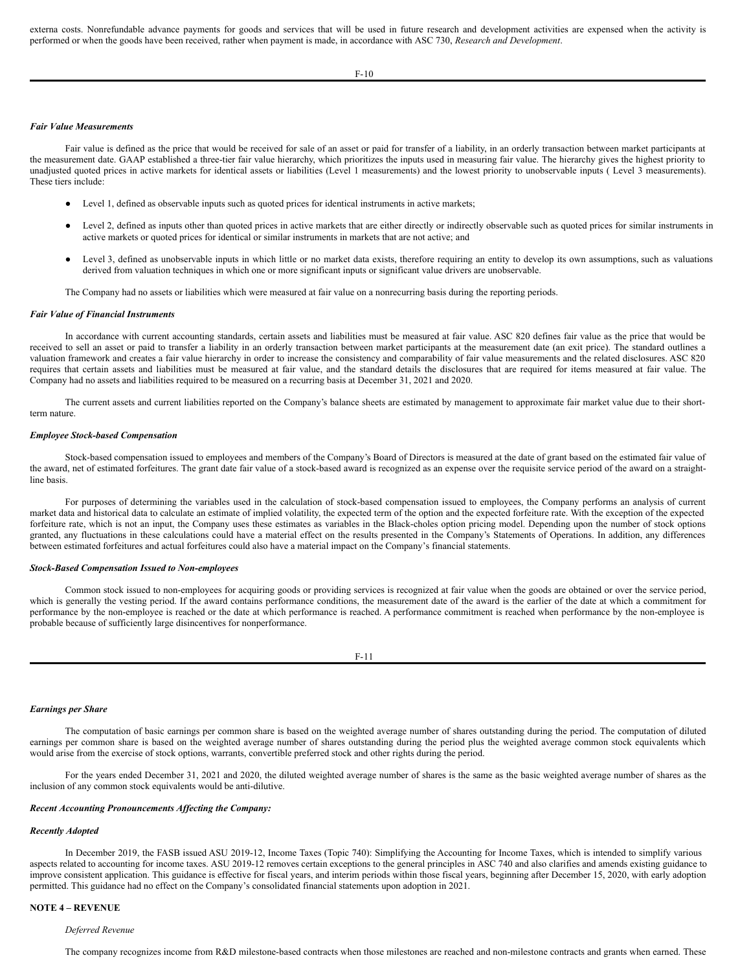externa costs. Nonrefundable advance payments for goods and services that will be used in future research and development activities are expensed when the activity is performed or when the goods have been received, rather when payment is made, in accordance with ASC 730, *Research and Development*.

## *Fair Value Measurements*

Fair value is defined as the price that would be received for sale of an asset or paid for transfer of a liability, in an orderly transaction between market participants at the measurement date. GAAP established a three-tier fair value hierarchy, which prioritizes the inputs used in measuring fair value. The hierarchy gives the highest priority to unadjusted quoted prices in active markets for identical assets or liabilities (Level 1 measurements) and the lowest priority to unobservable inputs ( Level 3 measurements). These tiers include:

- Level 1, defined as observable inputs such as quoted prices for identical instruments in active markets;
- Level 2, defined as inputs other than quoted prices in active markets that are either directly or indirectly observable such as quoted prices for similar instruments in active markets or quoted prices for identical or similar instruments in markets that are not active; and
- Level 3, defined as unobservable inputs in which little or no market data exists, therefore requiring an entity to develop its own assumptions, such as valuations derived from valuation techniques in which one or more significant inputs or significant value drivers are unobservable.

The Company had no assets or liabilities which were measured at fair value on a nonrecurring basis during the reporting periods.

#### *Fair Value of Financial Instruments*

In accordance with current accounting standards, certain assets and liabilities must be measured at fair value. ASC 820 defines fair value as the price that would be received to sell an asset or paid to transfer a liability in an orderly transaction between market participants at the measurement date (an exit price). The standard outlines a valuation framework and creates a fair value hierarchy in order to increase the consistency and comparability of fair value measurements and the related disclosures. ASC 820 requires that certain assets and liabilities must be measured at fair value, and the standard details the disclosures that are required for items measured at fair value. The Company had no assets and liabilities required to be measured on a recurring basis at December 31, 2021 and 2020.

The current assets and current liabilities reported on the Company's balance sheets are estimated by management to approximate fair market value due to their shortterm nature.

#### *Employee Stock-based Compensation*

Stock-based compensation issued to employees and members of the Company's Board of Directors is measured at the date of grant based on the estimated fair value of the award, net of estimated forfeitures. The grant date fair value of a stock-based award is recognized as an expense over the requisite service period of the award on a straightline basis.

For purposes of determining the variables used in the calculation of stock-based compensation issued to employees, the Company performs an analysis of current market data and historical data to calculate an estimate of implied volatility, the expected term of the option and the expected forfeiture rate. With the exception of the expected forfeiture rate, which is not an input, the Company uses these estimates as variables in the Black-choles option pricing model. Depending upon the number of stock options granted, any fluctuations in these calculations could have a material effect on the results presented in the Company's Statements of Operations. In addition, any differences between estimated forfeitures and actual forfeitures could also have a material impact on the Company's financial statements.

#### *Stock-Based Compensation Issued to Non-employees*

Common stock issued to non-employees for acquiring goods or providing services is recognized at fair value when the goods are obtained or over the service period, which is generally the vesting period. If the award contains performance conditions, the measurement date of the award is the earlier of the date at which a commitment for performance by the non-employee is reached or the date at which performance is reached. A performance commitment is reached when performance by the non-employee is probable because of sufficiently large disincentives for nonperformance.

### F-11

### *Earnings per Share*

The computation of basic earnings per common share is based on the weighted average number of shares outstanding during the period. The computation of diluted earnings per common share is based on the weighted average number of shares outstanding during the period plus the weighted average common stock equivalents which would arise from the exercise of stock options, warrants, convertible preferred stock and other rights during the period.

For the years ended December 31, 2021 and 2020, the diluted weighted average number of shares is the same as the basic weighted average number of shares as the inclusion of any common stock equivalents would be anti-dilutive.

# *Recent Accounting Pronouncements Af ecting the Company:*

### *Recently Adopted*

In December 2019, the FASB issued ASU 2019-12, Income Taxes (Topic 740): Simplifying the Accounting for Income Taxes, which is intended to simplify various aspects related to accounting for income taxes. ASU 2019-12 removes certain exceptions to the general principles in ASC 740 and also clarifies and amends existing guidance to improve consistent application. This guidance is effective for fiscal years, and interim periods within those fiscal years, beginning after December 15, 2020, with early adoption permitted. This guidance had no effect on the Company's consolidated financial statements upon adoption in 2021.

### **NOTE 4 – REVENUE**

### *Deferred Revenue*

The company recognizes income from R&D milestone-based contracts when those milestones are reached and non-milestone contracts and grants when earned. These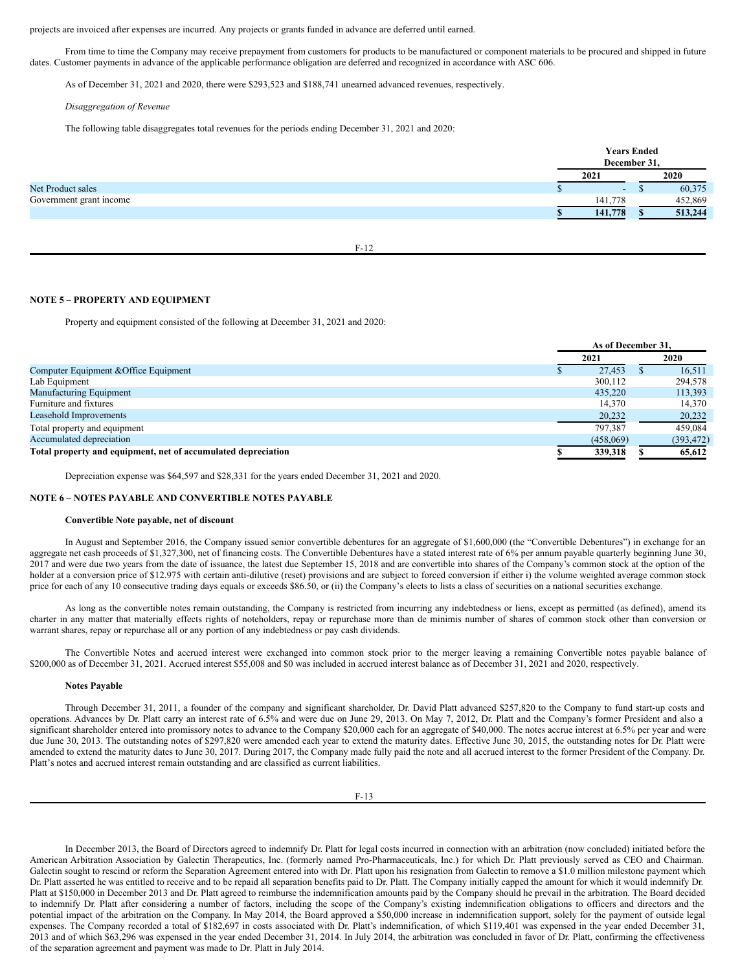projects are invoiced after expenses are incurred. Any projects or grants funded in advance are deferred until earned.

From time to time the Company may receive prepayment from customers for products to be manufactured or component materials to be procured and shipped in future dates. Customer payments in advance of the applicable performance obligation are deferred and recognized in accordance with ASC 606.

As of December 31, 2021 and 2020, there were \$293,523 and \$188,741 unearned advanced revenues, respectively.

*Disaggregation of Revenue*

The following table disaggregates total revenues for the periods ending December 31, 2021 and 2020:

|                         | <b>Years Ended</b><br>December 31, |  |         |
|-------------------------|------------------------------------|--|---------|
|                         | 2021                               |  | 2020    |
| Net Product sales       | $\overline{\phantom{a}}$           |  | 60,375  |
| Government grant income | 141.778                            |  | 452,869 |
|                         | 141,778                            |  | 513,244 |
|                         |                                    |  |         |

F-12

#### **NOTE 5 – PROPERTY AND EQUIPMENT**

Property and equipment consisted of the following at December 31, 2021 and 2020:

|                                                               | As of December 31. |           |  |            |
|---------------------------------------------------------------|--------------------|-----------|--|------------|
|                                                               |                    | 2021      |  | 2020       |
| Computer Equipment & Office Equipment                         |                    | 27.453    |  | 16.511     |
| Lab Equipment                                                 |                    | 300.112   |  | 294,578    |
| Manufacturing Equipment                                       |                    | 435.220   |  | 113,393    |
| Furniture and fixtures                                        |                    | 14.370    |  | 14.370     |
| Leasehold Improvements                                        |                    | 20,232    |  | 20,232     |
| Total property and equipment                                  |                    | 797.387   |  | 459,084    |
| Accumulated depreciation                                      |                    | (458,069) |  | (393, 472) |
| Total property and equipment, net of accumulated depreciation |                    | 339,318   |  | 65,612     |

Depreciation expense was \$64,597 and \$28,331 for the years ended December 31, 2021 and 2020.

### **NOTE 6 – NOTES PAYABLE AND CONVERTIBLE NOTES PAYABLE**

#### **Convertible Note payable, net of discount**

In August and September 2016, the Company issued senior convertible debentures for an aggregate of \$1,600,000 (the "Convertible Debentures") in exchange for an aggregate net cash proceeds of \$1,327,300, net of financing costs. The Convertible Debentures have a stated interest rate of 6% per annum payable quarterly beginning June 30, 2017 and were due two years from the date of issuance, the latest due September 15, 2018 and are convertible into shares of the Company's common stock at the option of the holder at a conversion price of \$12.975 with certain anti-dilutive (reset) provisions and are subject to forced conversion if either i) the volume weighted average common stock price for each of any 10 consecutive trading days equals or exceeds \$86.50, or (ii) the Company's elects to lists a class of securities on a national securities exchange.

As long as the convertible notes remain outstanding, the Company is restricted from incurring any indebtedness or liens, except as permitted (as defined), amend its charter in any matter that materially effects rights of noteholders, repay or repurchase more than de minimis number of shares of common stock other than conversion or warrant shares, repay or repurchase all or any portion of any indebtedness or pay cash dividends.

The Convertible Notes and accrued interest were exchanged into common stock prior to the merger leaving a remaining Convertible notes payable balance of \$200,000 as of December 31, 2021. Accrued interest \$55,008 and \$0 was included in accrued interest balance as of December 31, 2021 and 2020, respectively.

### **Notes Payable**

Through December 31, 2011, a founder of the company and significant shareholder, Dr. David Platt advanced \$257,820 to the Company to fund start-up costs and operations. Advances by Dr. Platt carry an interest rate of 6.5% and were due on June 29, 2013. On May 7, 2012, Dr. Platt and the Company's former President and also a significant shareholder entered into promissory notes to advance to the Company \$20,000 each for an aggregate of \$40,000. The notes accrue interest at 6.5% per year and were due June 30, 2013. The outstanding notes of \$297,820 were amended each year to extend the maturity dates. Effective June 30, 2015, the outstanding notes for Dr. Platt were amended to extend the maturity dates to June 30, 2017. During 2017, the Company made fully paid the note and all accrued interest to the former President of the Company. Dr. Platt's notes and accrued interest remain outstanding and are classified as current liabilities.

In December 2013, the Board of Directors agreed to indemnify Dr. Platt for legal costs incurred in connection with an arbitration (now concluded) initiated before the American Arbitration Association by Galectin Therapeutics, Inc. (formerly named Pro-Pharmaceuticals, Inc.) for which Dr. Platt previously served as CEO and Chairman. Galectin sought to rescind or reform the Separation Agreement entered into with Dr. Platt upon his resignation from Galectin to remove a \$1.0 million milestone payment which Dr. Platt asserted he was entitled to receive and to be repaid all separation benefits paid to Dr. Platt. The Company initially capped the amount for which it would indemnify Dr. Platt at \$150,000 in December 2013 and Dr. Platt agreed to reimburse the indemnification amounts paid by the Company should he prevail in the arbitration. The Board decided to indemnify Dr. Platt after considering a number of factors, including the scope of the Company's existing indemnification obligations to officers and directors and the potential impact of the arbitration on the Company. In May 2014, the Board approved a \$50,000 increase in indemnification support, solely for the payment of outside legal expenses. The Company recorded a total of \$182,697 in costs associated with Dr. Platt's indemnification, of which \$119,401 was expensed in the year ended December 31, 2013 and of which \$63,296 was expensed in the year ended December 31, 2014. In July 2014, the arbitration was concluded in favor of Dr. Platt, confirming the effectiveness of the separation agreement and payment was made to Dr. Platt in July 2014.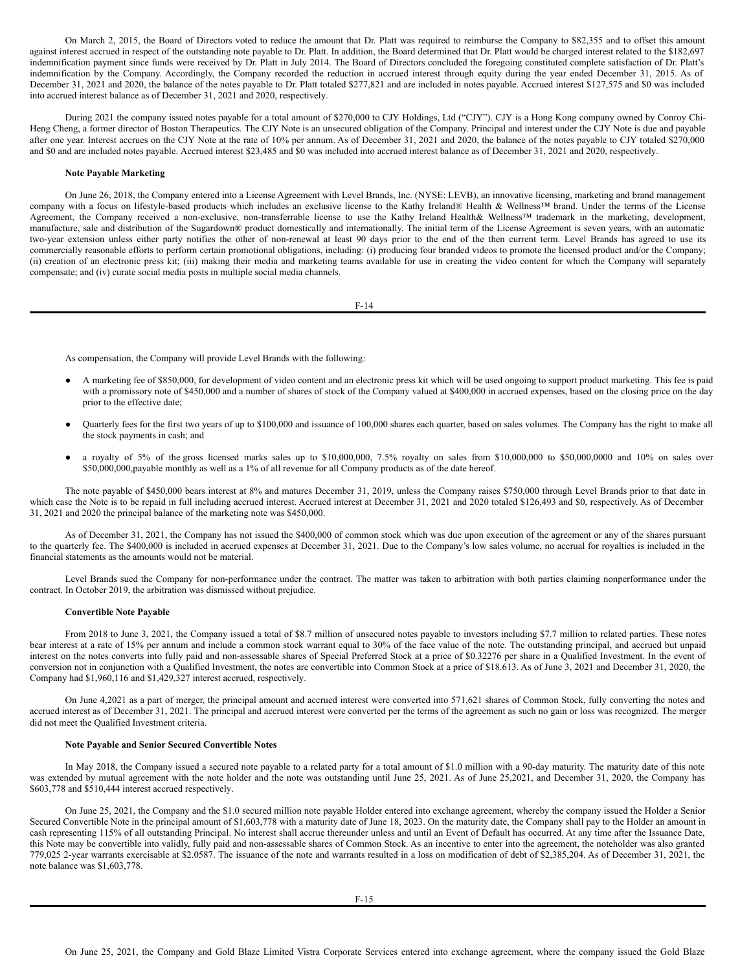On March 2, 2015, the Board of Directors voted to reduce the amount that Dr. Platt was required to reimburse the Company to \$82,355 and to offset this amount against interest accrued in respect of the outstanding note payable to Dr. Platt. In addition, the Board determined that Dr. Platt would be charged interest related to the \$182,697 indemnification payment since funds were received by Dr. Platt in July 2014. The Board of Directors concluded the foregoing constituted complete satisfaction of Dr. Platt's indemnification by the Company. Accordingly, the Company recorded the reduction in accrued interest through equity during the year ended December 31, 2015. As of December 31, 2021 and 2020, the balance of the notes payable to Dr. Platt totaled \$277,821 and are included in notes payable. Accrued interest \$127,575 and \$0 was included into accrued interest balance as of December 31, 2021 and 2020, respectively.

During 2021 the company issued notes payable for a total amount of \$270,000 to CJY Holdings, Ltd ("CJY"). CJY is a Hong Kong company owned by Conroy Chi-Heng Cheng, a former director of Boston Therapeutics. The CJY Note is an unsecured obligation of the Company. Principal and interest under the CJY Note is due and payable after one year. Interest accrues on the CJY Note at the rate of 10% per annum. As of December 31, 2021 and 2020, the balance of the notes payable to CJY totaled \$270,000 and \$0 and are included notes payable. Accrued interest \$23,485 and \$0 was included into accrued interest balance as of December 31, 2021 and 2020, respectively.

#### **Note Payable Marketing**

On June 26, 2018, the Company entered into a License Agreement with Level Brands, Inc. (NYSE: LEVB), an innovative licensing, marketing and brand management company with a focus on lifestyle-based products which includes an exclusive license to the Kathy Ireland® Health & Wellness™ brand. Under the terms of the License Agreement, the Company received a non-exclusive, non-transferrable license to use the Kathy Ireland Health& Wellness™ trademark in the marketing, development, manufacture, sale and distribution of the Sugardown® product domestically and internationally. The initial term of the License Agreement is seven years, with an automatic two-year extension unless either party notifies the other of non-renewal at least 90 days prior to the end of the then current term. Level Brands has agreed to use its commercially reasonable efforts to perform certain promotional obligations, including: (i) producing four branded videos to promote the licensed product and/or the Company; (ii) creation of an electronic press kit; (iii) making their media and marketing teams available for use in creating the video content for which the Company will separately compensate; and (iv) curate social media posts in multiple social media channels.

F-14

As compensation, the Company will provide Level Brands with the following:

- A marketing fee of \$850,000, for development of video content and an electronic press kit which will be used ongoing to support product marketing. This fee is paid with a promissory note of \$450,000 and a number of shares of stock of the Company valued at \$400,000 in accrued expenses, based on the closing price on the day prior to the effective date;
- Quarterly fees for the first two years of up to \$100,000 and issuance of 100,000 shares each quarter, based on sales volumes. The Company has the right to make all the stock payments in cash; and
- a royalty of 5% of the gross licensed marks sales up to \$10,000,000, 7.5% royalty on sales from \$10,000,000 to \$50,000,0000 and 10% on sales over \$50,000,000,payable monthly as well as a 1% of all revenue for all Company products as of the date hereof.

The note payable of \$450,000 bears interest at 8% and matures December 31, 2019, unless the Company raises \$750,000 through Level Brands prior to that date in which case the Note is to be repaid in full including accrued interest. Accrued interest at December 31, 2021 and 2020 totaled \$126,493 and \$0, respectively. As of December 31, 2021 and 2020 the principal balance of the marketing note was \$450,000.

As of December 31, 2021, the Company has not issued the \$400,000 of common stock which was due upon execution of the agreement or any of the shares pursuant to the quarterly fee. The \$400,000 is included in accrued expenses at December 31, 2021. Due to the Company's low sales volume, no accrual for royalties is included in the financial statements as the amounts would not be material.

Level Brands sued the Company for non-performance under the contract. The matter was taken to arbitration with both parties claiming nonperformance under the contract. In October 2019, the arbitration was dismissed without prejudice.

### **Convertible Note Payable**

From 2018 to June 3, 2021, the Company issued a total of \$8.7 million of unsecured notes payable to investors including \$7.7 million to related parties. These notes bear interest at a rate of 15% per annum and include a common stock warrant equal to 30% of the face value of the note. The outstanding principal, and accrued but unpaid interest on the notes converts into fully paid and non-assessable shares of Special Preferred Stock at a price of \$0.32276 per share in a Qualified Investment. In the event of conversion not in conjunction with a Qualified Investment, the notes are convertible into Common Stock at a price of \$18.613. As of June 3, 2021 and December 31, 2020, the Company had \$1,960,116 and \$1,429,327 interest accrued, respectively.

On June 4,2021 as a part of merger, the principal amount and accrued interest were converted into 571,621 shares of Common Stock, fully converting the notes and accrued interest as of December 31, 2021. The principal and accrued interest were converted per the terms of the agreement as such no gain or loss was recognized. The merger did not meet the Qualified Investment criteria.

#### **Note Payable and Senior Secured Convertible Notes**

In May 2018, the Company issued a secured note payable to a related party for a total amount of \$1.0 million with a 90-day maturity. The maturity date of this note was extended by mutual agreement with the note holder and the note was outstanding until June 25, 2021. As of June 25, 2021, and December 31, 2020, the Company has \$603,778 and \$510,444 interest accrued respectively.

On June 25, 2021, the Company and the \$1.0 secured million note payable Holder entered into exchange agreement, whereby the company issued the Holder a Senior Secured Convertible Note in the principal amount of \$1,603,778 with a maturity date of June 18, 2023. On the maturity date, the Company shall pay to the Holder an amount in cash representing 115% of all outstanding Principal. No interest shall accrue thereunder unless and until an Event of Default has occurred. At any time after the Issuance Date, this Note may be convertible into validly, fully paid and non-assessable shares of Common Stock. As an incentive to enter into the agreement, the noteholder was also granted 779,025 2-year warrants exercisable at \$2.0587. The issuance of the note and warrants resulted in a loss on modification of debt of \$2,385,204. As of December 31, 2021, the note balance was \$1,603,778.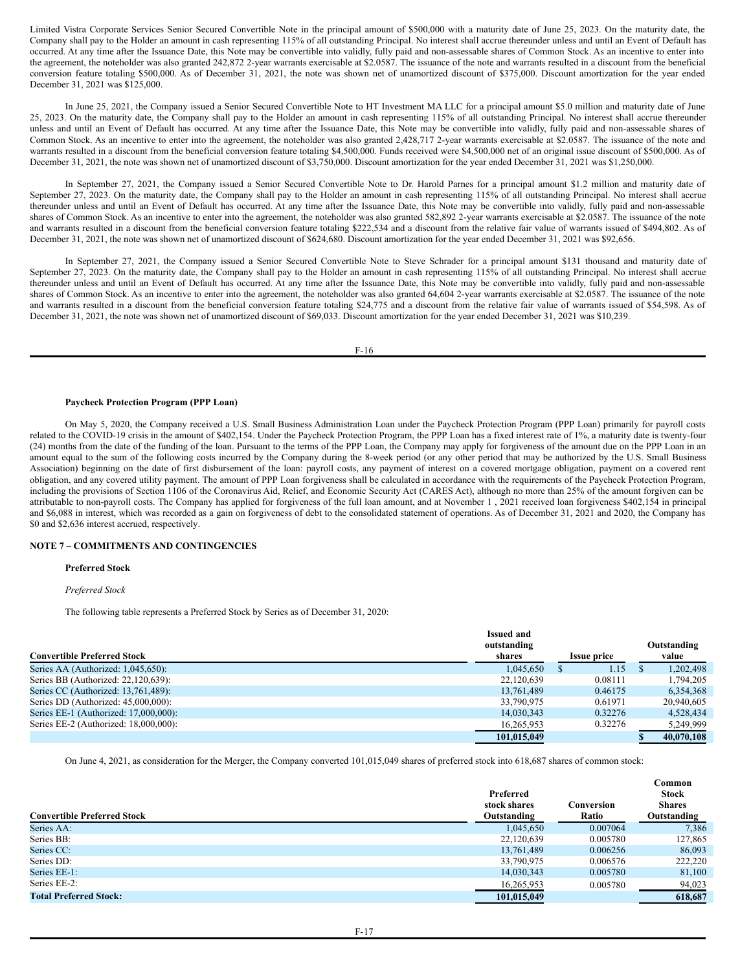Limited Vistra Corporate Services Senior Secured Convertible Note in the principal amount of \$500,000 with a maturity date of June 25, 2023. On the maturity date, the Company shall pay to the Holder an amount in cash representing 115% of all outstanding Principal. No interest shall accrue thereunder unless and until an Event of Default has occurred. At any time after the Issuance Date, this Note may be convertible into validly, fully paid and non-assessable shares of Common Stock. As an incentive to enter into the agreement, the noteholder was also granted 242,872 2-year warrants exercisable at \$2.0587. The issuance of the note and warrants resulted in a discount from the beneficial conversion feature totaling \$500,000. As of December 31, 2021, the note was shown net of unamortized discount of \$375,000. Discount amortization for the year ended December 31, 2021 was \$125,000.

In June 25, 2021, the Company issued a Senior Secured Convertible Note to HT Investment MA LLC for a principal amount \$5.0 million and maturity date of June 25, 2023. On the maturity date, the Company shall pay to the Holder an amount in cash representing 115% of all outstanding Principal. No interest shall accrue thereunder unless and until an Event of Default has occurred. At any time after the Issuance Date, this Note may be convertible into validly, fully paid and non-assessable shares of Common Stock. As an incentive to enter into the agreement, the noteholder was also granted 2,428,717 2-year warrants exercisable at \$2.0587. The issuance of the note and warrants resulted in a discount from the beneficial conversion feature totaling \$4,500,000. Funds received were \$4,500,000 net of an original issue discount of \$500,000. As of December 31, 2021, the note was shown net of unamortized discount of \$3,750,000. Discount amortization for the year ended December 31, 2021 was \$1,250,000.

In September 27, 2021, the Company issued a Senior Secured Convertible Note to Dr. Harold Parnes for a principal amount \$1.2 million and maturity date of September 27, 2023. On the maturity date, the Company shall pay to the Holder an amount in cash representing 115% of all outstanding Principal. No interest shall accrue thereunder unless and until an Event of Default has occurred. At any time after the Issuance Date, this Note may be convertible into validly, fully paid and non-assessable shares of Common Stock. As an incentive to enter into the agreement, the noteholder was also granted 582,892 2-year warrants exercisable at \$2.0587. The issuance of the note and warrants resulted in a discount from the beneficial conversion feature totaling \$222,534 and a discount from the relative fair value of warrants issued of \$494,802. As of December 31, 2021, the note was shown net of unamortized discount of \$624,680. Discount amortization for the year ended December 31, 2021 was \$92,656.

In September 27, 2021, the Company issued a Senior Secured Convertible Note to Steve Schrader for a principal amount \$131 thousand and maturity date of September 27, 2023. On the maturity date, the Company shall pay to the Holder an amount in cash representing 115% of all outstanding Principal. No interest shall accrue thereunder unless and until an Event of Default has occurred. At any time after the Issuance Date, this Note may be convertible into validly, fully paid and non-assessable shares of Common Stock. As an incentive to enter into the agreement, the noteholder was also granted 64,604 2-year warrants exercisable at \$2.0587. The issuance of the note and warrants resulted in a discount from the beneficial conversion feature totaling \$24,775 and a discount from the relative fair value of warrants issued of \$54,598. As of December 31, 2021, the note was shown net of unamortized discount of \$69,033. Discount amortization for the year ended December 31, 2021 was \$10,239.

F-16

#### **Paycheck Protection Program (PPP Loan)**

On May 5, 2020, the Company received a U.S. Small Business Administration Loan under the Paycheck Protection Program (PPP Loan) primarily for payroll costs related to the COVID-19 crisis in the amount of \$402,154. Under the Paycheck Protection Program, the PPP Loan has a fixed interest rate of 1%, a maturity date is twenty-four (24) months from the date of the funding of the loan. Pursuant to the terms of the PPP Loan, the Company may apply for forgiveness of the amount due on the PPP Loan in an amount equal to the sum of the following costs incurred by the Company during the 8-week period (or any other period that may be authorized by the U.S. Small Business Association) beginning on the date of first disbursement of the loan: payroll costs, any payment of interest on a covered mortgage obligation, payment on a covered rent obligation, and any covered utility payment. The amount of PPP Loan forgiveness shall be calculated in accordance with the requirements of the Paycheck Protection Program, including the provisions of Section 1106 of the Coronavirus Aid, Relief, and Economic Security Act (CARES Act), although no more than 25% of the amount forgiven can be attributable to non-payroll costs. The Company has applied for forgiveness of the full loan amount, and at November 1 , 2021 received loan forgiveness \$402,154 in principal and \$6,088 in interest, which was recorded as a gain on forgiveness of debt to the consolidated statement of operations. As of December 31, 2021 and 2020, the Company has \$0 and \$2,636 interest accrued, respectively.

### **NOTE 7 – COMMITMENTS AND CONTINGENCIES**

### **Preferred Stock**

#### *Preferred Stock*

The following table represents a Preferred Stock by Series as of December 31, 2020:

|                                        | <b>Issued and</b> |                    |             |
|----------------------------------------|-------------------|--------------------|-------------|
|                                        | outstanding       |                    | Outstanding |
| <b>Convertible Preferred Stock</b>     | shares            | <b>Issue price</b> | value       |
| Series AA (Authorized: 1,045,650):     | 1.045.650         | 1.15               | 1.202.498   |
| Series BB (Authorized: $22,120,639$ ): | 22,120,639        | 0.08111            | 1.794.205   |
| Series CC (Authorized: 13,761,489):    | 13.761.489        | 0.46175            | 6.354.368   |
| Series DD (Authorized: 45,000,000):    | 33,790,975        | 0.61971            | 20,940,605  |
| Series EE-1 (Authorized: 17,000,000):  | 14.030.343        | 0.32276            | 4.528.434   |
| Series EE-2 (Authorized: 18,000,000):  | 16,265,953        | 0.32276            | 5,249,999   |
|                                        | 101.015.049       |                    | 40.070.108  |

On June 4, 2021, as consideration for the Merger, the Company converted 101,015,049 shares of preferred stock into 618,687 shares of common stock:

|                                    |              |            | Common        |
|------------------------------------|--------------|------------|---------------|
|                                    | Preferred    |            | <b>Stock</b>  |
|                                    | stock shares | Conversion | <b>Shares</b> |
| <b>Convertible Preferred Stock</b> | Outstanding  | Ratio      | Outstanding   |
| Series AA:                         | 1,045,650    | 0.007064   | 7,386         |
| Series BB:                         | 22,120,639   | 0.005780   | 127,865       |
| Series CC:                         | 13,761,489   | 0.006256   | 86,093        |
| Series DD:                         | 33,790,975   | 0.006576   | 222,220       |
| Series EE-1:                       | 14,030,343   | 0.005780   | 81,100        |
| Series EE-2:                       | 16,265,953   | 0.005780   | 94,023        |
| <b>Total Preferred Stock:</b>      | 101,015,049  |            | 618,687       |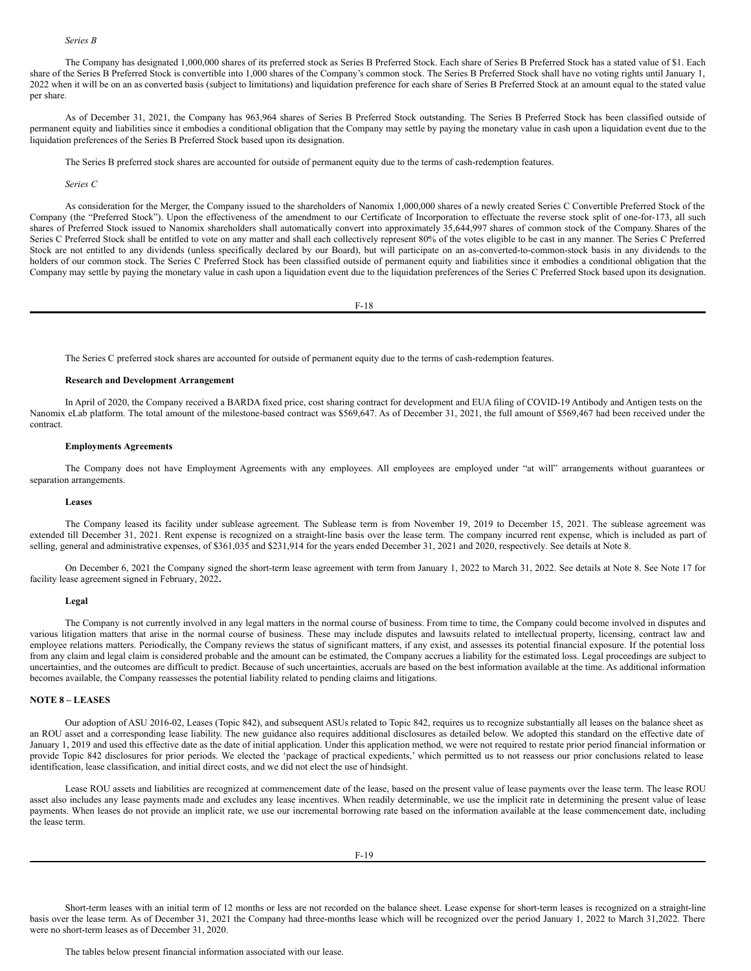#### *Series B*

The Company has designated 1,000,000 shares of its preferred stock as Series B Preferred Stock. Each share of Series B Preferred Stock has a stated value of \$1. Each share of the Series B Preferred Stock is convertible into 1,000 shares of the Company's common stock. The Series B Preferred Stock shall have no voting rights until January 1, 2022 when it will be on an as converted basis (subject to limitations) and liquidation preference for each share of Series B Preferred Stock at an amount equal to the stated value per share.

As of December 31, 2021, the Company has 963,964 shares of Series B Preferred Stock outstanding. The Series B Preferred Stock has been classified outside of permanent equity and liabilities since it embodies a conditional obligation that the Company may settle by paying the monetary value in cash upon a liquidation event due to the liquidation preferences of the Series B Preferred Stock based upon its designation.

The Series B preferred stock shares are accounted for outside of permanent equity due to the terms of cash-redemption features.

#### *Series C*

As consideration for the Merger, the Company issued to the shareholders of Nanomix 1,000,000 shares of a newly created Series C Convertible Preferred Stock of the Company (the "Preferred Stock"). Upon the effectiveness of the amendment to our Certificate of Incorporation to effectuate the reverse stock split of one-for-173, all such shares of Preferred Stock issued to Nanomix shareholders shall automatically convert into approximately 35,644,997 shares of common stock of the Company. Shares of the Series C Preferred Stock shall be entitled to vote on any matter and shall each collectively represent 80% of the votes eligible to be cast in any manner. The Series C Preferred Stock are not entitled to any dividends (unless specifically declared by our Board), but will participate on an as-converted-to-common-stock basis in any dividends to the holders of our common stock. The Series C Preferred Stock has been classified outside of permanent equity and liabilities since it embodies a conditional obligation that the Company may settle by paying the monetary value in cash upon a liquidation event due to the liquidation preferences of the Series C Preferred Stock based upon its designation.

$$
F-18
$$

The Series C preferred stock shares are accounted for outside of permanent equity due to the terms of cash-redemption features.

#### **Research and Development Arrangement**

In April of 2020, the Company received a BARDA fixed price, cost sharing contract for development and EUA filing of COVID-19 Antibody and Antigen tests on the Nanomix eLab platform. The total amount of the milestone-based contract was \$569,647. As of December 31, 2021, the full amount of \$569,467 had been received under the contract.

#### **Employments Agreements**

The Company does not have Employment Agreements with any employees. All employees are employed under "at will" arrangements without guarantees or separation arrangements.

#### **Leases**

The Company leased its facility under sublease agreement. The Sublease term is from November 19, 2019 to December 15, 2021. The sublease agreement was extended till December 31, 2021. Rent expense is recognized on a straight-line basis over the lease term. The company incurred rent expense, which is included as part of selling, general and administrative expenses, of \$361,035 and \$231,914 for the years ended December 31, 2021 and 2020, respectively. See details at Note 8.

On December 6, 2021 the Company signed the short-term lease agreement with term from January 1, 2022 to March 31, 2022. See details at Note 8. See Note 17 for facility lease agreement signed in February, 2022**.**

#### **Legal**

The Company is not currently involved in any legal matters in the normal course of business. From time to time, the Company could become involved in disputes and various litigation matters that arise in the normal course of business. These may include disputes and lawsuits related to intellectual property, licensing, contract law and employee relations matters. Periodically, the Company reviews the status of significant matters, if any exist, and assesses its potential financial exposure. If the potential loss from any claim and legal claim is considered probable and the amount can be estimated, the Company accrues a liability for the estimated loss. Legal proceedings are subject to uncertainties, and the outcomes are difficult to predict. Because of such uncertainties, accruals are based on the best information available at the time. As additional information becomes available, the Company reassesses the potential liability related to pending claims and litigations.

### **NOTE 8 – LEASES**

Our adoption of ASU 2016-02, Leases (Topic 842), and subsequent ASUs related to Topic 842, requires us to recognize substantially all leases on the balance sheet as an ROU asset and a corresponding lease liability. The new guidance also requires additional disclosures as detailed below. We adopted this standard on the effective date of January 1, 2019 and used this effective date as the date of initial application. Under this application method, we were not required to restate prior period financial information or provide Topic 842 disclosures for prior periods. We elected the 'package of practical expedients,' which permitted us to not reassess our prior conclusions related to lease identification, lease classification, and initial direct costs, and we did not elect the use of hindsight.

Lease ROU assets and liabilities are recognized at commencement date of the lease, based on the present value of lease payments over the lease term. The lease ROU asset also includes any lease payments made and excludes any lease incentives. When readily determinable, we use the implicit rate in determining the present value of lease payments. When leases do not provide an implicit rate, we use our incremental borrowing rate based on the information available at the lease commencement date, including the lease term.

Short-term leases with an initial term of 12 months or less are not recorded on the balance sheet. Lease expense for short-term leases is recognized on a straight-line basis over the lease term. As of December 31, 2021 the Company had three-months lease which will be recognized over the period January 1, 2022 to March 31,2022. There were no short-term leases as of December 31, 2020.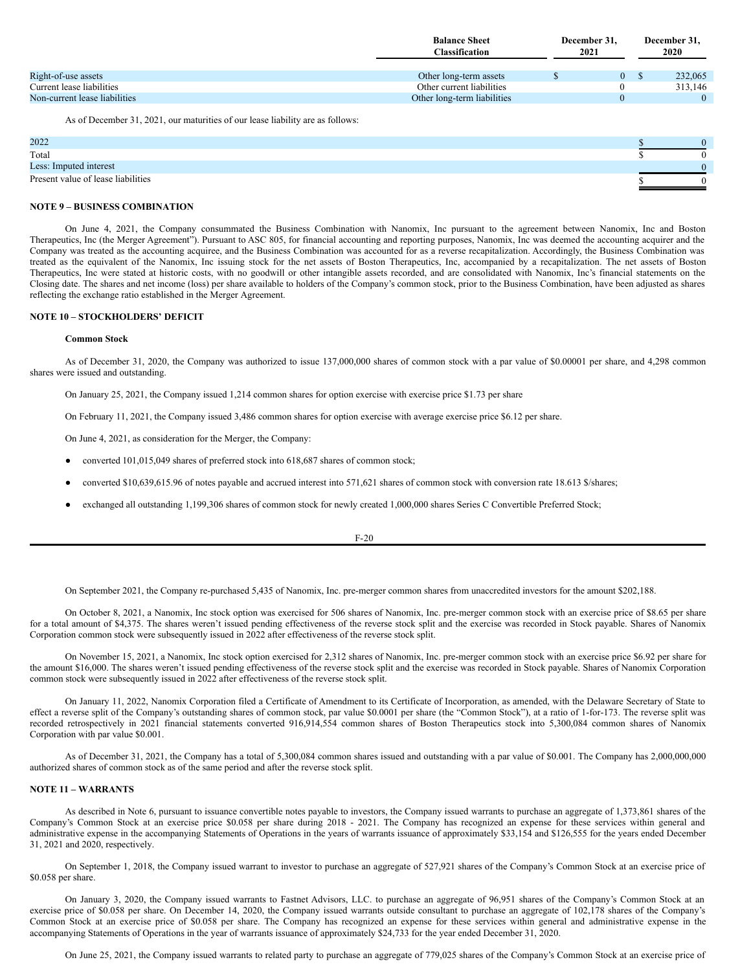|                               | <b>Balance Sheet</b><br><b>Classification</b> | December 31.<br>2021 |  | December 31,<br>2020 |  |
|-------------------------------|-----------------------------------------------|----------------------|--|----------------------|--|
| Right-of-use assets           | Other long-term assets                        | $\overline{0}$       |  | 232,065              |  |
| Current lease liabilities     | Other current liabilities                     |                      |  | 313.146              |  |
| Non-current lease liabilities | Other long-term liabilities                   |                      |  | $\Omega$             |  |

As of December 31, 2021, our maturities of our lease liability are as follows:

| 2022                               |  |
|------------------------------------|--|
| Total                              |  |
| Less: Imputed interest             |  |
| Present value of lease liabilities |  |

### **NOTE 9 – BUSINESS COMBINATION**

On June 4, 2021, the Company consummated the Business Combination with Nanomix, Inc pursuant to the agreement between Nanomix, Inc and Boston Therapeutics, Inc (the Merger Agreement"). Pursuant to ASC 805, for financial accounting and reporting purposes, Nanomix, Inc was deemed the accounting acquirer and the Company was treated as the accounting acquiree, and the Business Combination was accounted for as a reverse recapitalization. Accordingly, the Business Combination was treated as the equivalent of the Nanomix, Inc issuing stock for the net assets of Boston Therapeutics, Inc, accompanied by a recapitalization. The net assets of Boston Therapeutics, Inc were stated at historic costs, with no goodwill or other intangible assets recorded, and are consolidated with Nanomix, Inc's financial statements on the Closing date. The shares and net income (loss) per share available to holders of the Company's common stock, prior to the Business Combination, have been adjusted as shares reflecting the exchange ratio established in the Merger Agreement.

### **NOTE 10 – STOCKHOLDERS' DEFICIT**

#### **Common Stock**

As of December 31, 2020, the Company was authorized to issue 137,000,000 shares of common stock with a par value of \$0.00001 per share, and 4,298 common shares were issued and outstanding.

On January 25, 2021, the Company issued 1,214 common shares for option exercise with exercise price \$1.73 per share

On February 11, 2021, the Company issued 3,486 common shares for option exercise with average exercise price \$6.12 per share.

On June 4, 2021, as consideration for the Merger, the Company:

- converted 101,015,049 shares of preferred stock into 618,687 shares of common stock;
- converted \$10,639,615.96 of notes payable and accrued interest into 571,621 shares of common stock with conversion rate 18.613 \$/shares;
- exchanged all outstanding 1,199,306 shares of common stock for newly created 1,000,000 shares Series C Convertible Preferred Stock;

On September 2021, the Company re-purchased 5,435 of Nanomix, Inc. pre-merger common shares from unaccredited investors for the amount \$202,188.

On October 8, 2021, a Nanomix, Inc stock option was exercised for 506 shares of Nanomix, Inc. pre-merger common stock with an exercise price of \$8.65 per share for a total amount of \$4,375. The shares weren't issued pending effectiveness of the reverse stock split and the exercise was recorded in Stock payable. Shares of Nanomix Corporation common stock were subsequently issued in 2022 after effectiveness of the reverse stock split.

On November 15, 2021, a Nanomix, Inc stock option exercised for 2,312 shares of Nanomix, Inc. pre-merger common stock with an exercise price \$6.92 per share for the amount \$16,000. The shares weren't issued pending effectiveness of the reverse stock split and the exercise was recorded in Stock payable. Shares of Nanomix Corporation common stock were subsequently issued in 2022 after effectiveness of the reverse stock split.

On January 11, 2022, Nanomix Corporation filed a Certificate of Amendment to its Certificate of Incorporation, as amended, with the Delaware Secretary of State to effect a reverse split of the Company's outstanding shares of common stock, par value \$0.0001 per share (the "Common Stock"), at a ratio of 1-for-173. The reverse split was recorded retrospectively in 2021 financial statements converted 916,914,554 common shares of Boston Therapeutics stock into 5,300,084 common shares of Nanomix Corporation with par value \$0.001.

As of December 31, 2021, the Company has a total of 5,300,084 common shares issued and outstanding with a par value of \$0.001. The Company has 2,000,000,000 authorized shares of common stock as of the same period and after the reverse stock split.

### **NOTE 11 – WARRANTS**

As described in Note 6, pursuant to issuance convertible notes payable to investors, the Company issued warrants to purchase an aggregate of 1,373,861 shares of the Company's Common Stock at an exercise price \$0.058 per share during 2018 - 2021. The Company has recognized an expense for these services within general and administrative expense in the accompanying Statements of Operations in the years of warrants issuance of approximately \$33,154 and \$126,555 for the years ended December 31, 2021 and 2020, respectively.

On September 1, 2018, the Company issued warrant to investor to purchase an aggregate of 527,921 shares of the Company's Common Stock at an exercise price of \$0.058 per share.

On January 3, 2020, the Company issued warrants to Fastnet Advisors, LLC. to purchase an aggregate of 96,951 shares of the Company's Common Stock at an exercise price of \$0.058 per share. On December 14, 2020, the Company issued warrants outside consultant to purchase an aggregate of 102,178 shares of the Company's Common Stock at an exercise price of \$0.058 per share. The Company has recognized an expense for these services within general and administrative expense in the accompanying Statements of Operations in the year of warrants issuance of approximately \$24,733 for the year ended December 31, 2020.

On June 25, 2021, the Company issued warrants to related party to purchase an aggregate of 779,025 shares of the Company's Common Stock at an exercise price of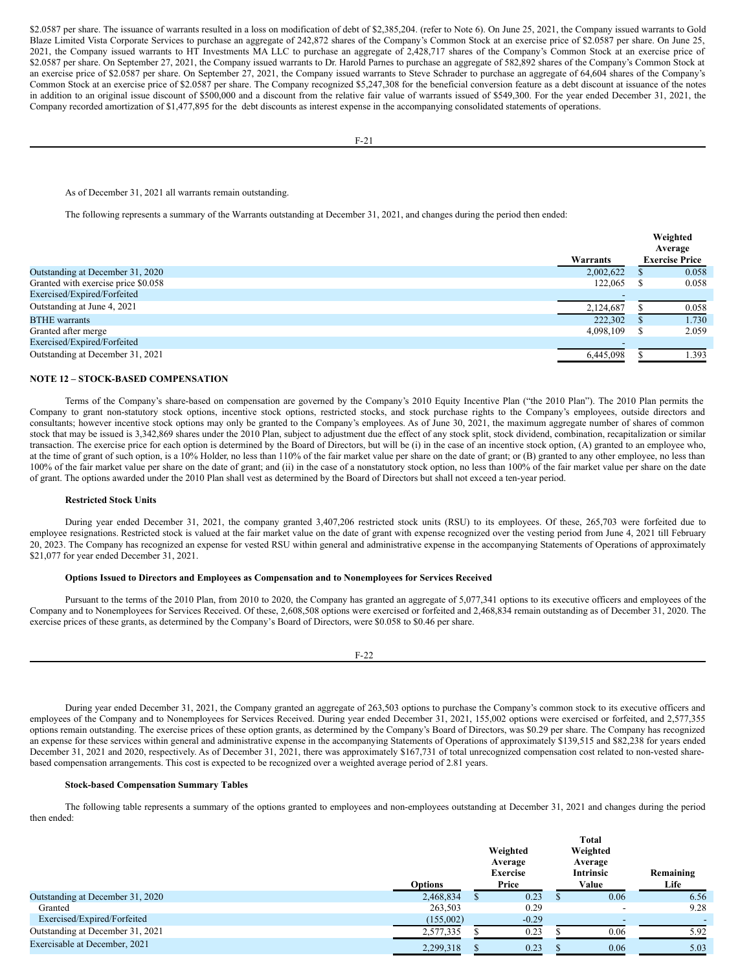\$2.0587 per share. The issuance of warrants resulted in a loss on modification of debt of \$2,385,204. (refer to Note 6). On June 25, 2021, the Company issued warrants to Gold Blaze Limited Vista Corporate Services to purchase an aggregate of 242,872 shares of the Company's Common Stock at an exercise price of \$2.0587 per share. On June 25, 2021, the Company issued warrants to HT Investments MA LLC to purchase an aggregate of 2,428,717 shares of the Company's Common Stock at an exercise price of \$2.0587 per share. On September 27, 2021, the Company issued warrants to Dr. Harold Parnes to purchase an aggregate of 582,892 shares of the Company's Common Stock at an exercise price of \$2.0587 per share. On September 27, 2021, the Company issued warrants to Steve Schrader to purchase an aggregate of 64,604 shares of the Company's Common Stock at an exercise price of \$2.0587 per share. The Company recognized \$5,247,308 for the beneficial conversion feature as a debt discount at issuance of the notes in addition to an original issue discount of \$500,000 and a discount from the relative fair value of warrants issued of \$549,300. For the year ended December 31, 2021, the Company recorded amortization of \$1,477,895 for the debt discounts as interest expense in the accompanying consolidated statements of operations.

#### As of December 31, 2021 all warrants remain outstanding.

The following represents a summary of the Warrants outstanding at December 31, 2021, and changes during the period then ended:

|                                     |           |   | Weighted<br>Average   |
|-------------------------------------|-----------|---|-----------------------|
|                                     | Warrants  |   | <b>Exercise Price</b> |
| Outstanding at December 31, 2020    | 2,002,622 | ъ | 0.058                 |
| Granted with exercise price \$0.058 | 122,065   | S | 0.058                 |
| Exercised/Expired/Forfeited         |           |   |                       |
| Outstanding at June 4, 2021         | 2,124,687 |   | 0.058                 |
| <b>BTHE</b> warrants                | 222,302   |   | 1.730                 |
| Granted after merge                 | 4,098,109 | S | 2.059                 |
| Exercised/Expired/Forfeited         |           |   |                       |
| Outstanding at December 31, 2021    | 6,445,098 |   | 1.393                 |

### **NOTE 12 – STOCK-BASED COMPENSATION**

Terms of the Company's share-based on compensation are governed by the Company's 2010 Equity Incentive Plan ("the 2010 Plan"). The 2010 Plan permits the Company to grant non-statutory stock options, incentive stock options, restricted stocks, and stock purchase rights to the Company's employees, outside directors and consultants; however incentive stock options may only be granted to the Company's employees. As of June 30, 2021, the maximum aggregate number of shares of common stock that may be issued is 3,342,869 shares under the 2010 Plan, subject to adjustment due the effect of any stock split, stock dividend, combination, recapitalization or similar transaction. The exercise price for each option is determined by the Board of Directors, but will be (i) in the case of an incentive stock option, (A) granted to an employee who, at the time of grant of such option, is a 10% Holder, no less than 110% of the fair market value per share on the date of grant; or (B) granted to any other employee, no less than 100% of the fair market value per share on the date of grant; and (ii) in the case of a nonstatutory stock option, no less than 100% of the fair market value per share on the date of grant. The options awarded under the 2010 Plan shall vest as determined by the Board of Directors but shall not exceed a ten-year period.

#### **Restricted Stock Units**

During year ended December 31, 2021, the company granted 3,407,206 restricted stock units (RSU) to its employees. Of these, 265,703 were forfeited due to employee resignations. Restricted stock is valued at the fair market value on the date of grant with expense recognized over the vesting period from June 4, 2021 till February 20, 2023. The Company has recognized an expense for vested RSU within general and administrative expense in the accompanying Statements of Operations of approximately \$21,077 for year ended December 31, 2021.

### **Options Issued to Directors and Employees as Compensation and to Nonemployees for Services Received**

Pursuant to the terms of the 2010 Plan, from 2010 to 2020, the Company has granted an aggregate of 5,077,341 options to its executive officers and employees of the Company and to Nonemployees for Services Received. Of these, 2,608,508 options were exercised or forfeited and 2,468,834 remain outstanding as of December 31, 2020. The exercise prices of these grants, as determined by the Company's Board of Directors, were \$0.058 to \$0.46 per share.

F-22

During year ended December 31, 2021, the Company granted an aggregate of 263,503 options to purchase the Company's common stock to its executive officers and employees of the Company and to Nonemployees for Services Received. During year ended December 31, 2021, 155,002 options were exercised or forfeited, and 2,577,355 options remain outstanding. The exercise prices of these option grants, as determined by the Company's Board of Directors, was \$0.29 per share. The Company has recognized an expense for these services within general and administrative expense in the accompanying Statements of Operations of approximately \$139,515 and \$82,238 for years ended December 31, 2021 and 2020, respectively. As of December 31, 2021, there was approximately \$167,731 of total unrecognized compensation cost related to non-vested sharebased compensation arrangements. This cost is expected to be recognized over a weighted average period of 2.81 years.

#### **Stock-based Compensation Summary Tables**

The following table represents a summary of the options granted to employees and non-employees outstanding at December 31, 2021 and changes during the period then ended:

**Total** 

|                                  | <b>Options</b> | Weighted<br>Average<br><b>Exercise</b><br>Price | Total<br>Weighted<br>Average<br>Intrinsic<br>Value | Remaining<br>Life |
|----------------------------------|----------------|-------------------------------------------------|----------------------------------------------------|-------------------|
| Outstanding at December 31, 2020 | 2,468,834      | 0.23                                            | 0.06                                               | 6.56              |
| Granted                          | 263,503        | 0.29                                            | $\overline{\phantom{a}}$                           | 9.28              |
| Exercised/Expired/Forfeited      | (155,002)      | $-0.29$                                         | $\overline{\phantom{a}}$                           |                   |
| Outstanding at December 31, 2021 | 2,577,335      | 0.23                                            | 0.06                                               | 5.92              |
| Exercisable at December, 2021    | 2,299,318      | 0.23                                            | 0.06                                               | 5.03              |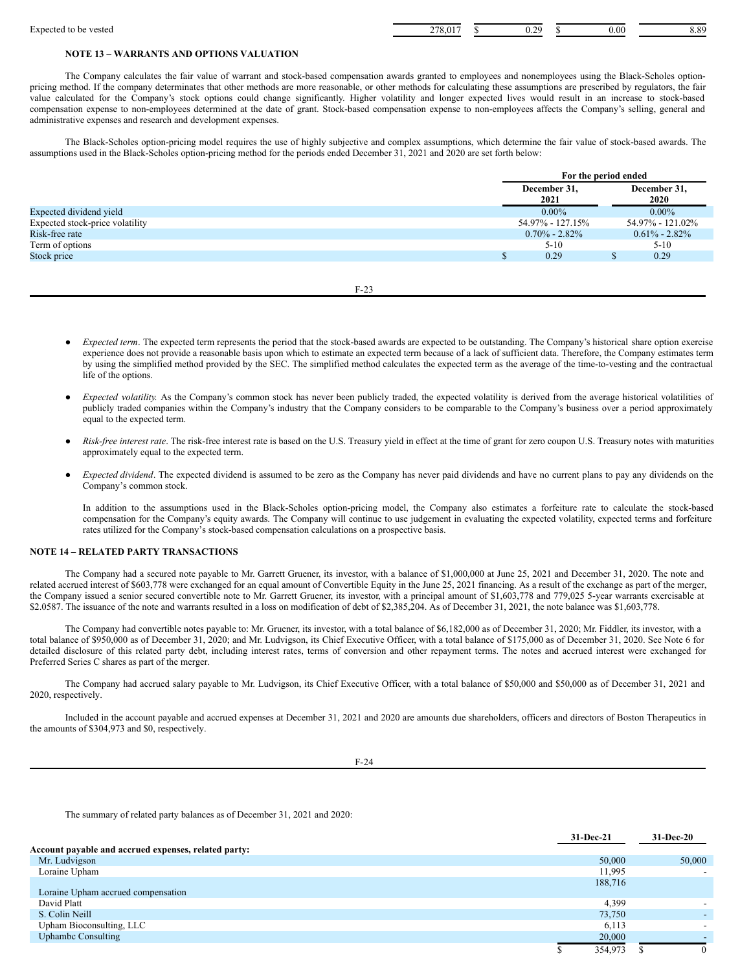| Expected to be vested |  |  |  |
|-----------------------|--|--|--|
|-----------------------|--|--|--|

Expected to be vested **278,017** \$ 0.29 \$ 0.00 8.89

# **NOTE 13 – WARRANTS AND OPTIONS VALUATION**

The Company calculates the fair value of warrant and stock-based compensation awards granted to employees and nonemployees using the Black-Scholes optionpricing method. If the company determinates that other methods are more reasonable, or other methods for calculating these assumptions are prescribed by regulators, the fair value calculated for the Company's stock options could change significantly. Higher volatility and longer expected lives would result in an increase to stock-based compensation expense to non-employees determined at the date of grant. Stock-based compensation expense to non-employees affects the Company's selling, general and administrative expenses and research and development expenses.

The Black-Scholes option-pricing model requires the use of highly subjective and complex assumptions, which determine the fair value of stock-based awards. The assumptions used in the Black-Scholes option-pricing method for the periods ended December 31, 2021 and 2020 are set forth below:

|                                 |                              | For the period ended |  |                   |
|---------------------------------|------------------------------|----------------------|--|-------------------|
|                                 | December 31,<br>2020<br>2021 |                      |  | December 31,      |
| Expected dividend yield         |                              | $0.00\%$             |  | $0.00\%$          |
| Expected stock-price volatility |                              | 54.97% - 127.15%     |  | 54.97% - 121.02%  |
| Risk-free rate                  |                              | $0.70\% - 2.82\%$    |  | $0.61\% - 2.82\%$ |
| Term of options                 |                              | $5-10$               |  | $5-10$            |
| Stock price                     |                              | 0.29                 |  | 0.29              |
|                                 |                              |                      |  |                   |
|                                 |                              |                      |  |                   |

F-23

- Expected term. The expected term represents the period that the stock-based awards are expected to be outstanding. The Company's historical share option exercise experience does not provide a reasonable basis upon which to estimate an expected term because of a lack of sufficient data. Therefore, the Company estimates term by using the simplified method provided by the SEC. The simplified method calculates the expected term as the average of the time-to-vesting and the contractual life of the options.
- Expected volatility. As the Company's common stock has never been publicly traded, the expected volatility is derived from the average historical volatilities of publicly traded companies within the Company's industry that the Company considers to be comparable to the Company's business over a period approximately equal to the expected term.
- *Risk-free interest rate*. The risk-free interest rate is based on the U.S. Treasury yield in effect at the time of grant for zero coupon U.S. Treasury notes with maturities approximately equal to the expected term.
- *Expected dividend*. The expected dividend is assumed to be zero as the Company has never paid dividends and have no current plans to pay any dividends on the Company's common stock.

In addition to the assumptions used in the Black-Scholes option-pricing model, the Company also estimates a forfeiture rate to calculate the stock-based compensation for the Company's equity awards. The Company will continue to use judgement in evaluating the expected volatility, expected terms and forfeiture rates utilized for the Company's stock-based compensation calculations on a prospective basis.

### **NOTE 14 – RELATED PARTY TRANSACTIONS**

The Company had a secured note payable to Mr. Garrett Gruener, its investor, with a balance of \$1,000,000 at June 25, 2021 and December 31, 2020. The note and related accrued interest of \$603,778 were exchanged for an equal amount of Convertible Equity in the June 25, 2021 financing. As a result of the exchange as part of the merger, the Company issued a senior secured convertible note to Mr. Garrett Gruener, its investor, with a principal amount of \$1,603,778 and 779,025 5-year warrants exercisable at \$2.0587. The issuance of the note and warrants resulted in a loss on modification of debt of \$2,385,204. As of December 31, 2021, the note balance was \$1,603,778.

The Company had convertible notes payable to: Mr. Gruener, its investor, with a total balance of \$6,182,000 as of December 31, 2020; Mr. Fiddler, its investor, with a total balance of \$950,000 as of December 31, 2020; and Mr. Ludvigson, its Chief Executive Officer, with a total balance of \$175,000 as of December 31, 2020. See Note 6 for detailed disclosure of this related party debt, including interest rates, terms of conversion and other repayment terms. The notes and accrued interest were exchanged for Preferred Series C shares as part of the merger.

The Company had accrued salary payable to Mr. Ludvigson, its Chief Executive Officer, with a total balance of \$50,000 and \$50,000 as of December 31, 2021 and 2020, respectively.

Included in the account payable and accrued expenses at December 31, 2021 and 2020 are amounts due shareholders, officers and directors of Boston Therapeutics in the amounts of \$304,973 and \$0, respectively.

F-24

The summary of related party balances as of December 31, 2021 and 2020:

|                                                      | 31-Dec-21 | 31-Dec-20 |
|------------------------------------------------------|-----------|-----------|
| Account payable and accrued expenses, related party: |           |           |
| Mr. Ludvigson                                        | 50,000    | 50,000    |
| Loraine Upham                                        | 11,995    |           |
|                                                      | 188,716   |           |
| Loraine Upham accrued compensation                   |           |           |
| David Platt                                          | 4,399     |           |
| S. Colin Neill                                       | 73,750    |           |
| Upham Bioconsulting, LLC                             | 6,113     |           |
| <b>Uphambe Consulting</b>                            | 20,000    |           |
|                                                      | 354,973   | $\theta$  |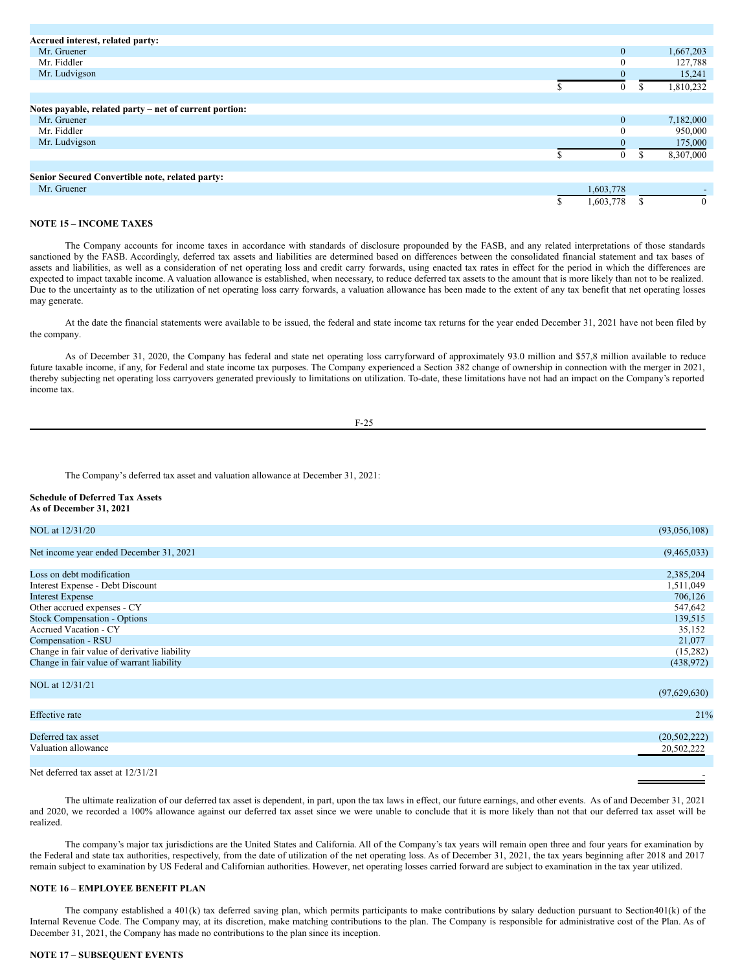| Accrued interest, related party:                       |                |    |           |
|--------------------------------------------------------|----------------|----|-----------|
| Mr. Gruener                                            | $\overline{0}$ |    | 1,667,203 |
| Mr. Fiddler                                            | $\Omega$       |    | 127,788   |
| Mr. Ludvigson                                          | 0              |    | 15,241    |
|                                                        | $\Omega$       | J. | 1,810,232 |
|                                                        |                |    |           |
| Notes payable, related party – net of current portion: |                |    |           |
| Mr. Gruener                                            | $\mathbf{0}$   |    | 7,182,000 |
| Mr. Fiddler                                            | $\theta$       |    | 950,000   |
| Mr. Ludvigson                                          |                |    | 175,000   |
|                                                        | $\Omega$       | ¢  | 8,307,000 |
|                                                        |                |    |           |
| Senior Secured Convertible note, related party:        |                |    |           |
| Mr. Gruener                                            | 1,603,778      |    |           |
|                                                        | 1,603,778      |    | $\Omega$  |

### **NOTE 15 – INCOME TAXES**

The Company accounts for income taxes in accordance with standards of disclosure propounded by the FASB, and any related interpretations of those standards sanctioned by the FASB. Accordingly, deferred tax assets and liabilities are determined based on differences between the consolidated financial statement and tax bases of assets and liabilities, as well as a consideration of net operating loss and credit carry forwards, using enacted tax rates in effect for the period in which the differences are expected to impact taxable income. A valuation allowance is established, when necessary, to reduce deferred tax assets to the amount that is more likely than not to be realized. Due to the uncertainty as to the utilization of net operating loss carry forwards, a valuation allowance has been made to the extent of any tax benefit that net operating losses may generate.

At the date the financial statements were available to be issued, the federal and state income tax returns for the year ended December 31, 2021 have not been filed by the company.

As of December 31, 2020, the Company has federal and state net operating loss carryforward of approximately 93.0 million and \$57,8 million available to reduce future taxable income, if any, for Federal and state income tax purposes. The Company experienced a Section 382 change of ownership in connection with the merger in 2021, thereby subjecting net operating loss carryovers generated previously to limitations on utilization. To-date, these limitations have not had an impact on the Company's reported income tax.

F-25

The Company's deferred tax asset and valuation allowance at December 31, 2021:

### **Schedule of Deferred Tax Assets As of December 31, 2021**

| NOL at 12/31/20                              | (93,056,108)   |
|----------------------------------------------|----------------|
| Net income year ended December 31, 2021      | (9,465,033)    |
| Loss on debt modification                    | 2,385,204      |
| Interest Expense - Debt Discount             | 1,511,049      |
| <b>Interest Expense</b>                      | 706,126        |
| Other accrued expenses - CY                  | 547,642        |
| <b>Stock Compensation - Options</b>          | 139,515        |
| Accrued Vacation - CY                        | 35,152         |
| Compensation - RSU                           | 21,077         |
| Change in fair value of derivative liability | (15,282)       |
| Change in fair value of warrant liability    | (438, 972)     |
| NOL at 12/31/21                              | (97,629,630)   |
| <b>Effective</b> rate                        | 21%            |
| Deferred tax asset                           | (20, 502, 222) |
| Valuation allowance                          | 20,502,222     |
|                                              |                |

Net deferred tax asset at  $12/31/21$ 

The ultimate realization of our deferred tax asset is dependent, in part, upon the tax laws in effect, our future earnings, and other events. As of and December 31, 2021 and 2020, we recorded a 100% allowance against our deferred tax asset since we were unable to conclude that it is more likely than not that our deferred tax asset will be realized.

The company's major tax jurisdictions are the United States and California. All of the Company's tax years will remain open three and four years for examination by the Federal and state tax authorities, respectively, from the date of utilization of the net operating loss. As of December 31, 2021, the tax years beginning after 2018 and 2017 remain subject to examination by US Federal and Californian authorities. However, net operating losses carried forward are subject to examination in the tax year utilized.

### **NOTE 16 – EMPLOYEE BENEFIT PLAN**

The company established a 401(k) tax deferred saving plan, which permits participants to make contributions by salary deduction pursuant to Section401(k) of the Internal Revenue Code. The Company may, at its discretion, make matching contributions to the plan. The Company is responsible for administrative cost of the Plan. As of December 31, 2021, the Company has made no contributions to the plan since its inception.

### **NOTE 17 – SUBSEQUENT EVENTS**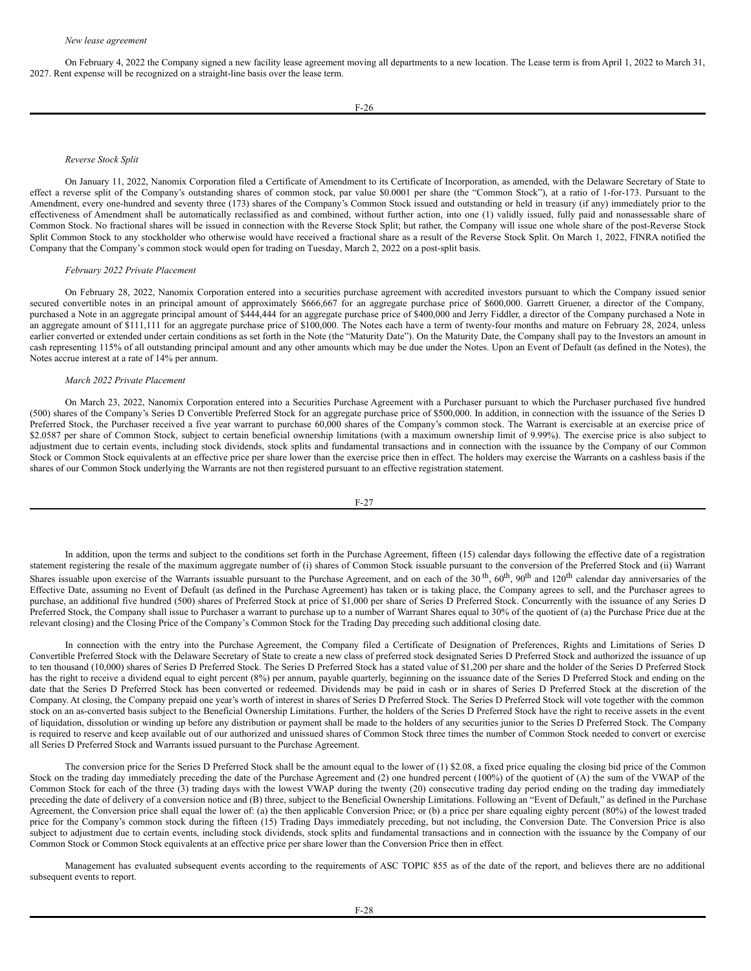On February 4, 2022 the Company signed a new facility lease agreement moving all departments to a new location. The Lease term is from April 1, 2022 to March 31, 2027. Rent expense will be recognized on a straight-line basis over the lease term.

F-26

#### *Reverse Stock Split*

On January 11, 2022, Nanomix Corporation filed a Certificate of Amendment to its Certificate of Incorporation, as amended, with the Delaware Secretary of State to effect a reverse split of the Company's outstanding shares of common stock, par value \$0.0001 per share (the "Common Stock"), at a ratio of 1-for-173. Pursuant to the Amendment, every one-hundred and seventy three (173) shares of the Company's Common Stock issued and outstanding or held in treasury (if any) immediately prior to the effectiveness of Amendment shall be automatically reclassified as and combined, without further action, into one (1) validly issued, fully paid and nonassessable share of Common Stock. No fractional shares will be issued in connection with the Reverse Stock Split; but rather, the Company will issue one whole share of the post-Reverse Stock Split Common Stock to any stockholder who otherwise would have received a fractional share as a result of the Reverse Stock Split. On March 1, 2022, FINRA notified the Company that the Company's common stock would open for trading on Tuesday, March 2, 2022 on a post-split basis.

### *February 2022 Private Placement*

On February 28, 2022, Nanomix Corporation entered into a securities purchase agreement with accredited investors pursuant to which the Company issued senior secured convertible notes in an principal amount of approximately \$666,667 for an aggregate purchase price of \$600,000. Garrett Gruener, a director of the Company, purchased a Note in an aggregate principal amount of \$444,444 for an aggregate purchase price of \$400,000 and Jerry Fiddler, a director of the Company purchased a Note in an aggregate amount of \$111,111 for an aggregate purchase price of \$100,000. The Notes each have a term of twenty-four months and mature on February 28, 2024, unless earlier converted or extended under certain conditions as set forth in the Note (the "Maturity Date"). On the Maturity Date, the Company shall pay to the Investors an amount in cash representing 115% of all outstanding principal amount and any other amounts which may be due under the Notes. Upon an Event of Default (as defined in the Notes), the Notes accrue interest at a rate of 14% per annum.

#### *March 2022 Private Placement*

On March 23, 2022, Nanomix Corporation entered into a Securities Purchase Agreement with a Purchaser pursuant to which the Purchaser purchased five hundred (500) shares of the Company's Series D Convertible Preferred Stock for an aggregate purchase price of \$500,000. In addition, in connection with the issuance of the Series D Preferred Stock, the Purchaser received a five year warrant to purchase 60,000 shares of the Company's common stock. The Warrant is exercisable at an exercise price of \$2.0587 per share of Common Stock, subject to certain beneficial ownership limitations (with a maximum ownership limit of 9.99%). The exercise price is also subject to adjustment due to certain events, including stock dividends, stock splits and fundamental transactions and in connection with the issuance by the Company of our Common Stock or Common Stock equivalents at an effective price per share lower than the exercise price then in effect. The holders may exercise the Warrants on a cashless basis if the shares of our Common Stock underlying the Warrants are not then registered pursuant to an effective registration statement.

$$
F-27
$$

In addition, upon the terms and subject to the conditions set forth in the Purchase Agreement, fifteen (15) calendar days following the effective date of a registration statement registering the resale of the maximum aggregate number of (i) shares of Common Stock issuable pursuant to the conversion of the Preferred Stock and (ii) Warrant Shares issuable upon exercise of the Warrants issuable pursuant to the Purchase Agreement, and on each of the  $30<sup>th</sup>$ ,  $60<sup>th</sup>$ ,  $90<sup>th</sup>$  and  $120<sup>th</sup>$  calendar day anniversaries of the Effective Date, assuming no Event of Default (as defined in the Purchase Agreement) has taken or is taking place, the Company agrees to sell, and the Purchaser agrees to purchase, an additional five hundred (500) shares of Preferred Stock at price of \$1,000 per share of Series D Preferred Stock. Concurrently with the issuance of any Series D Preferred Stock, the Company shall issue to Purchaser a warrant to purchase up to a number of Warrant Shares equal to 30% of the quotient of (a) the Purchase Price due at the relevant closing) and the Closing Price of the Company's Common Stock for the Trading Day preceding such additional closing date.

In connection with the entry into the Purchase Agreement, the Company filed a Certificate of Designation of Preferences, Rights and Limitations of Series D Convertible Preferred Stock with the Delaware Secretary of State to create a new class of preferred stock designated Series D Preferred Stock and authorized the issuance of up to ten thousand (10,000) shares of Series D Preferred Stock. The Series D Preferred Stock has a stated value of \$1,200 per share and the holder of the Series D Preferred Stock has the right to receive a dividend equal to eight percent (8%) per annum, payable quarterly, beginning on the issuance date of the Series D Preferred Stock and ending on the date that the Series D Preferred Stock has been converted or redeemed. Dividends may be paid in cash or in shares of Series D Preferred Stock at the discretion of the Company. At closing, the Company prepaid one year's worth of interest in shares of Series D Preferred Stock. The Series D Preferred Stock will vote together with the common stock on an as-converted basis subject to the Beneficial Ownership Limitations. Further, the holders of the Series D Preferred Stock have the right to receive assets in the event of liquidation, dissolution or winding up before any distribution or payment shall be made to the holders of any securities junior to the Series D Preferred Stock. The Company is required to reserve and keep available out of our authorized and unissued shares of Common Stock three times the number of Common Stock needed to convert or exercise all Series D Preferred Stock and Warrants issued pursuant to the Purchase Agreement.

The conversion price for the Series D Preferred Stock shall be the amount equal to the lower of (1) \$2.08, a fixed price equaling the closing bid price of the Common Stock on the trading day immediately preceding the date of the Purchase Agreement and (2) one hundred percent (100%) of the quotient of (A) the sum of the VWAP of the Common Stock for each of the three (3) trading days with the lowest VWAP during the twenty (20) consecutive trading day period ending on the trading day immediately preceding the date of delivery of a conversion notice and (B) three, subject to the Beneficial Ownership Limitations. Following an "Event of Default," as defined in the Purchase Agreement, the Conversion price shall equal the lower of: (a) the then applicable Conversion Price; or (b) a price per share equaling eighty percent (80%) of the lowest traded price for the Company's common stock during the fifteen (15) Trading Days immediately preceding, but not including, the Conversion Date. The Conversion Price is also subject to adjustment due to certain events, including stock dividends, stock splits and fundamental transactions and in connection with the issuance by the Company of our Common Stock or Common Stock equivalents at an effective price per share lower than the Conversion Price then in effect.

Management has evaluated subsequent events according to the requirements of ASC TOPIC 855 as of the date of the report, and believes there are no additional subsequent events to report.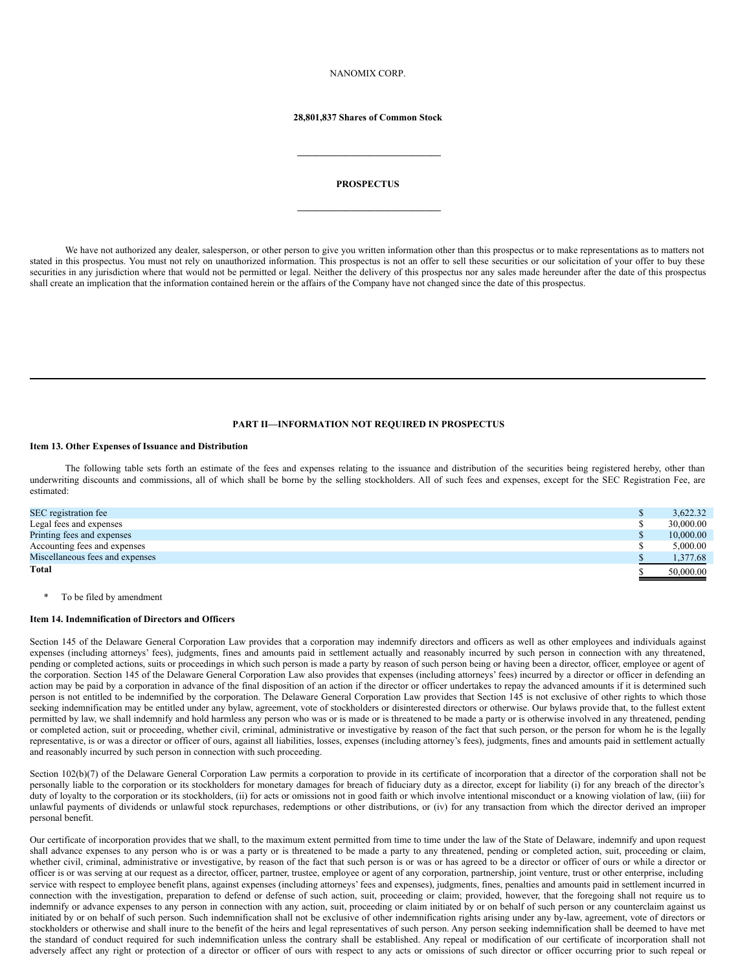NANOMIX CORP.

#### **28,801,837 Shares of Common Stock**

# **PROSPECTUS \_\_\_\_\_\_\_\_\_\_\_\_\_\_\_\_\_\_\_\_\_\_\_\_\_\_\_\_\_\_**

**\_\_\_\_\_\_\_\_\_\_\_\_\_\_\_\_\_\_\_\_\_\_\_\_\_\_\_\_\_\_**

We have not authorized any dealer, salesperson, or other person to give you written information other than this prospectus or to make representations as to matters not stated in this prospectus. You must not rely on unauthorized information. This prospectus is not an offer to sell these securities or our solicitation of your offer to buy these securities in any jurisdiction where that would not be permitted or legal. Neither the delivery of this prospectus nor any sales made hereunder after the date of this prospectus shall create an implication that the information contained herein or the affairs of the Company have not changed since the date of this prospectus.

### **PART II—INFORMATION NOT REQUIRED IN PROSPECTUS**

### **Item 13. Other Expenses of Issuance and Distribution**

The following table sets forth an estimate of the fees and expenses relating to the issuance and distribution of the securities being registered hereby, other than underwriting discounts and commissions, all of which shall be borne by the selling stockholders. All of such fees and expenses, except for the SEC Registration Fee, are estimated:

| 3.622.32  |
|-----------|
| 30,000.00 |
| 10,000.00 |
| 5,000.00  |
| 1,377.68  |
| 50,000.00 |
|           |

To be filed by amendment

### **Item 14. Indemnification of Directors and Officers**

Section 145 of the Delaware General Corporation Law provides that a corporation may indemnify directors and officers as well as other employees and individuals against expenses (including attorneys' fees), judgments, fines and amounts paid in settlement actually and reasonably incurred by such person in connection with any threatened, pending or completed actions, suits or proceedings in which such person is made a party by reason of such person being or having been a director, officer, employee or agent of the corporation. Section 145 of the Delaware General Corporation Law also provides that expenses (including attorneys' fees) incurred by a director or officer in defending an action may be paid by a corporation in advance of the final disposition of an action if the director or officer undertakes to repay the advanced amounts if it is determined such person is not entitled to be indemnified by the corporation. The Delaware General Corporation Law provides that Section 145 is not exclusive of other rights to which those seeking indemnification may be entitled under any bylaw, agreement, vote of stockholders or disinterested directors or otherwise. Our bylaws provide that, to the fullest extent permitted by law, we shall indemnify and hold harmless any person who was or is made or is threatened to be made a party or is otherwise involved in any threatened, pending or completed action, suit or proceeding, whether civil, criminal, administrative or investigative by reason of the fact that such person, or the person for whom he is the legally representative, is or was a director or officer of ours, against all liabilities, losses, expenses (including attorney's fees), judgments, fines and amounts paid in settlement actually and reasonably incurred by such person in connection with such proceeding.

Section 102(b)(7) of the Delaware General Corporation Law permits a corporation to provide in its certificate of incorporation that a director of the corporation shall not be personally liable to the corporation or its stockholders for monetary damages for breach of fiduciary duty as a director, except for liability (i) for any breach of the director's duty of loyalty to the corporation or its stockholders, (ii) for acts or omissions not in good faith or which involve intentional misconduct or a knowing violation of law, (iii) for unlawful payments of dividends or unlawful stock repurchases, redemptions or other distributions, or (iv) for any transaction from which the director derived an improper personal benefit.

Our certificate of incorporation provides that we shall, to the maximum extent permitted from time to time under the law of the State of Delaware, indemnify and upon request shall advance expenses to any person who is or was a party or is threatened to be made a party to any threatened, pending or completed action, suit, proceeding or claim, whether civil, criminal, administrative or investigative, by reason of the fact that such person is or was or has agreed to be a director or officer of ours or while a director or officer is or was serving at our request as a director, officer, partner, trustee, employee or agent of any corporation, partnership, joint venture, trust or other enterprise, including service with respect to employee benefit plans, against expenses (including attorneys' fees and expenses), judgments, fines, penalties and amounts paid in settlement incurred in connection with the investigation, preparation to defend or defense of such action, suit, proceeding or claim; provided, however, that the foregoing shall not require us to indemnify or advance expenses to any person in connection with any action, suit, proceeding or claim initiated by or on behalf of such person or any counterclaim against us initiated by or on behalf of such person. Such indemnification shall not be exclusive of other indemnification rights arising under any by-law, agreement, vote of directors or stockholders or otherwise and shall inure to the benefit of the heirs and legal representatives of such person. Any person seeking indemnification shall be deemed to have met the standard of conduct required for such indemnification unless the contrary shall be established. Any repeal or modification of our certificate of incorporation shall not adversely affect any right or protection of a director or officer of ours with respect to any acts or omissions of such director or officer occurring prior to such repeal or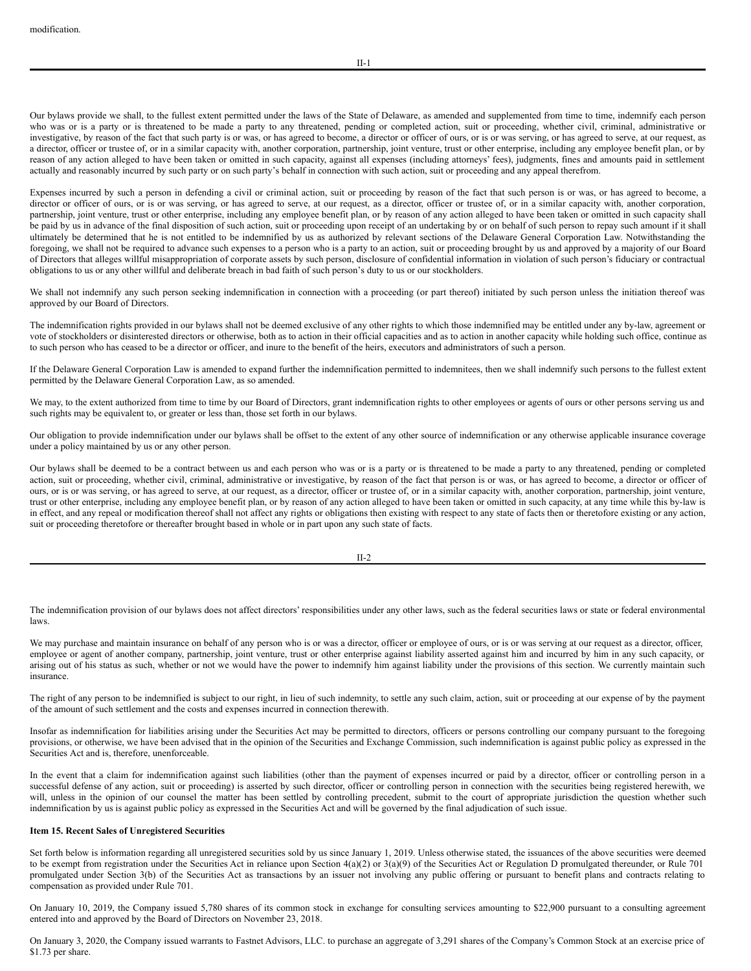Our bylaws provide we shall, to the fullest extent permitted under the laws of the State of Delaware, as amended and supplemented from time to time, indemnify each person who was or is a party or is threatened to be made a party to any threatened, pending or completed action, suit or proceeding, whether civil, criminal, administrative or investigative, by reason of the fact that such party is or was, or has agreed to become, a director or officer of ours, or is or was serving, or has agreed to serve, at our request, as a director, officer or trustee of, or in a similar capacity with, another corporation, partnership, joint venture, trust or other enterprise, including any employee benefit plan, or by reason of any action alleged to have been taken or omitted in such capacity, against all expenses (including attorneys' fees), judgments, fines and amounts paid in settlement actually and reasonably incurred by such party or on such party's behalf in connection with such action, suit or proceeding and any appeal therefrom.

Expenses incurred by such a person in defending a civil or criminal action, suit or proceeding by reason of the fact that such person is or was, or has agreed to become, a director or officer of ours, or is or was serving, or has agreed to serve, at our request, as a director, officer or trustee of, or in a similar capacity with, another corporation, partnership, joint venture, trust or other enterprise, including any employee benefit plan, or by reason of any action alleged to have been taken or omitted in such capacity shall be paid by us in advance of the final disposition of such action, suit or proceeding upon receipt of an undertaking by or on behalf of such person to repay such amount if it shall ultimately be determined that he is not entitled to be indemnified by us as authorized by relevant sections of the Delaware General Corporation Law. Notwithstanding the foregoing, we shall not be required to advance such expenses to a person who is a party to an action, suit or proceeding brought by us and approved by a majority of our Board of Directors that alleges willful misappropriation of corporate assets by such person, disclosure of confidential information in violation of such person's fiduciary or contractual obligations to us or any other willful and deliberate breach in bad faith of such person's duty to us or our stockholders.

We shall not indemnify any such person seeking indemnification in connection with a proceeding (or part thereof) initiated by such person unless the initiation thereof was approved by our Board of Directors.

The indemnification rights provided in our bylaws shall not be deemed exclusive of any other rights to which those indemnified may be entitled under any by-law, agreement or vote of stockholders or disinterested directors or otherwise, both as to action in their official capacities and as to action in another capacity while holding such office, continue as to such person who has ceased to be a director or officer, and inure to the benefit of the heirs, executors and administrators of such a person.

If the Delaware General Corporation Law is amended to expand further the indemnification permitted to indemnitees, then we shall indemnify such persons to the fullest extent permitted by the Delaware General Corporation Law, as so amended.

We may, to the extent authorized from time to time by our Board of Directors, grant indemnification rights to other employees or agents of ours or other persons serving us and such rights may be equivalent to, or greater or less than, those set forth in our bylaws.

Our obligation to provide indemnification under our bylaws shall be offset to the extent of any other source of indemnification or any otherwise applicable insurance coverage under a policy maintained by us or any other person.

Our bylaws shall be deemed to be a contract between us and each person who was or is a party or is threatened to be made a party to any threatened, pending or completed action, suit or proceeding, whether civil, criminal, administrative or investigative, by reason of the fact that person is or was, or has agreed to become, a director or officer of ours, or is or was serving, or has agreed to serve, at our request, as a director, officer or trustee of, or in a similar capacity with, another corporation, partnership, joint venture, trust or other enterprise, including any employee benefit plan, or by reason of any action alleged to have been taken or omitted in such capacity, at any time while this by-law is in effect, and any repeal or modification thereof shall not affect any rights or obligations then existing with respect to any state of facts then or theretofore existing or any action, suit or proceeding theretofore or thereafter brought based in whole or in part upon any such state of facts.

The indemnification provision of our bylaws does not affect directors' responsibilities under any other laws, such as the federal securities laws or state or federal environmental laws.

We may purchase and maintain insurance on behalf of any person who is or was a director, officer or employee of ours, or is or was serving at our request as a director, officer, employee or agent of another company, partnership, joint venture, trust or other enterprise against liability asserted against him and incurred by him in any such capacity, or arising out of his status as such, whether or not we would have the power to indemnify him against liability under the provisions of this section. We currently maintain such insurance.

The right of any person to be indemnified is subject to our right, in lieu of such indemnity, to settle any such claim, action, suit or proceeding at our expense of by the payment of the amount of such settlement and the costs and expenses incurred in connection therewith.

Insofar as indemnification for liabilities arising under the Securities Act may be permitted to directors, officers or persons controlling our company pursuant to the foregoing provisions, or otherwise, we have been advised that in the opinion of the Securities and Exchange Commission, such indemnification is against public policy as expressed in the Securities Act and is, therefore, unenforceable.

In the event that a claim for indemnification against such liabilities (other than the payment of expenses incurred or paid by a director, officer or controlling person in a successful defense of any action, suit or proceeding) is asserted by such director, officer or controlling person in connection with the securities being registered herewith, we will, unless in the opinion of our counsel the matter has been settled by controlling precedent, submit to the court of appropriate jurisdiction the question whether such indemnification by us is against public policy as expressed in the Securities Act and will be governed by the final adjudication of such issue.

# **Item 15. Recent Sales of Unregistered Securities**

Set forth below is information regarding all unregistered securities sold by us since January 1, 2019. Unless otherwise stated, the issuances of the above securities were deemed to be exempt from registration under the Securities Act in reliance upon Section 4(a)(2) or 3(a)(9) of the Securities Act or Regulation D promulgated thereunder, or Rule 701 promulgated under Section 3(b) of the Securities Act as transactions by an issuer not involving any public offering or pursuant to benefit plans and contracts relating to compensation as provided under Rule 701.

On January 10, 2019, the Company issued 5,780 shares of its common stock in exchange for consulting services amounting to \$22,900 pursuant to a consulting agreement entered into and approved by the Board of Directors on November 23, 2018.

On January 3, 2020, the Company issued warrants to Fastnet Advisors, LLC. to purchase an aggregate of 3,291 shares of the Company's Common Stock at an exercise price of \$1.73 per share.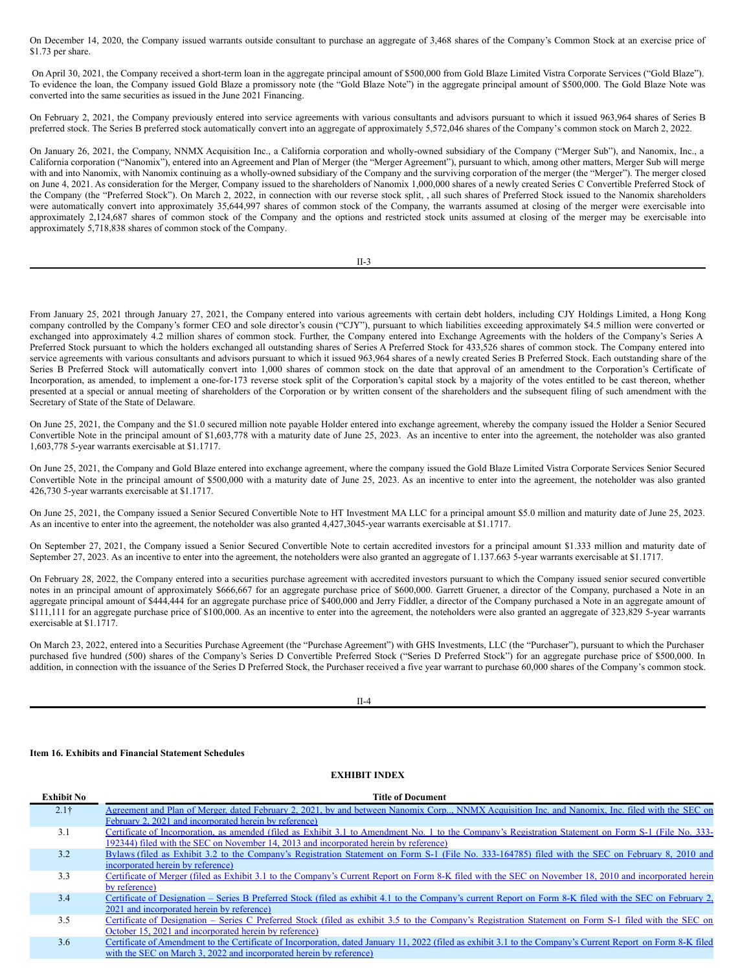On December 14, 2020, the Company issued warrants outside consultant to purchase an aggregate of 3,468 shares of the Company's Common Stock at an exercise price of \$1.73 per share.

On April 30, 2021, the Company received a short-term loan in the aggregate principal amount of \$500,000 from Gold Blaze Limited Vistra Corporate Services ("Gold Blaze"). To evidence the loan, the Company issued Gold Blaze a promissory note (the "Gold Blaze Note") in the aggregate principal amount of \$500,000. The Gold Blaze Note was converted into the same securities as issued in the June 2021 Financing.

On February 2, 2021, the Company previously entered into service agreements with various consultants and advisors pursuant to which it issued 963,964 shares of Series B preferred stock. The Series B preferred stock automatically convert into an aggregate of approximately 5,572,046 shares of the Company's common stock on March 2, 2022.

On January 26, 2021, the Company, NNMX Acquisition Inc., a California corporation and wholly-owned subsidiary of the Company ("Merger Sub"), and Nanomix, Inc., a California corporation ("Nanomix"), entered into an Agreement and Plan of Merger (the "Merger Agreement"), pursuant to which, among other matters, Merger Sub will merge with and into Nanomix, with Nanomix continuing as a wholly-owned subsidiary of the Company and the surviving corporation of the merger (the "Merger"). The merger closed on June 4, 2021. As consideration for the Merger, Company issued to the shareholders of Nanomix 1,000,000 shares of a newly created Series C Convertible Preferred Stock of the Company (the "Preferred Stock"). On March 2, 2022, in connection with our reverse stock split, , all such shares of Preferred Stock issued to the Nanomix shareholders were automatically convert into approximately 35,644,997 shares of common stock of the Company, the warrants assumed at closing of the merger were exercisable into approximately 2,124,687 shares of common stock of the Company and the options and restricted stock units assumed at closing of the merger may be exercisable into approximately 5,718,838 shares of common stock of the Company.

| ۰.<br>٠ |
|---------|

From January 25, 2021 through January 27, 2021, the Company entered into various agreements with certain debt holders, including CJY Holdings Limited, a Hong Kong company controlled by the Company's former CEO and sole director's cousin ("CJY"), pursuant to which liabilities exceeding approximately \$4.5 million were converted or exchanged into approximately 4.2 million shares of common stock. Further, the Company entered into Exchange Agreements with the holders of the Company's Series A Preferred Stock pursuant to which the holders exchanged all outstanding shares of Series A Preferred Stock for 433,526 shares of common stock. The Company entered into service agreements with various consultants and advisors pursuant to which it issued 963,964 shares of a newly created Series B Preferred Stock. Each outstanding share of the Series B Preferred Stock will automatically convert into 1,000 shares of common stock on the date that approval of an amendment to the Corporation's Certificate of Incorporation, as amended, to implement a one-for-173 reverse stock split of the Corporation's capital stock by a majority of the votes entitled to be cast thereon, whether presented at a special or annual meeting of shareholders of the Corporation or by written consent of the shareholders and the subsequent filing of such amendment with the Secretary of State of the State of Delaware.

On June 25, 2021, the Company and the \$1.0 secured million note payable Holder entered into exchange agreement, whereby the company issued the Holder a Senior Secured Convertible Note in the principal amount of \$1,603,778 with a maturity date of June 25, 2023. As an incentive to enter into the agreement, the noteholder was also granted 1,603,778 5-year warrants exercisable at \$1.1717.

On June 25, 2021, the Company and Gold Blaze entered into exchange agreement, where the company issued the Gold Blaze Limited Vistra Corporate Services Senior Secured Convertible Note in the principal amount of \$500,000 with a maturity date of June 25, 2023. As an incentive to enter into the agreement, the noteholder was also granted 426,730 5-year warrants exercisable at \$1.1717.

On June 25, 2021, the Company issued a Senior Secured Convertible Note to HT Investment MA LLC for a principal amount \$5.0 million and maturity date of June 25, 2023. As an incentive to enter into the agreement, the noteholder was also granted 4,427,3045-year warrants exercisable at \$1.1717.

On September 27, 2021, the Company issued a Senior Secured Convertible Note to certain accredited investors for a principal amount \$1.333 million and maturity date of September 27, 2023. As an incentive to enter into the agreement, the noteholders were also granted an aggregate of 1.137.663 5-year warrants exercisable at \$1.1717.

On February 28, 2022, the Company entered into a securities purchase agreement with accredited investors pursuant to which the Company issued senior secured convertible notes in an principal amount of approximately \$666,667 for an aggregate purchase price of \$600,000. Garrett Gruener, a director of the Company, purchased a Note in an aggregate principal amount of \$444,444 for an aggregate purchase price of \$400,000 and Jerry Fiddler, a director of the Company purchased a Note in an aggregate amount of \$111,111 for an aggregate purchase price of \$100,000. As an incentive to enter into the agreement, the noteholders were also granted an aggregate of 323,829 5-year warrants exercisable at \$1.1717.

On March 23, 2022, entered into a Securities Purchase Agreement (the "Purchase Agreement") with GHS Investments, LLC (the "Purchaser"), pursuant to which the Purchaser purchased five hundred (500) shares of the Company's Series D Convertible Preferred Stock ("Series D Preferred Stock") for an aggregate purchase price of \$500,000. In addition, in connection with the issuance of the Series D Preferred Stock, the Purchaser received a five year warrant to purchase 60,000 shares of the Company's common stock.

# **Item 16. Exhibits and Financial Statement Schedules**

# **EXHIBIT INDEX**

| Exhibit No       | <b>Title of Document</b>                                                                                                                                     |
|------------------|--------------------------------------------------------------------------------------------------------------------------------------------------------------|
| 2.1 <sub>†</sub> | Agreement and Plan of Merger, dated February 2, 2021, by and between Nanomix Corp, NNMX Acquisition Inc. and Nanomix, Inc. filed with the SEC on             |
|                  | February 2, 2021 and incorporated herein by reference)                                                                                                       |
| 3.1              | Certificate of Incorporation, as amended (filed as Exhibit 3.1 to Amendment No. 1 to the Company's Registration Statement on Form S-1 (File No. 333-         |
|                  | 192344) filed with the SEC on November 14, 2013 and incorporated herein by reference)                                                                        |
| 3.2              | Bylaws (filed as Exhibit 3.2 to the Company's Registration Statement on Form S-1 (File No. 333-164785) filed with the SEC on February 8, 2010 and            |
|                  | incorporated herein by reference)                                                                                                                            |
| 3.3              | Certificate of Merger (filed as Exhibit 3.1 to the Company's Current Report on Form 8-K filed with the SEC on November 18, 2010 and incorporated herein      |
|                  | by reference)                                                                                                                                                |
| 3.4              | Certificate of Designation – Series B Preferred Stock (filed as exhibit 4.1 to the Company's current Report on Form 8-K filed with the SEC on February 2,    |
|                  | 2021 and incorporated herein by reference)                                                                                                                   |
| 3.5              | Certificate of Designation – Series C Preferred Stock (filed as exhibit 3.5 to the Company's Registration Statement on Form S-1 filed with the SEC on        |
|                  | October 15, 2021 and incorporated herein by reference)                                                                                                       |
| 3.6              | Certificate of Amendment to the Certificate of Incorporation, dated January 11, 2022 (filed as exhibit 3.1 to the Company's Current Report on Form 8-K filed |
|                  | with the SEC on March 3, 2022 and incorporated herein by reference)                                                                                          |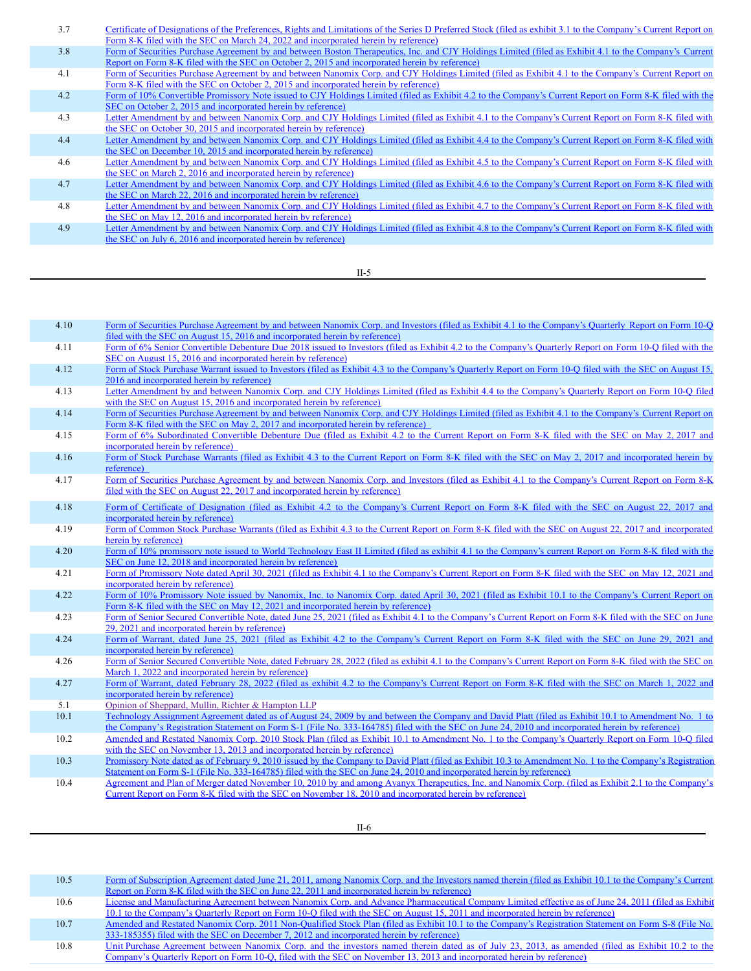|     | Certificate of Designations of the Preferences, Rights and Limitations of the Series D Preferred Stock (filed as exhibit 3.1 to the Company's Current Report on |
|-----|-----------------------------------------------------------------------------------------------------------------------------------------------------------------|
|     | Form 8-K filed with the SEC on March 24, 2022 and incorporated herein by reference)                                                                             |
| 3.8 | Form of Securities Purchase Agreement by and between Boston Therapeutics, Inc. and CJY Holdings Limited (filed as Exhibit 4.1 to the Company's Current          |
|     | Report on Form 8-K filed with the SEC on October 2, 2015 and incorporated herein by reference)                                                                  |
| 4.1 | Form of Securities Purchase Agreement by and between Nanomix Corp. and CJY Holdings Limited (filed as Exhibit 4.1 to the Company's Current Report on            |
|     | Form 8-K filed with the SEC on October 2, 2015 and incorporated herein by reference)                                                                            |
| 4.2 | Form of 10% Convertible Promissory Note issued to CJY Holdings Limited (filed as Exhibit 4.2 to the Company's Current Report on Form 8-K filed with the         |
|     | SEC on October 2, 2015 and incorporated herein by reference)                                                                                                    |
| 4.3 | Letter Amendment by and between Nanomix Corp. and CJY Holdings Limited (filed as Exhibit 4.1 to the Company's Current Report on Form 8-K filed with             |
|     | the SEC on October 30, 2015 and incorporated herein by reference)                                                                                               |
|     |                                                                                                                                                                 |

4.4 Letter Amendment by and between Nanomix Corp. and CJY Holdings Limited (filed as Exhibit 4.4 to the Company's Current Report on Form 8-K filed with the SEC on December 10, 2015 and [incorporated](http://www.sec.gov/Archives/edgar/data/1473579/000110262415001774/exh4_4.htm) herein by reference)

4.6 Letter Amendment by and between Nanomix Corp. and CJY Holdings Limited (filed as Exhibit 4.5 to the Company's Current Report on Form 8-K filed with the SEC on March 2, 2016 and [incorporated](http://www.sec.gov/Archives/edgar/data/1473579/000110262416002245/exh4_5.htm) herein by reference)

4.7 Letter Amendment by and between Nanomix Corp. and CJY Holdings Limited (filed as Exhibit 4.6 to the Company's Current Report on Form 8-K filed with the SEC on March 22, 2016 and [incorporated](http://www.sec.gov/Archives/edgar/data/1473579/000110262416002359/exh4_6.htm) herein by reference)

4.8 Letter Amendment by and between Nanomix Corp. and CJY Holdings Limited (filed as Exhibit 4.7 to the Company's Current Report on Form 8-K filed with the SEC on May 12, 2016 and [incorporated](http://www.sec.gov/Archives/edgar/data/1473579/000110262416002772/exh4_7.htm) herein by reference)

4.9 Letter Amendment by and between Nanomix Corp. and CJY Holdings Limited (filed as Exhibit 4.8 to the Company's Current Report on Form 8-K filed with the SEC on July 6, 2016 and [incorporated](http://www.sec.gov/Archives/edgar/data/1473579/000110262416003071/exh4_8.htm) herein by reference)

### II-5

4.10 Form of Securities Purchase Agreement by and between Nanomix Corp. and Investors (filed as Exhibit 4.1 to the Company's Quarterly Report on Form 10-Q filed with the SEC on August 15, 2016 and [incorporated](http://www.sec.gov/Archives/edgar/data/1473579/000110262416003289/exh4_1.htm) herein by reference) 4.11 Form of 6% Senior Convertible Debenture Due 2018 issued to Investors (filed as Exhibit 4.2 to the Company's Quarterly Report on Form 10-Q filed with the

- SEC on August 15, 2016 and [incorporated](http://www.sec.gov/Archives/edgar/data/1473579/000110262416003289/exh4_2.htm) herein by reference)
- 4.12 Form of Stock Purchase Warrant issued to Investors (filed as Exhibit 4.3 to the Company's Quarterly Report on Form 10-Q filed with the SEC on August 15, 2016 and [incorporated](http://www.sec.gov/Archives/edgar/data/1473579/000110262416003289/exh4_3.htm) herein by reference)
- 4.13 Letter [Amendment](http://www.sec.gov/Archives/edgar/data/1473579/000110262416003289/exh4_4.htm) by and between Nanomix Corp. and CJY Holdings Limited (filed as Exhibit 4.4 to the Company's Quarterly Report on Form 10-Q filed with the SEC on August 15, 2016 and incorporated herein by reference)
- 4.14 Form of Securities Purchase Agreement by and between Nanomix Corp. and CJY Holdings Limited (filed as Exhibit 4.1 to the Company's Current Report on Form 8-K filed with the SEC on May 2, 2017 and [incorporated](http://www.sec.gov/Archives/edgar/data/1473579/000161577417002027/s106031_ex4-1.htm) herein by reference)
- 4.15 Form of 6% [Subordinated](http://www.sec.gov/Archives/edgar/data/1473579/000161577417002027/s106031_ex4-2.htm) Convertible Debenture Due (filed as Exhibit 4.2 to the Current Report on Form 8-K filed with the SEC on May 2, 2017 and incorporated herein by reference)
- 4.16 Form of Stock Purchase Warrants (filed as Exhibit 4.3 to the Current Report on Form 8-K filed with the SEC on May 2, 2017 and [incorporated](http://www.sec.gov/Archives/edgar/data/1473579/000161577417002027/s106031_ex4-3.htm) herein by reference)

4.17 Form of Securities Purchase Agreement by and between Nanomix Corp. and Investors (filed as Exhibit 4.1 to the Company's Current Report on Form 8-K filed with the SEC on August 22, 2017 and [incorporated](http://www.sec.gov/Archives/edgar/data/1473579/000161577417004644/s107284_ex4-1.htm) herein by reference)

4.18 Form of Certificate of Designation (filed as Exhibit 4.2 to the Company's Current Report on Form 8-K filed with the SEC on August 22, 2017 and [incorporated](http://www.sec.gov/Archives/edgar/data/1473579/000161577417004644/s107284_ex4-2.htm) herein by reference)

4.19 Form of Common Stock Purchase Warrants (filed as Exhibit 4.3 to the Current Report on Form 8-K filed with the SEC on August 22, 2017 and [incorporated](http://www.sec.gov/Archives/edgar/data/1473579/000161577417004644/s107284_ex4-3.htm) herein by reference)

4.20 Form of 10% promissory note issued to World Technology East II Limited (filed as exhibit 4.1 to the Company's current Report on Form 8-K filed with the SEC on June 12, 2018 and [incorporated](http://www.sec.gov/Archives/edgar/data/1473579/000161577418005271/s110828_ex4-1.htm) herein by reference)

4.21 Form of Promissory Note dated April 30, 2021 (filed as Exhibit 4.1 to the Company's Current Report on Form 8-K filed with the SEC on May 12, 2021 and [incorporated](http://www.sec.gov/Archives/edgar/data/1473579/000121390021025831/ea140759ex4-1_bostonthera.htm) herein by reference)

4.22 Form of 10% Promissory Note issued by Nanomix, Inc. to Nanomix Corp. dated April 30, 2021 (filed as Exhibit 10.1 to the Company's Current Report on Form 8-K filed with the SEC on May 12, 2021 and [incorporated](http://www.sec.gov/Archives/edgar/data/1473579/000121390021025831/ea140759ex10-1_bostonthera.htm) herein by reference)

4.23 Form of Senior Secured Convertible Note, dated June 25, 2021 (filed as Exhibit 4.1 to the Company's Current Report on Form 8-K filed with the SEC on June 29, 2021 and [incorporated](http://www.sec.gov/Archives/edgar/data/1473579/000121390021034574/ea143434ex4-1_boston.htm) herein by reference)

4.24 Form of Warrant, dated June 25, 2021 (filed as Exhibit 4.2 to the Company's Current Report on Form 8-K filed with the SEC on June 29, 2021 and [incorporated](http://www.sec.gov/Archives/edgar/data/1473579/000121390021034574/ea143434ex4-2_boston.htm) herein by reference)

4.26 Form of Senior Secured Convertible Note, dated February 28, 2022 (filed as exhibit 4.1 to the Company's Current Report on Form 8-K filed with the SEC on March 1, 2022 and [incorporated](http://www.sec.gov/Archives/edgar/data/1473579/000121390022009939/ea156233ex4-1_nanomix.htm) herein by reference)

4.27 Form of Warrant, dated February 28, 2022 (filed as exhibit 4.2 to the Company's Current Report on Form 8-K filed with the SEC on March 1, 2022 and [incorporated](http://www.sec.gov/Archives/edgar/data/1473579/000121390022009939/ea156233ex4-2_nanomix.htm) herein by reference)

5.1 Opinion of [Sheppard,](#page-72-0) Mullin, Richter & Hampton LLP

10.1 Technology Assignment Agreement dated as of August 24, 2009 by and between the Company and David Platt (filed as Exhibit 10.1 to Amendment No. 1 to the Company's Registration Statement on Form S-1 (File No. [333-164785\)](http://www.sec.gov/Archives/edgar/data/1473579/000115752310003803/a6324059ex10-1.htm) filed with the SEC on June 24, 2010 and incorporated herein by reference) 10.2 Amended and Restated Nanomix Corp. 2010 Stock Plan (filed as Exhibit 10.1 to Amendment No. 1 to the Company's Quarterly Report on Form 10-O filed with the SEC on November 13, 2013 and [incorporated](http://www.sec.gov/Archives/edgar/data/1473579/000110262413001389/exh10_1.htm) herein by reference)

10.3 Promissory Note dated as of February 9, 2010 issued by the Company to David Platt (filed as Exhibit 10.3 to Amendment No. 1 to the Company's Registration Statement on Form S-1 (File No. [333-164785\)](http://www.sec.gov/Archives/edgar/data/1473579/000115752310003803/a6324059ex10-3.htm) filed with the SEC on June 24, 2010 and incorporated herein by reference)

| 10.5 | Form of Subscription Agreement dated June 21, 2011, among Nanomix Corp. and the Investors named therein (filed as Exhibit 10.1 to the Company's Current |
|------|---------------------------------------------------------------------------------------------------------------------------------------------------------|
|      | Report on Form 8-K filed with the SEC on June 22, 2011 and incorporated herein by reference)                                                            |
| 10.6 | License and Manufacturing Agreement between Nanomix Corp. and Advance Pharmaceutical Company Limited effective as of June 24, 2011 (filed as Exhibit    |
|      | 10.1 to the Company's Quarterly Report on Form 10-O filed with the SEC on August 15, 2011 and incorporated herein by reference)                         |
| 10.7 | Amended and Restated Nanomix Corp. 2011 Non-Qualified Stock Plan (filed as Exhibit 10.1 to the Company's Registration Statement on Form S-8 (File No.   |
|      | 333-185355) filed with the SEC on December 7, 2012 and incorporated herein by reference                                                                 |
| 10.8 | Unit Purchase Agreement between Nanomix Corp. and the investors named therein dated as of July 23, 2013, as amended (filed as Exhibit 10.2 to the       |
|      | Company's Quarterly Report on Form 10-O, filed with the SEC on November 13, 2013 and incorporated herein by reference)                                  |

<sup>10.4</sup> Agreement and Plan of Merger dated November 10, 2010 by and among Avanyx [Therapeutics,](http://www.sec.gov/Archives/edgar/data/1473579/000147357910000012/ex-2_1.htm) Inc. and Nanomix Corp. (filed as Exhibit 2.1 to the Company's Current Report on Form 8-K filed with the SEC on November 18, 2010 and incorporated herein by reference)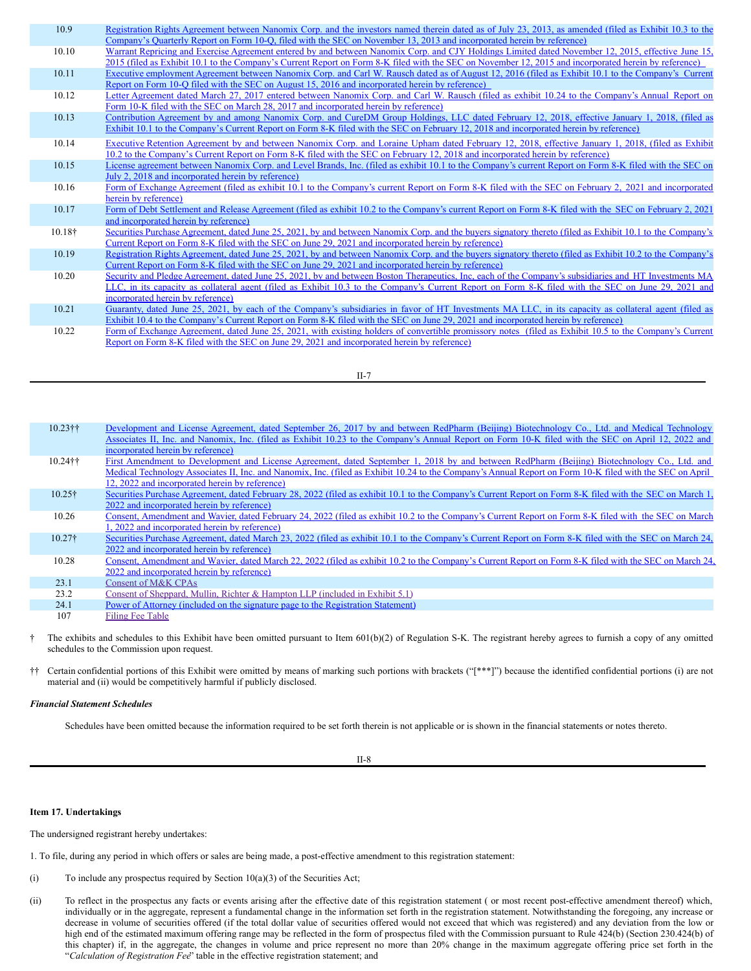| 10.9           | Registration Rights Agreement between Nanomix Corp. and the investors named therein dated as of July 23, 2013, as amended (filed as Exhibit 10.3 to the   |
|----------------|-----------------------------------------------------------------------------------------------------------------------------------------------------------|
|                | Company's Quarterly Report on Form 10-Q, filed with the SEC on November 13, 2013 and incorporated herein by reference)                                    |
| 10.10          | Warrant Repricing and Exercise Agreement entered by and between Nanomix Corp. and CJY Holdings Limited dated November 12, 2015, effective June 15,        |
|                | 2015 (filed as Exhibit 10.1 to the Company's Current Report on Form 8-K filed with the SEC on November 12, 2015 and incorporated herein by reference)     |
| 10.11          | Executive employment Agreement between Nanomix Corp. and Carl W. Rausch dated as of August 12, 2016 (filed as Exhibit 10.1 to the Company's Current       |
|                | Report on Form 10-O filed with the SEC on August 15, 2016 and incorporated herein by reference)                                                           |
| 10.12          | Letter Agreement dated March 27, 2017 entered between Nanomix Corp. and Carl W. Rausch (filed as exhibit 10.24 to the Company's Annual Report on          |
|                | Form 10-K filed with the SEC on March 28, 2017 and incorporated herein by reference)                                                                      |
| 10.13          | Contribution Agreement by and among Nanomix Corp. and CureDM Group Holdings, LLC dated February 12, 2018, effective January 1, 2018, (filed as            |
|                | Exhibit 10.1 to the Company's Current Report on Form 8-K filed with the SEC on February 12, 2018 and incorporated herein by reference)                    |
| 10.14          | Executive Retention Agreement by and between Nanomix Corp. and Loraine Upham dated February 12, 2018, effective January 1, 2018, (filed as Exhibit        |
|                | 10.2 to the Company's Current Report on Form 8-K filed with the SEC on February 12, 2018 and incorporated herein by reference)                            |
| 10.15          | License agreement between Nanomix Corp. and Level Brands, Inc. (filed as exhibit 10.1 to the Company's current Report on Form 8-K filed with the SEC on   |
|                | July 2, 2018 and incorporated herein by reference)                                                                                                        |
| 10.16          | Form of Exchange Agreement (filed as exhibit 10.1 to the Company's current Report on Form 8-K filed with the SEC on February 2, 2021 and incorporated     |
|                | herein by reference)                                                                                                                                      |
| 10.17          | Form of Debt Settlement and Release Agreement (filed as exhibit 10.2 to the Company's current Report on Form 8-K filed with the SEC on February 2, 2021   |
|                | and incorporated herein by reference)                                                                                                                     |
| $10.18\dagger$ | Securities Purchase Agreement, dated June 25, 2021, by and between Nanomix Corp. and the buyers signatory thereto (filed as Exhibit 10.1 to the Company's |
|                | Current Report on Form 8-K filed with the SEC on June 29, 2021 and incorporated herein by reference)                                                      |
| 10.19          | Registration Rights Agreement, dated June 25, 2021, by and between Nanomix Corp. and the buyers signatory thereto (filed as Exhibit 10.2 to the Company's |
|                | Current Report on Form 8-K filed with the SEC on June 29, 2021 and incorporated herein by reference)                                                      |
| 10.20          | Security and Pledge Agreement, dated June 25, 2021, by and between Boston Therapeutics, Inc. each of the Company's subsidiaries and HT Investments MA     |
|                | LLC, in its capacity as collateral agent (filed as Exhibit 10.3 to the Company's Current Report on Form 8-K filed with the SEC on June 29, 2021 and       |
|                | incorporated herein by reference)                                                                                                                         |
| 10.21          | Guaranty, dated June 25, 2021, by each of the Company's subsidiaries in favor of HT Investments MA LLC, in its capacity as collateral agent (filed as     |
|                | Exhibit 10.4 to the Company's Current Report on Form 8-K filed with the SEC on June 29, 2021 and incorporated herein by reference)                        |
| 10.22          | Form of Exchange Agreement, dated June 25, 2021, with existing holders of convertible promissory notes (filed as Exhibit 10.5 to the Company's Current    |
|                | Report on Form 8-K filed with the SEC on June 29, 2021 and incorporated herein by reference)                                                              |

II-7

| $10.23 +$          | Development and License Agreement, dated September 26, 2017 by and between RedPharm (Beijing) Biotechnology Co., Ltd. and Medical Technology             |  |
|--------------------|----------------------------------------------------------------------------------------------------------------------------------------------------------|--|
|                    | Associates II, Inc. and Nanomix, Inc. (filed as Exhibit 10.23 to the Company's Annual Report on Form 10-K filed with the SEC on April 12, 2022 and       |  |
|                    | incorporated herein by reference)                                                                                                                        |  |
| $10.24$ ††         | First Amendment to Development and License Agreement, dated September 1, 2018 by and between RedPharm (Beijing) Biotechnology Co., Ltd. and              |  |
|                    | Medical Technology Associates II, Inc. and Nanomix, Inc. (filed as Exhibit 10.24 to the Company's Annual Report on Form 10-K filed with the SEC on April |  |
|                    | 12, 2022 and incorporated herein by reference)                                                                                                           |  |
| $10.25\dagger$     | Securities Purchase Agreement, dated February 28, 2022 (filed as exhibit 10.1 to the Company's Current Report on Form 8-K filed with the SEC on March 1. |  |
|                    | 2022 and incorporated herein by reference)                                                                                                               |  |
| 10.26              | Consent, Amendment and Wavier, dated February 24, 2022 (filed as exhibit 10.2 to the Company's Current Report on Form 8-K filed with the SEC on March    |  |
|                    | 1, 2022 and incorporated herein by reference)                                                                                                            |  |
| 10.27 <sup>†</sup> | Securities Purchase Agreement, dated March 23, 2022 (filed as exhibit 10.1 to the Company's Current Report on Form 8-K filed with the SEC on March 24,   |  |
|                    | 2022 and incorporated herein by reference)                                                                                                               |  |
| 10.28              | Consent, Amendment and Wavier, dated March 22, 2022 (filed as exhibit 10.2 to the Company's Current Report on Form 8-K filed with the SEC on March 24,   |  |
|                    | 2022 and incorporated herein by reference)                                                                                                               |  |
| 23.1               | Consent of M&K CPAs                                                                                                                                      |  |
| 23.2               | Consent of Sheppard, Mullin, Richter & Hampton LLP (included in Exhibit 5.1)                                                                             |  |
| 24.1               | Power of Attorney (included on the signature page to the Registration Statement)                                                                         |  |
| 107                | Filing Fee Table                                                                                                                                         |  |
|                    |                                                                                                                                                          |  |

† The exhibits and schedules to this Exhibit have been omitted pursuant to Item 601(b)(2) of Regulation S-K. The registrant hereby agrees to furnish a copy of any omitted schedules to the Commission upon request.

†† Certain confidential portions of this Exhibit were omitted by means of marking such portions with brackets ("[\*\*\*]") because the identified confidential portions (i) are not material and (ii) would be competitively harmful if publicly disclosed.

### *Financial Statement Schedules*

Schedules have been omitted because the information required to be set forth therein is not applicable or is shown in the financial statements or notes thereto.

II-8

### **Item 17. Undertakings**

The undersigned registrant hereby undertakes:

1. To file, during any period in which offers or sales are being made, a post-effective amendment to this registration statement:

- (i) To include any prospectus required by Section  $10(a)(3)$  of the Securities Act;
- (ii) To reflect in the prospectus any facts or events arising after the effective date of this registration statement ( or most recent post-effective amendment thereof) which, individually or in the aggregate, represent a fundamental change in the information set forth in the registration statement. Notwithstanding the foregoing, any increase or decrease in volume of securities offered (if the total dollar value of securities offered would not exceed that which was registered) and any deviation from the low or high end of the estimated maximum offering range may be reflected in the form of prospectus filed with the Commission pursuant to Rule 424(b) (Section 230.424(b) of this chapter) if, in the aggregate, the changes in volume and price represent no more than 20% change in the maximum aggregate offering price set forth in the "*Calculation of Registration Fee*" table in the effective registration statement; and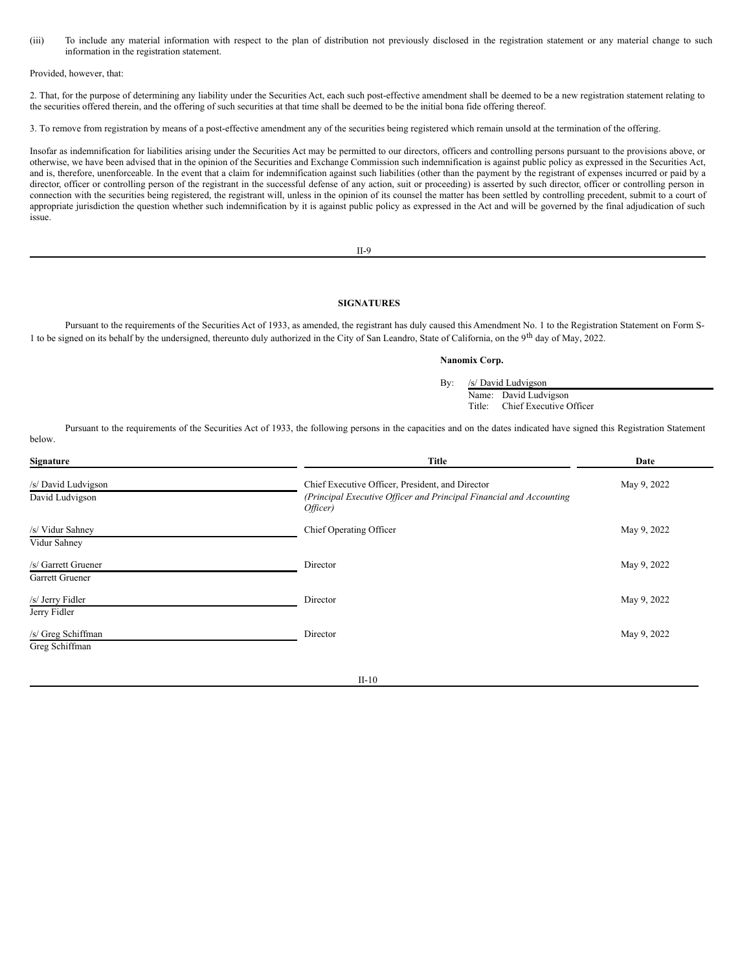(iii) To include any material information with respect to the plan of distribution not previously disclosed in the registration statement or any material change to such information in the registration statement.

Provided, however, that:

2. That, for the purpose of determining any liability under the Securities Act, each such post-effective amendment shall be deemed to be a new registration statement relating to the securities offered therein, and the offering of such securities at that time shall be deemed to be the initial bona fide offering thereof.

3. To remove from registration by means of a post-effective amendment any of the securities being registered which remain unsold at the termination of the offering.

Insofar as indemnification for liabilities arising under the Securities Act may be permitted to our directors, officers and controlling persons pursuant to the provisions above, or otherwise, we have been advised that in the opinion of the Securities and Exchange Commission such indemnification is against public policy as expressed in the Securities Act, and is, therefore, unenforceable. In the event that a claim for indemnification against such liabilities (other than the payment by the registrant of expenses incurred or paid by a director, officer or controlling person of the registrant in the successful defense of any action, suit or proceeding) is asserted by such director, officer or controlling person in connection with the securities being registered, the registrant will, unless in the opinion of its counsel the matter has been settled by controlling precedent, submit to a court of appropriate jurisdiction the question whether such indemnification by it is against public policy as expressed in the Act and will be governed by the final adjudication of such issue.

II-9

# <span id="page-71-0"></span>**SIGNATURES**

Pursuant to the requirements of the Securities Act of 1933, as amended, the registrant has duly caused this Amendment No. 1 to the Registration Statement on Form S-1 to be signed on its behalf by the undersigned, thereunto duly authorized in the City of San Leandro, State of California, on the 9<sup>th</sup> day of May, 2022.

### **Nanomix Corp.**

By: /s/ David Ludvigson Name: David Ludvigson Title: Chief Executive Officer

Pursuant to the requirements of the Securities Act of 1933, the following persons in the capacities and on the dates indicated have signed this Registration Statement below.

| Signature                              | <b>Title</b>                                                                                                                        | Date        |
|----------------------------------------|-------------------------------------------------------------------------------------------------------------------------------------|-------------|
| /s/ David Ludvigson<br>David Ludvigson | Chief Executive Officer, President, and Director<br>(Principal Executive Officer and Principal Financial and Accounting<br>Officer) | May 9, 2022 |
| /s/ Vidur Sahney<br>Vidur Sahney       | Chief Operating Officer                                                                                                             | May 9, 2022 |
| /s/ Garrett Gruener<br>Garrett Gruener | Director                                                                                                                            | May 9, 2022 |
| /s/ Jerry Fidler<br>Jerry Fidler       | Director                                                                                                                            | May 9, 2022 |
| /s/ Greg Schiffman<br>Greg Schiffman   | Director                                                                                                                            | May 9, 2022 |

II-10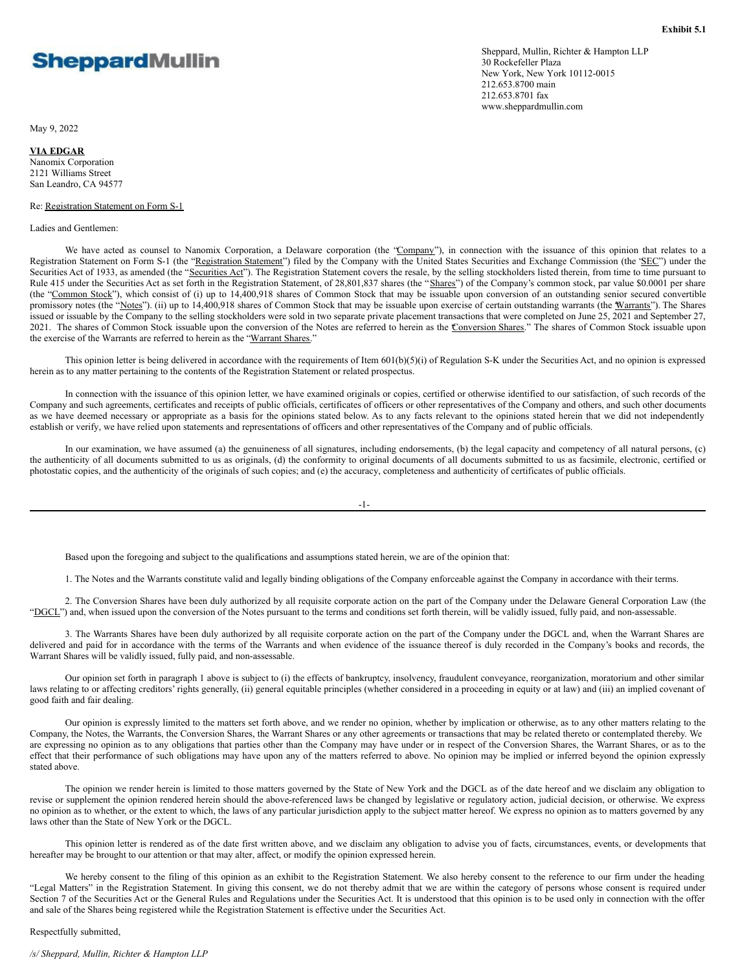# **SheppardMullin**

Sheppard, Mullin, Richter & Hampton LLP 30 Rockefeller Plaza New York, New York 10112-0015 212.653.8700 main 212.653.8701 fax www.sheppardmullin.com

May 9, 2022

**VIA EDGAR** Nanomix Corporation 2121 Williams Street San Leandro, CA 94577

#### Re: Registration Statement on Form S-1

Ladies and Gentlemen:

We have acted as counsel to Nanomix Corporation, a Delaware corporation (the "Company"), in connection with the issuance of this opinion that relates to a Registration Statement on Form S-1 (the "Registration Statement") filed by the Company with the United States Securities and Exchange Commission (the 'SEC") under the Securities Act of 1933, as amended (the "Securities Act"). The Registration Statement covers the resale, by the selling stockholders listed therein, from time to time pursuant to Rule 415 under the Securities Act as set forth in the Registration Statement, of 28,801,837 shares (the "Shares") of the Company's common stock, par value \$0.0001 per share (the "Common Stock"), which consist of (i) up to 14,400,918 shares of Common Stock that may be issuable upon conversion of an outstanding senior secured convertible promissory notes (the "Notes"). (ii) up to 14,400,918 shares of Common Stock that may be issuable upon exercise of certain outstanding warrants (the Warrants"). The Shares issued or issuable by the Company to the selling stockholders were sold in two separate private placement transactions that were completed on June 25, 2021 and September 27, 2021. The shares of Common Stock issuable upon the conversion of the Notes are referred to herein as the Conversion Shares." The shares of Common Stock issuable upon the exercise of the Warrants are referred to herein as the "Warrant Shares."

This opinion letter is being delivered in accordance with the requirements of Item 601(b)(5)(i) of Regulation S-K under the Securities Act, and no opinion is expressed herein as to any matter pertaining to the contents of the Registration Statement or related prospectus.

In connection with the issuance of this opinion letter, we have examined originals or copies, certified or otherwise identified to our satisfaction, of such records of the Company and such agreements, certificates and receipts of public officials, certificates of officers or other representatives of the Company and others, and such other documents as we have deemed necessary or appropriate as a basis for the opinions stated below. As to any facts relevant to the opinions stated herein that we did not independently establish or verify, we have relied upon statements and representations of officers and other representatives of the Company and of public officials.

In our examination, we have assumed (a) the genuineness of all signatures, including endorsements, (b) the legal capacity and competency of all natural persons, (c) the authenticity of all documents submitted to us as originals, (d) the conformity to original documents of all documents submitted to us as facsimile, electronic, certified or photostatic copies, and the authenticity of the originals of such copies; and (e) the accuracy, completeness and authenticity of certificates of public officials.

-1-

Based upon the foregoing and subject to the qualifications and assumptions stated herein, we are of the opinion that:

1. The Notes and the Warrants constitute valid and legally binding obligations of the Company enforceable against the Company in accordance with their terms.

2. The Conversion Shares have been duly authorized by all requisite corporate action on the part of the Company under the Delaware General Corporation Law (the "DGCL") and, when issued upon the conversion of the Notes pursuant to the terms and conditions set forth therein, will be validly issued, fully paid, and non-assessable.

3. The Warrants Shares have been duly authorized by all requisite corporate action on the part of the Company under the DGCL and, when the Warrant Shares are delivered and paid for in accordance with the terms of the Warrants and when evidence of the issuance thereof is duly recorded in the Company's books and records, the Warrant Shares will be validly issued, fully paid, and non-assessable.

Our opinion set forth in paragraph 1 above is subject to (i) the effects of bankruptcy, insolvency, fraudulent conveyance, reorganization, moratorium and other similar laws relating to or affecting creditors' rights generally, (ii) general equitable principles (whether considered in a proceeding in equity or at law) and (iii) an implied covenant of good faith and fair dealing.

Our opinion is expressly limited to the matters set forth above, and we render no opinion, whether by implication or otherwise, as to any other matters relating to the Company, the Notes, the Warrants, the Conversion Shares, the Warrant Shares or any other agreements or transactions that may be related thereto or contemplated thereby. We are expressing no opinion as to any obligations that parties other than the Company may have under or in respect of the Conversion Shares, the Warrant Shares, or as to the effect that their performance of such obligations may have upon any of the matters referred to above. No opinion may be implied or inferred beyond the opinion expressly stated above.

The opinion we render herein is limited to those matters governed by the State of New York and the DGCL as of the date hereof and we disclaim any obligation to revise or supplement the opinion rendered herein should the above-referenced laws be changed by legislative or regulatory action, judicial decision, or otherwise. We express no opinion as to whether, or the extent to which, the laws of any particular jurisdiction apply to the subject matter hereof. We express no opinion as to matters governed by any laws other than the State of New York or the DGCL.

This opinion letter is rendered as of the date first written above, and we disclaim any obligation to advise you of facts, circumstances, events, or developments that hereafter may be brought to our attention or that may alter, affect, or modify the opinion expressed herein.

We hereby consent to the filing of this opinion as an exhibit to the Registration Statement. We also hereby consent to the reference to our firm under the heading "Legal Matters" in the Registration Statement. In giving this consent, we do not thereby admit that we are within the category of persons whose consent is required under Section 7 of the Securities Act or the General Rules and Regulations under the Securities Act. It is understood that this opinion is to be used only in connection with the offer and sale of the Shares being registered while the Registration Statement is effective under the Securities Act.

Respectfully submitted,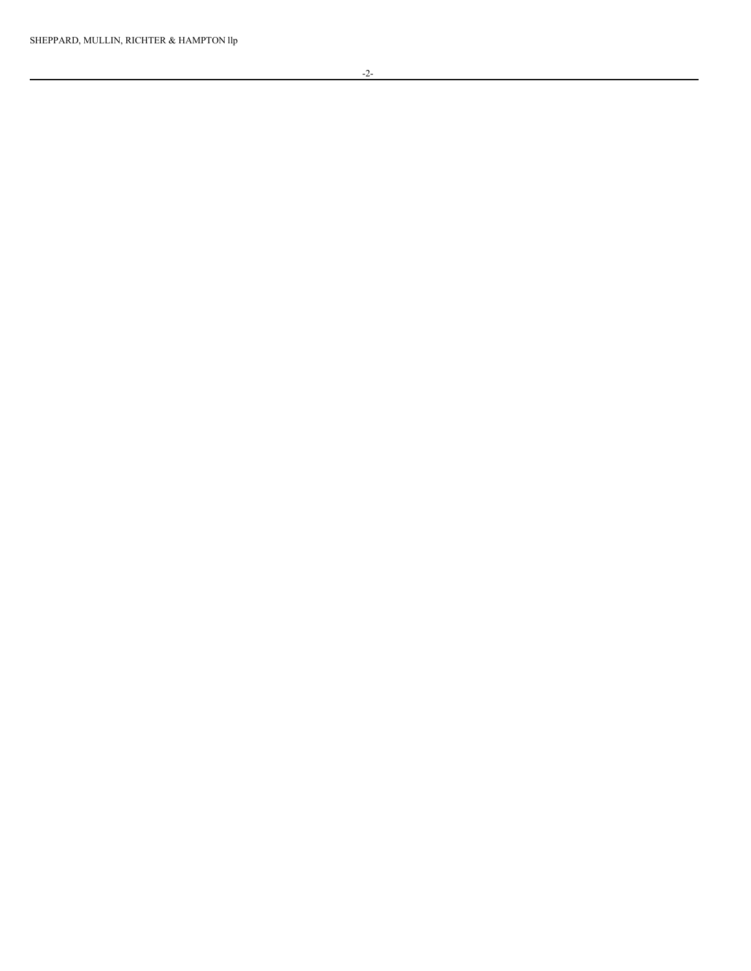-2-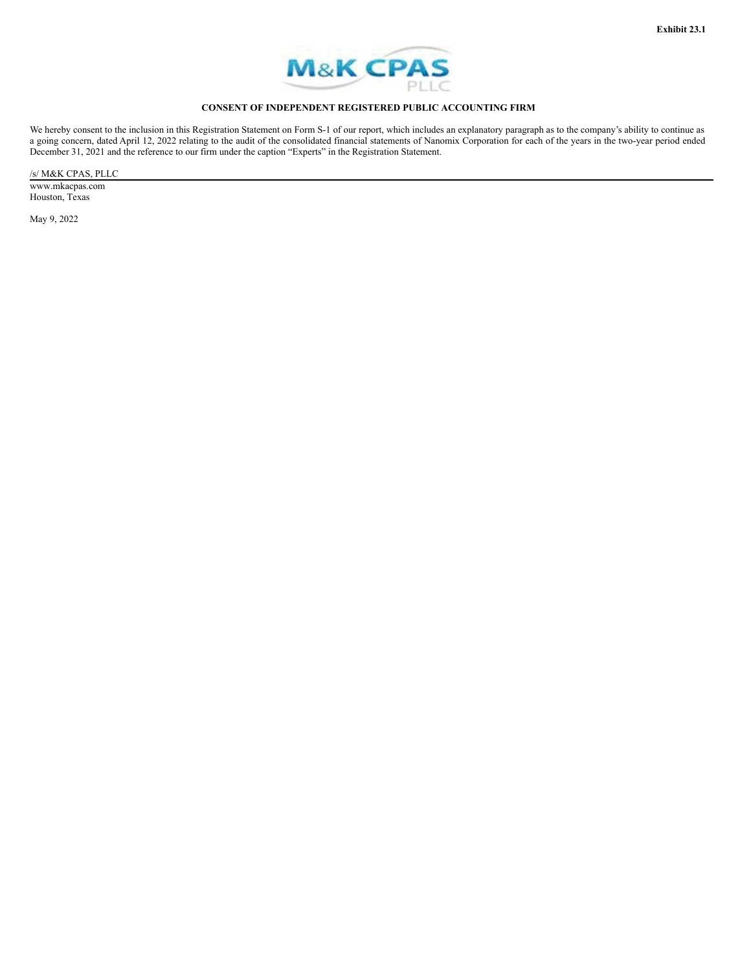

## **CONSENT OF INDEPENDENT REGISTERED PUBLIC ACCOUNTING FIRM**

We hereby consent to the inclusion in this Registration Statement on Form S-1 of our report, which includes an explanatory paragraph as to the company's ability to continue as a going concern, dated April 12, 2022 relating to the audit of the consolidated financial statements of Nanomix Corporation for each of the years in the two-year period ended December 31, 2021 and the reference to our firm under the caption "Experts" in the Registration Statement.

/s/ M&K CPAS, PLLC

www.mkacpas.com Houston, Texas

May 9, 2022